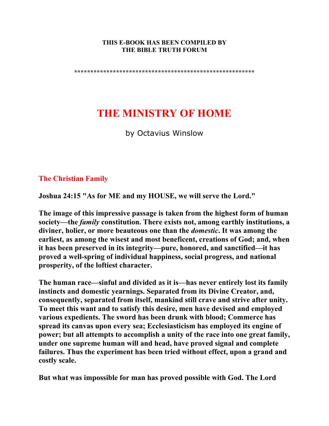#### **THIS E-BOOK HAS BEEN COMPILED BY THE BIBLE TRUTH FORUM**

**\*\*\*\*\*\*\*\*\*\*\*\*\*\*\*\*\*\*\*\*\*\*\*\*\*\*\*\*\*\*\*\*\*\*\*\*\*\*\*\*\*\*\*\*\*\*\*\*\*\*\*\*\*\*\*\*** 

# **THE MINISTRY OF HOME**

by Octavius Winslow

## **The Christian Family**

**Joshua 24:15 "As for ME and my HOUSE, we will serve the Lord."** 

**The image of this impressive passage is taken from the highest form of human society—the** *family* **constitution. There exists not, among earthly institutions, a diviner, holier, or more beauteous one than the** *domestic***. It was among the earliest, as among the wisest and most beneficent, creations of God; and, when it has been preserved in its integrity—pure, honored, and sanctified—it has proved a well-spring of individual happiness, social progress, and national prosperity, of the loftiest character.** 

**The human race—sinful and divided as it is—has never entirely lost its family instincts and domestic yearnings. Separated from its Divine Creator, and, consequently, separated from itself, mankind still crave and strive after unity. To meet this want and to satisfy this desire, men have devised and employed various expedients. The sword has been drunk with blood; Commerce has spread its canvas upon every sea; Ecclesiasticism has employed its engine of power; but all attempts to accomplish a unity of the race into one great family, under one supreme human will and head, have proved signal and complete failures. Thus the experiment has been tried without effect, upon a grand and costly scale.** 

**But what was impossible for man has proved possible with God. The Lord**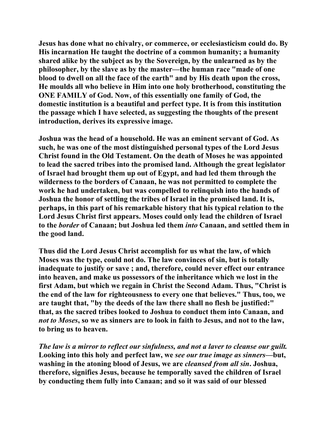**Jesus has done what no chivalry, or commerce, or ecclesiasticism could do. By His incarnation He taught the doctrine of a common humanity; a humanity shared alike by the subject as by the Sovereign, by the unlearned as by the philosopher, by the slave as by the master—the human race "made of one blood to dwell on all the face of the earth" and by His death upon the cross, He moulds all who believe in Him into one holy brotherhood, constituting the ONE FAMILY of God. Now, of this essentially one family of God, the domestic institution is a beautiful and perfect type. It is from this institution the passage which I have selected, as suggesting the thoughts of the present introduction, derives its expressive image.** 

**Joshua was the head of a household. He was an eminent servant of God. As such, he was one of the most distinguished personal types of the Lord Jesus Christ found in the Old Testament. On the death of Moses he was appointed to lead the sacred tribes into the promised land. Although the great legislator of Israel had brought them up out of Egypt, and had led them through the wilderness to the borders of Canaan, he was not permitted to complete the work he had undertaken, but was compelled to relinquish into the hands of Joshua the honor of settling the tribes of Israel in the promised land. It is, perhaps, in this part of his remarkable history that his typical relation to the Lord Jesus Christ first appears. Moses could only lead the children of Israel to the** *border* **of Canaan; but Joshua led them** *into* **Canaan, and settled them in the good land.** 

**Thus did the Lord Jesus Christ accomplish for us what the law, of which Moses was the type, could not do. The law convinces of sin, but is totally inadequate to justify or save ; and, therefore, could never effect our entrance into heaven, and make us possessors of the inheritance which we lost in the first Adam, but which we regain in Christ the Second Adam. Thus, "Christ is the end of the law for righteousness to every one that believes." Thus, too, we are taught that, "by the deeds of the law there shall no flesh be justified:" that, as the sacred tribes looked to Joshua to conduct them into Canaan, and**  *not to Moses***, so we as sinners are to look in faith to Jesus, and not to the law, to bring us to heaven.** 

*The law is a mirror to reflect our sinfulness, and not a laver to cleanse our guilt.* **Looking into this holy and perfect law, we** *see our true image as sinners***—but, washing in the atoning blood of Jesus, we are** *cleansed from all sin***. Joshua, therefore, signifies Jesus, because he temporally saved the children of Israel by conducting them fully into Canaan; and so it was said of our blessed**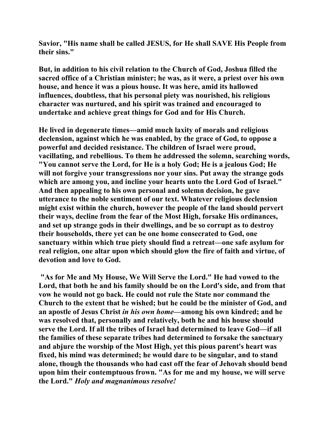**Savior, "His name shall be called JESUS, for He shall SAVE His People from their sins."** 

**But, in addition to his civil relation to the Church of God, Joshua filled the sacred office of a Christian minister; he was, as it were, a priest over his own house, and hence it was a pious house. It was here, amid its hallowed influences, doubtless, that his personal piety was nourished, his religious character was nurtured, and his spirit was trained and encouraged to undertake and achieve great things for God and for His Church.** 

**He lived in degenerate times—amid much laxity of morals and religious declension, against which he was enabled, by the grace of God, to oppose a powerful and decided resistance. The children of Israel were proud, vacillating, and rebellious. To them he addressed the solemn, searching words, "You cannot serve the Lord, for He is a holy God; He is a jealous God; He will not forgive your transgressions nor your sins. Put away the strange gods which are among you, and incline your hearts unto the Lord God of Israel." And then appealing to his own personal and solemn decision, he gave utterance to the noble sentiment of our text. Whatever religious declension might exist within the church, however the people of the land should pervert their ways, decline from the fear of the Most High, forsake His ordinances, and set up strange gods in their dwellings, and be so corrupt as to destroy their households, there yet can be one home consecrated to God, one sanctuary within which true piety should find a retreat—one safe asylum for real religion, one altar upon which should glow the fire of faith and virtue, of devotion and love to God.** 

 **"As for Me and My House, We Will Serve the Lord." He had vowed to the Lord, that both he and his family should be on the Lord's side, and from that vow he would not go back. He could not rule the State nor command the Church to the extent that he wished; but he could be the minister of God, and an apostle of Jesus Christ** *in his own home***—among his own kindred; and he was resolved that, personally and relatively, both he and his house should serve the Lord. If all the tribes of Israel had determined to leave God—if all the families of these separate tribes had determined to forsake the sanctuary and abjure the worship of the Most High, yet this pious parent's heart was fixed, his mind was determined; he would dare to be singular, and to stand alone, though the thousands who had cast off the fear of Jehovah should bend upon him their contemptuous frown. "As for me and my house, we will serve the Lord."** *Holy and magnanimous resolve!*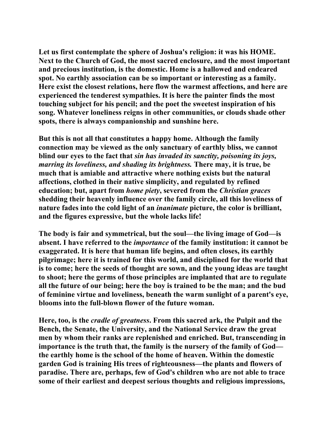**Let us first contemplate the sphere of Joshua's religion: it was his HOME. Next to the Church of God, the most sacred enclosure, and the most important and precious institution, is the domestic. Home is a hallowed and endeared spot. No earthly association can be so important or interesting as a family. Here exist the closest relations, here flow the warmest affections, and here are experienced the tenderest sympathies. It is here the painter finds the most touching subject for his pencil; and the poet the sweetest inspiration of his song. Whatever loneliness reigns in other communities, or clouds shade other spots, there is always companionship and sunshine here.** 

**But this is not all that constitutes a happy home. Although the family connection may be viewed as the only sanctuary of earthly bliss, we cannot blind our eyes to the fact that** *sin has invaded its sanctity, poisoning its joys, marring its loveliness, and shading its brightness.* **There may, it is true, be much that is amiable and attractive where nothing exists but the natural affections, clothed in their native simplicity, and regulated by refined education; but, apart from** *home piety***, severed from the** *Christian graces* **shedding their heavenly influence over the family circle, all this loveliness of nature fades into the cold light of an** *inanimate* **picture, the color is brilliant, and the figures expressive, but the whole lacks life!** 

**The body is fair and symmetrical, but the soul—the living image of God—is absent. I have referred to the** *importance* **of the family institution: it cannot be exaggerated. It is here that human life begins, and often closes, its earthly pilgrimage; here it is trained for this world, and disciplined for the world that is to come; here the seeds of thought are sown, and the young ideas are taught to shoot; here the germs of those principles are implanted that are to regulate all the future of our being; here the boy is trained to be the man; and the bud of feminine virtue and loveliness, beneath the warm sunlight of a parent's eye, blooms into the full-blown flower of the future woman.** 

**Here, too, is the** *cradle of greatness***. From this sacred ark, the Pulpit and the Bench, the Senate, the University, and the National Service draw the great men by whom their ranks are replenished and enriched. But, transcending in importance is the truth that, the family is the nursery of the family of God the earthly home is the school of the home of heaven. Within the domestic garden God is training His trees of righteousness—the plants and flowers of paradise. There are, perhaps, few of God's children who are not able to trace some of their earliest and deepest serious thoughts and religious impressions,**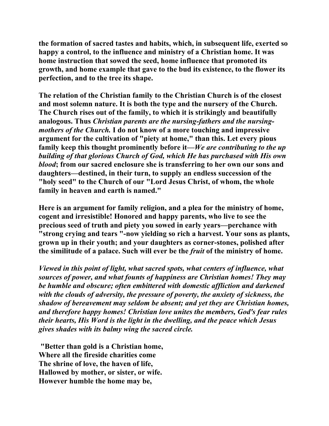**the formation of sacred tastes and habits, which, in subsequent life, exerted so happy a control, to the influence and ministry of a Christian home. It was home instruction that sowed the seed, home influence that promoted its growth, and home example that gave to the bud its existence, to the flower its perfection, and to the tree its shape.** 

**The relation of the Christian family to the Christian Church is of the closest and most solemn nature. It is both the type and the nursery of the Church. The Church rises out of the family, to which it is strikingly and beautifully analogous. Thus** *Christian parents are the nursing-fathers and the nursingmothers of the Church.* **I do not know of a more touching and impressive argument for the cultivation of "piety at home," than this. Let every pious family keep this thought prominently before it—***We are contributing to the up building of that glorious Church of God, which He has purchased with His own blood***; from our sacred enclosure she is transferring to her own our sons and daughters—destined, in their turn, to supply an endless succession of the "holy seed" to the Church of our "Lord Jesus Christ, of whom, the whole family in heaven and earth is named."** 

**Here is an argument for family religion, and a plea for the ministry of home, cogent and irresistible! Honored and happy parents, who live to see the precious seed of truth and piety you sowed in early years—perchance with "strong crying and tears "-now yielding so rich a harvest. Your sons as plants, grown up in their youth; and your daughters as corner-stones, polished after the similitude of a palace. Such will ever be the** *fruit* **of the ministry of home.** 

*Viewed in this point of light, what sacred spots, what centers of influence, what sources of power, and what founts of happiness are Christian homes! They may be humble and obscure; often embittered with domestic affliction and darkened with the clouds of adversity, the pressure of poverty, the anxiety of sickness, the shadow of bereavement may seldom be absent; and yet they are Christian homes, and therefore happy homes! Christian love unites the members, God's fear rules their hearts, His Word is the light in the dwelling, and the peace which Jesus gives shades with its balmy wing the sacred circle.*

 **"Better than gold is a Christian home, Where all the fireside charities come The shrine of love, the haven of life, Hallowed by mother, or sister, or wife. However humble the home may be,**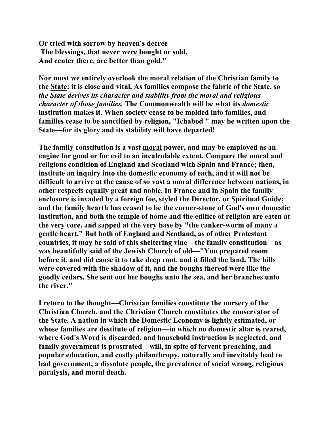**Or tried with sorrow by heaven's decree The blessings, that never were bought or sold, And center there, are better than gold."** 

**Nor must we entirely overlook the moral relation of the Christian family to the State: it is close and vital. As families compose the fabric of the State, so**  *the State derives its character and stability from the moral and religious character of those families.* **The Commonwealth will be what its** *domestic* **institution makes it. When society cease to be molded into families, and families cease to be sanctified by religion, "Ichabod " may be written upon the State—for its glory and its stability will have departed!** 

**The family constitution is a vast moral power, and may be employed as an engine for good or for evil to an incalculable extent. Compare the moral and religious condition of England and Scotland with Spain and France; then, institute an inquiry into the domestic economy of each, and it will not be difficult to arrive at the cause of so vast a moral difference between nations, in other respects equally great and noble. In France and in Spain the family enclosure is invaded by a foreign foe, styled the Director, or Spiritual Guide; and the family hearth has ceased to be the corner-stone of God's own domestic institution, and both the temple of home and the edifice of religion are eaten at the very core, and sapped at the very base by "the canker-worm of many a gentle heart." But both of England and Scotland, as of other Protestant countries, it may be said of this sheltering vine—the family constitution—as was beautifully said of the Jewish Church of old—"You prepared room before it, and did cause it to take deep root, and it filled the land. The hills were covered with the shadow of it, and the boughs thereof were like the goodly cedars. She sent out her boughs unto the sea, and her branches unto the river."** 

**I return to the thought—Christian families constitute the nursery of the Christian Church, and the Christian Church constitutes the conservator of the State. A nation in which the Domestic Economy is lightly estimated, or whose families are destitute of religion—in which no domestic altar is reared, where God's Word is discarded, and household instruction is neglected, and family government is prostrated—will, in spite of fervent preaching, and popular education, and costly philanthropy, naturally and inevitably lead to bad government, a dissolute people, the prevalence of social wrong, religious paralysis, and moral death.**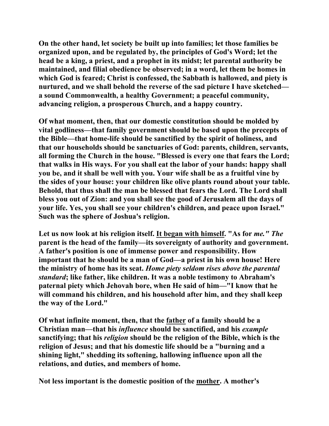**On the other hand, let society be built up into families; let those families be organized upon, and be regulated by, the principles of God's Word; let the head be a king, a priest, and a prophet in its midst; let parental authority be maintained, and filial obedience be observed; in a word, let them be homes in which God is feared; Christ is confessed, the Sabbath is hallowed, and piety is nurtured, and we shall behold the reverse of the sad picture I have sketched a sound Commonwealth, a healthy Government; a peaceful community, advancing religion, a prosperous Church, and a happy country.** 

**Of what moment, then, that our domestic constitution should be molded by vital godliness—that family government should be based upon the precepts of the Bible—that home-life should be sanctified by the spirit of holiness, and that our households should be sanctuaries of God: parents, children, servants, all forming the Church in the house. "Blessed is every one that fears the Lord; that walks in His ways. For you shall eat the labor of your hands: happy shall you be, and it shall be well with you. Your wife shall be as a fruitful vine by the sides of your house: your children like olive plants round about your table. Behold, that thus shall the man be blessed that fears the Lord. The Lord shall bless you out of Zion: and you shall see the good of Jerusalem all the days of your life. Yes, you shall see your children's children, and peace upon Israel." Such was the sphere of Joshua's religion.** 

Let us now look at his religion itself. It began with himself. "As for *me." The* **parent is the head of the family—its sovereignty of authority and government. A father's position is one of immense power and responsibility. How important that he should be a man of God—a priest in his own house! Here the ministry of home has its seat.** *Home piety seldom rises above the parental standard***; like father, like children. It was a noble testimony to Abraham's paternal piety which Jehovah bore, when He said of him—"I know that he will command his children, and his household after him, and they shall keep the way of the Lord."** 

**Of what infinite moment, then, that the father of a family should be a Christian man—that his** *influence* **should be sanctified, and his** *example* **sanctifying; that his** *religion* **should be the religion of the Bible, which is the religion of Jesus; and that his domestic life should be a "burning and a shining light," shedding its softening, hallowing influence upon all the relations, and duties, and members of home.** 

**Not less important is the domestic position of the mother. A mother's**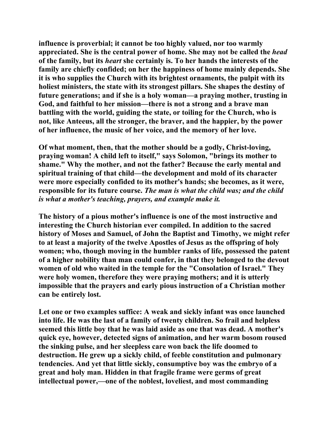**influence is proverbial; it cannot be too highly valued, nor too warmly appreciated. She is the central power of home. She may not be called the** *head* **of the family, but its** *heart* **she certainly is. To her hands the interests of the family are chiefly confided; on her the happiness of home mainly depends. She it is who supplies the Church with its brightest ornaments, the pulpit with its holiest ministers, the state with its strongest pillars. She shapes the destiny of future generations; and if she is a holy woman—a praying mother, trusting in God, and faithful to her mission—there is not a strong and a brave man battling with the world, guiding the state, or toiling for the Church, who is not, like Anteeus, all the stronger, the braver, and the happier, by the power of her influence, the music of her voice, and the memory of her love.** 

**Of what moment, then, that the mother should be a godly, Christ-loving, praying woman! A child left to itself," says Solomon, "brings its mother to shame." Why the mother, and not the father? Because the early mental and spiritual training of that child—the development and mold of its character were more especially confided to its mother's hands; she becomes, as it were, responsible for its future course.** *The man is what the child was; and the child is what a mother's teaching, prayers, and example make it.*

**The history of a pious mother's influence is one of the most instructive and interesting the Church historian ever compiled. In addition to the sacred history of Moses and Samuel, of John the Baptist and Timothy, we might refer to at least a majority of the twelve Apostles of Jesus as the offspring of holy women; who, though moving in the humbler ranks of life, possessed the patent of a higher nobility than man could confer, in that they belonged to the devout women of old who waited in the temple for the "Consolation of Israel." They were holy women, therefore they were praying mothers; and it is utterly impossible that the prayers and early pious instruction of a Christian mother can be entirely lost.** 

**Let one or two examples suffice: A weak and sickly infant was once launched into life. He was the last of a family of twenty children. So frail and helpless seemed this little boy that he was laid aside as one that was dead. A mother's quick eye, however, detected signs of animation, and her warm bosom roused the sinking pulse, and her sleepless care won back the life doomed to destruction. He grew up a sickly child, of feeble constitution and pulmonary tendencies. And yet that little sickly, consumptive boy was the embryo of a great and holy man. Hidden in that fragile frame were germs of great intellectual power,—one of the noblest, loveliest, and most commanding**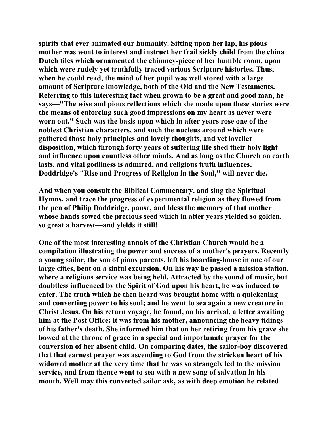**spirits that ever animated our humanity. Sitting upon her lap, his pious mother was wont to interest and instruct her frail sickly child from the china Dutch tiles which ornamented the chimney-piece of her humble room, upon which were rudely yet truthfully traced various Scripture histories. Thus, when he could read, the mind of her pupil was well stored with a large amount of Scripture knowledge, both of the Old and the New Testaments. Referring to this interesting fact when grown to be a great and good man, he says—"The wise and pious reflections which she made upon these stories were the means of enforcing such good impressions on my heart as never were worn out." Such was the basis upon which in after years rose one of the noblest Christian characters, and such the nucleus around which were gathered those holy principles and lovely thoughts, and yet lovelier disposition, which through forty years of suffering life shed their holy light and influence upon countless other minds. And as long as the Church on earth lasts, and vital godliness is admired, and religious truth influences, Doddridge's "Rise and Progress of Religion in the Soul," will never die.** 

**And when you consult the Biblical Commentary, and sing the Spiritual Hymns, and trace the progress of experimental religion as they flowed from the pen of Philip Doddridge, pause, and bless the memory of that mother whose hands sowed the precious seed which in after years yielded so golden, so great a harvest—and yields it still!** 

**One of the most interesting annals of the Christian Church would be a compilation illustrating the power and success of a mother's prayers. Recently a young sailor, the son of pious parents, left his boarding-house in one of our large cities, bent on a sinful excursion. On his way he passed a mission station, where a religious service was being held. Attracted by the sound of music, but doubtless influenced by the Spirit of God upon his heart, he was induced to enter. The truth which he then heard was brought home with a quickening and converting power to his soul; and he went to sea again a new creature in Christ Jesus. On his return voyage, he found, on his arrival, a letter awaiting him at the Post Office: it was from his mother, announcing the heavy tidings of his father's death. She informed him that on her retiring from his grave she bowed at the throne of grace in a special and importunate prayer for the conversion of her absent child. On comparing dates, the sailor-boy discovered that that earnest prayer was ascending to God from the stricken heart of his widowed mother at the very time that he was so strangely led to the mission service, and from thence went to sea with a new song of salvation in his mouth. Well may this converted sailor ask, as with deep emotion he related**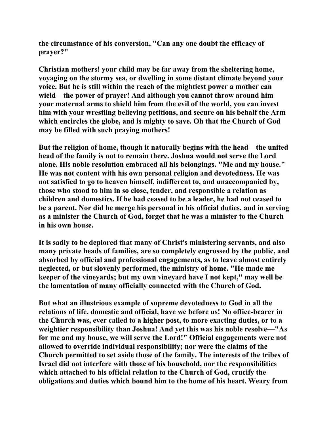**the circumstance of his conversion, "Can any one doubt the efficacy of prayer?"** 

**Christian mothers! your child may be far away from the sheltering home, voyaging on the stormy sea, or dwelling in some distant climate beyond your voice. But he is still within the reach of the mightiest power a mother can wield—the power of prayer! And although you cannot throw around him your maternal arms to shield him from the evil of the world, you can invest him with your wrestling believing petitions, and secure on his behalf the Arm which encircles the globe, and is mighty to save. Oh that the Church of God may be filled with such praying mothers!** 

**But the religion of home, though it naturally begins with the head—the united head of the family is not to remain there. Joshua would not serve the Lord alone. His noble resolution embraced all his belongings. "Me and my house." He was not content with his own personal religion and devotedness. He was not satisfied to go to heaven himself, indifferent to, and unaccompanied by, those who stood to him in so close, tender, and responsible a relation as children and domestics. If he had ceased to be a leader, he had not ceased to be a parent. Nor did he merge his personal in his official duties, and in serving as a minister the Church of God, forget that he was a minister to the Church in his own house.** 

**It is sadly to be deplored that many of Christ's ministering servants, and also many private heads of families, are so completely engrossed by the public, and absorbed by official and professional engagements, as to leave almost entirely neglected, or but slovenly performed, the ministry of home. "He made me keeper of the vineyards; but my own vineyard have I not kept," may well be the lamentation of many officially connected with the Church of God.** 

**But what an illustrious example of supreme devotedness to God in all the relations of life, domestic and official, have we before us! No office-bearer in the Church was, ever called to a higher post, to more exacting duties, or to a weightier responsibility than Joshua! And yet this was his noble resolve—"As for me and my house, we will serve the Lord!" Official engagements were not allowed to override individual responsibility; nor were the claims of the Church permitted to set aside those of the family. The interests of the tribes of Israel did not interfere with those of his household, nor the responsibilities which attached to his official relation to the Church of God, crucify the obligations and duties which bound him to the home of his heart. Weary from**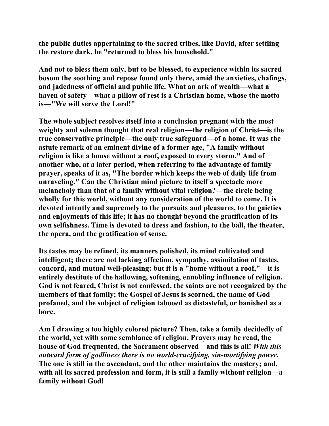**the public duties appertaining to the sacred tribes, like David, after settling the restore dark, he "returned to bless his household."** 

**And not to bless them only, but to be blessed, to experience within its sacred bosom the soothing and repose found only there, amid the anxieties, chafings, and jadedness of official and public life. What an ark of wealth—what a haven of safety—what a pillow of rest is a Christian home, whose the motto is—"We will serve the Lord!"** 

**The whole subject resolves itself into a conclusion pregnant with the most weighty and solemn thought that real religion—the religion of Christ—is the true conservative principle—the only true safeguard—of a home. It was the astute remark of an eminent divine of a former age, "A family without religion is like a house without a roof, exposed to every storm." And of another who, at a later period, when referring to the advantage of family prayer, speaks of it as, "The border which keeps the web of daily life from unraveling." Can the Christian mind picture to itself a spectacle more melancholy than that of a family without vital religion?—the circle being wholly for this world, without any consideration of the world to come. It is devoted intently and supremely to the pursuits and pleasures, to the gaieties and enjoyments of this life; it has no thought beyond the gratification of its own selfishness. Time is devoted to dress and fashion, to the ball, the theater, the opera, and the gratification of sense.** 

**Its tastes may be refined, its manners polished, its mind cultivated and intelligent; there are not lacking affection, sympathy, assimilation of tastes, concord, and mutual well-pleasing: but it is a "home without a roof,"—it is entirely destitute of the hallowing, softening, ennobling influence of religion. God is not feared, Christ is not confessed, the saints are not recognized by the members of that family; the Gospel of Jesus is scorned, the name of God profaned, and the subject of religion tabooed as distasteful, or banished as a bore.** 

**Am I drawing a too highly colored picture? Then, take a family decidedly of the world, yet with some semblance of religion. Prayers may be read, the house of God frequented, the Sacrament observed—and this is all!** *With this outward form of godliness there is no world-crucifying, sin-mortifying power.*  **The one is still in the ascendant, and the other maintains the mastery; and, with all its sacred profession and form, it is still a family without religion—a family without God!**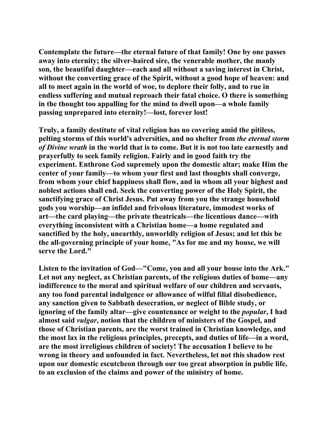**Contemplate the future—the eternal future of that family! One by one passes away into eternity; the silver-haired sire, the venerable mother, the manly son, the beautiful daughter—each and all without a saving interest in Christ, without the converting grace of the Spirit, without a good hope of heaven: and all to meet again in the world of woe, to deplore their folly, and to rue in endless suffering and mutual reproach their fatal choice. O there is something in the thought too appalling for the mind to dwell upon—a whole family passing unprepared into eternity!—lost, forever lost!** 

**Truly, a family destitute of vital religion has no covering amid the pitiless, pelting storms of this world's adversities, and no shelter from** *the eternal storm of Divine wrath* **in the world that is to come. But it is not too late earnestly and prayerfully to seek family religion. Fairly and in good faith try the experiment. Enthrone God supremely upon the domestic altar; make Him the center of your family—to whom your first and last thoughts shall converge, from whom your chief happiness shall flow, and in whom all your highest and noblest actions shall end. Seek the converting power of the Holy Spirit, the sanctifying grace of Christ Jesus. Put away from you the strange household gods you worship—an infidel and frivolous literature, immodest works of art—the card playing—the private theatricals—the licentious dance—with everything inconsistent with a Christian home—a home regulated and sanctified by the holy, unearthly, unworldly religion of Jesus; and let this be the all-governing principle of your home, "As for me and my house, we will serve the Lord."** 

**Listen to the invitation of God—"Come, you and all your house into the Ark." Let not any neglect, as Christian parents, of the religious duties of home—any indifference to the moral and spiritual welfare of our children and servants, any too fond parental indulgence or allowance of wilful filial disobedience, any sanction given to Sabbath desecration, or neglect of Bible study, or ignoring of the family altar—give countenance or weight to the** *popular***, I had almost said** *vulgar***, notion that the children of ministers of the Gospel, and those of Christian parents, are the worst trained in Christian knowledge, and the most lax in the religious principles, precepts, and duties of life—in a word, are the most irreligious children of society! The accusation I believe to be wrong in theory and unfounded in fact. Nevertheless, let not this shadow rest upon our domestic escutcheon through our too great absorption in public life, to an exclusion of the claims and power of the ministry of home.**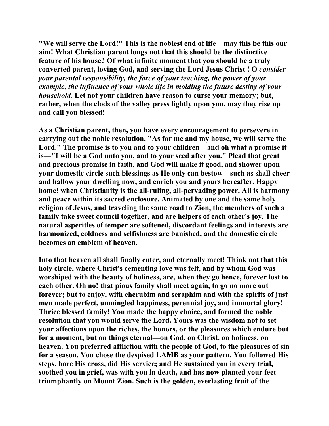**"We will serve the Lord!" This is the noblest end of life—may this be this our aim! What Christian parent longs not that this should be the distinctive feature of his house? Of what infinite moment that you should be a truly converted parent, loving God, and serving the Lord Jesus Christ ! O** *consider your parental responsibility, the force of your teaching, the power of your example, the influence of your whole life in molding the future destiny of your household.* **Let not your children have reason to curse your memory; but, rather, when the clods of the valley press lightly upon you, may they rise up and call you blessed!** 

**As a Christian parent, then, you have every encouragement to persevere in carrying out the noble resolution, "As for me and my house, we will serve the Lord." The promise is to you and to your children—and oh what a promise it is—"I will be a God unto you, and to your seed after you." Plead that great and precious promise in faith, and God will make it good, and shower upon your domestic circle such blessings as He only can bestow—such as shall cheer and hallow your dwelling now, and enrich you and yours hereafter. Happy home! when Christianity is the all-ruling, all-pervading power. All is harmony and peace within its sacred enclosure. Animated by one and the same holy religion of Jesus, and traveling the same road to Zion, the members of such a family take sweet council together, and are helpers of each other's joy. The natural asperities of temper are softened, discordant feelings and interests are harmonized, coldness and selfishness are banished, and the domestic circle becomes an emblem of heaven.** 

**Into that heaven all shall finally enter, and eternally meet! Think not that this holy circle, where Christ's cementing love was felt, and by whom God was worshiped with the beauty of holiness, are, when they go hence, forever lost to each other. Oh no! that pious family shall meet again, to go no more out forever; but to enjoy, with cherubim and seraphim and with the spirits of just men made perfect, unmingled happiness, perennial joy, and immortal glory! Thrice blessed family! You made the happy choice, and formed the noble resolution that you would serve the Lord. Yours was the wisdom not to set your affections upon the riches, the honors, or the pleasures which endure but for a moment, but on things eternal—on God, on Christ, on holiness, on heaven. You preferred affliction with the people of God, to the pleasures of sin for a season. You chose the despised LAMB as your pattern. You followed His steps, bore His cross, did His service; and He sustained you in every trial, soothed you in grief, was with you in death, and has now planted your feet triumphantly on Mount Zion. Such is the golden, everlasting fruit of the**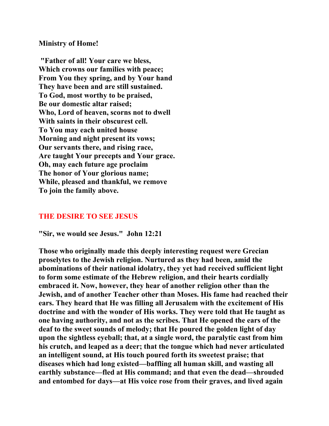**Ministry of Home!** 

 **"Father of all! Your care we bless, Which crowns our families with peace; From You they spring, and by Your hand They have been and are still sustained. To God, most worthy to be praised, Be our domestic altar raised; Who, Lord of heaven, scorns not to dwell With saints in their obscurest cell. To You may each united house Morning and night present its vows; Our servants there, and rising race, Are taught Your precepts and Your grace. Oh, may each future age proclaim The honor of Your glorious name; While, pleased and thankful, we remove To join the family above.** 

## **THE DESIRE TO SEE JESUS**

**"Sir, we would see Jesus." John 12:21** 

**Those who originally made this deeply interesting request were Grecian proselytes to the Jewish religion. Nurtured as they had been, amid the abominations of their national idolatry, they yet had received sufficient light to form some estimate of the Hebrew religion, and their hearts cordially embraced it. Now, however, they hear of another religion other than the Jewish, and of another Teacher other than Moses. His fame had reached their ears. They heard that He was filling all Jerusalem with the excitement of His doctrine and with the wonder of His works. They were told that He taught as one having authority, and not as the scribes. That He opened the ears of the deaf to the sweet sounds of melody; that He poured the golden light of day upon the sightless eyeball; that, at a single word, the paralytic cast from him his crutch, and leaped as a deer; that the tongue which had never articulated an intelligent sound, at His touch poured forth its sweetest praise; that diseases which had long existed—baffling all human skill, and wasting all earthly substance—fled at His command; and that even the dead—shrouded and entombed for days—at His voice rose from their graves, and lived again**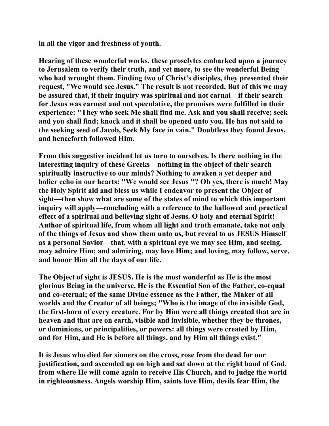**in all the vigor and freshness of youth.** 

**Hearing of these wonderful works, these proselytes embarked upon a journey to Jerusalem to verify their truth, and yet more, to see the wonderful Being who had wrought them. Finding two of Christ's disciples, they presented their request, "We would see Jesus." The result is not recorded. But of this we may be assured that, if their inquiry was spiritual and not carnal—if their search for Jesus was earnest and not speculative, the promises were fulfilled in their experience: "They who seek Me shall find me. Ask and you shall receive; seek and you shall find; knock and it shall be opened unto you. He has not said to the seeking seed of Jacob, Seek My face in vain." Doubtless they found Jesus, and henceforth followed Him.** 

**From this suggestive incident let us turn to ourselves. Is there nothing in the interesting inquiry of these Greeks—nothing in the object of their search spiritually instructive to our minds? Nothing to awaken a yet deeper and holier echo in our hearts: "We would see Jesus "? Oh yes, there is much! May the Holy Spirit aid and bless us while I endeavor to present the Object of sight—then show what are some of the states of mind to which this important inquiry will apply—concluding with a reference to the hallowed and practical effect of a spiritual and believing sight of Jesus. O holy and eternal Spirit! Author of spiritual life, from whom all light and truth emanate, take not only of the things of Jesus and show them unto us, but reveal to us JESUS Himself as a personal Savior—that, with a spiritual eye we may see Him, and seeing, may admire Him; and admiring, may love Him; and loving, may follow, serve, and honor Him all the days of our life.** 

**The Object of sight is JESUS. He is the most wonderful as He is the most glorious Being in the universe. He is the Essential Son of the Father, co-equal and co-eternal; of the same Divine essence as the Father, the Maker of all worlds and the Creator of all beings; "Who is the image of the invisible God, the first-born of every creature. For by Him were all things created that are in heaven and that are on earth, visible and invisible, whether they be thrones, or dominions, or principalities, or powers: all things were created by Him, and for Him, and He is before all things, and by Him all things exist."** 

**It is Jesus who died for sinners on the cross, rose from the dead for our justification, and ascended up on high and sat down at the right hand of God, from where He will come again to receive His Church, and to judge the world in righteousness. Angels worship Him, saints love Him, devils fear Him, the**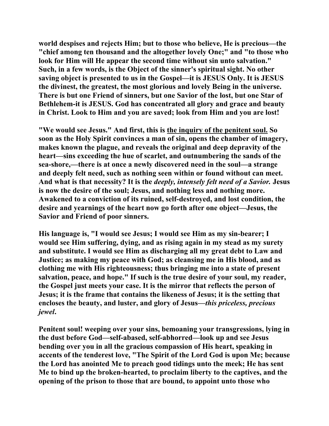**world despises and rejects Him; but to those who believe, He is precious—the "chief among ten thousand and the altogether lovely One;" and "to those who look for Him will He appear the second time without sin unto salvation." Such, in a few words, is the Object of the sinner's spiritual sight. No other saving object is presented to us in the Gospel—it is JESUS Only. It is JESUS the divinest, the greatest, the most glorious and lovely Being in the universe. There is but one Friend of sinners, but one Savior of the lost, but one Star of Bethlehem-it is JESUS. God has concentrated all glory and grace and beauty in Christ. Look to Him and you are saved; look from Him and you are lost!** 

**"We would see Jesus." And first, this is the inquiry of the penitent soul. So soon as the Holy Spirit convinces a man of sin, opens the chamber of imagery, makes known the plague, and reveals the original and deep depravity of the heart—sins exceeding the hue of scarlet, and outnumbering the sands of the sea-shore,—there is at once a newly discovered need in the soul—a strange and deeply felt need, such as nothing seen within or found without can meet. And what is that necessity? It is the** *deeply, intensely felt need of a Savior.* **Jesus is now the desire of the soul; Jesus, and nothing less and nothing more. Awakened to a conviction of its ruined, self-destroyed, and lost condition, the desire and yearnings of the heart now go forth after one object—Jesus, the Savior and Friend of poor sinners.** 

**His language is, "I would see Jesus; I would see Him as my sin-bearer; I would see Him suffering, dying, and as rising again in my stead as my surety and substitute. I would see Him as discharging all my great debt to Law and Justice; as making my peace with God; as cleansing me in His blood, and as clothing me with His righteousness; thus bringing me into a state of present salvation, peace, and hope." If such is the true desire of your soul, my reader, the Gospel just meets your case. It is the mirror that reflects the person of Jesus; it is the frame that contains the likeness of Jesus; it is the setting that encloses the beauty, and luster, and glory of Jesus—***this priceless, precious jewel***.** 

**Penitent soul! weeping over your sins, bemoaning your transgressions, lying in the dust before God—self-abased, self-abhorred—look up and see Jesus bending over you in all the gracious compassion of His heart, speaking in accents of the tenderest love, "The Spirit of the Lord God is upon Me; because the Lord has anointed Me to preach good tidings unto the meek; He has sent Me to bind up the broken-hearted, to proclaim liberty to the captives, and the opening of the prison to those that are bound, to appoint unto those who**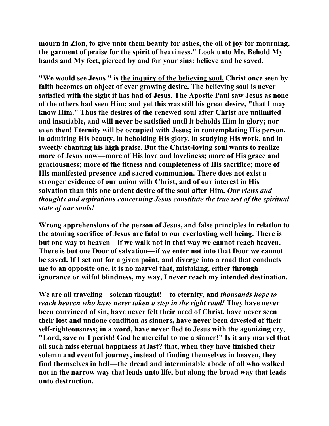**mourn in Zion, to give unto them beauty for ashes, the oil of joy for mourning, the garment of praise for the spirit of heaviness." Look unto Me. Behold My hands and My feet, pierced by and for your sins: believe and be saved.** 

**"We would see Jesus " is the inquiry of the believing soul. Christ once seen by faith becomes an object of ever growing desire. The believing soul is never satisfied with the sight it has had of Jesus. The Apostle Paul saw Jesus as none of the others had seen Him; and yet this was still his great desire, "that I may know Him." Thus the desires of the renewed soul after Christ are unlimited and insatiable, and will never be satisfied until it beholds Him in glory; nor even then! Eternity will be occupied with Jesus; in contemplating His person, in admiring His beauty, in beholding His glory, in studying His work, and in sweetly chanting his high praise. But the Christ-loving soul wants to realize more of Jesus now—more of His love and loveliness; more of His grace and graciousness; more of the fitness and completeness of His sacrifice; more of His manifested presence and sacred communion. There does not exist a stronger evidence of our union with Christ, and of our interest in His salvation than this one ardent desire of the soul after Him.** *Our views and thoughts and aspirations concerning Jesus constitute the true test of the spiritual state of our souls!*

**Wrong apprehensions of the person of Jesus, and false principles in relation to the atoning sacrifice of Jesus are fatal to our everlasting well being. There is but one way to heaven—if we walk not in that way we cannot reach heaven. There is but one Door of salvation—if we enter not into that Door we cannot be saved. If I set out for a given point, and diverge into a road that conducts me to an opposite one, it is no marvel that, mistaking, either through ignorance or wilful blindness, my way, I never reach my intended destination.** 

**We are all traveling—solemn thought!—to eternity, and** *thousands hope to reach heaven who have never taken a step in the right road!* **They have never been convinced of sin, have never felt their need of Christ, have never seen their lost and undone condition as sinners, have never been divested of their self-righteousness; in a word, have never fled to Jesus with the agonizing cry, "Lord, save or I perish! God be merciful to me a sinner!" Is it any marvel that all such miss eternal happiness at last? that, when they have finished their solemn and eventful journey, instead of finding themselves in heaven, they find themselves in hell—the dread and interminable abode of all who walked not in the narrow way that leads unto life, but along the broad way that leads unto destruction.**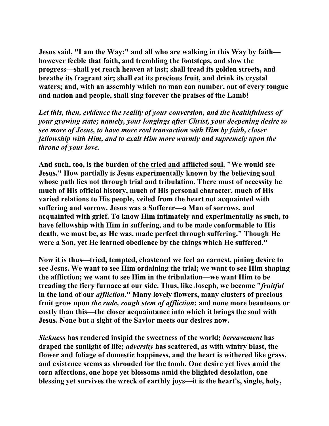**Jesus said, "I am the Way;" and all who are walking in this Way by faith however feeble that faith, and trembling the footsteps, and slow the progress—shall yet reach heaven at last; shall tread its golden streets, and breathe its fragrant air; shall eat its precious fruit, and drink its crystal waters; and, with an assembly which no man can number, out of every tongue and nation and people, shall sing forever the praises of the Lamb!** 

*Let this, then, evidence the reality of your conversion, and the healthfulness of your growing state; namely, your longings after Christ, your deepening desire to see more of Jesus, to have more real transaction with Him by faith, closer fellowship with Him, and to exalt Him more warmly and supremely upon the throne of your love.*

**And such, too, is the burden of the tried and afflicted soul. "We would see Jesus." How partially is Jesus experimentally known by the believing soul whose path lies not through trial and tribulation. There must of necessity be much of His official history, much of His personal character, much of His varied relations to His people, veiled from the heart not acquainted with suffering and sorrow. Jesus was a Sufferer—a Man of sorrows, and acquainted with grief. To know Him intimately and experimentally as such, to have fellowship with Him in suffering, and to be made conformable to His death, we must be, as He was, made perfect through suffering." Though He were a Son, yet He learned obedience by the things which He suffered."** 

**Now it is thus—tried, tempted, chastened we feel an earnest, pining desire to see Jesus. We want to see Him ordaining the trial; we want to see Him shaping the affliction; we want to see Him in the tribulation—we want Him to be treading the fiery furnace at our side. Thus, like Joseph, we become "***fruitful* **in the land of our** *affliction***." Many lovely flowers, many clusters of precious fruit grow upon** *the rude, rough stem of affliction***: and none more beauteous or costly than this—the closer acquaintance into which it brings the soul with Jesus. None but a sight of the Savior meets our desires now.** 

*Sickness* **has rendered insipid the sweetness of the world;** *bereavement* **has draped the sunlight of life;** *adversity* **has scattered, as with wintry blast, the flower and foliage of domestic happiness, and the heart is withered like grass, and existence seems as shrouded for the tomb. One desire yet lives amid the torn affections, one hope yet blossoms amid the blighted desolation, one blessing yet survives the wreck of earthly joys—it is the heart's, single, holy,**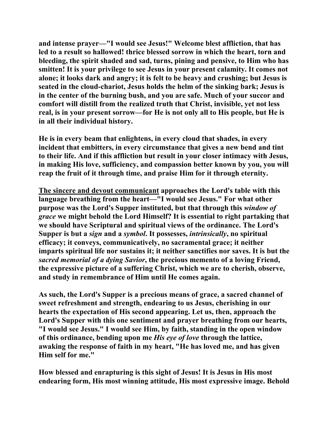**and intense prayer—"I would see Jesus!" Welcome blest affliction, that has led to a result so hallowed! thrice blessed sorrow in which the heart, torn and bleeding, the spirit shaded and sad, turns, pining and pensive, to Him who has smitten! It is your privilege to see Jesus in your present calamity. It comes not alone; it looks dark and angry; it is felt to be heavy and crushing; but Jesus is seated in the cloud-chariot, Jesus holds the helm of the sinking bark; Jesus is in the center of the burning bush, and you are safe. Much of your succor and comfort will distill from the realized truth that Christ, invisible, yet not less real, is in your present sorrow—for He is not only all to His people, but He is in all their individual history.** 

**He is in every beam that enlightens, in every cloud that shades, in every incident that embitters, in every circumstance that gives a new bend and tint to their life. And if this affliction but result in your closer intimacy with Jesus, in making His love, sufficiency, and compassion better known by you, you will reap the fruit of it through time, and praise Him for it through eternity.** 

**The sincere and devout communicant approaches the Lord's table with this language breathing from the heart—"I would see Jesus." For what other purpose was the Lord's Supper instituted, but that through this** *window of grace* **we might behold the Lord Himself? It is essential to right partaking that we should have Scriptural and spiritual views of the ordinance. The Lord's Supper is but a** *sign* **and a** *symbol***. It possesses,** *intrinsically***, no spiritual efficacy; it conveys, communicatively, no sacramental grace; it neither imparts spiritual life nor sustains it; it neither sanctifies nor saves. It is but the**  *sacred memorial of a dying Savior***, the precious memento of a loving Friend, the expressive picture of a suffering Christ, which we are to cherish, observe, and study in remembrance of Him until He comes again.** 

**As such, the Lord's Supper is a precious means of grace, a sacred channel of sweet refreshment and strength, endearing to us Jesus, cherishing in our hearts the expectation of His second appearing. Let us, then, approach the Lord's Supper with this one sentiment and prayer breathing from our hearts, "I would see Jesus." I would see Him, by faith, standing in the open window of this ordinance, bending upon me** *His eye of love* **through the lattice, awaking the response of faith in my heart, "He has loved me, and has given Him self for me."** 

**How blessed and enrapturing is this sight of Jesus! It is Jesus in His most endearing form, His most winning attitude, His most expressive image. Behold**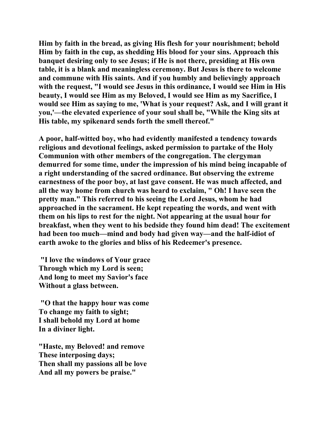**Him by faith in the bread, as giving His flesh for your nourishment; behold Him by faith in the cup, as shedding His blood for your sins. Approach this banquet desiring only to see Jesus; if He is not there, presiding at His own table, it is a blank and meaningless ceremony. But Jesus is there to welcome and commune with His saints. And if you humbly and believingly approach with the request, "I would see Jesus in this ordinance, I would see Him in His beauty, I would see Him as my Beloved, I would see Him as my Sacrifice, I would see Him as saying to me, 'What is your request? Ask, and I will grant it you,'—the elevated experience of your soul shall be, "While the King sits at His table, my spikenard sends forth the smell thereof."** 

**A poor, half-witted boy, who had evidently manifested a tendency towards religious and devotional feelings, asked permission to partake of the Holy Communion with other members of the congregation. The clergyman demurred for some time, under the impression of his mind being incapable of a right understanding of the sacred ordinance. But observing the extreme earnestness of the poor boy, at last gave consent. He was much affected, and all the way home from church was heard to exclaim, " Oh! I have seen the pretty man." This referred to his seeing the Lord Jesus, whom he had approached in the sacrament. He kept repeating the words, and went with them on his lips to rest for the night. Not appearing at the usual hour for breakfast, when they went to his bedside they found him dead! The excitement had been too much—mind and body had given way—and the half-idiot of earth awoke to the glories and bliss of his Redeemer's presence.** 

 **"I love the windows of Your grace Through which my Lord is seen; And long to meet my Savior's face Without a glass between.** 

 **"O that the happy hour was come To change my faith to sight; I shall behold my Lord at home In a diviner light.** 

**"Haste, my Beloved! and remove These interposing days; Then shall my passions all be love And all my powers be praise."**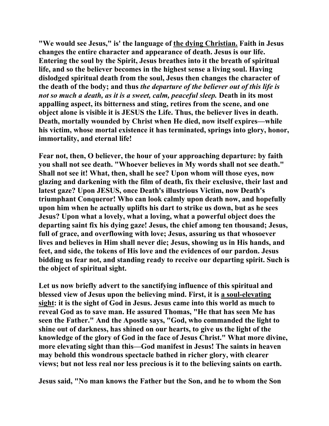**"We would see Jesus," is' the language of the dying Christian. Faith in Jesus changes the entire character and appearance of death. Jesus is our life. Entering the soul by the Spirit, Jesus breathes into it the breath of spiritual life, and so the believer becomes in the highest sense a living soul. Having dislodged spiritual death from the soul, Jesus then changes the character of the death of the body; and thus** *the departure of the believer out of this life is not so much a death, as it is a sweet, calm, peaceful sleep.* **Death in its most appalling aspect, its bitterness and sting, retires from the scene, and one object alone is visible it is JESUS the Life. Thus, the believer lives in death. Death, mortally wounded by Christ when He died, now itself expires—while his victim, whose mortal existence it has terminated, springs into glory, honor, immortality, and eternal life!** 

**Fear not, then, O believer, the hour of your approaching departure: by faith you shall not see death. "Whoever believes in My words shall not see death." Shall not see it! What, then, shall he see? Upon whom will those eyes, now glazing and darkening with the film of death, fix their exclusive, their last and latest gaze? Upon JESUS, once Death's illustrious Victim, now Death's triumphant Conqueror! Who can look calmly upon death now, and hopefully upon him when he actually uplifts his dart to strike us down, but as he sees Jesus? Upon what a lovely, what a loving, what a powerful object does the departing saint fix his dying gaze! Jesus, the chief among ten thousand; Jesus, full of grace, and overflowing with love; Jesus, assuring us that whosoever lives and believes in Him shall never die; Jesus, showing us in His hands, and feet, and side, the tokens of His love and the evidences of our pardon. Jesus bidding us fear not, and standing ready to receive our departing spirit. Such is the object of spiritual sight.** 

**Let us now briefly advert to the sanctifying influence of this spiritual and blessed view of Jesus upon the believing mind. First, it is a soul-elevating sight: it is the sight of God in Jesus. Jesus came into this world as much to reveal God as to save man. He assured Thomas, "He that has seen Me has seen the Father." And the Apostle says, "God, who commanded the light to shine out of darkness, has shined on our hearts, to give us the light of the knowledge of the glory of God in the face of Jesus Christ." What more divine, more elevating sight than this—God manifest in Jesus! The saints in heaven may behold this wondrous spectacle bathed in richer glory, with clearer views; but not less real nor less precious is it to the believing saints on earth.** 

**Jesus said, "No man knows the Father but the Son, and he to whom the Son**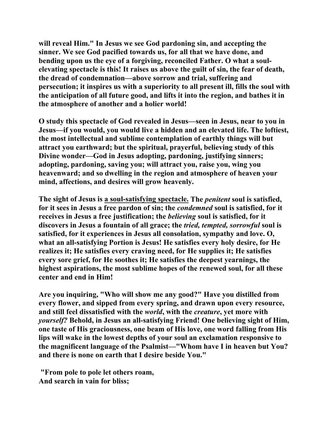**will reveal Him." In Jesus we see God pardoning sin, and accepting the sinner. We see God pacified towards us, for all that we have done, and bending upon us the eye of a forgiving, reconciled Father. O what a soulelevating spectacle is this! It raises us above the guilt of sin, the fear of death, the dread of condemnation—above sorrow and trial, suffering and persecution; it inspires us with a superiority to all present ill, fills the soul with the anticipation of all future good, and lifts it into the region, and bathes it in the atmosphere of another and a holier world!** 

**O study this spectacle of God revealed in Jesus—seen in Jesus, near to you in Jesus—if you would, you would live a hidden and an elevated life. The loftiest, the most intellectual and sublime contemplation of earthly things will but attract you earthward; but the spiritual, prayerful, believing study of this Divine wonder—God in Jesus adopting, pardoning, justifying sinners; adopting, pardoning, saving you; will attract you, raise you, wing you heavenward; and so dwelling in the region and atmosphere of heaven your mind, affections, and desires will grow heavenly.** 

**The sight of Jesus is a soul-satisfying spectacle. The** *penitent* **soul is satisfied, for it sees in Jesus a free pardon of sin; the** *condemned* **soul is satisfied, for it receives in Jesus a free justification; the** *believing* **soul is satisfied, for it discovers in Jesus a fountain of all grace; the** *tried, tempted, sorrowful* **soul is satisfied, for it experiences in Jesus all consolation, sympathy and love. O, what an all-satisfying Portion is Jesus! He satisfies every holy desire, for He realizes it; He satisfies every craving need, for He supplies it; He satisfies every sore grief, for He soothes it; He satisfies the deepest yearnings, the highest aspirations, the most sublime hopes of the renewed soul, for all these center and end in Him!** 

**Are you inquiring, "Who will show me any good?" Have you distilled from every flower, and sipped from every spring, and drawn upon every resource, and still feel dissatisfied with the** *world***, with the** *creature***, yet more with**  *yourself?* **Behold, in Jesus an all-satisfying Friend! One believing sight of Him, one taste of His graciousness, one beam of His love, one word falling from His lips will wake in the lowest depths of your soul an exclamation responsive to the magnificent language of the Psalmist—"Whom have I in heaven but You? and there is none on earth that I desire beside You."** 

 **"From pole to pole let others roam, And search in vain for bliss;**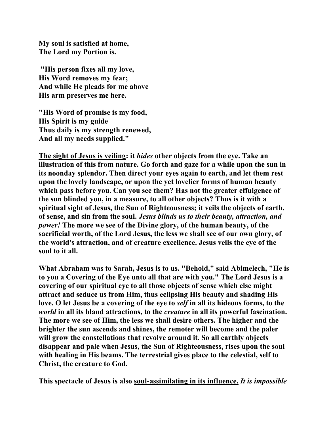**My soul is satisfied at home, The Lord my Portion is.** 

 **"His person fixes all my love, His Word removes my fear; And while He pleads for me above His arm preserves me here.** 

**"His Word of promise is my food, His Spirit is my guide Thus daily is my strength renewed, And all my needs supplied."** 

**The sight of Jesus is veiling: it** *hides* **other objects from the eye. Take an illustration of this from nature. Go forth and gaze for a while upon the sun in its noonday splendor. Then direct your eyes again to earth, and let them rest upon the lovely landscape, or upon the yet lovelier forms of human beauty which pass before you. Can you see them? Has not the greater effulgence of the sun blinded you, in a measure, to all other objects? Thus is it with a spiritual sight of Jesus, the Sun of Righteousness; it veils the objects of earth, of sense, and sin from the soul.** *Jesus blinds us to their beauty, attraction, and power!* **The more we see of the Divine glory, of the human beauty, of the sacrificial worth, of the Lord Jesus, the less we shall see of our own glory, of the world's attraction, and of creature excellence. Jesus veils the eye of the soul to it all.** 

**What Abraham was to Sarah, Jesus is to us. "Behold," said Abimelech, "He is to you a Covering of the Eye unto all that are with you." The Lord Jesus is a covering of our spiritual eye to all those objects of sense which else might attract and seduce us from Him, thus eclipsing His beauty and shading His love. O let Jesus be a covering of the eye to** *self* **in all its hideous forms, to the**  *world* **in all its bland attractions, to the** *creature* **in all its powerful fascination. The more we see of Him, the less we shall desire others. The higher and the brighter the sun ascends and shines, the remoter will become and the paler will grow the constellations that revolve around it. So all earthly objects disappear and pale when Jesus, the Sun of Righteousness, rises upon the soul with healing in His beams. The terrestrial gives place to the celestial, self to Christ, the creature to God.** 

**This spectacle of Jesus is also soul-assimilating in its influence.** *It is impossible*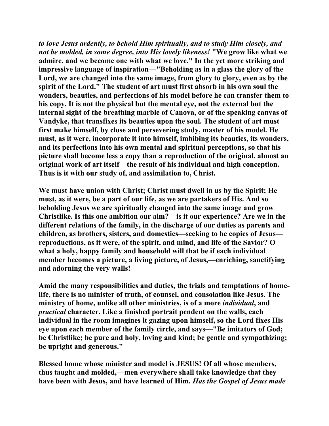*to love Jesus ardently, to behold Him spiritually, and to study Him closely, and not be molded, in some degree, into His lovely likeness!* **"We grow like what we admire, and we become one with what we love." In the yet more striking and impressive language of inspiration—"Beholding as in a glass the glory of the Lord, we are changed into the same image, from glory to glory, even as by the spirit of the Lord." The student of art must first absorb in his own soul the wonders, beauties, and perfections of his model before he can transfer them to his copy. It is not the physical but the mental eye, not the external but the internal sight of the breathing marble of Canova, or of the speaking canvas of Vandyke, that transfixes its beauties upon the soul. The student of art must first make himself, by close and persevering study, master of his model. He must, as it were, incorporate it into himself, imbibing its beauties, its wonders, and its perfections into his own mental and spiritual perceptions, so that his picture shall become less a copy than a reproduction of the original, almost an original work of art itself—the result of his individual and high conception. Thus is it with our study of, and assimilation to, Christ.** 

**We must have union with Christ; Christ must dwell in us by the Spirit; He must, as it were, be a part of our life, as we are partakers of His. And so beholding Jesus we are spiritually changed into the same image and grow Christlike. Is this one ambition our aim?—is it our experience? Are we in the different relations of the family, in the discharge of our duties as parents and children, as brothers, sisters, and domestics—seeking to be copies of Jesus reproductions, as it were, of the spirit, and mind, and life of the Savior? O what a holy, happy family and household will that be if each individual member becomes a picture, a living picture, of Jesus,—enriching, sanctifying and adorning the very walls!** 

**Amid the many responsibilities and duties, the trials and temptations of homelife, there is no minister of truth, of counsel, and consolation like Jesus. The ministry of home, unlike all other ministries, is of a more** *individual***, and**  *practical* **character. Like a finished portrait pendent on the walls, each individual in the room imagines it gazing upon himself, so the Lord fixes His eye upon each member of the family circle, and says—"Be imitators of God; be Christlike; be pure and holy, loving and kind; be gentle and sympathizing; be upright and generous."** 

**Blessed home whose minister and model is JESUS! Of all whose members, thus taught and molded,—men everywhere shall take knowledge that they have been with Jesus, and have learned of Him.** *Has the Gospel of Jesus made*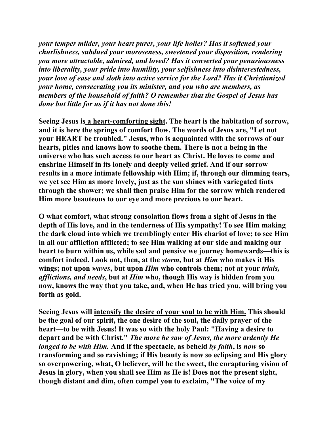*your temper milder, your heart purer, your life holier? Has it softened your churlishness, subdued your moroseness, sweetened your disposition, rendering you more attractable, admired, and loved? Has it converted your penuriousness into liberality, your pride into humility, your selfishness into disinterestedness, your love of ease and sloth into active service for the Lord? Has it Christianized your home, consecrating you its minister, and you who are members, as members of the household of faith? O remember that the Gospel of Jesus has done but little for us if it has not done this!* 

**Seeing Jesus is a heart-comforting sight. The heart is the habitation of sorrow, and it is here the springs of comfort flow. The words of Jesus are, "Let not your HEART be troubled." Jesus, who is acquainted with the sorrows of our hearts, pities and knows how to soothe them. There is not a being in the universe who has such access to our heart as Christ. He loves to come and enshrine Himself in its lonely and deeply veiled grief. And if our sorrow results in a more intimate fellowship with Him; if, through our dimming tears, we yet see Him as more lovely, just as the sun shines with variegated tints through the shower; we shall then praise Him for the sorrow which rendered Him more beauteous to our eye and more precious to our heart.** 

**O what comfort, what strong consolation flows from a sight of Jesus in the depth of His love, and in the tenderness of His sympathy! To see Him making the dark cloud into which we tremblingly enter His chariot of love; to see Him in all our affliction afflicted; to see Him walking at our side and making our heart to burn within us, while sad and pensive we journey homewards—this is comfort indeed. Look not, then, at the** *storm***, but at** *Him* **who makes it His wings; not upon** *waves***, but upon** *Him* **who controls them; not at your** *trials, afflictions, and needs***, but at** *Him* **who, though His way is hidden from you now, knows the way that you take, and, when He has tried you, will bring you forth as gold.** 

**Seeing Jesus will intensify the desire of your soul to be with Him. This should be the goal of our spirit, the one desire of the soul, the daily prayer of the heart—to be with Jesus! It was so with the holy Paul: "Having a desire to depart and be with Christ."** *The more he saw of Jesus, the more ardently He longed to be with Him.* **And if the spectacle, as beheld** *by faith***, is** *now* **so transforming and so ravishing; if His beauty is now so eclipsing and His glory so overpowering, what, O believer, will be the sweet, the enrapturing vision of Jesus in glory, when you shall see Him as He is! Does not the present sight, though distant and dim, often compel you to exclaim, "The voice of my**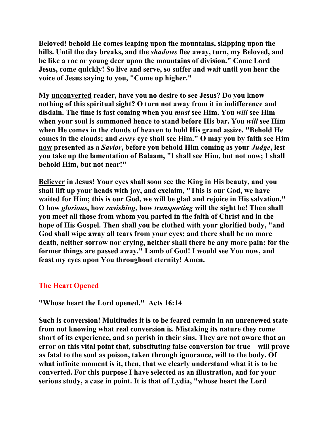**Beloved! behold He comes leaping upon the mountains, skipping upon the hills. Until the day breaks, and the** *shadows* **flee away, turn, my Beloved, and be like a roe or young deer upon the mountains of division." Come Lord Jesus, come quickly! So live and serve, so suffer and wait until you hear the voice of Jesus saying to you, "Come up higher."** 

**My unconverted reader, have you no desire to see Jesus? Do you know nothing of this spiritual sight? O turn not away from it in indifference and disdain. The time is fast coming when you** *must* **see Him. You** *will* **see Him when your soul is summoned hence to stand before His bar. You** *will* **see Him when He comes in the clouds of heaven to hold His grand assize. "Behold He comes in the clouds; and** *every* **eye shall see Him." O may you by faith see Him now presented as a** *Savior***, before you behold Him coming as your** *Judge***, lest you take up the lamentation of Balaam, "I shall see Him, but not now; I shall behold Him, but not near!"** 

**Believer in Jesus! Your eyes shall soon see the King in His beauty, and you shall lift up your heads with joy, and exclaim, "This is our God, we have waited for Him; this is our God, we will be glad and rejoice in His salvation." O how** *glorious***, how** *ravishing***, how** *transporting* **will the sight be! Then shall you meet all those from whom you parted in the faith of Christ and in the hope of His Gospel. Then shall you be clothed with your glorified body, "and God shall wipe away all tears from your eyes; and there shall be no more death, neither sorrow nor crying, neither shall there be any more pain: for the former things are passed away." Lamb of God! I would see You now, and feast my eyes upon You throughout eternity! Amen.** 

## **The Heart Opened**

**"Whose heart the Lord opened." Acts 16:14** 

**Such is conversion! Multitudes it is to be feared remain in an unrenewed state from not knowing what real conversion is. Mistaking its nature they come short of its experience, and so perish in their sins. They are not aware that an error on this vital point that, substituting false conversion for true—will prove as fatal to the soul as poison, taken through ignorance, will to the body. Of what infinite moment is it, then, that we clearly understand what it is to be converted. For this purpose I have selected as an illustration, and for your serious study, a case in point. It is that of Lydia, "whose heart the Lord**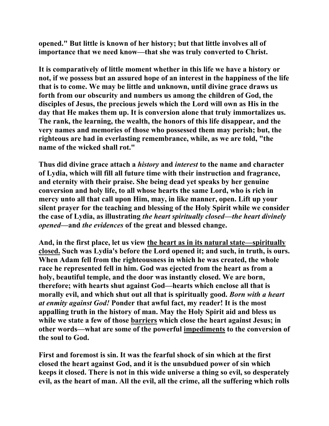**opened." But little is known of her history; but that little involves all of importance that we need know—that she was truly converted to Christ.** 

**It is comparatively of little moment whether in this life we have a history or not, if we possess but an assured hope of an interest in the happiness of the life that is to come. We may be little and unknown, until divine grace draws us forth from our obscurity and numbers us among the children of God, the disciples of Jesus, the precious jewels which the Lord will own as His in the day that He makes them up. It is conversion alone that truly immortalizes us. The rank, the learning, the wealth, the honors of this life disappear, and the very names and memories of those who possessed them may perish; but, the righteous are had in everlasting remembrance, while, as we are told, "the name of the wicked shall rot."** 

**Thus did divine grace attach a** *history* **and** *interest* **to the name and character of Lydia, which will fill all future time with their instruction and fragrance, and eternity with their praise. She being dead yet speaks by her genuine conversion and holy life, to all whose hearts the same Lord, who is rich in mercy unto all that call upon Him, may, in like manner, open. Lift up your silent prayer for the teaching and blessing of the Holy Spirit while we consider the case of Lydia, as illustrating** *the heart spiritually closed***—***the heart divinely opened***—and** *the evidences* **of the great and blessed change.** 

**And, in the first place, let us view the heart as in its natural state—spiritually closed. Such was Lydia's before the Lord opened it; and such, in truth, is ours. When Adam fell from the righteousness in which he was created, the whole race he represented fell in him. God was ejected from the heart as from a holy, beautiful temple, and the door was instantly closed. We are born, therefore; with hearts shut against God—hearts which enclose all that is morally evil, and which shut out all that is spiritually good.** *Born with a heart at enmity against God!* **Ponder that awful fact, my reader! It is the most appalling truth in the history of man. May the Holy Spirit aid and bless us while we state a few of those barriers which close the heart against Jesus; in other words—what are some of the powerful impediments to the conversion of the soul to God.** 

**First and foremost is sin. It was the fearful shock of sin which at the first closed the heart against God, and it is the unsubdued power of sin which keeps it closed. There is not in this wide universe a thing so evil, so desperately evil, as the heart of man. All the evil, all the crime, all the suffering which rolls**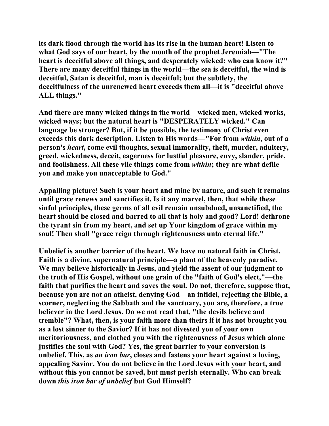**its dark flood through the world has its rise in the human heart! Listen to what God says of our heart, by the mouth of the prophet Jeremiah—"The heart is deceitful above all things, and desperately wicked: who can know it?" There are many deceitful things in the world—the sea is deceitful, the wind is deceitful, Satan is deceitful, man is deceitful; but the subtlety, the deceitfulness of the unrenewed heart exceeds them all—it is "deceitful above ALL things."** 

**And there are many wicked things in the world—wicked men, wicked works, wicked ways; but the natural heart is "DESPERATELY wicked." Can language be stronger? But, if it be possible, the testimony of Christ even exceeds this dark description. Listen to His words—"For from** *within***, out of a person's** *heart***, come evil thoughts, sexual immorality, theft, murder, adultery, greed, wickedness, deceit, eagerness for lustful pleasure, envy, slander, pride, and foolishness. All these vile things come from** *within***; they are what defile you and make you unacceptable to God."** 

**Appalling picture! Such is your heart and mine by nature, and such it remains until grace renews and sanctifies it. Is it any marvel, then, that while these sinful principles, these germs of all evil remain unsubdued, unsanctified, the heart should be closed and barred to all that is holy and good? Lord! dethrone the tyrant sin from my heart, and set up Your kingdom of grace within my soul! Then shall "grace reign through righteousness unto eternal life."** 

**Unbelief is another barrier of the heart. We have no natural faith in Christ. Faith is a divine, supernatural principle—a plant of the heavenly paradise. We may believe historically in Jesus, and yield the assent of our judgment to the truth of His Gospel, without one grain of the "faith of God's elect,"—the faith that purifies the heart and saves the soul. Do not, therefore, suppose that, because you are not an atheist, denying God—an infidel, rejecting the Bible, a scorner, neglecting the Sabbath and the sanctuary, you are, therefore, a true believer in the Lord Jesus. Do we not read that, "the devils believe and tremble"? What, then, is your faith more than theirs if it has not brought you as a lost sinner to the Savior? If it has not divested you of your own meritoriousness, and clothed you with the righteousness of Jesus which alone justifies the soul with God? Yes, the great barrier to your conversion is unbelief. This, as** *an iron bar***, closes and fastens your heart against a loving, appealing Savior. You do not believe in the Lord Jesus with your heart, and without this you cannot be saved, but must perish eternally. Who can break down** *this iron bar of unbelief* **but God Himself?**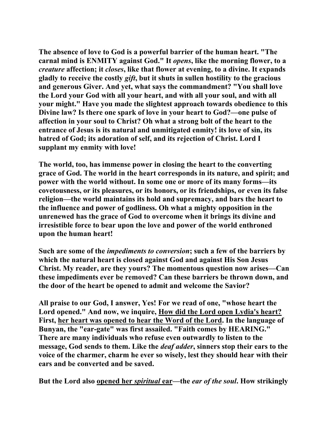**The absence of love to God is a powerful barrier of the human heart. "The carnal mind is ENMITY against God." It** *opens***, like the morning flower, to a**  *creature* **affection; it** *closes***, like that flower at evening, to a divine. It expands gladly to receive the costly** *gift***, but it shuts in sullen hostility to the gracious and generous Giver. And yet, what says the commandment? "You shall love the Lord your God with all your heart, and with all your soul, and with all your might." Have you made the slightest approach towards obedience to this Divine law? Is there one spark of love in your heart to God?—one pulse of affection in your soul to Christ? Oh what a strong bolt of the heart to the entrance of Jesus is its natural and unmitigated enmity! its love of sin, its hatred of God; its adoration of self, and its rejection of Christ. Lord I supplant my enmity with love!** 

**The world, too, has immense power in closing the heart to the converting grace of God. The world in the heart corresponds in its nature, and spirit; and power with the world without. In some one or more of its many forms—its covetousness, or its pleasures, or its honors, or its friendships, or even its false religion—the world maintains its hold and supremacy, and bars the heart to the influence and power of godliness. Oh what a mighty opposition in the unrenewed has the grace of God to overcome when it brings its divine and irresistible force to bear upon the love and power of the world enthroned upon the human heart!** 

**Such are some of the** *impediments to conversion***; such a few of the barriers by which the natural heart is closed against God and against His Son Jesus Christ. My reader, are they yours? The momentous question now arises—Can these impediments ever be removed? Can these barriers be thrown down, and the door of the heart be opened to admit and welcome the Savior?** 

**All praise to our God, I answer, Yes! For we read of one, "whose heart the Lord opened." And now, we inquire, How did the Lord open Lydia's heart? First, her heart was opened to hear the Word of the Lord. In the language of Bunyan, the "ear-gate" was first assailed. "Faith comes by HEARING." There are many individuals who refuse even outwardly to listen to the message, God sends to them. Like the** *deaf adder***, sinners stop their ears to the voice of the charmer, charm he ever so wisely, lest they should hear with their ears and be converted and be saved.** 

**But the Lord also opened her** *spiritual* **ear—the** *ear of the soul***. How strikingly**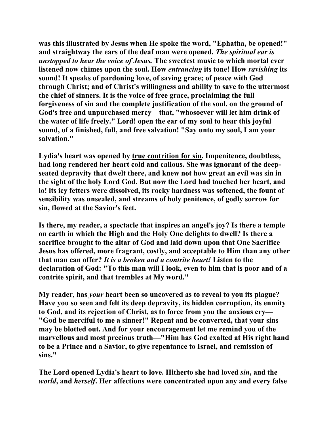**was this illustrated by Jesus when He spoke the word, "Ephatha, be opened!" and straightway the ears of the deaf man were opened.** *The spiritual ear is unstopped to hear the voice of Jesus.* **The sweetest music to which mortal ever listened now chimes upon the soul. How** *entrancing* **its tone! How** *ravishing* **its sound! It speaks of pardoning love, of saving grace; of peace with God through Christ; and of Christ's willingness and ability to save to the uttermost the chief of sinners. It is the voice of free grace, proclaiming the full forgiveness of sin and the complete justification of the soul, on the ground of God's free and unpurchased mercy—that, "whosoever will let him drink of the water of life freely." Lord! open the ear of my soul to hear this joyful sound, of a finished, full, and free salvation! "Say unto my soul, I am your salvation."** 

**Lydia's heart was opened by true contrition for sin. Impenitence, doubtless, had long rendered her heart cold and callous. She was ignorant of the deepseated depravity that dwelt there, and knew not how great an evil was sin in the sight of the holy Lord God. But now the Lord had touched her heart, and lo! its icy fetters were dissolved, its rocky hardness was softened, the fount of sensibility was unsealed, and streams of holy penitence, of godly sorrow for sin, flowed at the Savior's feet.** 

**Is there, my reader, a spectacle that inspires an angel's joy? Is there a temple on earth in which the High and the Holy One delights to dwell? Is there a sacrifice brought to the altar of God and laid down upon that One Sacrifice Jesus has offered, more fragrant, costly, and acceptable to Him than any other that man can offer?** *It is a broken and a contrite heart!* **Listen to the declaration of God: "To this man will I look, even to him that is poor and of a contrite spirit, and that trembles at My word."** 

**My reader, has** *your* **heart been so uncovered as to reveal to you its plague? Have you so seen and felt its deep depravity, its hidden corruption, its enmity to God, and its rejection of Christ, as to force from you the anxious cry— "God be merciful to me a sinner!" Repent and be converted, that your sins may be blotted out. And for your encouragement let me remind you of the marvellous and most precious truth—"Him has God exalted at His right hand to be a Prince and a Savior, to give repentance to Israel, and remission of sins."** 

**The Lord opened Lydia's heart to love. Hitherto she had loved** *sin***, and the**  *world***, and** *herself***. Her affections were concentrated upon any and every false**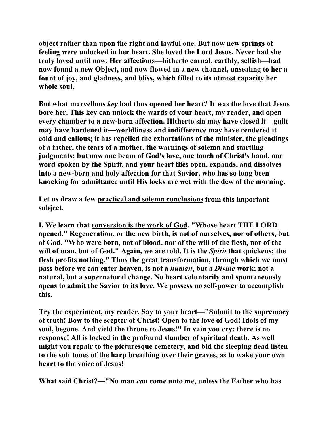**object rather than upon the right and lawful one. But now new springs of feeling were unlocked in her heart. She loved the Lord Jesus. Never had she truly loved until now. Her affections—hitherto carnal, earthly, selfish—had now found a new Object, and now flowed in a new channel, unsealing to her a fount of joy, and gladness, and bliss, which filled to its utmost capacity her whole soul.** 

**But what marvellous** *key* **had thus opened her heart? It was the love that Jesus bore her. This key can unlock the wards of your heart, my reader, and open every chamber to a new-born affection. Hitherto sin may have closed it—guilt may have hardened it—worldliness and indifference may have rendered it cold and callous; it has repelled the exhortations of the minister, the pleadings of a father, the tears of a mother, the warnings of solemn and startling judgments; but now one beam of God's love, one touch of Christ's hand, one word spoken by the Spirit, and your heart flies open, expands, and dissolves into a new-born and holy affection for that Savior, who has so long been knocking for admittance until His locks are wet with the dew of the morning.** 

**Let us draw a few practical and solemn conclusions from this important subject.** 

**I. We learn that conversion is the work of God. "Whose heart THE LORD opened." Regeneration, or the new birth, is not of ourselves, nor of others, but of God. "Who were born, not of blood, nor of the will of the flesh, nor of the will of man, but of God." Again, we are told, It is the** *Spirit* **that quickens; the flesh profits nothing." Thus the great transformation, through which we must pass before we can enter heaven, is not a** *human***, but a** *Divine* **work; not a natural, but a** *supe***rnatural change. No heart voluntarily and spontaneously opens to admit the Savior to its love. We possess no self-power to accomplish this.** 

**Try the experiment, my reader. Say to your heart—"Submit to the supremacy of truth! Bow to the scepter of Christ! Open to the love of God! Idols of my soul, begone. And yield the throne to Jesus!" In vain you cry: there is no response! All is locked in the profound slumber of spiritual death. As well might you repair to the picturesque cemetery, and bid the sleeping dead listen to the soft tones of the harp breathing over their graves, as to wake your own heart to the voice of Jesus!** 

**What said Christ?—"No man** *can* **come unto me, unless the Father who has**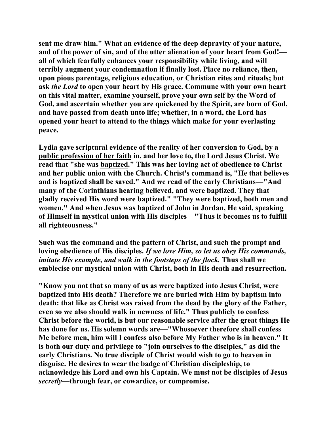**sent me draw him." What an evidence of the deep depravity of your nature, and of the power of sin, and of the utter alienation of your heart from God! all of which fearfully enhances your responsibility while living, and will terribly augment your condemnation if finally lost. Place no reliance, then, upon pious parentage, religious education, or Christian rites and rituals; but ask** *the Lord* **to open your heart by His grace. Commune with your own heart on this vital matter, examine yourself, prove your own self by the Word of God, and ascertain whether you are quickened by the Spirit, are born of God, and have passed from death unto life; whether, in a word, the Lord has opened your heart to attend to the things which make for your everlasting peace.** 

**Lydia gave scriptural evidence of the reality of her conversion to God, by a public profession of her faith in, and her love to, the Lord Jesus Christ. We read that "she was baptized." This was her loving act of obedience to Christ and her public union with the Church. Christ's command is, "He that believes and is baptized shall be saved." And we read of the early Christians—"And many of the Corinthians hearing believed, and were baptized. They that gladly received His word were baptized." "They were baptized, both men and women." And when Jesus was baptized of John in Jordan, He said, speaking of Himself in mystical union with His disciples—"Thus it becomes us to fulfill all righteousness."** 

**Such was the command and the pattern of Christ, and such the prompt and loving obedience of His disciples.** *If we love Him, so let us obey His commands, imitate His example, and walk in the footsteps of the flock.* **Thus shall we emblecise our mystical union with Christ, both in His death and resurrection.** 

**"Know you not that so many of us as were baptized into Jesus Christ, were baptized into His death? Therefore we are buried with Him by baptism into death: that like as Christ was raised from the dead by the glory of the Father, even so we also should walk in newness of life." Thus publicly to confess Christ before the world, is but our reasonable service after the great things He has done for us. His solemn words are—"Whosoever therefore shall confess Me before men, him will I confess also before My Father who is in heaven." It is both our duty and privilege to "join ourselves to the disciples," as did the early Christians. No true disciple of Christ would wish to go to heaven in disguise. He desires to wear the badge of Christian discipleship, to acknowledge his Lord and own his Captain. We must not be disciples of Jesus**  *secretly***—through fear, or cowardice, or compromise.**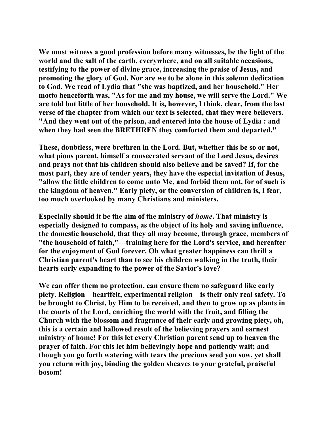**We must witness a good profession before many witnesses, be the light of the world and the salt of the earth, everywhere, and on all suitable occasions, testifying to the power of divine grace, increasing the praise of Jesus, and promoting the glory of God. Nor are we to be alone in this solemn dedication to God. We read of Lydia that "she was baptized, and her household." Her motto henceforth was, "As for me and my house, we will serve the Lord." We are told but little of her household. It is, however, I think, clear, from the last verse of the chapter from which our text is selected, that they were believers. "And they went out of the prison, and entered into the house of Lydia : and when they had seen the BRETHREN they comforted them and departed."** 

**These, doubtless, were brethren in the Lord. But, whether this be so or not, what pious parent, himself a consecrated servant of the Lord Jesus, desires and prays not that his children should also believe and be saved? If, for the most part, they are of tender years, they have the especial invitation of Jesus, "allow the little children to come unto Me, and forbid them not, for of such is the kingdom of heaven." Early piety, or the conversion of children is, I fear, too much overlooked by many Christians and ministers.** 

**Especially should it be the aim of the ministry of** *home***. That ministry is especially designed to compass, as the object of its holy and saving influence, the domestic household, that they all may become, through grace, members of "the household of faith,"—training here for the Lord's service, and hereafter for the enjoyment of God forever. Oh what greater happiness can thrill a Christian parent's heart than to see his children walking in the truth, their hearts early expanding to the power of the Savior's love?** 

**We can offer them no protection, can ensure them no safeguard like early piety. Religion—heartfelt, experimental religion—is their only real safety. To be brought to Christ, by Him to be received, and then to grow up as plants in the courts of the Lord, enriching the world with the fruit, and filling the Church with the blossom and fragrance of their early and growing piety, oh, this is a certain and hallowed result of the believing prayers and earnest ministry of home! For this let every Christian parent send up to heaven the prayer of faith. For this let him believingly hope and patiently wait; and though you go forth watering with tears the precious seed you sow, yet shall you return with joy, binding the golden sheaves to your grateful, praiseful bosom!**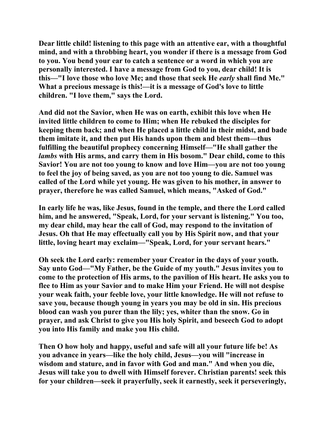**Dear little child! listening to this page with an attentive ear, with a thoughtful mind, and with a throbbing heart, you wonder if there is a message from God to you. You bend your ear to catch a sentence or a word in which you are personally interested. I have a message from God to you, dear child! It is this—"I love those who love Me; and those that seek He** *early* **shall find Me." What a precious message is this!—it is a message of God's love to little children. "I love them," says the Lord.** 

**And did not the Savior, when He was on earth, exhibit this love when He invited little children to come to Him; when He rebuked the disciples for keeping them back; and when He placed a little child in their midst, and bade them imitate it, and then put His hands upon them and blest them—thus fulfilling the beautiful prophecy concerning Himself—"He shall gather the**  *lambs* **with His arms, and carry them in His bosom." Dear child, come to this Savior! You are not too young to know and love Him—you are not too young to feel the joy of being saved, as you are not too young to die. Samuel was called of the Lord while yet young. He was given to his mother, in answer to prayer, therefore he was called Samuel, which means, "Asked of God."** 

**In early life he was, like Jesus, found in the temple, and there the Lord called him, and he answered, "Speak, Lord, for your servant is listening." You too, my dear child, may hear the call of God, may respond to the invitation of Jesus. Oh that He may effectually call you by His Spirit now, and that your little, loving heart may exclaim—"Speak, Lord, for your servant hears."** 

**Oh seek the Lord early: remember your Creator in the days of your youth. Say unto God—"My Father, be the Guide of my youth." Jesus invites you to come to the protection of His arms, to the pavilion of His heart. He asks you to flee to Him as your Savior and to make Him your Friend. He will not despise your weak faith, your feeble love, your little knowledge. He will not refuse to save you, because though young in years you may be old in sin. His precious blood can wash you purer than the lily; yes, whiter than the snow. Go in prayer, and ask Christ to give you His holy Spirit, and beseech God to adopt you into His family and make you His child.** 

**Then O how holy and happy, useful and safe will all your future life be! As you advance in years—like the holy child, Jesus—you will "increase in wisdom and stature, and in favor with God and man." And when you die, Jesus will take you to dwell with Himself forever. Christian parents! seek this for your children—seek it prayerfully, seek it earnestly, seek it perseveringly,**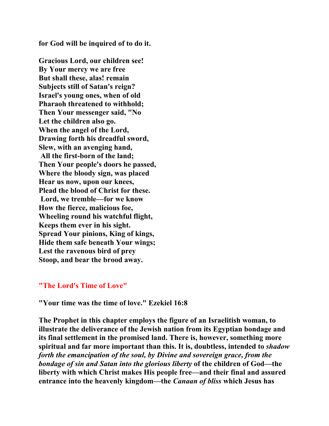**for God will be inquired of to do it.** 

**Gracious Lord, our children see! By Your mercy we are free But shall these, alas! remain Subjects still of Satan's reign? Israel's young ones, when of old Pharaoh threatened to withhold; Then Your messenger said, "No Let the children also go. When the angel of the Lord, Drawing forth his dreadful sword, Slew, with an avenging hand, All the first-born of the land; Then Your people's doors he passed, Where the bloody sign, was placed Hear us now, upon our knees, Plead the blood of Christ for these. Lord, we tremble—for we know How the fierce, malicious foe, Wheeling round his watchful flight, Keeps them ever in his sight. Spread Your pinions, King of kings, Hide them safe beneath Your wings; Lest the ravenous bird of prey Stoop, and bear the brood away.** 

#### **"The Lord's Time of Love"**

**"Your time was the time of love." Ezekiel 16:8** 

**The Prophet in this chapter employs the figure of an Israelitish woman, to illustrate the deliverance of the Jewish nation from its Egyptian bondage and its final settlement in the promised land. There is, however, something more spiritual and far more important than this. It is, doubtless, intended to** *shadow forth the emancipation of the soul, by Divine and sovereign grace, from the bondage of sin and Satan into the glorious liberty* **of the children of God—the liberty with which Christ makes His people free—and their final and assured entrance into the heavenly kingdom—the** *Canaan of bliss* **which Jesus has**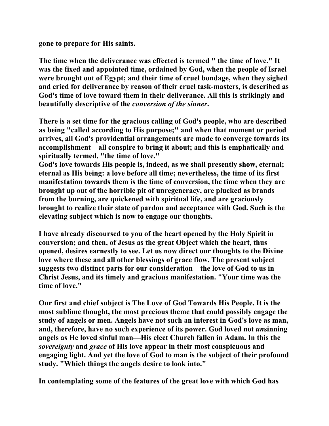**gone to prepare for His saints.** 

**The time when the deliverance was effected is termed " the time of love." It was the fixed and appointed time, ordained by God, when the people of Israel were brought out of Egypt; and their time of cruel bondage, when they sighed and cried for deliverance by reason of their cruel task-masters, is described as God's time of love toward them in their deliverance. All this is strikingly and beautifully descriptive of the** *conversion of the sinner***.** 

**There is a set time for the gracious calling of God's people, who are described as being "called according to His purpose;" and when that moment or period arrives, all God's providential arrangements are made to converge towards its accomplishment—all conspire to bring it about; and this is emphatically and spiritually termed, "the time of love."** 

**God's love towards His people is, indeed, as we shall presently show, eternal; eternal as His being: a love before all time; nevertheless, the time of its first manifestation towards them is the time of conversion, the time when they are brought up out of the horrible pit of unregeneracy, are plucked as brands from the burning, are quickened with spiritual life, and are graciously brought to realize their state of pardon and acceptance with God. Such is the elevating subject which is now to engage our thoughts.** 

**I have already discoursed to you of the heart opened by the Holy Spirit in conversion; and then, of Jesus as the great Object which the heart, thus opened, desires earnestly to see. Let us now direct our thoughts to the Divine love where these and all other blessings of grace flow. The present subject suggests two distinct parts for our consideration—the love of God to us in Christ Jesus, and its timely and gracious manifestation. "Your time was the time of love."** 

**Our first and chief subject is The Love of God Towards His People. It is the most sublime thought, the most precious theme that could possibly engage the study of angels or men. Angels have not such an interest in God's love as man, and, therefore, have no such experience of its power. God loved not** *un***sinning angels as He loved sinful man—His elect Church fallen in Adam. In this the**  *sovereignty* **and** *grace* **of His love appear in their most conspicuous and engaging light. And yet the love of God to man is the subject of their profound study. "Which things the angels desire to look into."** 

**In contemplating some of the features of the great love with which God has**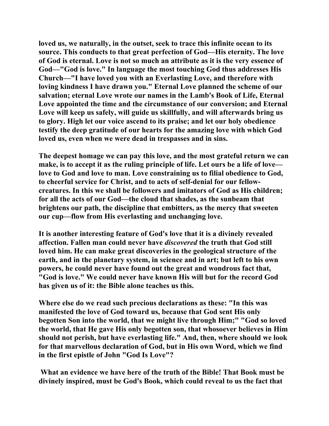**loved us, we naturally, in the outset, seek to trace this infinite ocean to its source. This conducts to that great perfection of God—His eternity. The love of God is eternal. Love is not so much an attribute as it is the very essence of God—"God is love." In language the most touching God thus addresses His Church—"I have loved you with an Everlasting Love, and therefore with loving kindness I have drawn you." Eternal Love planned the scheme of our salvation; eternal Love wrote our names in the Lamb's Book of Life, Eternal Love appointed the time and the circumstance of our conversion; and Eternal Love will keep us safely, will guide us skillfully, and will afterwards bring us to glory. High let our voice ascend to its praise; and let our holy obedience testify the deep gratitude of our hearts for the amazing love with which God loved us, even when we were dead in trespasses and in sins.** 

**The deepest homage we can pay this love, and the most grateful return we can make, is to accept it as the ruling principle of life. Let ours be a life of love love to God and love to man. Love constraining us to filial obedience to God, to cheerful service for Christ, and to acts of self-denial for our fellowcreatures. In this we shall be followers and imitators of God as His children; for all the acts of our God—the cloud that shades, as the sunbeam that brightens our path, the discipline that embitters, as the mercy that sweeten our cup—flow from His everlasting and unchanging love.** 

**It is another interesting feature of God's love that it is a divinely revealed affection. Fallen man could never have** *discovered* **the truth that God still loved him. He can make great discoveries in the geological structure of the earth, and in the planetary system, in science and in art; but left to his own powers, he could never have found out the great and wondrous fact that, "God is love." We could never have known His will but for the record God has given us of it: the Bible alone teaches us this.** 

**Where else do we read such precious declarations as these: "In this was manifested the love of God toward us, because that God sent His only begotten Son into the world, that we might live through Him;" "God so loved the world, that He gave His only begotten son, that whosoever believes in Him should not perish, but have everlasting life." And, then, where should we look for that marvellous declaration of God, but in His own Word, which we find in the first epistle of John "God Is Love"?** 

 **What an evidence we have here of the truth of the Bible! That Book must be divinely inspired, must be God's Book, which could reveal to us the fact that**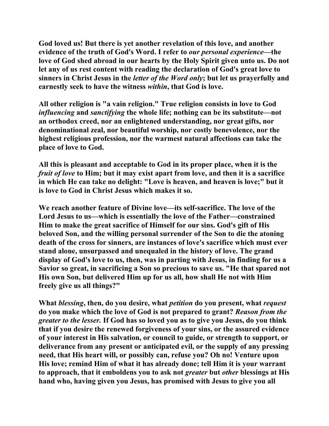**God loved us! But there is yet another revelation of this love, and another evidence of the truth of God's Word. I refer to** *our personal experience***—the love of God shed abroad in our hearts by the Holy Spirit given unto us. Do not let any of us rest content with reading the declaration of God's great love to sinners in Christ Jesus in the** *letter of the Word only***; but let us prayerfully and earnestly seek to have the witness** *within***, that God is love.** 

**All other religion is "a vain religion." True religion consists in love to God**  *influencing* **and** *sanctifying* **the whole life; nothing can be its substitute—not an orthodox creed, nor an enlightened understanding, nor great gifts, nor denominational zeal, nor beautiful worship, nor costly benevolence, nor the highest religious profession, nor the warmest natural affections can take the place of love to God.** 

**All this is pleasant and acceptable to God in its proper place, when it is the**  *fruit of love* **to Him; but it may exist apart from love, and then it is a sacrifice in which He can take no delight: "Love is heaven, and heaven is love;" but it is love to God in Christ Jesus which makes it so.** 

**We reach another feature of Divine love—its self-sacrifice. The love of the Lord Jesus to us—which is essentially the love of the Father—constrained Him to make the great sacrifice of Himself for our sins. God's gift of His beloved Son, and the willing personal surrender of the Son to die the atoning death of the cross for sinners, are instances of love's sacrifice which must ever stand alone, unsurpassed and unequaled in the history of love. The grand display of God's love to us, then, was in parting with Jesus, in finding for us a Savior so great, in sacrificing a Son so precious to save us. "He that spared not His own Son, but delivered Him up for us all, how shall He not with Him freely give us all things?"** 

**What** *blessing***, then, do you desire, what** *petition* **do you present, what** *request* **do you make which the love of God is not prepared to grant?** *Reason from the greater to the lesser.* **If God has so loved you as to give you Jesus, do you think that if you desire the renewed forgiveness of your sins, or the assured evidence of your interest in His salvation, or council to guide, or strength to support, or deliverance from any present or anticipated evil, or the supply of any pressing need, that His heart will, or possibly can, refuse you? Oh no! Venture upon His love; remind Him of what it has already done; tell Him it is your warrant to approach, that it emboldens you to ask not** *greater* **but** *other* **blessings at His hand who, having given you Jesus, has promised with Jesus to give you all**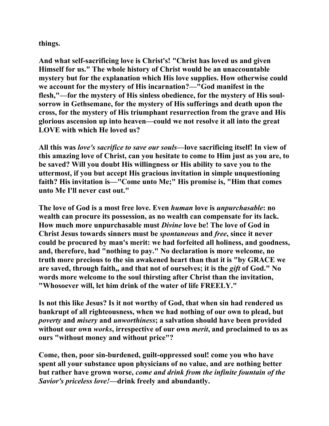**things.** 

**And what self-sacrificing love is Christ's! "Christ has loved us and given Himself for us." The whole history of Christ would be an unaccountable mystery but for the explanation which His love supplies. How otherwise could we account for the mystery of His incarnation?—"God manifest in the flesh,"—for the mystery of His sinless obedience, for the mystery of His soulsorrow in Gethsemane, for the mystery of His sufferings and death upon the cross, for the mystery of His triumphant resurrection from the grave and His glorious ascension up into heaven—could we not resolve it all into the great LOVE with which He loved us?** 

**All this was** *love's sacrifice to save our souls***—love sacrificing itself! In view of this amazing love of Christ, can you hesitate to come to Him just as you are, to be saved? Will you doubt His willingness or His ability to save you to the uttermost, if you but accept His gracious invitation in simple unquestioning faith? His invitation is—"Come unto Me;" His promise is, "Him that comes unto Me I'll never cast out."** 

**The love of God is a most free love. Even** *human* **love is** *unpurchasable***: no wealth can procure its possession, as no wealth can compensate for its lack. How much more unpurchasable must** *Divine* **love be! The love of God in Christ Jesus towards sinners must be** *spontaneous* **and** *free***, since it never could be procured by man's merit: we had forfeited all holiness, and goodness, and, therefore, had "nothing to pay." No declaration is more welcome, no truth more precious to the sin awakened heart than that it is "by GRACE we are saved, through faith,, and that not of ourselves; it is the** *gift* **of God." No words more welcome to the soul thirsting after Christ than the invitation, "Whosoever will, let him drink of the water of life FREELY."** 

**Is not this like Jesus? Is it not worthy of God, that when sin had rendered us bankrupt of all righteousness, when we had nothing of our own to plead, but**  *poverty* **and** *misery* **and** *unworthiness***; a salvation should have been provided without our own** *works***, irrespective of our own** *merit***, and proclaimed to us as ours "without money and without price"?** 

**Come, then, poor sin-burdened, guilt-oppressed soul! come you who have spent all your substance upon physicians of no value, and are nothing better but rather have grown worse,** *come and drink from the infinite fountain of the Savior's priceless love!***—drink freely and abundantly.**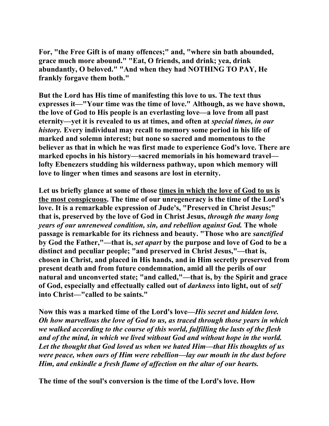**For, "the Free Gift is of many offences;" and, "where sin bath abounded, grace much more abound." "Eat, O friends, and drink; yea, drink abundantly, O beloved." "And when they had NOTHING TO PAY, He frankly forgave them both."** 

**But the Lord has His time of manifesting this love to us. The text thus expresses it—"Your time was the time of love." Although, as we have shown, the love of God to His people is an everlasting love—a love from all past eternity—yet it is revealed to us at times, and often at** *special times, in our history.* **Every individual may recall to memory some period in his life of marked and solemn interest; but none so sacred and momentous to the believer as that in which he was first made to experience God's love. There are marked epochs in his history—sacred memorials in his homeward travel lofty Ebenezers studding his wilderness pathway, upon which memory will love to linger when times and seasons are lost in eternity.** 

**Let us briefly glance at some of those times in which the love of God to us is the most conspicuous. The time of our unregeneracy is the time of the Lord's love. It is a remarkable expression of Jude's, "Preserved in Christ Jesus;" that is, preserved by the love of God in Christ Jesus,** *through the many long years of our unrenewed condition, sin, and rebellion against God.* **The whole passage is remarkable for its richness and beauty. "Those who are** *sanctified* **by God the Father,"—that is,** *set apart* **by the purpose and love of God to be a distinct and peculiar people; "and preserved in Christ Jesus,"—that is, chosen in Christ, and placed in His hands, and in Him secretly preserved from present death and from future condemnation, amid all the perils of our natural and unconverted state; "and called,"—that is, by the Spirit and grace of God, especially and effectually called out of** *darkness* **into light, out of** *self* **into Christ—"called to be saints."** 

**Now this was a marked time of the Lord's love—***His secret and hidden love. Oh how marvellous the love of God to us, as traced through those years in which we walked according to the course of this world, fulfilling the lusts of the flesh and of the mind, in which we lived without God and without hope in the world. Let the thought that God loved us when we hated Him—that His thoughts of us were peace, when ours of Him were rebellion—lay our mouth in the dust before Him, and enkindle a fresh flame of affection on the altar of our hearts.* 

**The time of the soul's conversion is the time of the Lord's love. How**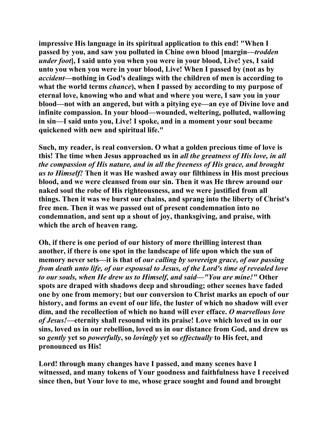**impressive His language in its spiritual application to this end! "When I passed by you, and saw you polluted in Chine own blood [margin—***trodden under foot***], I said unto you when you were in your blood, Live! yes, I said unto you when you were in your blood, Live! When I passed by (not as by**  *accident***—nothing in God's dealings with the children of men is according to what the world terms** *chance***), when I passed by according to my purpose of eternal love, knowing who and what and where you were, I saw you in your blood—not with an angered, but with a pitying eye—an eye of Divine love and infinite compassion. In your blood—wounded, weltering, polluted, wallowing in sin—I said unto you, Live! I spoke, and in a moment your soul became quickened with new and spiritual life."** 

**Such, my reader, is real conversion. O what a golden precious time of love is this! The time when Jesus approached us in** *all the greatness of His love, in all the compassion of His nature, and in all the freeness of His grace, and brought us to Himself!* **Then it was He washed away our filthiness in His most precious blood, and we were cleansed from our sin. Then it was He threw around our naked soul the robe of His righteousness, and we were justified from all things. Then it was we burst our chains, and sprang into the liberty of Christ's free men. Then it was we passed out of present condemnation into no condemnation, and sent up a shout of joy, thanksgiving, and praise, with which the arch of heaven rang.** 

**Oh, if there is one period of our history of more thrilling interest than another, if there is one spot in the landscape of life upon which the sun of memory never sets—it is that of** *our calling by sovereign grace, of our passing from death unto life, of our espousal to Jesus, of the Lord's time of revealed love to our souls, when He drew us to Himself, and said—"You are mine!"* **Other spots are draped with shadows deep and shrouding; other scenes have faded one by one from memory; but our conversion to Christ marks an epoch of our history, and forms an event of our life, the luster of which no shadow will ever dim, and the recollection of which no hand will ever efface.** *O marvellous love of Jesus!***—eternity shall resound with its praise! Love which loved us in our sins, loved us in our rebellion, loved us in our distance from God, and drew us so** *gently* **yet so** *powerfully***, so** *lovingly* **yet so** *effectually* **to His feet, and pronounced us His!** 

**Lord! through many changes have I passed, and many scenes have I witnessed, and many tokens of Your goodness and faithfulness have I received since then, but Your love to me, whose grace sought and found and brought**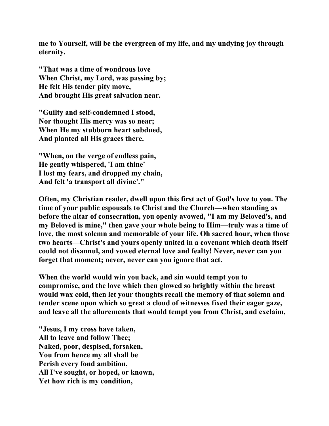**me to Yourself, will be the evergreen of my life, and my undying joy through eternity.** 

**"That was a time of wondrous love When Christ, my Lord, was passing by; He felt His tender pity move, And brought His great salvation near.** 

**"Guilty and self-condemned I stood, Nor thought His mercy was so near; When He my stubborn heart subdued, And planted all His graces there.** 

**"When, on the verge of endless pain, He gently whispered, 'I am thine' I lost my fears, and dropped my chain, And felt 'a transport all divine'."** 

**Often, my Christian reader, dwell upon this first act of God's love to you. The time of your public espousals to Christ and the Church—when standing as before the altar of consecration, you openly avowed, "I am my Beloved's, and my Beloved is mine," then gave your whole being to Him—truly was a time of love, the most solemn and memorable of your life. Oh sacred hour, when those two hearts—Christ's and yours openly united in a covenant which death itself could not disannul, and vowed eternal love and fealty! Never, never can you forget that moment; never, never can you ignore that act.** 

**When the world would win you back, and sin would tempt you to compromise, and the love which then glowed so brightly within the breast would wax cold, then let your thoughts recall the memory of that solemn and tender scene upon which so great a cloud of witnesses fixed their eager gaze, and leave all the allurements that would tempt you from Christ, and exclaim,** 

**"Jesus, I my cross have taken, All to leave and follow Thee; Naked, poor, despised, forsaken, You from hence my all shall be Perish every fond ambition, All I've sought, or hoped, or known, Yet how rich is my condition,**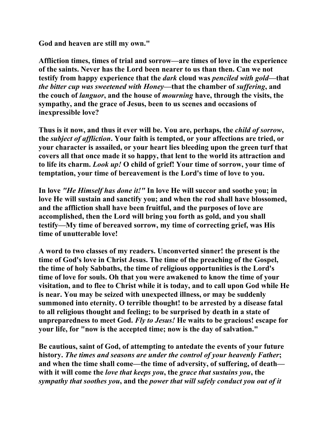**God and heaven are still my own."** 

**Affliction times, times of trial and sorrow—are times of love in the experience of the saints. Never has the Lord been nearer to us than then. Can we not testify from happy experience that the** *dark* **cloud was** *penciled with gold***—that**  *the bitter cup was sweetened with Honey***—that the chamber of** *suffering***, and the couch of** *languor***, and the house of** *mourning* **have, through the visits, the sympathy, and the grace of Jesus, been to us scenes and occasions of inexpressible love?** 

**Thus is it now, and thus it ever will be. You are, perhaps, the** *child of sorrow***, the** *subject of affliction***. Your faith is tempted, or your affections are tried, or your character is assailed, or your heart lies bleeding upon the green turf that covers all that once made it so happy, that lent to the world its attraction and to life its charm.** *Look up!* **O child of grief! Your time of sorrow, your time of temptation, your time of bereavement is the Lord's time of love to you.** 

**In love** *"He Himself has done it!"* **In love He will succor and soothe you; in love He will sustain and sanctify you; and when the rod shall have blossomed, and the affliction shall have been fruitful, and the purposes of love are accomplished, then the Lord will bring you forth as gold, and you shall testify—My time of bereaved sorrow, my time of correcting grief, was His time of unutterable love!** 

**A word to two classes of my readers. Unconverted sinner! the present is the time of God's love in Christ Jesus. The time of the preaching of the Gospel, the time of holy Sabbaths, the time of religious opportunities is the Lord's time of love for souls. Oh that you were awakened to know the time of your visitation, and to flee to Christ while it is today, and to call upon God while He is near. You may be seized with unexpected illness, or may be suddenly summoned into eternity. O terrible thought! to be arrested by a disease fatal to all religious thought and feeling; to be surprised by death in a state of unpreparedness to meet God.** *Fly to Jesus!* **He waits to be gracious! escape for your life, for "now is the accepted time; now is the day of salvation."** 

**Be cautious, saint of God, of attempting to antedate the events of your future history.** *The times and seasons are under the control of your heavenly Father***; and when the time shall come—the time of adversity, of suffering, of death with it will come the** *love that keeps you***, the** *grace that sustains you***, the**  *sympathy that soothes you***, and the** *power that will safely conduct you out of it*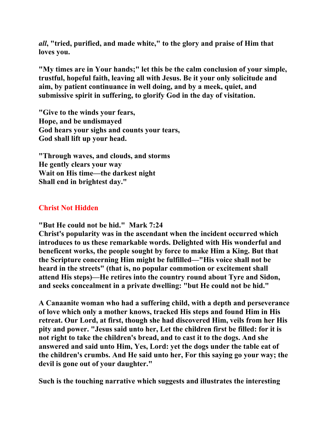*all***, "tried, purified, and made white," to the glory and praise of Him that loves you.** 

**"My times are in Your hands;" let this be the calm conclusion of your simple, trustful, hopeful faith, leaving all with Jesus. Be it your only solicitude and aim, by patient continuance in well doing, and by a meek, quiet, and submissive spirit in suffering, to glorify God in the day of visitation.** 

**"Give to the winds your fears, Hope, and be undismayed God hears your sighs and counts your tears, God shall lift up your head.** 

**"Through waves, and clouds, and storms He gently clears your way Wait on His time—the darkest night Shall end in brightest day."** 

## **Christ Not Hidden**

**"But He could not be hid." Mark 7:24** 

**Christ's popularity was in the ascendant when the incident occurred which introduces to us these remarkable words. Delighted with His wonderful and beneficent works, the people sought by force to make Him a King. But that the Scripture concerning Him might be fulfilled—"His voice shall not be heard in the streets" (that is, no popular commotion or excitement shall attend His steps)—He retires into the country round about Tyre and Sidon, and seeks concealment in a private dwelling: "but He could not be hid."** 

**A Canaanite woman who had a suffering child, with a depth and perseverance of love which only a mother knows, tracked His steps and found Him in His retreat. Our Lord, at first, though she had discovered Him, veils from her His pity and power. "Jesus said unto her, Let the children first be filled: for it is not right to take the children's bread, and to cast it to the dogs. And she answered and said unto Him, Yes, Lord: yet the dogs under the table eat of the children's crumbs. And He said unto her, For this saying go your way; the devil is gone out of your daughter."** 

**Such is the touching narrative which suggests and illustrates the interesting**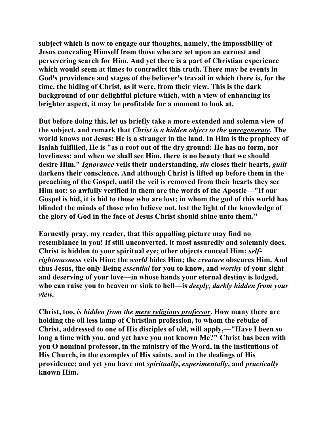**subject which is now to engage our thoughts, namely, the impossibility of Jesus concealing Himself from those who are set upon an earnest and persevering search for Him. And yet there is a part of Christian experience which would seem at times to contradict this truth. There may be events in God's providence and stages of the believer's travail in which there is, for the time, the hiding of Christ, as it were, from their view. This is the dark background of our delightful picture which, with a view of enhancing its brighter aspect, it may be profitable for a moment to look at.** 

**But before doing this, let us briefly take a more extended and solemn view of the subject, and remark that** *Christ is a hidden object to the unregenerate***. The world knows not Jesus: He is a stranger in the land. In Him is the prophecy of Isaiah fulfilled, He is "as a root out of the dry ground: He has no form, nor loveliness; and when we shall see Him, there is no beauty that we should desire Him."** *Ignorance* **veils their understanding,** *sin* **closes their hearts,** *guilt* **darkens their conscience. And although Christ is lifted up before them in the preaching of the Gospel, until the veil is removed from their hearts they see Him not: so awfully verified in them are the words of the Apostle—"If our Gospel is hid, it is hid to those who are lost; in whom the god of this world has blinded the minds of those who believe not, lest the light of the knowledge of the glory of God in the face of Jesus Christ should shine unto them."** 

**Earnestly pray, my reader, that this appalling picture may find no resemblance in you! If still unconverted, it most assuredly and solemnly does. Christ is hidden to your spiritual eye; other objects conceal Him;** *selfrighteousness* **veils Him; the** *world* **hides Him; the** *creature* **obscures Him. And thus Jesus, the only Being** *essential* **for you to know, and** *worthy* **of your sight and deserving of your love—in whose hands your eternal destiny is lodged, who can raise you to heaven or sink to hell—is** *deeply, darkly hidden from your view.* 

**Christ, too,** *is hidden from the mere religious professor***. How many there are holding the oil less lamp of Christian profession, to whom the rebuke of Christ, addressed to one of His disciples of old, will apply,—"Have I been so long a time with you, and yet have you not known Me?" Christ has been with you O nominal professor, in the ministry of the Word, in the institutions of His Church, in the examples of His saints, and in the dealings of His providence; and yet you have not** *spiritually***,** *experimentally***, and** *practically* **known Him.**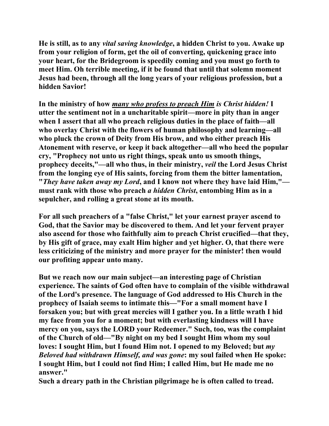**He is still, as to any** *vital saving knowledge***, a hidden Christ to you. Awake up from your religion of form, get the oil of converting, quickening grace into your heart, for the Bridegroom is speedily coming and you must go forth to meet Him. Oh terrible meeting, if it be found that until that solemn moment Jesus had been, through all the long years of your religious profession, but a hidden Savior!** 

**In the ministry of how** *many who profess to preach Him is Christ hidden!* **I utter the sentiment not in a uncharitable spirit—more in pity than in anger when I assert that all who preach religious duties in the place of faith—all who overlay Christ with the flowers of human philosophy and learning—all who pluck the crown of Deity from His brow, and who either preach His Atonement with reserve, or keep it back altogether—all who heed the popular cry, "Prophecy not unto us right things, speak unto us smooth things, prophecy deceits,"—all who thus, in their ministry,** *veil* **the Lord Jesus Christ from the longing eye of His saints, forcing from them the bitter lamentation, "***They have taken away my Lord***, and I know not where they have laid Him," must rank with those who preach** *a hidden Christ***, entombing Him as in a sepulcher, and rolling a great stone at its mouth.** 

**For all such preachers of a "false Christ," let your earnest prayer ascend to God, that the Savior may be discovered to them. And let your fervent prayer also ascend for those who faithfully aim to preach Christ crucified—that they, by His gift of grace, may exalt Him higher and yet higher. O, that there were less criticizing of the ministry and more prayer for the minister! then would our profiting appear unto many.** 

**But we reach now our main subject—an interesting page of Christian experience. The saints of God often have to complain of the visible withdrawal of the Lord's presence. The language of God addressed to His Church in the prophecy of Isaiah seems to intimate this—"For a small moment have I forsaken you; but with great mercies will I gather you. In a little wrath I hid my face from you for a moment; but with everlasting kindness will I have mercy on you, says the LORD your Redeemer." Such, too, was the complaint of the Church of old—"By night on my bed I sought Him whom my soul loves: I sought Him, but I found Him not. I opened to my Beloved; but** *my Beloved had withdrawn Himself, and was gone***: my soul failed when He spoke: I sought Him, but I could not find Him; I called Him, but He made me no answer."** 

**Such a dreary path in the Christian pilgrimage he is often called to tread.**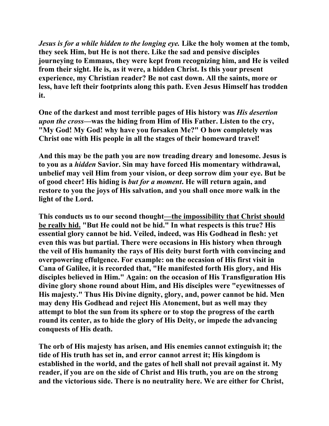*Jesus is for a while hidden to the longing eye.* **Like the holy women at the tomb, they seek Him, but He is not there. Like the sad and pensive disciples journeying to Emmaus, they were kept from recognizing him, and He is veiled from their sight. He is, as it were, a hidden Christ. Is this your present experience, my Christian reader? Be not cast down. All the saints, more or less, have left their footprints along this path. Even Jesus Himself has trodden it.** 

**One of the darkest and most terrible pages of His history was** *His desertion upon the cross***—was the hiding from Him of His Father. Listen to the cry, "My God! My God! why have you forsaken Me?" O how completely was Christ one with His people in all the stages of their homeward travel!** 

**And this may be the path you are now treading dreary and lonesome. Jesus is to you as a** *hidden* **Savior. Sin may have forced His momentary withdrawal, unbelief may veil Him from your vision, or deep sorrow dim your eye. But be of good cheer! His hiding is** *but for a moment***. He will return again, and restore to you the joys of His salvation, and you shall once more walk in the light of the Lord.** 

**This conducts us to our second thought—the impossibility that Christ should be really hid. "But He could not be hid." In what respects is this true? His essential glory cannot be hid. Veiled, indeed, was His Godhead in flesh: yet even this was but partial. There were occasions in His history when through the veil of His humanity the rays of His deity burst forth with convincing and overpowering effulgence. For example: on the occasion of His first visit in Cana of Galilee, it is recorded that, "He manifested forth His glory, and His disciples believed in Him." Again: on the occasion of His Transfiguration His divine glory shone round about Him, and His disciples were "eyewitnesses of His majesty." Thus His Divine dignity, glory, and, power cannot be hid. Men may deny His Godhead and reject His Atonement, but as well may they attempt to blot the sun from its sphere or to stop the progress of the earth round its center, as to hide the glory of His Deity, or impede the advancing conquests of His death.** 

**The orb of His majesty has arisen, and His enemies cannot extinguish it; the tide of His truth has set in, and error cannot arrest it; His kingdom is established in the world, and the gates of hell shall not prevail against it. My reader, if you are on the side of Christ and His truth, you are on the strong and the victorious side. There is no neutrality here. We are either for Christ,**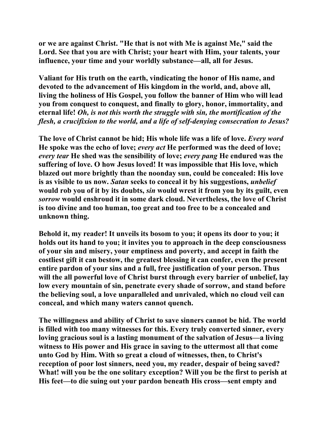**or we are against Christ. "He that is not with Me is against Me," said the Lord. See that you are with Christ; your heart with Him, your talents, your influence, your time and your worldly substance—all, all for Jesus.** 

**Valiant for His truth on the earth, vindicating the honor of His name, and devoted to the advancement of His kingdom in the world, and, above all, living the holiness of His Gospel, you follow the banner of Him who will lead you from conquest to conquest, and finally to glory, honor, immortality, and eternal life!** *Oh, is not this worth the struggle with sin, the mortification of the flesh, a crucifixion to the world, and a life of self-denying consecration to Jesus?*

**The love of Christ cannot be hid; His whole life was a life of love.** *Every word* **He spoke was the echo of love;** *every act* **He performed was the deed of love;**  *every tear* **He shed was the sensibility of love;** *every pang* **He endured was the suffering of love. O how Jesus loved! It was impossible that His love, which blazed out more brightly than the noonday sun, could be concealed: His love is as visible to us now.** *Satan* **seeks to conceal it by his suggestions,** *unbelief* **would rob you of it by its doubts,** *sin* **would wrest it from you by its guilt, even**  *sorrow* **would enshroud it in some dark cloud. Nevertheless, the love of Christ is too divine and too human, too great and too free to be a concealed and unknown thing.** 

**Behold it, my reader! It unveils its bosom to you; it opens its door to you; it holds out its hand to you; it invites you to approach in the deep consciousness of your sin and misery, your emptiness and poverty, and accept in faith the costliest gift it can bestow, the greatest blessing it can confer, even the present entire pardon of your sins and a full, free justification of your person. Thus will the all powerful love of Christ burst through every barrier of unbelief, lay low every mountain of sin, penetrate every shade of sorrow, and stand before the believing soul, a love unparalleled and unrivaled, which no cloud veil can conceal, and which many waters cannot quench.** 

**The willingness and ability of Christ to save sinners cannot be hid. The world is filled with too many witnesses for this. Every truly converted sinner, every loving gracious soul is a lasting monument of the salvation of Jesus—a living witness to His power and His grace in saving to the uttermost all that come unto God by Him. With so great a cloud of witnesses, then, to Christ's reception of poor lost sinners, need you, my reader, despair of being saved? What! will you be the one solitary exception? Will you be the first to perish at His feet—to die suing out your pardon beneath His cross—sent empty and**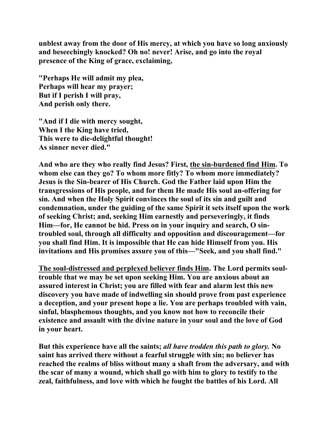**unblest away from the door of His mercy, at which you have so long anxiously and beseechingly knocked? Oh no! never! Arise, and go into the royal presence of the King of grace, exclaiming,** 

**"Perhaps He will admit my plea, Perhaps will hear my prayer; But if I perish I will pray, And perish only there.** 

**"And if I die with mercy sought, When I the King have tried, This were to die-delightful thought! As sinner never died."** 

**And who are they who really find Jesus? First, the sin-burdened find Him. To whom else can they go? To whom more fitly? To whom more immediately? Jesus is the Sin-bearer of His Church. God the Father laid upon Him the transgressions of His people, and for them He made His soul an-offering for sin. And when the Holy Spirit convinces the soul of its sin and guilt and condemnation, under the guiding of the same Spirit it sets itself upon the work of seeking Christ; and, seeking Him earnestly and perseveringly, it finds Him—for, He cannot be hid. Press on in your inquiry and search, O sintroubled soul, through all difficulty and opposition and discouragement—for you shall find Him. It is impossible that He can hide Himself from you. His invitations and His promises assure you of this—"Seek, and you shall find."** 

**The soul-distressed and perplexed believer finds Him. The Lord permits soultrouble that we may be set upon seeking Him. You are anxious about an assured interest in Christ; you are filled with fear and alarm lest this new discovery you have made of indwelling sin should prove from past experience a deception, and your present hope a lie. You are perhaps troubled with vain, sinful, blasphemous thoughts, and you know not how to reconcile their existence and assault with the divine nature in your soul and the love of God in your heart.** 

**But this experience have all the saints;** *all have trodden this path to glory.* **No saint has arrived there without a fearful struggle with sin; no believer has reached the realms of bliss without many a shaft from the adversary, and with the scar of many a wound, which shall go with him to glory to testify to the zeal, faithfulness, and love with which he fought the battles of his Lord. All**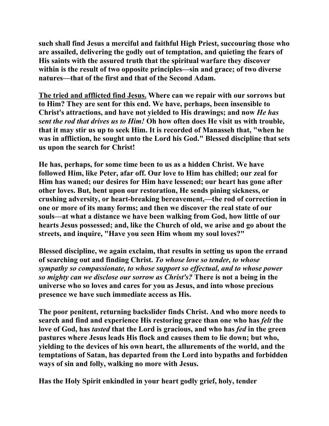**such shall find Jesus a merciful and faithful High Priest, succouring those who are assailed, delivering the godly out of temptation, and quieting the fears of His saints with the assured truth that the spiritual warfare they discover within is the result of two opposite principles—sin and grace; of two diverse natures—that of the first and that of the Second Adam.** 

**The tried and afflicted find Jesus. Where can we repair with our sorrows but to Him? They are sent for this end. We have, perhaps, been insensible to Christ's attractions, and have not yielded to His drawings; and now** *He has sent the rod that drives us to Him!* **Oh how often does He visit us with trouble, that it may stir us up to seek Him. It is recorded of Manasseh that, "when he was in affliction, he sought unto the Lord his God." Blessed discipline that sets us upon the search for Christ!** 

**He has, perhaps, for some time been to us as a hidden Christ. We have followed Him, like Peter, afar off. Our love to Him has chilled; our zeal for Him has waned; our desires for Him have lessened; our heart has gone after other loves. But, bent upon our restoration, He sends pining sickness, or crushing adversity, or heart-breaking bereavement,—the rod of correction in one or more of its many forms; and then we discover the real state of our souls—at what a distance we have been walking from God, how little of our hearts Jesus possessed; and, like the Church of old, we arise and go about the streets, and inquire, "Have you seen Him whom my soul loves?"** 

**Blessed discipline, we again exclaim, that results in setting us upon the errand of searching out and finding Christ.** *To whose love so tender, to whose sympathy so compassionate, to whose support so effectual, and to whose power so mighty can we disclose our sorrow as Christ's?* **There is not a being in the universe who so loves and cares for you as Jesus, and into whose precious presence we have such immediate access as His.** 

**The poor penitent, returning backslider finds Christ. And who more needs to search and find and experience His restoring grace than one who has** *felt* **the love of God, has** *tasted* **that the Lord is gracious, and who has** *fed* **in the green pastures where Jesus leads His flock and causes them to lie down; but who, yielding to the devices of his own heart, the allurements of the world, and the temptations of Satan, has departed from the Lord into bypaths and forbidden ways of sin and folly, walking no more with Jesus.** 

**Has the Holy Spirit enkindled in your heart godly grief, holy, tender**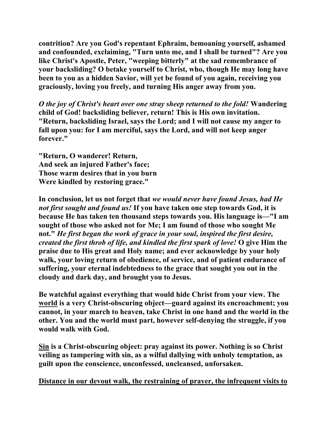**contrition? Are you God's repentant Ephraim, bemoaning yourself, ashamed and confounded, exclaiming, "Turn unto me, and I shall be turned"? Are you like Christ's Apostle, Peter, "weeping bitterly" at the sad remembrance of your backsliding? O betake yourself to Christ, who, though He may long have been to you as a hidden Savior, will yet be found of you again, receiving you graciously, loving you freely, and turning His anger away from you.** 

*O the joy of Christ's heart over one stray sheep returned to the fold!* **Wandering child of God! backsliding believer, return! This is His own invitation. "Return, backsliding Israel, says the Lord; and I will not cause my anger to fall upon you: for I am merciful, says the Lord, and will not keep anger forever."** 

**"Return, O wanderer! Return, And seek an injured Father's face; Those warm desires that in you burn Were kindled by restoring grace."** 

**In conclusion, let us not forget that** *we would never have found Jesus, had He not first sought and found us!* **If you have taken one step towards God, it is because He has taken ten thousand steps towards you. His language is—"I am sought of those who asked not for Me; I am found of those who sought Me not."** *He first began the work of grace in your soul, inspired the first desire, created the first throb of life, and kindled the first spark of love!* **O give Him the praise due to His great and Holy name; and ever acknowledge by your holy walk, your loving return of obedience, of service, and of patient endurance of suffering, your eternal indebtedness to the grace that sought you out in the cloudy and dark day, and brought you to Jesus.** 

**Be watchful against everything that would hide Christ from your view. The world is a very Christ-obscuring object—guard against its encroachment; you cannot, in your march to heaven, take Christ in one hand and the world in the other. You and the world must part, however self-denying the struggle, if you would walk with God.** 

**Sin is a Christ-obscuring object: pray against its power. Nothing is so Christ veiling as tampering with sin, as a wilful dallying with unholy temptation, as guilt upon the conscience, unconfessed, uncleansed, unforsaken.** 

**Distance in our devout walk, the restraining of prayer, the infrequent visits to**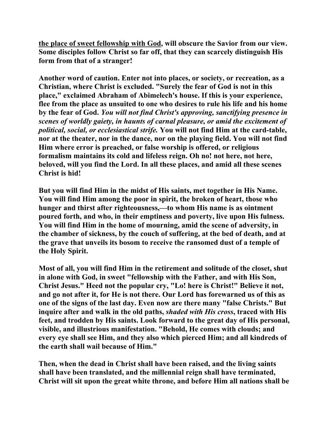**the place of sweet fellowship with God, will obscure the Savior from our view. Some disciples follow Christ so far off, that they can scarcely distinguish His form from that of a stranger!** 

**Another word of caution. Enter not into places, or society, or recreation, as a Christian, where Christ is excluded. "Surely the fear of God is not in this place," exclaimed Abraham of Abimelech's house. If this is your experience, flee from the place as unsuited to one who desires to rule his life and his home by the fear of God.** *You will not find Christ's approving, sanctifying presence in scenes of worldly gaiety, in haunts of carnal pleasure, or amid the excitement of political, social, or ecclesiastical strife.* **You will not find Him at the card-table, nor at the theater, nor in the dance, nor on the playing field. You will not find Him where error is preached, or false worship is offered, or religious formalism maintains its cold and lifeless reign. Oh no! not here, not here, beloved, will you find the Lord. In all these places, and amid all these scenes Christ is hid!** 

**But you will find Him in the midst of His saints, met together in His Name. You will find Him among the poor in spirit, the broken of heart, those who hunger and thirst after righteousness,—to whom His name is as ointment poured forth, and who, in their emptiness and poverty, live upon His fulness. You will find Him in the home of mourning, amid the scene of adversity, in the chamber of sickness, by the couch of suffering, at the bed of death, and at the grave that unveils its bosom to receive the ransomed dust of a temple of the Holy Spirit.** 

**Most of all, you will find Him in the retirement and solitude of the closet, shut in alone with God, in sweet "fellowship with the Father, and with His Son, Christ Jesus." Heed not the popular cry, "Lo! here is Christ!" Believe it not, and go not after it, for He is not there. Our Lord has forewarned us of this as one of the signs of the last day. Even now are there many "false Christs." But inquire after and walk in the old paths,** *shaded with His cross***, traced with His feet, and trodden by His saints. Look forward to the great day of His personal, visible, and illustrious manifestation. "Behold, He comes with clouds; and every eye shall see Him, and they also which pierced Him; and all kindreds of the earth shall wail because of Him."** 

**Then, when the dead in Christ shall have been raised, and the living saints shall have been translated, and the millennial reign shall have terminated, Christ will sit upon the great white throne, and before Him all nations shall be**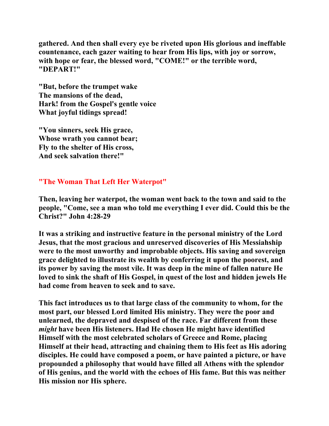**gathered. And then shall every eye be riveted upon His glorious and ineffable countenance, each gazer waiting to hear from His lips, with joy or sorrow, with hope or fear, the blessed word, "COME!" or the terrible word, "DEPART!"** 

**"But, before the trumpet wake The mansions of the dead, Hark! from the Gospel's gentle voice What joyful tidings spread!** 

**"You sinners, seek His grace, Whose wrath you cannot bear; Fly to the shelter of His cross, And seek salvation there!"** 

## **"The Woman That Left Her Waterpot"**

**Then, leaving her waterpot, the woman went back to the town and said to the people, "Come, see a man who told me everything I ever did. Could this be the Christ?" John 4:28-29** 

**It was a striking and instructive feature in the personal ministry of the Lord Jesus, that the most gracious and unreserved discoveries of His Messiahship were to the most unworthy and improbable objects. His saving and sovereign grace delighted to illustrate its wealth by conferring it upon the poorest, and its power by saving the most vile. It was deep in the mine of fallen nature He loved to sink the shaft of His Gospel, in quest of the lost and hidden jewels He had come from heaven to seek and to save.** 

**This fact introduces us to that large class of the community to whom, for the most part, our blessed Lord limited His ministry. They were the poor and unlearned, the depraved and despised of the race. Far different from these**  *might* **have been His listeners. Had He chosen He might have identified Himself with the most celebrated scholars of Greece and Rome, placing Himself at their head, attracting and chaining them to His feet as His adoring disciples. He could have composed a poem, or have painted a picture, or have propounded a philosophy that would have filled all Athens with the splendor of His genius, and the world with the echoes of His fame. But this was neither His mission nor His sphere.**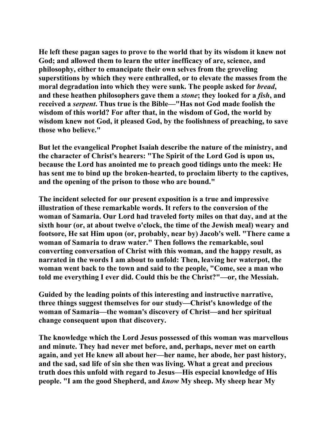**He left these pagan sages to prove to the world that by its wisdom it knew not God; and allowed them to learn the utter inefficacy of are, science, and philosophy, either to emancipate their own selves from the groveling superstitions by which they were enthralled, or to elevate the masses from the moral degradation into which they were sunk. The people asked for** *bread***, and these heathen philosophers gave them a** *stone***; they looked for a** *fish***, and received a** *serpent***. Thus true is the Bible—"Has not God made foolish the wisdom of this world? For after that, in the wisdom of God, the world by wisdom knew not God, it pleased God, by the foolishness of preaching, to save those who believe."** 

**But let the evangelical Prophet Isaiah describe the nature of the ministry, and the character of Christ's hearers: "The Spirit of the Lord God is upon us, because the Lord has anointed me to preach good tidings unto the meek: He has sent me to bind up the broken-hearted, to proclaim liberty to the captives, and the opening of the prison to those who are bound."** 

**The incident selected for our present exposition is a true and impressive illustration of these remarkable words. It refers to the conversion of the woman of Samaria. Our Lord had traveled forty miles on that day, and at the sixth hour (or, at about twelve o'clock, the time of the Jewish meal) weary and footsore, He sat Him upon (or, probably, near by) Jacob's well. "There came a woman of Samaria to draw water." Then follows the remarkable, soul converting conversation of Christ with this woman, and the happy result, as narrated in the words I am about to unfold: Then, leaving her waterpot, the woman went back to the town and said to the people, "Come, see a man who told me everything I ever did. Could this be the Christ?"—or, the Messiah.** 

**Guided by the leading points of this interesting and instructive narrative, three things suggest themselves for our study—Christ's knowledge of the woman of Samaria—the woman's discovery of Christ—and her spiritual change consequent upon that discovery.** 

**The knowledge which the Lord Jesus possessed of this woman was marvellous and minute. They had never met before, and, perhaps, never met on earth again, and yet He knew all about her—her name, her abode, her past history, and the sad, sad life of sin she then was living. What a great and precious truth does this unfold with regard to Jesus—His especial knowledge of His people. "I am the good Shepherd, and** *know* **My sheep. My sheep hear My**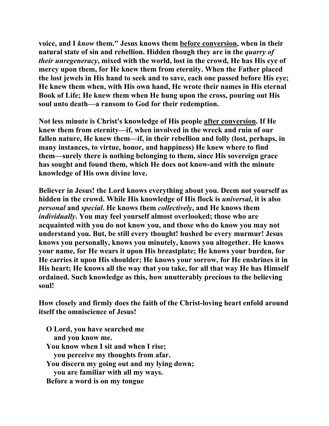**voice, and I** *know* **them." Jesus knows them before conversion, when in their natural state of sin and rebellion. Hidden though they are in the** *quarry of their unregeneracy***, mixed with the world, lost in the crowd, He has His eye of mercy upon them, for He knew them from eternity. When the Father placed the lost jewels in His hand to seek and to save, each one passed before His eye; He knew them when, with His own hand, He wrote their names in His eternal Book of Life; He knew them when He hung upon the cross, pouring out His soul unto death—a ransom to God for their redemption.** 

**Not less minute is Christ's knowledge of His people after conversion. If He knew them from eternity—if, when involved in the wreck and ruin of our fallen nature, He knew them—if, in their rebellion and folly (lost, perhaps, in many instances, to virtue, honor, and happiness) He knew where to find them—surely there is nothing belonging to them, since His sovereign grace has sought and found them, which He does not know-and with the minute knowledge of His own divine love.** 

**Believer in Jesus! the Lord knows everything about you. Deem not yourself as hidden in the crowd. While His knowledge of His flock is** *universal***, it is also**  *personal* **and** *special***. He knows them** *collectively***, and He knows them**  *individually***. You may feel yourself almost overlooked; those who are acquainted with you do not know you, and those who do know you may not understand you. But, be still every thought! hushed be every murmur! Jesus knows you personally, knows you minutely, knows you altogether. He knows your name, for He wears it upon His breastplate; He knows your burden, for He carries it upon His shoulder; He knows your sorrow, for He enshrines it in His heart; He knows all the way that you take, for all that way He has Himself ordained. Such knowledge as this, how unutterably precious to the believing soul!** 

**How closely and firmly does the faith of the Christ-loving heart enfold around itself the omniscience of Jesus!** 

 **O Lord, you have searched me and you know me. You know when I sit and when I rise; you perceive my thoughts from afar. You discern my going out and my lying down; you are familiar with all my ways. Before a word is on my tongue**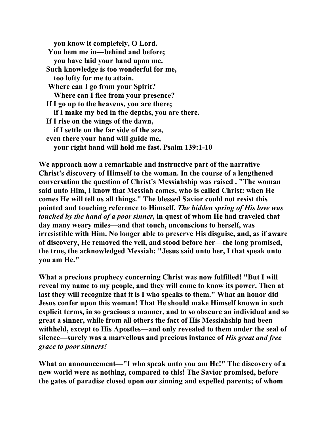**you know it completely, O Lord. You hem me in—behind and before; you have laid your hand upon me. Such knowledge is too wonderful for me, too lofty for me to attain. Where can I go from your Spirit? Where can I flee from your presence? If I go up to the heavens, you are there; if I make my bed in the depths, you are there. If I rise on the wings of the dawn, if I settle on the far side of the sea, even there your hand will guide me, your right hand will hold me fast. Psalm 139:1-10** 

**We approach now a remarkable and instructive part of the narrative— Christ's discovery of Himself to the woman. In the course of a lengthened conversation the question of Christ's Messiahship was raised . "The woman said unto Him, I know that Messiah comes, who is called Christ: when He comes He will tell us all things." The blessed Savior could not resist this pointed and touching reference to Himself.** *The hidden spring of His love was touched by the hand of a poor sinner,* **in quest of whom He had traveled that day many weary miles—and that touch, unconscious to herself, was irresistible with Him. No longer able to preserve His disguise, and, as if aware of discovery, He removed the veil, and stood before her—the long promised, the true, the acknowledged Messiah: "Jesus said unto her, I that speak unto you am He."** 

**What a precious prophecy concerning Christ was now fulfilled! "But I will reveal my name to my people, and they will come to know its power. Then at last they will recognize that it is I who speaks to them." What an honor did Jesus confer upon this woman! That He should make Himself known in such explicit terms, in so gracious a manner, and to so obscure an individual and so great a sinner, while from all others the fact of His Messiahship had been withheld, except to His Apostles—and only revealed to them under the seal of silence—surely was a marvellous and precious instance of** *His great and free grace to poor sinners!* 

**What an announcement—"I who speak unto you am He!" The discovery of a new world were as nothing, compared to this! The Savior promised, before the gates of paradise closed upon our sinning and expelled parents; of whom**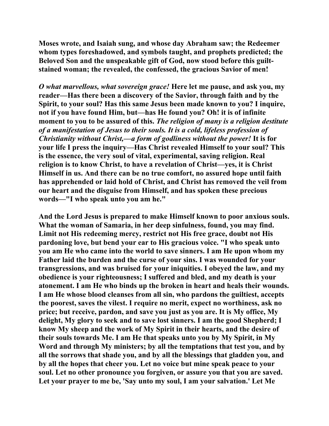**Moses wrote, and Isaiah sung, and whose day Abraham saw; the Redeemer whom types foreshadowed, and symbols taught, and prophets predicted; the Beloved Son and the unspeakable gift of God, now stood before this guiltstained woman; the revealed, the confessed, the gracious Savior of men!** 

*O what marvellous, what sovereign grace!* **Here let me pause, and ask you, my reader—Has there been a discovery of the Savior, through faith and by the Spirit, to your soul? Has this same Jesus been made known to you? I inquire, not if you have found Him, but—has He found you? Oh! it is of infinite moment to you to be assured of this.** *The religion of many is a religion destitute of a manifestation of Jesus to their souls. It is a cold, lifeless profession of Christianity without Christ,—a form of godliness without the power!* **It is for your life I press the inquiry—Has Christ revealed Himself to your soul? This is the essence, the very soul of vital, experimental, saving religion. Real religion is to know Christ, to have a revelation of Christ—yes, it is Christ Himself in us. And there can be no true comfort, no assured hope until faith has apprehended or laid hold of Christ, and Christ has removed the veil from our heart and the disguise from Himself, and has spoken these precious words—"I who speak unto you am he."** 

**And the Lord Jesus is prepared to make Himself known to poor anxious souls. What the woman of Samaria, in her deep sinfulness, found, you may find. Limit not His redeeming mercy, restrict not His free grace, doubt not His pardoning love, but bend your ear to His gracious voice. "I who speak unto you am He who came into the world to save sinners. I am He upon whom my Father laid the burden and the curse of your sins. I was wounded for your transgressions, and was bruised for your iniquities. I obeyed the law, and my obedience is your righteousness; I suffered and bled, and my death is your atonement. I am He who binds up the broken in heart and heals their wounds. I am He whose blood cleanses from all sin, who pardons the guiltiest, accepts the poorest, saves the vilest. I require no merit, expect no worthiness, ask no price; but receive, pardon, and save you just as you are. It is My office, My delight, My glory to seek and to save lost sinners. I am the good Shepherd; I know My sheep and the work of My Spirit in their hearts, and the desire of their souls towards Me. I am He that speaks unto you by My Spirit, in My Word and through My ministers; by all the temptations that test you, and by all the sorrows that shade you, and by all the blessings that gladden you, and by all the hopes that cheer you. Let no voice but mine speak peace to your soul. Let no other pronounce you forgiven, or assure you that you are saved. Let your prayer to me be, 'Say unto my soul, I am your salvation.' Let Me**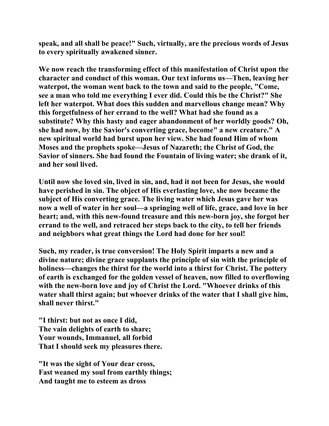**speak, and all shall be peace!" Such, virtually, are the precious words of Jesus to every spiritually awakened sinner.** 

**We now reach the transforming effect of this manifestation of Christ upon the character and conduct of this woman. Our text informs us—Then, leaving her waterpot, the woman went back to the town and said to the people, "Come, see a man who told me everything I ever did. Could this be the Christ?" She left her waterpot. What does this sudden and marvellous change mean? Why this forgetfulness of her errand to the well? What had she found as a substitute? Why this hasty and eager abandonment of her worldly goods? Oh, she had now, by the Savior's converting grace, become" a new creature." A new spiritual world had burst upon her view. She had found Him of whom Moses and the prophets spoke—Jesus of Nazareth; the Christ of God, the Savior of sinners. She had found the Fountain of living water; she drank of it, and her soul lived.** 

**Until now she loved sin, lived in sin, and, had it not been for Jesus, she would have perished in sin. The object of His everlasting love, she now became the subject of His converting grace. The living water which Jesus gave her was now a well of water in her soul—a springing well of life, grace, and love in her heart; and, with this new-found treasure and this new-born joy, she forgot her errand to the well, and retraced her steps back to the city, to tell her friends and neighbors what great things the Lord had done for her soul!** 

**Such, my reader, is true conversion! The Holy Spirit imparts a new and a divine nature; divine grace supplants the principle of sin with the principle of holiness—changes the thirst for the world into a thirst for Christ. The pottery of earth is exchanged for the golden vessel of heaven, now filled to overflowing with the new-born love and joy of Christ the Lord. "Whoever drinks of this water shall thirst again; but whoever drinks of the water that I shall give him, shall never thirst."** 

**"I thirst: but not as once I did, The vain delights of earth to share; Your wounds, Immanuel, all forbid That I should seek my pleasures there.** 

**"It was the sight of Your dear cross, Fast weaned my soul from earthly things; And taught me to esteem as dross**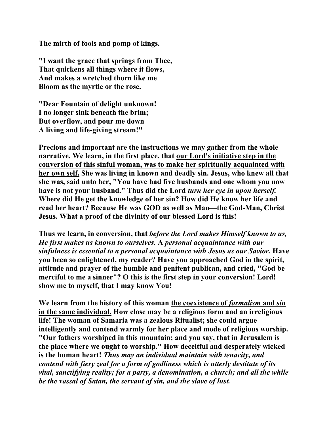**The mirth of fools and pomp of kings.** 

**"I want the grace that springs from Thee, That quickens all things where it flows, And makes a wretched thorn like me Bloom as the myrtle or the rose.** 

**"Dear Fountain of delight unknown! I no longer sink beneath the brim; But overflow, and pour me down A living and life-giving stream!"** 

**Precious and important are the instructions we may gather from the whole narrative. We learn, in the first place, that our Lord's initiative step in the conversion of this sinful woman, was to make her spiritually acquainted with her own self. She was living in known and deadly sin. Jesus, who knew all that she was, said unto her, "You have had five husbands and one whom you now have is not your husband." Thus did the Lord** *turn her eye in upon herself.* **Where did He get the knowledge of her sin? How did He know her life and read her heart? Because He was GOD as well as Man—the God-Man, Christ Jesus. What a proof of the divinity of our blessed Lord is this!** 

**Thus we learn, in conversion, that** *before the Lord makes Himself known to us, He first makes us known to ourselves.* **A** *personal acquaintance with our sinfulness is essential to a personal acquaintance with Jesus as our Savior.* **Have you been so enlightened, my reader? Have you approached God in the spirit, attitude and prayer of the humble and penitent publican, and cried, "God be merciful to me a sinner"? O this is the first step in your conversion! Lord! show me to myself, that I may know You!** 

We learn from the history of this woman the coexistence of *formalism* and *sin* **in the same individual. How close may be a religious form and an irreligious life! The woman of Samaria was a zealous Ritualist; she could argue intelligently and contend warmly for her place and mode of religious worship. "Our fathers worshiped in this mountain; and you say, that in Jerusalem is the place where we ought to worship." How deceitful and desperately wicked is the human heart!** *Thus may an individual maintain with tenacity, and contend with fiery zeal for a form of godliness which is utterly destitute of its vital, sanctifying reality; for a party, a denomination, a church; and all the while be the vassal of Satan, the servant of sin, and the slave of lust.*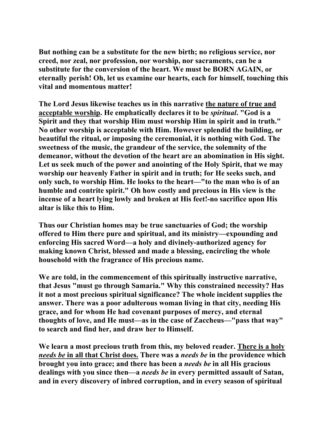**But nothing can be a substitute for the new birth; no religious service, nor creed, nor zeal, nor profession, nor worship, nor sacraments, can be a substitute for the conversion of the heart. We must be BORN AGAIN, or eternally perish! Oh, let us examine our hearts, each for himself, touching this vital and momentous matter!** 

**The Lord Jesus likewise teaches us in this narrative the nature of true and acceptable worship. He emphatically declares it to be** *spiritual***. "God is a Spirit and they that worship Him must worship Him in spirit and in truth." No other worship is acceptable with Him. However splendid the building, or beautiful the ritual, or imposing the ceremonial, it is nothing with God. The sweetness of the music, the grandeur of the service, the solemnity of the demeanor, without the devotion of the heart are an abomination in His sight. Let us seek much of the power and anointing of the Holy Spirit, that we may worship our heavenly Father in spirit and in truth; for He seeks such, and only such, to worship Him. He looks to the heart—"to the man who is of an humble and contrite spirit." Oh how costly and precious in His view is the incense of a heart lying lowly and broken at His feet!-no sacrifice upon His altar is like this to Him.** 

**Thus our Christian homes may be true sanctuaries of God; the worship offered to Him there pure and spiritual, and its ministry—expounding and enforcing His sacred Word—a holy and divinely-authorized agency for making known Christ, blessed and made a blessing, encircling the whole household with the fragrance of His precious name.** 

**We are told, in the commencement of this spiritually instructive narrative, that Jesus "must go through Samaria." Why this constrained necessity? Has it not a most precious spiritual significance? The whole incident supplies the answer. There was a poor adulterous woman living in that city, needing His grace, and for whom He had covenant purposes of mercy, and eternal thoughts of love, and He must—as in the case of Zaccheus—"pass that way" to search and find her, and draw her to Himself.** 

**We learn a most precious truth from this, my beloved reader. There is a holy**  *needs be* **in all that Christ does. There was a** *needs be* **in the providence which brought you into grace; and there has been a** *needs be* **in all His gracious dealings with you since then—a** *needs be* **in every permitted assault of Satan, and in every discovery of inbred corruption, and in every season of spiritual**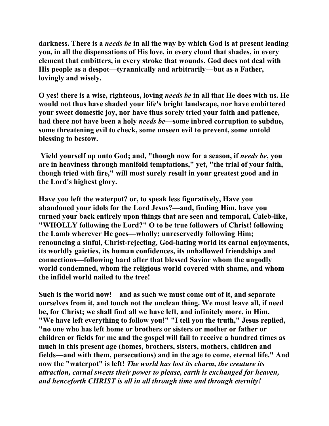**darkness. There is a** *needs be* **in all the way by which God is at present leading you, in all the dispensations of His love, in every cloud that shades, in every element that embitters, in every stroke that wounds. God does not deal with His people as a despot—tyrannically and arbitrarily—but as a Father, lovingly and wisely.** 

**O yes! there is a wise, righteous, loving** *needs be* **in all that He does with us. He would not thus have shaded your life's bright landscape, nor have embittered your sweet domestic joy, nor have thus sorely tried your faith and patience, had there not have been a holy** *needs be***—some inbred corruption to subdue, some threatening evil to check, some unseen evil to prevent, some untold blessing to bestow.** 

 **Yield yourself up unto God; and, "though now for a season, if** *needs be***, you are in heaviness through manifold temptations," yet, "the trial of your faith, though tried with fire," will most surely result in your greatest good and in the Lord's highest glory.** 

**Have you left the waterpot? or, to speak less figuratively, Have you abandoned your idols for the Lord Jesus?—and, finding Him, have you turned your back entirely upon things that are seen and temporal, Caleb-like, "WHOLLY following the Lord?" O to be true followers of Christ! following the Lamb wherever He goes—wholly; unreservedly following Him; renouncing a sinful, Christ-rejecting, God-hating world its carnal enjoyments, its worldly gaieties, its human confidences, its unhallowed friendships and connections—following hard after that blessed Savior whom the ungodly world condemned, whom the religious world covered with shame, and whom the infidel world nailed to the tree!** 

**Such is the world now!—and as such we must come out of it, and separate ourselves from it, and touch not the unclean thing. We must leave all, if need be, for Christ; we shall find all we have left, and infinitely more, in Him. "We have left everything to follow you!" "I tell you the truth," Jesus replied, "no one who has left home or brothers or sisters or mother or father or children or fields for me and the gospel will fail to receive a hundred times as much in this present age (homes, brothers, sisters, mothers, children and fields—and with them, persecutions) and in the age to come, eternal life." And now the "waterpot" is left!** *The world has lost its charm, the creature its attraction, carnal sweets their power to please, earth is exchanged for heaven, and henceforth CHRIST is all in all through time and through eternity!*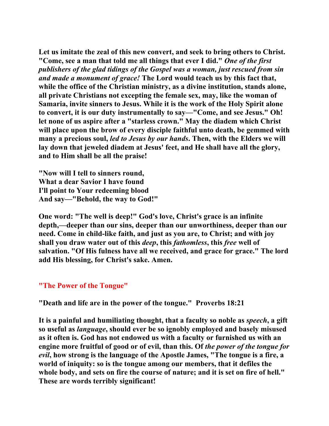**Let us imitate the zeal of this new convert, and seek to bring others to Christ. "Come, see a man that told me all things that ever I did."** *One of the first publishers of the glad tidings of the Gospel was a woman, just rescued from sin and made a monument of grace!* **The Lord would teach us by this fact that, while the office of the Christian ministry, as a divine institution, stands alone, all private Christians not excepting the female sex, may, like the woman of Samaria, invite sinners to Jesus. While it is the work of the Holy Spirit alone to convert, it is our duty instrumentally to say—"Come, and see Jesus." Oh! let none of us aspire after a "starless crown." May the diadem which Christ will place upon the brow of every disciple faithful unto death, be gemmed with many a precious soul,** *led to Jesus by our hands***. Then, with the Elders we will lay down that jeweled diadem at Jesus' feet, and He shall have all the glory, and to Him shall be all the praise!** 

**"Now will I tell to sinners round, What a dear Savior I have found I'll point to Your redeeming blood And say—"Behold, the way to God!"** 

**One word: "The well is deep!" God's love, Christ's grace is an infinite depth,—deeper than our sins, deeper than our unworthiness, deeper than our need. Come in child-like faith, and just as you are, to Christ; and with joy shall you draw water out of this** *deep***, this** *fathomless***, this** *free* **well of salvation. "Of His fulness have all we received, and grace for grace." The lord add His blessing, for Christ's sake. Amen.** 

## **"The Power of the Tongue"**

**"Death and life are in the power of the tongue." Proverbs 18:21** 

**It is a painful and humiliating thought, that a faculty so noble as** *speech***, a gift so useful as** *language***, should ever be so ignobly employed and basely misused as it often is. God has not endowed us with a faculty or furnished us with an engine more fruitful of good or of evil, than this. Of** *the power of the tongue for evil***, how strong is the language of the Apostle James, "The tongue is a fire, a world of iniquity: so is the tongue among our members, that it defiles the whole body, and sets on fire the course of nature; and it is set on fire of hell." These are words terribly significant!**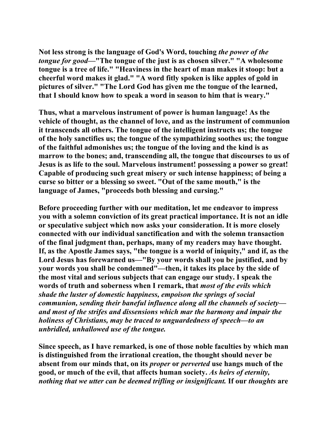**Not less strong is the language of God's Word, touching** *the power of the tongue for good***—"The tongue of the just is as chosen silver." "A wholesome tongue is a tree of life." "Heaviness in the heart of man makes it stoop: but a cheerful word makes it glad." "A word fitly spoken is like apples of gold in pictures of silver." "The Lord God has given me the tongue of the learned, that I should know how to speak a word in season to him that is weary."** 

**Thus, what a marvelous instrument of power is human language! As the vehicle of thought, as the channel of love, and as the instrument of communion it transcends all others. The tongue of the intelligent instructs us; the tongue of the holy sanctifies us; the tongue of the sympathizing soothes us; the tongue of the faithful admonishes us; the tongue of the loving and the kind is as marrow to the bones; and, transcending all, the tongue that discourses to us of Jesus is as life to the soul. Marvelous instrument! possessing a power so great! Capable of producing such great misery or such intense happiness; of being a curse so bitter or a blessing so sweet. "Out of the same mouth," is the language of James, "proceeds both blessing and cursing."** 

**Before proceeding further with our meditation, let me endeavor to impress you with a solemn conviction of its great practical importance. It is not an idle or speculative subject which now asks your consideration. It is more closely connected with our individual sanctification and with the solemn transaction of the final judgment than, perhaps, many of my readers may have thought. If, as the Apostle James says, "the tongue is a world of iniquity," and if, as the Lord Jesus has forewarned us—"By your words shall you be justified, and by your words you shall be condemned"—then, it takes its place by the side of the most vital and serious subjects that can engage our study. I speak the words of truth and soberness when I remark, that** *most of the evils which shade the luster of domestic happiness, empoison the springs of social communion, sending their baneful influence along all the channels of society and most of the strifes and dissensions which mar the harmony and impair the holiness of Christians, may be traced to unguardedness of speech—to an unbridled, unhallowed use of the tongue.* 

**Since speech, as I have remarked, is one of those noble faculties by which man is distinguished from the irrational creation, the thought should never be absent from our minds that, on its** *proper* **or** *perverted* **use hangs much of the good, or much of the evil, that affects human society.** *As heirs of eternity, nothing that we utter can be deemed trifling or insignificant.* **If our** *thoughts* **are**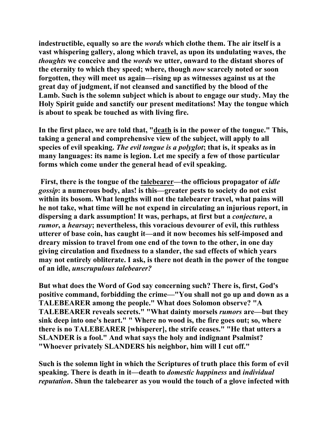**indestructible, equally so are the** *words* **which clothe them. The air itself is a vast whispering gallery, along which travel, as upon its undulating waves, the**  *thoughts* **we conceive and the** *words* **we utter, onward to the distant shores of the eternity to which they speed; where, though** *now* **scarcely noted or soon forgotten, they will meet us again—rising up as witnesses against us at the great day of judgment, if not cleansed and sanctified by the blood of the Lamb. Such is the solemn subject which is about to engage our study. May the Holy Spirit guide and sanctify our present meditations! May the tongue which is about to speak be touched as with living fire.** 

**In the first place, we are told that, "death is in the power of the tongue." This, taking a general and comprehensive view of the subject, will apply to all species of evil speaking.** *The evil tongue is a polyglot***; that is, it speaks as in many languages: its name is legion. Let me specify a few of those particular forms which come under the general head of evil speaking.** 

 **First, there is the tongue of the talebearer—the officious propagator of** *idle gossip***: a numerous body, alas! is this—greater pests to society do not exist within its bosom. What lengths will not the talebearer travel, what pains will he not take, what time will he not expend in circulating an injurious report, in dispersing a dark assumption! It was, perhaps, at first but a** *conjecture***, a**  *rumor***, a** *hearsay***; nevertheless, this voracious devourer of evil, this ruthless utterer of base coin, has caught it—and it now becomes his self-imposed and dreary mission to travel from one end of the town to the other, in one day giving circulation and fixedness to a slander, the sad effects of which years may not entirely obliterate. I ask, is there not death in the power of the tongue of an idle,** *unscrupulous talebearer?* 

**But what does the Word of God say concerning such? There is, first, God's positive command, forbidding the crime—"You shall not go up and down as a TALEBEARER among the people." What does Solomon observe? "A TALEBEARER reveals secrets." "What dainty morsels** *rumors* **are—but they sink deep into one's heart." " Where no wood is, the fire goes out; so, where there is no TALEBEARER [whisperer], the strife ceases." "He that utters a SLANDER is a fool." And what says the holy and indignant Psalmist? "Whoever privately SLANDERS his neighbor, him will I cut off."** 

**Such is the solemn light in which the Scriptures of truth place this form of evil speaking. There is death in it—death to** *domestic happiness* **and** *individual reputation***. Shun the talebearer as you would the touch of a glove infected with**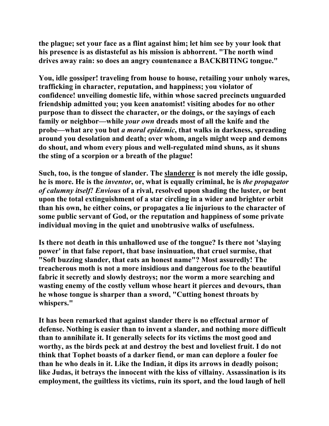**the plague; set your face as a flint against him; let him see by your look that his presence is as distasteful as his mission is abhorrent. "The north wind drives away rain: so does an angry countenance a BACKBITING tongue."** 

**You, idle gossiper! traveling from house to house, retailing your unholy wares, trafficking in character, reputation, and happiness; you violator of confidence! unveiling domestic life, within whose sacred precincts unguarded friendship admitted you; you keen anatomist! visiting abodes for no other purpose than to dissect the character, or the doings, or the sayings of each family or neighbor—while** *your own* **dreads most of all the knife and the probe—what are you but** *a moral epidemic***, that walks in darkness, spreading around you desolation and death; over whom, angels might weep and demons do shout, and whom every pious and well-regulated mind shuns, as it shuns the sting of a scorpion or a breath of the plague!** 

**Such, too, is the tongue of slander. The slanderer is not merely the idle gossip, he is more. He is the** *inventor***, or, what is equally criminal, he is** *the propagator of calumny itself! Envious* **of a rival, resolved upon shading the luster, or bent upon the total extinguishment of a star circling in a wider and brighter orbit than his own, he either coins, or propagates a lie injurious to the character of some public servant of God, or the reputation and happiness of some private individual moving in the quiet and unobtrusive walks of usefulness.** 

**Is there not death in this unhallowed use of the tongue? Is there not 'slaying power' in that false report, that base insinuation, that cruel surmise, that "Soft buzzing slander, that eats an honest name"? Most assuredly! The treacherous moth is not a more insidious and dangerous foe to the beautiful fabric it secretly and slowly destroys; nor the worm a more searching and wasting enemy of the costly vellum whose heart it pierces and devours, than he whose tongue is sharper than a sword, "Cutting honest throats by whispers."** 

**It has been remarked that against slander there is no effectual armor of defense. Nothing is easier than to invent a slander, and nothing more difficult than to annihilate it. It generally selects for its victims the most good and worthy, as the birds peck at and destroy the best and loveliest fruit. I do not think that Tophet boasts of a darker fiend, or man can deplore a fouler foe than he who deals in it. Like the Indian, it dips its arrows in deadly poison; like Judas, it betrays the innocent with the kiss of villainy. Assassination is its employment, the guiltless its victims, ruin its sport, and the loud laugh of hell**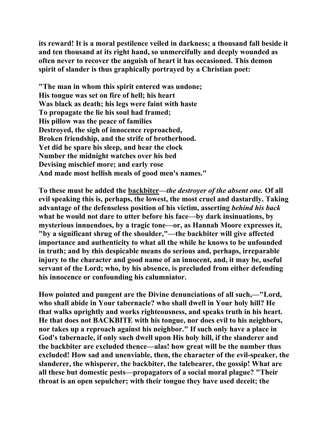**its reward! It is a moral pestilence veiled in darkness; a thousand fall beside it and ten thousand at its right hand, so unmercifully and deeply wounded as often never to recover the anguish of heart it has occasioned. This demon spirit of slander is thus graphically portrayed by a Christian poet:** 

**"The man in whom this spirit entered was undone; His tongue was set on fire of hell; his heart Was black as death; his legs were faint with haste To propagate the lie his soul had framed; His pillow was the peace of families Destroyed, the sigh of innocence reproached, Broken friendship, and the strife of brotherhood. Yet did he spare his sleep, and hear the clock Number the midnight watches over his bed Devising mischief more; and early rose And made most hellish meals of good men's names."** 

**To these must be added the backbiter—***the destroyer of the absent one.* **Of all evil speaking this is, perhaps, the lowest, the most cruel and dastardly. Taking advantage of the defenseless position of his victim, asserting** *behind his back* **what he would not dare to utter before his face—by dark insinuations, by mysterious innuendoes, by a tragic tone—or, as Hannah Moore expresses it, "by a significant shrug of the shoulder,"—the backbiter will give affected importance and authenticity to what all the while he knows to be unfounded in truth; and by this despicable means do serious and, perhaps, irreparable injury to the character and good name of an innocent, and, it may be, useful servant of the Lord; who, by his absence, is precluded from either defending his innocence or confounding his calumniator.** 

**How pointed and pungent are the Divine denunciations of all such,—"Lord, who shall abide in Your tabernacle? who shall dwell in Your holy hill? He that walks uprightly and works righteousness, and speaks truth in his heart. He that does not BACKBITE with his tongue, nor does evil to his neighbors, nor takes up a reproach against his neighbor." If such only have a place in God's tabernacle, if only such dwell upon His holy hill, if the slanderer and the backbiter are excluded thence—alas! how great will be the number thus excluded! How sad and unenviable, then, the character of the evil-speaker, the slanderer, the whisperer, the backbiter, the talebearer, the gossip! What are all these but domestic pests—propagators of a social moral plague? "Their throat is an open sepulcher; with their tongue they have used deceit; the**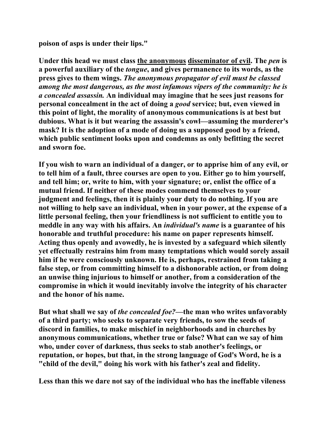**poison of asps is under their lips."** 

Under this head we must class the anonymous disseminator of evil. The *pen* is **a powerful auxiliary of the** *tongue***, and gives permanence to its words, as the press gives to them wings.** *The anonymous propagator of evil must be classed among the most dangerous, as the most infamous vipers of the community: he is a concealed assassin.* **An individual may imagine that he sees just reasons for personal concealment in the act of doing a** *good* **service; but, even viewed in this point of light, the morality of anonymous communications is at best but dubious. What is it but wearing the assassin's cowl—assuming the murderer's mask? It is the adoption of a mode of doing us a supposed good by a friend, which public sentiment looks upon and condemns as only befitting the secret and sworn foe.** 

**If you wish to warn an individual of a danger, or to apprise him of any evil, or to tell him of a fault, three courses are open to you. Either go to him yourself, and tell him; or, write to him, with your signature; or, enlist the office of a mutual friend. If neither of these modes commend themselves to your judgment and feelings, then it is plainly your duty to do nothing. If you are not willing to help save an individual, when in your power, at the expense of a little personal feeling, then your friendliness is not sufficient to entitle you to meddle in any way with his affairs. An** *individual's name* **is a guarantee of his honorable and truthful procedure: his name on paper represents himself. Acting thus openly and avowedly, he is invested by a safeguard which silently yet effectually restrains him from many temptations which would sorely assail him if he were consciously unknown. He is, perhaps, restrained from taking a false step, or from committing himself to a dishonorable action, or from doing an unwise thing injurious to himself or another, from a consideration of the compromise in which it would inevitably involve the integrity of his character and the honor of his name.** 

**But what shall we say of** *the concealed foe?***—the man who writes unfavorably of a third party; who seeks to separate very friends, to sow the seeds of discord in families, to make mischief in neighborhoods and in churches by anonymous communications, whether true or false? What can we say of him who, under cover of darkness, thus seeks to stab another's feelings, or reputation, or hopes, but that, in the strong language of God's Word, he is a "child of the devil," doing his work with his father's zeal and fidelity.** 

**Less than this we dare not say of the individual who has the ineffable vileness**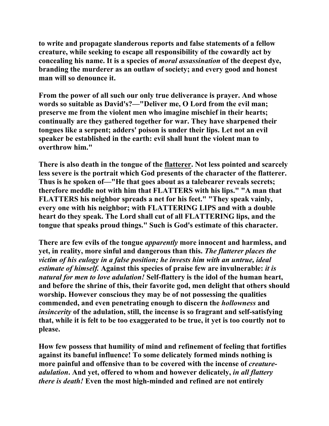**to write and propagate slanderous reports and false statements of a fellow creature, while seeking to escape all responsibility of the cowardly act by concealing his name. It is a species of** *moral assassination* **of the deepest dye, branding the murderer as an outlaw of society; and every good and honest man will so denounce it.** 

**From the power of all such our only true deliverance is prayer. And whose words so suitable as David's?—"Deliver me, O Lord from the evil man; preserve me from the violent men who imagine mischief in their hearts; continually are they gathered together for war. They have sharpened their tongues like a serpent; adders' poison is under their lips. Let not an evil speaker be established in the earth: evil shall hunt the violent man to overthrow him."** 

**There is also death in the tongue of the flatterer. Not less pointed and scarcely less severe is the portrait which God presents of the character of the flatterer. Thus is he spoken of—"He that goes about as a talebearer reveals secrets; therefore meddle not with him that FLATTERS with his lips." "A man that FLATTERS his neighbor spreads a net for his feet." "They speak vainly, every one with his neighbor; with FLATTERING LIPS and with a double heart do they speak. The Lord shall cut of all FLATTERING lips, and the tongue that speaks proud things." Such is God's estimate of this character.** 

**There are few evils of the tongue** *apparently* **more innocent and harmless, and yet, in reality, more sinful and dangerous than this.** *The flatterer places the victim of his eulogy in a false position; he invests him with an untrue, ideal estimate of himself.* **Against this species of praise few are invulnerable:** *it is natural for men to love adulation!* **Self-flattery is the idol of the human heart, and before the shrine of this, their favorite god, men delight that others should worship. However conscious they may be of not possessing the qualities commended, and even penetrating enough to discern the** *hollowness* **and**  *insincerity* **of the adulation, still, the incense is so fragrant and self-satisfying that, while it is felt to be too exaggerated to be true, it yet is too courtly not to please.** 

**How few possess that humility of mind and refinement of feeling that fortifies against its baneful influence! To some delicately formed minds nothing is more painful and offensive than to be covered with the incense of** *creatureadulation***. And yet, offered to whom and however delicately,** *in all flattery there is death!* **Even the most high-minded and refined are not entirely**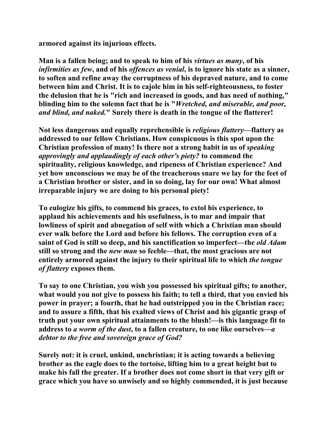**armored against its injurious effects.** 

**Man is a fallen being; and to speak to him of his** *virtues as many***, of his**  *infirmities as few***, and of his** *offences as venial***, is to ignore his state as a sinner, to soften and refine away the corruptness of his depraved nature, and to come between him and Christ. It is to cajole him in his self-righteousness, to foster the delusion that he is "rich and increased in goods, and has need of nothing," blinding him to the solemn fact that he is "***Wretched, and miserable, and poor, and blind, and naked.***" Surely there is death in the tongue of the flatterer!** 

**Not less dangerous and equally reprehensible is** *religious flattery***—flattery as addressed to our fellow Christians. How conspicuous is this spot upon the Christian profession of many! Is there not a strong habit in us of** *speaking approvingly and applaudingly of each other's piety?* **to commend the spirituality, religious knowledge, and ripeness of Christian experience? And yet how unconscious we may be of the treacherous snare we lay for the feet of a Christian brother or sister, and in so doing, lay for our own! What almost irreparable injury we are doing to his personal piety!** 

**To eulogize his gifts, to commend his graces, to extol his experience, to applaud his achievements and his usefulness, is to mar and impair that lowliness of spirit and abnegation of self with which a Christian man should ever walk before the Lord and before his fellows. The corruption even of a saint of God is still so deep, and his sanctification so imperfect—the** *old Adam* **still so strong and the** *new man* **so feeble—that, the most gracious are not entirely armored against the injury to their spiritual life to which** *the tongue of flattery* **exposes them.** 

**To say to one Christian, you wish you possessed his spiritual gifts; to another, what would you not give to possess his faith; to tell a third, that you envied his power in prayer; a fourth, that he had outstripped you in the Christian race; and to assure a fifth, that his exalted views of Christ and his gigantic grasp of truth put your own spiritual attainments to the blush!—is this language fit to address to** *a worm of the dust***, to a fallen creature, to one like ourselves—***a debtor to the free and sovereign grace of God?* 

**Surely not: it is cruel, unkind, unchristian; it is acting towards a believing brother as the eagle does to the tortoise, lifting him to a great height but to make his fall the greater. If a brother does not come short in that very gift or grace which you have so unwisely and so highly commended, it is just because**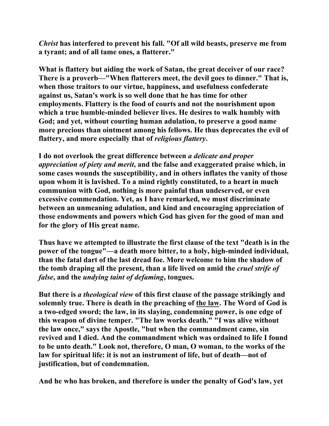*Christ* **has interfered to prevent his fall. "Of all wild beasts, preserve me from a tyrant; and of all tame ones, a flatterer."** 

**What is flattery but aiding the work of Satan, the great deceiver of our race? There is a proverb—"When flatterers meet, the devil goes to dinner." That is, when those traitors to our virtue, happiness, and usefulness confederate against us, Satan's work is so well done that he has time for other employments. Flattery is the food of courts and not the nourishment upon which a true humble-minded believer lives. He desires to walk humbly with God; and yet, without courting human adulation, to preserve a good name more precious than ointment among his fellows. He thus deprecates the evil of flattery, and more especially that of** *religious flattery***.** 

**I do not overlook the great difference between** *a delicate and proper appreciation of piety and merit***, and the false and exaggerated praise which, in some cases wounds the susceptibility, and in others inflates the vanity of those upon whom it is lavished. To a mind rightly constituted, to a heart in much communion with God, nothing is more painful than undeserved, or even excessive commendation. Yet, as I have remarked, we must discriminate between an unmeaning adulation, and kind and encouraging appreciation of those endowments and powers which God has given for the good of man and for the glory of His great name.** 

**Thus have we attempted to illustrate the first clause of the text "death is in the power of the tongue"—a death more bitter, to a holy, high-minded individual, than the fatal dart of the last dread foe. More welcome to him the shadow of the tomb draping all the present, than a life lived on amid the** *cruel strife of false***, and the** *undying taint of defaming***, tongues.** 

**But there is** *a theological view* **of this first clause of the passage strikingly and solemnly true. There is death in the preaching of the law. The Word of God is a two-edged sword; the law, in its slaying, condemning power, is one edge of this weapon of divine temper. "The law works death." "I was alive without the law once," says the Apostle, "but when the commandment came, sin revived and I died. And the commandment which was ordained to life I found to be unto death." Look not, therefore, O man, O woman, to the works of the law for spiritual life: it is not an instrument of life, but of death—not of justification, but of condemnation.** 

**And he who has broken, and therefore is under the penalty of God's law, yet**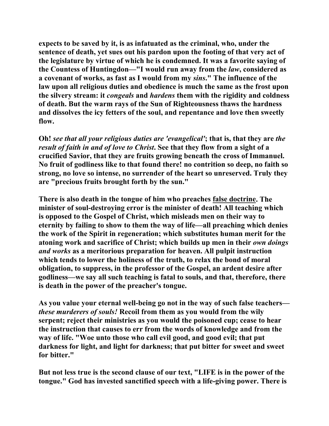**expects to be saved by it, is as infatuated as the criminal, who, under the sentence of death, yet sues out his pardon upon the footing of that very act of the legislature by virtue of which he is condemned. It was a favorite saying of the Countess of Huntingdon—"I would run away from the** *law***, considered as a covenant of works, as fast as I would from my** *sins***." The influence of the law upon all religious duties and obedience is much the same as the frost upon the silvery stream: it** *congeals* **and** *hardens* **them with the rigidity and coldness of death. But the warm rays of the Sun of Righteousness thaws the hardness and dissolves the icy fetters of the soul, and repentance and love then sweetly flow.** 

**Oh!** *see that all your religious duties are 'evangelical'***; that is, that they are** *the result of faith in and of love to Christ***. See that they flow from a sight of a crucified Savior, that they are fruits growing beneath the cross of Immanuel. No fruit of godliness like to that found there! no contrition so deep, no faith so strong, no love so intense, no surrender of the heart so unreserved. Truly they are "precious fruits brought forth by the sun."** 

**There is also death in the tongue of him who preaches false doctrine. The minister of soul-destroying error is the minister of death! All teaching which is opposed to the Gospel of Christ, which misleads men on their way to eternity by failing to show to them the way of life—all preaching which denies the work of the Spirit in regeneration; which substitutes human merit for the atoning work and sacrifice of Christ; which builds up men in their** *own doings and works* **as a meritorious preparation for heaven. All pulpit instruction which tends to lower the holiness of the truth, to relax the bond of moral obligation, to suppress, in the professor of the Gospel, an ardent desire after godliness—we say all such teaching is fatal to souls, and that, therefore, there is death in the power of the preacher's tongue.** 

**As you value your eternal well-being go not in the way of such false teachers** *these murderers of souls!* **Recoil from them as you would from the wily serpent; reject their ministries as you would the poisoned cup; cease to hear the instruction that causes to err from the words of knowledge and from the way of life. "Woe unto those who call evil good, and good evil; that put darkness for light, and light for darkness; that put bitter for sweet and sweet for bitter."** 

**But not less true is the second clause of our text, "LIFE is in the power of the tongue." God has invested sanctified speech with a life-giving power. There is**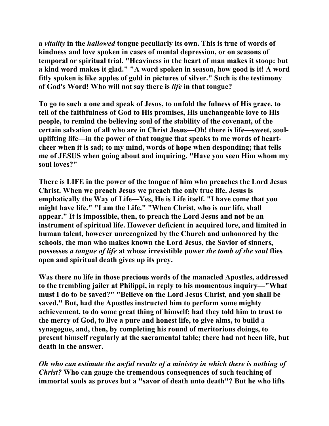**a** *vitality* **in the** *hallowed* **tongue peculiarly its own. This is true of words of kindness and love spoken in cases of mental depression, or on seasons of temporal or spiritual trial. "Heaviness in the heart of man makes it stoop: but a kind word makes it glad." "A word spoken in season, how good is it! A word fitly spoken is like apples of gold in pictures of silver." Such is the testimony of God's Word! Who will not say there is** *life* **in that tongue?** 

**To go to such a one and speak of Jesus, to unfold the fulness of His grace, to tell of the faithfulness of God to His promises, His unchangeable love to His people, to remind the believing soul of the stability of the covenant, of the certain salvation of all who are in Christ Jesus—Oh! there is life—sweet, souluplifting life—in the power of that tongue that speaks to me words of heartcheer when it is sad; to my mind, words of hope when desponding; that tells me of JESUS when going about and inquiring, "Have you seen Him whom my soul loves?"** 

**There is LIFE in the power of the tongue of him who preaches the Lord Jesus Christ. When we preach Jesus we preach the only true life. Jesus is emphatically the Way of Life—Yes, He is Life itself. "I have come that you might have life." "I am the Life." "When Christ, who is our life, shall appear." It is impossible, then, to preach the Lord Jesus and not be an instrument of spiritual life. However deficient in acquired lore, and limited in human talent, however unrecognized by the Church and unhonored by the schools, the man who makes known the Lord Jesus, the Savior of sinners, possesses** *a tongue of life* **at whose irresistible power** *the tomb of the soul* **flies open and spiritual death gives up its prey.** 

**Was there no life in those precious words of the manacled Apostles, addressed to the trembling jailer at Philippi, in reply to his momentous inquiry—"What must I do to be saved?" "Believe on the Lord Jesus Christ, and you shall be saved." But, had the Apostles instructed him to perform some mighty achievement, to do some great thing of himself; had they told him to trust to the mercy of God, to live a pure and honest life, to give alms, to build a synagogue, and, then, by completing his round of meritorious doings, to present himself regularly at the sacramental table; there had not been life, but death in the answer.** 

*Oh who can estimate the awful results of a ministry in which there is nothing of Christ?* **Who can gauge the tremendous consequences of such teaching of immortal souls as proves but a "savor of death unto death"? But he who lifts**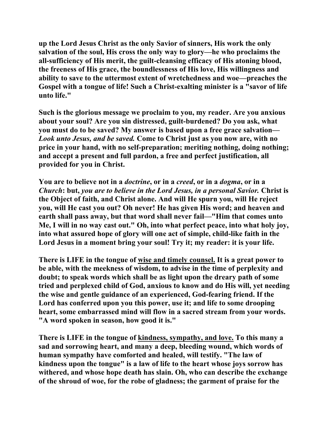**up the Lord Jesus Christ as the only Savior of sinners, His work the only salvation of the soul, His cross the only way to glory—he who proclaims the all-sufficiency of His merit, the guilt-cleansing efficacy of His atoning blood, the freeness of His grace, the boundlessness of His love, His willingness and ability to save to the uttermost extent of wretchedness and woe—preaches the Gospel with a tongue of life! Such a Christ-exalting minister is a "savor of life unto life."** 

**Such is the glorious message we proclaim to you, my reader. Are you anxious about your soul? Are you sin distressed, guilt-burdened? Do you ask, what you must do to be saved? My answer is based upon a free grace salvation—** *Look unto Jesus, and be saved.* **Come to Christ just as you now are, with no price in your hand, with no self-preparation; meriting nothing, doing nothing; and accept a present and full pardon, a free and perfect justification, all provided for you in Christ.** 

**You are to believe not in a** *doctrine***, or in a** *creed***, or in a** *dogma***, or in a**  *Church***: but,** *you are to believe in the Lord Jesus, in a personal Savior.* **Christ is the Object of faith, and Christ alone. And will He spurn you, will He reject you, will He cast you out? Oh never! He has given His word; and heaven and earth shall pass away, but that word shall never fail—"Him that comes unto Me, I will in no way cast out." Oh, into what perfect peace, into what holy joy, into what assured hope of glory will one act of simple, child-like faith in the Lord Jesus in a moment bring your soul! Try it; my reader: it is your life.** 

**There is LIFE in the tongue of wise and timely counsel. It is a great power to be able, with the meekness of wisdom, to advise in the time of perplexity and doubt; to speak words which shall be as light upon the dreary path of some tried and perplexed child of God, anxious to know and do His will, yet needing the wise and gentle guidance of an experienced, God-fearing friend. If the Lord has conferred upon you this power, use it; and life to some drooping heart, some embarrassed mind will flow in a sacred stream from your words. "A word spoken in season, how good it is."** 

**There is LIFE in the tongue of kindness, sympathy, and love. To this many a sad and sorrowing heart, and many a deep, bleeding wound, which words of human sympathy have comforted and healed, will testify. "The law of kindness upon the tongue" is a law of life to the heart whose joys sorrow has withered, and whose hope death has slain. Oh, who can describe the exchange of the shroud of woe, for the robe of gladness; the garment of praise for the**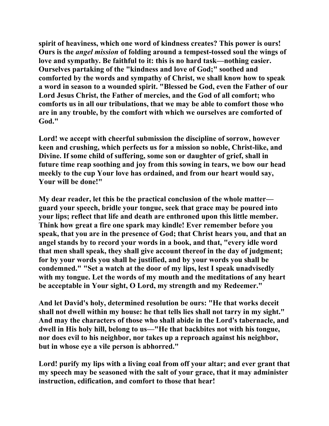**spirit of heaviness, which one word of kindness creates? This power is ours! Ours is the** *angel mission* **of folding around a tempest-tossed soul the wings of love and sympathy. Be faithful to it: this is no hard task—nothing easier. Ourselves partaking of the "kindness and love of God;" soothed and comforted by the words and sympathy of Christ, we shall know how to speak a word in season to a wounded spirit. "Blessed be God, even the Father of our Lord Jesus Christ, the Father of mercies, and the God of all comfort; who comforts us in all our tribulations, that we may be able to comfort those who are in any trouble, by the comfort with which we ourselves are comforted of God."** 

**Lord! we accept with cheerful submission the discipline of sorrow, however keen and crushing, which perfects us for a mission so noble, Christ-like, and Divine. If some child of suffering, some son or daughter of grief, shall in future time reap soothing and joy from this sowing in tears, we bow our head meekly to the cup Your love has ordained, and from our heart would say, Your will be done!"** 

**My dear reader, let this be the practical conclusion of the whole matter guard your speech, bridle your tongue, seek that grace may be poured into your lips; reflect that life and death are enthroned upon this little member. Think how great a fire one spark may kindle! Ever remember before you speak, that you are in the presence of God; that Christ hears you, and that an angel stands by to record your words in a book, and that, "every idle word that men shall speak, they shall give account thereof in the day of judgment; for by your words you shall be justified, and by your words you shall be condemned." "Set a watch at the door of my lips, lest I speak unadvisedly with my tongue. Let the words of my mouth and the meditations of any heart be acceptable in Your sight, O Lord, my strength and my Redeemer."** 

**And let David's holy, determined resolution be ours: "He that works deceit shall not dwell within my house: he that tells lies shall not tarry in my sight." And may the characters of those who shall abide in the Lord's tabernacle, and dwell in His holy hill, belong to us—"He that backbites not with his tongue, nor does evil to his neighbor, nor takes up a reproach against his neighbor, but in whose eye a vile person is abhorred."** 

**Lord! purify my lips with a living coal from off your altar; and ever grant that my speech may be seasoned with the salt of your grace, that it may administer instruction, edification, and comfort to those that hear!**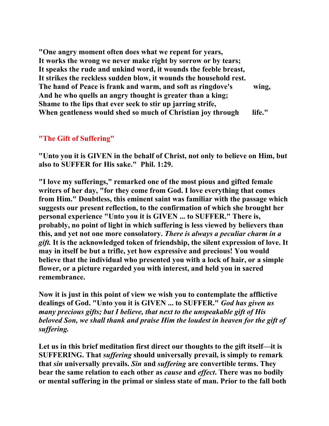**"One angry moment often does what we repent for years, It works the wrong we never make right by sorrow or by tears; It speaks the rude and unkind word, it wounds the feeble breast, It strikes the reckless sudden blow, it wounds the household rest. The hand of Peace is frank and warm, and soft as ringdove's wing, And he who quells an angry thought is greater than a king; Shame to the lips that ever seek to stir up jarring strife,**  When gentleness would shed so much of Christian joy through life."

# **"The Gift of Suffering"**

**"Unto you it is GIVEN in the behalf of Christ, not only to believe on Him, but also to SUFFER for His sake." Phil. 1:29.** 

**"I love my sufferings," remarked one of the most pious and gifted female writers of her day, "for they come from God. I love everything that comes from Him." Doubtless, this eminent saint was familiar with the passage which suggests our present reflection, to the confirmation of which she brought her personal experience "Unto you it is GIVEN ... to SUFFER." There is, probably, no point of light in which suffering is less viewed by believers than this, and yet not one more consolatory.** *There is always a peculiar charm in a gift.* **It is the acknowledged token of friendship, the silent expression of love. It may in itself be but a trifle, yet how expressive and precious! You would believe that the individual who presented you with a lock of hair, or a simple flower, or a picture regarded you with interest, and held you in sacred remembrance.** 

**Now it is just in this point of view we wish you to contemplate the afflictive dealings of God. "Unto you it is GIVEN ... to SUFFER."** *God has given us many precious gifts; but I believe, that next to the unspeakable gift of His beloved Son, we shall thank and praise Him the loudest in heaven for the gift of suffering.* 

**Let us in this brief meditation first direct our thoughts to the gift itself—it is SUFFERING. That** *suffering* **should universally prevail, is simply to remark that** *sin* **universally prevails.** *Sin* **and** *suffering* **are convertible terms. They bear the same relation to each other as** *cause* **and** *effect***. There was no bodily or mental suffering in the primal or sinless state of man. Prior to the fall both**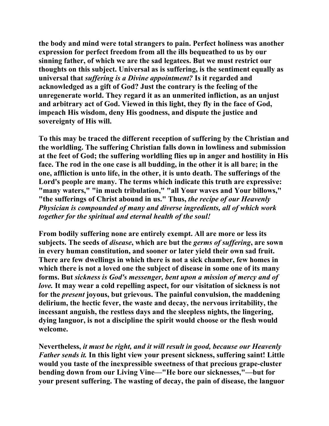**the body and mind were total strangers to pain. Perfect holiness was another expression for perfect freedom from all the ills bequeathed to us by our sinning father, of which we are the sad legatees. But we must restrict our thoughts on this subject. Universal as is suffering, is the sentiment equally as universal that** *suffering is a Divine appointment?* **Is it regarded and acknowledged as a gift of God? Just the contrary is the feeling of the unregenerate world. They regard it as an unmerited infliction, as an unjust and arbitrary act of God. Viewed in this light, they fly in the face of God, impeach His wisdom, deny His goodness, and dispute the justice and sovereignty of His will.** 

**To this may be traced the different reception of suffering by the Christian and the worldling. The suffering Christian falls down in lowliness and submission at the feet of God; the suffering worldling flies up in anger and hostility in His face. The rod in the one case is all budding, in the other it is all bare; in the one, affliction is unto life, in the other, it is unto death. The sufferings of the Lord's people are many. The terms which indicate this truth are expressive: "many waters," "in much tribulation," "all Your waves and Your billows," "the sufferings of Christ abound in us." Thus,** *the recipe of our Heavenly Physician is compounded of many and diverse ingredients, all of which work together for the spiritual and eternal health of the soul!*

**From bodily suffering none are entirely exempt. All are more or less its subjects. The seeds of** *disease***, which are but the** *germs of suffering***, are sown in every human constitution, and sooner or later yield their own sad fruit. There are few dwellings in which there is not a sick chamber, few homes in which there is not a loved one the subject of disease in some one of its many forms. But** *sickness is God's messenger, bent upon a mission of mercy and of love.* **It may wear a cold repelling aspect, for our visitation of sickness is not for the** *present* **joyous, but grievous. The painful convulsion, the maddening delirium, the hectic fever, the waste and decay, the nervous irritability, the incessant anguish, the restless days and the sleepless nights, the lingering, dying languor, is not a discipline the spirit would choose or the flesh would welcome.** 

**Nevertheless,** *it must be right, and it will result in good, because our Heavenly Father sends it.* **In this light view your present sickness, suffering saint! Little would you taste of the inexpressible sweetness of that precious grape-cluster bending down from our Living Vine—"He bore our sicknesses,"—but for your present suffering. The wasting of decay, the pain of disease, the languor**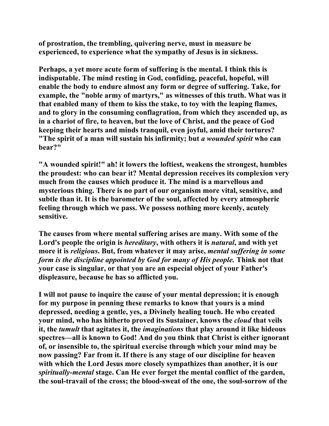**of prostration, the trembling, quivering nerve, must in measure be experienced, to experience what the sympathy of Jesus is in sickness.** 

**Perhaps, a yet more acute form of suffering is the mental. I think this is indisputable. The mind resting in God, confiding, peaceful, hopeful, will enable the body to endure almost any form or degree of suffering. Take, for example, the "noble army of martyrs," as witnesses of this truth. What was it that enabled many of them to kiss the stake, to toy with the leaping flames, and to glory in the consuming conflagration, from which they ascended up, as in a chariot of fire, to heaven, but the love of Christ, and the peace of God keeping their hearts and minds tranquil, even joyful, amid their tortures? "The spirit of a man will sustain his infirmity; but** *a wounded spirit* **who can bear?"** 

**"A wounded spirit!" ah! it lowers the loftiest, weakens the strongest, humbles the proudest: who can bear it? Mental depression receives its complexion very much from the causes which produce it. The mind is a marvellous and mysterious thing. There is no part of our organism more vital, sensitive, and subtle than it. It is the barometer of the soul, affected by every atmospheric feeling through which we pass. We possess nothing more keenly, acutely sensitive.** 

**The causes from where mental suffering arises are many. With some of the Lord's people the origin is** *hereditary***, with others it is** *natural***, and with yet more it is** *religious***. But, from whatever it may arise,** *mental suffering in some form is the discipline appointed by God for many of His people.* **Think not that your case is singular, or that you are an especial object of your Father's displeasure, because he has so afflicted you.** 

**I will not pause to inquire the cause of your mental depression; it is enough for my purpose in penning these remarks to know that yours is a mind depressed, needing a gentle, yes, a Divinely healing touch. He who created your mind, who has hitherto proved its Sustainer, knows the** *cloud* **that veils it, the** *tumult* **that agitates it, the** *imaginations* **that play around it like hideous spectres—all is known to God! And do you think that Christ is either ignorant of, or insensible to, the spiritual exercise through which your mind may be now passing? Far from it. If there is any stage of our discipline for heaven with which the Lord Jesus more closely sympathizes than another, it is our**  *spiritually-mental* **stage. Can He ever forget the mental conflict of the garden, the soul-travail of the cross; the blood-sweat of the one, the soul-sorrow of the**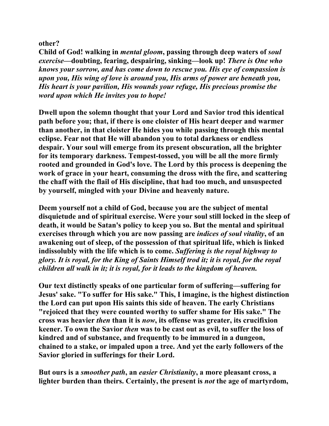**other?** 

**Child of God! walking in** *mental gloom***, passing through deep waters of** *soul exercise***—doubting, fearing, despairing, sinking—look up!** *There is One who knows your sorrow, and has come down to rescue you. His eye of compassion is upon you, His wing of love is around you, His arms of power are beneath you, His heart is your pavilion, His wounds your refuge, His precious promise the word upon which He invites you to hope!* 

**Dwell upon the solemn thought that your Lord and Savior trod this identical path before you; that, if there is one cloister of His heart deeper and warmer than another, in that cloister He hides you while passing through this mental eclipse. Fear not that He will abandon you to total darkness or endless despair. Your soul will emerge from its present obscuration, all the brighter for its temporary darkness. Tempest-tossed, you will be all the more firmly rooted and grounded in God's love. The Lord by this process is deepening the work of grace in your heart, consuming the dross with the fire, and scattering the chaff with the flail of His discipline, that had too much, and unsuspected by yourself, mingled with your Divine and heavenly nature.** 

**Deem yourself not a child of God, because you are the subject of mental disquietude and of spiritual exercise. Were your soul still locked in the sleep of death, it would be Satan's policy to keep you so. But the mental and spiritual exercises through which you are now passing are** *indices of soul vitality***, of an awakening out of sleep, of the possession of that spiritual life, which is linked indissolubly with the life which is to come.** *Suffering is the royal highway to glory. It is royal, for the King of Saints Himself trod it; it is royal, for the royal children all walk in it; it is royal, for it leads to the kingdom of heaven.* 

**Our text distinctly speaks of one particular form of suffering—suffering for Jesus' sake. "To suffer for His sake." This, I imagine, is the highest distinction the Lord can put upon His saints this side of heaven. The early Christians "rejoiced that they were counted worthy to suffer shame for His sake." The cross was heavier** *then* **than it is** *now***, its offense was greater, its crucifixion keener. To own the Savior** *then* **was to be cast out as evil, to suffer the loss of kindred and of substance, and frequently to be immured in a dungeon, chained to a stake, or impaled upon a tree. And yet the early followers of the Savior gloried in sufferings for their Lord.** 

**But ours is a** *smoother path***, an** *easier Christianity***, a more pleasant cross, a lighter burden than theirs. Certainly, the present is** *not* **the age of martyrdom,**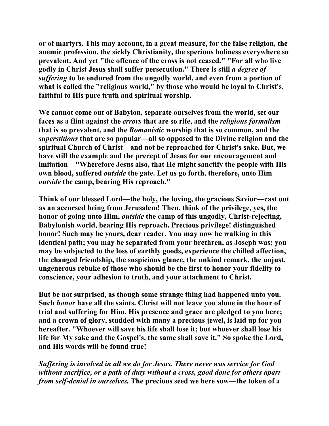**or of martyrs. This may account, in a great measure, for the false religion, the anemic profession, the sickly Christianity, the specious holiness everywhere so prevalent. And yet "the offence of the cross is not ceased." "For all who live godly in Christ Jesus shall suffer persecution." There is still** *a degree of suffering* **to be endured from the ungodly world, and even from a portion of what is called the "religious world," by those who would be loyal to Christ's, faithful to His pure truth and spiritual worship.** 

**We cannot come out of Babylon, separate ourselves from the world, set our faces as a flint against the** *errors* **that are so rife, and the** *religious formalism* **that is so prevalent, and the** *Romanistic* **worship that is so common, and the**  *superstitions* **that are so popular—all so opposed to the Divine religion and the spiritual Church of Christ—and not be reproached for Christ's sake. But, we have still the example and the precept of Jesus for our encouragement and imitation—"Wherefore Jesus also, that He might sanctify the people with His own blood, suffered** *outside* **the gate. Let us go forth, therefore, unto Him**  *outside* **the camp, bearing His reproach."** 

**Think of our blessed Lord—the holy, the loving, the gracious Savior—cast out as an accursed being from Jerusalem! Then, think of the privilege, yes, the honor of going unto Him,** *outside* **the camp of this ungodly, Christ-rejecting, Babylonish world, bearing His reproach. Precious privilege! distinguished honor! Such may be yours, dear reader. You may now be walking in this identical path; you may be separated from your brethren, as Joseph was; you may be subjected to the loss of earthly goods, experience the chilled affection, the changed friendship, the suspicious glance, the unkind remark, the unjust, ungenerous rebuke of those who should be the first to honor your fidelity to conscience, your adhesion to truth, and your attachment to Christ.** 

**But be not surprised, as though some strange thing had happened unto you. Such** *honor* **have all the saints. Christ will not leave you alone in the hour of trial and suffering for Him. His presence and grace are pledged to you here; and a crown of glory, studded with many a precious jewel, is laid up for you hereafter. "Whoever will save his life shall lose it; but whoever shall lose his life for My sake and the Gospel's, the same shall save it." So spoke the Lord, and His words will be found true!** 

*Suffering is involved in all we do for Jesus. There never was service for God without sacrifice, or a path of duty without a cross, good done for others apart from self-denial in ourselves.* **The precious seed we here sow—the token of a**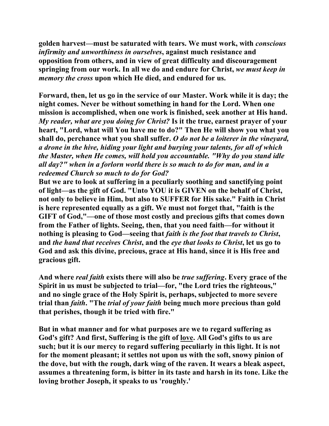**golden harvest—must be saturated with tears. We must work, with** *conscious infirmity and unworthiness in ourselves***, against much resistance and opposition from others, and in view of great difficulty and discouragement springing from our work. In all we do and endure for Christ,** *we must keep in memory the cross* **upon which He died, and endured for us.** 

**Forward, then, let us go in the service of our Master. Work while it is day; the night comes. Never be without something in hand for the Lord. When one mission is accomplished, when one work is finished, seek another at His hand.**  *My reader, what are you doing for Christ?* **Is it the true, earnest prayer of your heart, "Lord, what will You have me to do?" Then He will show you what you shall do, perchance what you shall suffer.** *O do not be a loiterer in the vineyard, a drone in the hive, hiding your light and burying your talents, for all of which the Master, when He comes, will hold you accountable. "Why do you stand idle all day?" when in a forlorn world there is so much to do for man, and in a redeemed Church so much to do for God?*

**But we are to look at suffering in a peculiarly soothing and sanctifying point of light—as the gift of God. "Unto YOU it is GIVEN on the behalf of Christ, not only to believe in Him, but also to SUFFER for His sake." Faith in Christ is here represented equally as a gift. We must not forget that, "faith is the GIFT of God,"—one of those most costly and precious gifts that comes down from the Father of lights. Seeing, then, that you need faith—for without it nothing is pleasing to God—seeing that** *faith is the foot that travels to Christ***, and** *the hand that receives Christ***, and the** *eye that looks to Christ***, let us go to God and ask this divine, precious, grace at His hand, since it is His free and gracious gift.** 

**And where** *real faith* **exists there will also be** *true suffering***. Every grace of the Spirit in us must be subjected to trial—for, "the Lord tries the righteous," and no single grace of the Holy Spirit is, perhaps, subjected to more severe trial than** *faith***. "The** *trial of your faith* **being much more precious than gold that perishes, though it be tried with fire."** 

**But in what manner and for what purposes are we to regard suffering as**  God's gift? And first, Suffering is the gift of <u>lo</u>ve. All God's gifts to us are **such; but it is our mercy to regard suffering peculiarly in this light. It is not for the moment pleasant; it settles not upon us with the soft, snowy pinion of the dove, but with the rough, dark wing of the raven. It wears a bleak aspect, assumes a threatening form, is bitter in its taste and harsh in its tone. Like the loving brother Joseph, it speaks to us 'roughly.'**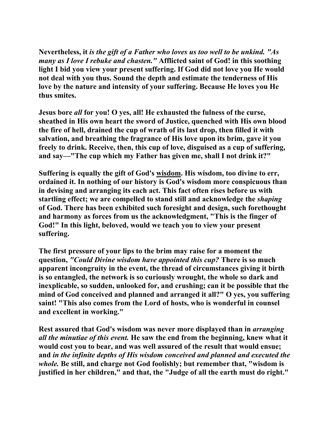**Nevertheless, it** *is the gift of a Father who loves us too well to be unkind. "As many as I love I rebuke and chasten."* **Afflicted saint of God! in this soothing light I bid you view your present suffering. If God did not love you He would not deal with you thus. Sound the depth and estimate the tenderness of His love by the nature and intensity of your suffering. Because He loves you He thus smites.** 

**Jesus bore** *all* **for you! O yes, all! He exhausted the fulness of the curse, sheathed in His own heart the sword of Justice, quenched with His own blood the fire of hell, drained the cup of wrath of its last drop, then filled it with salvation, and breathing the fragrance of His love upon its brim, gave it you freely to drink. Receive, then, this cup of love, disguised as a cup of suffering, and say—"The cup which my Father has given me, shall I not drink it?"** 

**Suffering is equally the gift of God's wisdom. His wisdom, too divine to err, ordained it. In nothing of our history is God's wisdom more conspicuous than in devising and arranging its each act. This fact often rises before us with startling effect; we are compelled to stand still and acknowledge the** *shaping* **of God. There has been exhibited such foresight and design, such forethought and harmony as forces from us the acknowledgment, "This is the finger of God!" In this light, beloved, would we teach you to view your present suffering.** 

**The first pressure of your lips to the brim may raise for a moment the question,** *"Could Divine wisdom have appointed this cup?* **There is so much apparent incongruity in the event, the thread of circumstances giving it birth is so entangled, the network is so curiously wrought, the whole so dark and inexplicable, so sudden, unlooked for, and crushing; can it be possible that the mind of God conceived and planned and arranged it all?" O yes, you suffering saint! "This also comes from the Lord of hosts, who is wonderful in counsel and excellent in working."** 

**Rest assured that God's wisdom was never more displayed than in** *arranging all the minutiae of this event.* **He saw the end from the beginning, knew what it would cost you to bear, and was well assured of the result that would ensue; and** *in the infinite depths of His wisdom conceived and planned and executed the whole.* **Be still, and charge not God foolishly; but remember that, "wisdom is justified in her children," and that, the "Judge of all the earth must do right."**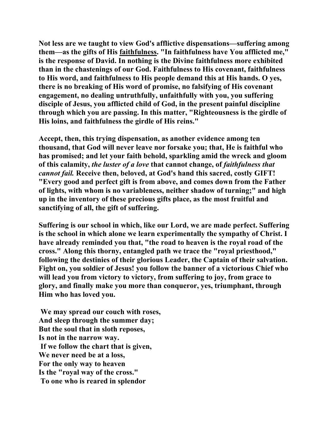**Not less are we taught to view God's afflictive dispensations—suffering among them—as the gifts of His faithfulness. "In faithfulness have You afflicted me," is the response of David. In nothing is the Divine faithfulness more exhibited than in the chastenings of our God. Faithfulness to His covenant, faithfulness to His word, and faithfulness to His people demand this at His hands. O yes, there is no breaking of His word of promise, no falsifying of His covenant engagement, no dealing untruthfully, unfaithfully with you, you suffering disciple of Jesus, you afflicted child of God, in the present painful discipline through which you are passing. In this matter, "Righteousness is the girdle of His loins, and faithfulness the girdle of His reins."** 

**Accept, then, this trying dispensation, as another evidence among ten thousand, that God will never leave nor forsake you; that, He is faithful who has promised; and let your faith behold, sparkling amid the wreck and gloom of this calamity,** *the luster of a love* **that cannot change, of** *faithfulness that cannot fail.* **Receive then, beloved, at God's hand this sacred, costly GIFT! "Every good and perfect gift is from above, and comes down from the Father of lights, with whom is no variableness, neither shadow of turning;" and high up in the inventory of these precious gifts place, as the most fruitful and sanctifying of all, the gift of suffering.** 

**Suffering is our school in which, like our Lord, we are made perfect. Suffering is the school in which alone we learn experimentally the sympathy of Christ. I have already reminded you that, "the road to heaven is the royal road of the cross." Along this thorny, entangled path we trace the "royal priesthood," following the destinies of their glorious Leader, the Captain of their salvation. Fight on, you soldier of Jesus! you follow the banner of a victorious Chief who will lead you from victory to victory, from suffering to joy, from grace to glory, and finally make you more than conqueror, yes, triumphant, through Him who has loved you.** 

 **We may spread our couch with roses, And sleep through the summer day; But the soul that in sloth reposes, Is not in the narrow way. If we follow the chart that is given, We never need be at a loss, For the only way to heaven Is the "royal way of the cross." To one who is reared in splendor**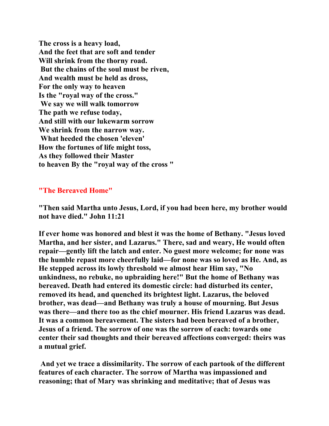**The cross is a heavy load, And the feet that are soft and tender Will shrink from the thorny road. But the chains of the soul must be riven, And wealth must be held as dross, For the only way to heaven Is the "royal way of the cross." We say we will walk tomorrow The path we refuse today, And still with our lukewarm sorrow We shrink from the narrow way. What heeded the chosen 'eleven' How the fortunes of life might toss, As they followed their Master to heaven By the "royal way of the cross "** 

## **"The Bereaved Home"**

**"Then said Martha unto Jesus, Lord, if you had been here, my brother would not have died." John 11:21** 

**If ever home was honored and blest it was the home of Bethany. "Jesus loved Martha, and her sister, and Lazarus." There, sad and weary, He would often repair—gently lift the latch and enter. No guest more welcome; for none was the humble repast more cheerfully laid—for none was so loved as He. And, as He stepped across its lowly threshold we almost hear Him say, "No unkindness, no rebuke, no upbraiding here!" But the home of Bethany was bereaved. Death had entered its domestic circle: had disturbed its center, removed its head, and quenched its brightest light. Lazarus, the beloved brother, was dead—and Bethany was truly a house of mourning. But Jesus was there—and there too as the chief mourner. His friend Lazarus was dead. It was a common bereavement. The sisters had been bereaved of a brother, Jesus of a friend. The sorrow of one was the sorrow of each: towards one center their sad thoughts and their bereaved affections converged: theirs was a mutual grief.** 

 **And yet we trace a dissimilarity. The sorrow of each partook of the different features of each character. The sorrow of Martha was impassioned and reasoning; that of Mary was shrinking and meditative; that of Jesus was**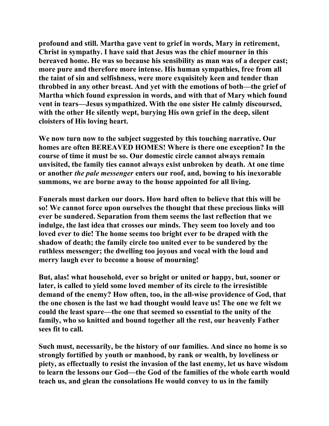**profound and still. Martha gave vent to grief in words, Mary in retirement, Christ in sympathy. I have said that Jesus was the chief mourner in this bereaved home. He was so because his sensibility as man was of a deeper cast; more pure and therefore more intense. His human sympathies, free from all the taint of sin and selfishness, were more exquisitely keen and tender than throbbed in any other breast. And yet with the emotions of both—the grief of Martha which found expression in words, and with that of Mary which found vent in tears—Jesus sympathized. With the one sister He calmly discoursed, with the other He silently wept, burying His own grief in the deep, silent cloisters of His loving heart.** 

**We now turn now to the subject suggested by this touching narrative. Our homes are often BEREAVED HOMES! Where is there one exception? In the course of time it must be so. Our domestic circle cannot always remain unvisited, the family ties cannot always exist unbroken by death. At one time or another** *the pale messenger* **enters our roof, and, bowing to his inexorable summons, we are borne away to the house appointed for all living.** 

**Funerals must darken our doors. How hard often to believe that this will be so! We cannot force upon ourselves the thought that these precious links will ever be sundered. Separation from them seems the last reflection that we indulge, the last idea that crosses our minds. They seem too lovely and too loved ever to die! The home seems too bright ever to be draped with the shadow of death; the family circle too united ever to be sundered by the ruthless messenger; the dwelling too joyous and vocal with the loud and merry laugh ever to become a house of mourning!** 

**But, alas! what household, ever so bright or united or happy, but, sooner or later, is called to yield some loved member of its circle to the irresistible demand of the enemy? How often, too, in the all-wise providence of God, that the one chosen is the last we had thought would leave us! The one we felt we could the least spare—the one that seemed so essential to the unity of the family, who so knitted and bound together all the rest, our heavenly Father sees fit to call.** 

**Such must, necessarily, be the history of our families. And since no home is so strongly fortified by youth or manhood, by rank or wealth, by loveliness or piety, as effectually to resist the invasion of the last enemy, let us have wisdom to learn the lessons our God—the God of the families of the whole earth would teach us, and glean the consolations He would convey to us in the family**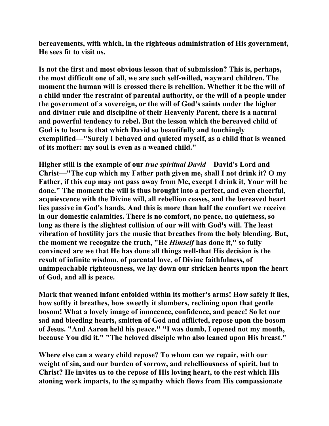**bereavements, with which, in the righteous administration of His government, He sees fit to visit us.** 

**Is not the first and most obvious lesson that of submission? This is, perhaps, the most difficult one of all, we are such self-willed, wayward children. The moment the human will is crossed there is rebellion. Whether it be the will of a child under the restraint of parental authority, or the will of a people under the government of a sovereign, or the will of God's saints under the higher and diviner rule and discipline of their Heavenly Parent, there is a natural and powerful tendency to rebel. But the lesson which the bereaved child of God is to learn is that which David so beautifully and touchingly exemplified—"Surely I behaved and quieted myself, as a child that is weaned of its mother: my soul is even as a weaned child."** 

**Higher still is the example of our** *true spiritual David***—David's Lord and Christ—"The cup which my Father path given me, shall I not drink it? O my Father, if this cup may not pass away from Me, except I drink it, Your will be done." The moment the will is thus brought into a perfect, and even cheerful, acquiescence with the Divine will, all rebellion ceases, and the bereaved heart lies passive in God's hands. And this is more than half the comfort we receive in our domestic calamities. There is no comfort, no peace, no quietness, so long as there is the slightest collision of our will with God's will. The least vibration of hostility jars the music that breathes from the holy blending. But, the moment we recognize the truth, "He** *Himself* **has done it," so fully convinced are we that He has done all things well-that His decision is the result of infinite wisdom, of parental love, of Divine faithfulness, of unimpeachable righteousness, we lay down our stricken hearts upon the heart of God, and all is peace.** 

**Mark that weaned infant enfolded within its mother's arms! How safely it lies, how softly it breathes, how sweetly it slumbers, reclining upon that gentle bosom! What a lovely image of innocence, confidence, and peace! So let our sad and bleeding hearts, smitten of God and afflicted, repose upon the bosom of Jesus. "And Aaron held his peace." "I was dumb, I opened not my mouth, because You did it." "The beloved disciple who also leaned upon His breast."** 

**Where else can a weary child repose? To whom can we repair, with our weight of sin, and our burden of sorrow, and rebelliousness of spirit, but to Christ? He invites us to the repose of His loving heart, to the rest which His atoning work imparts, to the sympathy which flows from His compassionate**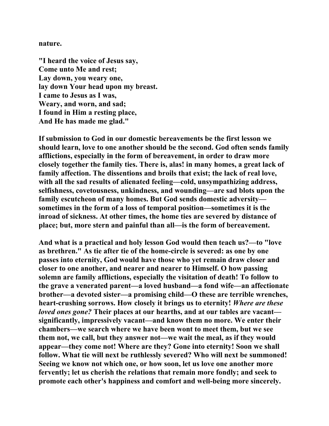#### **nature.**

**"I heard the voice of Jesus say, Come unto Me and rest; Lay down, you weary one, lay down Your head upon my breast. I came to Jesus as I was, Weary, and worn, and sad; I found in Him a resting place, And He has made me glad."** 

**If submission to God in our domestic bereavements be the first lesson we should learn, love to one another should be the second. God often sends family afflictions, especially in the form of bereavement, in order to draw more closely together the family ties. There is, alas! in many homes, a great lack of family affection. The dissentions and broils that exist; the lack of real love, with all the sad results of alienated feeling—cold, unsympathizing address, selfishness, covetousness, unkindness, and wounding—are sad blots upon the family escutcheon of many homes. But God sends domestic adversity sometimes in the form of a loss of temporal position—sometimes it is the inroad of sickness. At other times, the home ties are severed by distance of place; but, more stern and painful than all—is the form of bereavement.** 

**And what is a practical and holy lesson God would then teach us?—to "love as brethren." As tie after tie of the home-circle is severed: as one by one passes into eternity, God would have those who yet remain draw closer and closer to one another, and nearer and nearer to Himself. O how passing solemn are family afflictions, especially the visitation of death! To follow to the grave a venerated parent—a loved husband—a fond wife—an affectionate brother—a devoted sister—a promising child—O these are terrible wrenches, heart-crushing sorrows. How closely it brings us to eternity!** *Where are these loved ones gone?* **Their places at our hearths, and at our tables are vacant significantly, impressively vacant—and know them no more. We enter their chambers—we search where we have been wont to meet them, but we see them not, we call, but they answer not—we wait the meal, as if they would appear—they come not! Where are they? Gone into eternity! Soon we shall follow. What tie will next be ruthlessly severed? Who will next be summoned! Seeing we know not which one, or how soon, let us love one another more fervently; let us cherish the relations that remain more fondly; and seek to promote each other's happiness and comfort and well-being more sincerely.**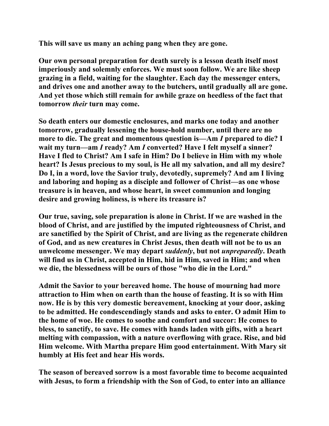**This will save us many an aching pang when they are gone.** 

**Our own personal preparation for death surely is a lesson death itself most imperiously and solemnly enforces. We must soon follow. We are like sheep grazing in a field, waiting for the slaughter. Each day the messenger enters, and drives one and another away to the butchers, until gradually all are gone. And yet those which still remain for awhile graze on heedless of the fact that tomorrow** *their* **turn may come.** 

**So death enters our domestic enclosures, and marks one today and another tomorrow, gradually lessening the house-hold number, until there are no more to die. The great and momentous question is—Am** *I* **prepared to die? I wait my turn—am** *I* **ready? Am** *I* **converted? Have I felt myself a sinner? Have I fled to Christ? Am I safe in Him? Do I believe in Him with my whole heart? Is Jesus precious to my soul, is He all my salvation, and all my desire? Do I, in a word, love the Savior truly, devotedly, supremely? And am I living and laboring and hoping as a disciple and follower of Christ—as one whose treasure is in heaven, and whose heart, in sweet communion and longing desire and growing holiness, is where its treasure is?** 

**Our true, saving, sole preparation is alone in Christ. If we are washed in the blood of Christ, and are justified by the imputed righteousness of Christ, and are sanctified by the Spirit of Christ, and are living as the regenerate children of God, and as new creatures in Christ Jesus, then death will not be to us an unwelcome messenger. We may depart** *suddenly***, but not** *unpreparedly***. Death will find us in Christ, accepted in Him, hid in Him, saved in Him; and when we die, the blessedness will be ours of those "who die in the Lord."** 

**Admit the Savior to your bereaved home. The house of mourning had more attraction to Him when on earth than the house of feasting. It is so with Him now. He is by this very domestic bereavement, knocking at your door, asking to be admitted. He condescendingly stands and asks to enter. O admit Him to the home of woe. He comes to soothe and comfort and succor: He comes to bless, to sanctify, to save. He comes with hands laden with gifts, with a heart melting with compassion, with a nature overflowing with grace. Rise, and bid Him welcome. With Martha prepare Him good entertainment. With Mary sit humbly at His feet and hear His words.** 

**The season of bereaved sorrow is a most favorable time to become acquainted with Jesus, to form a friendship with the Son of God, to enter into an alliance**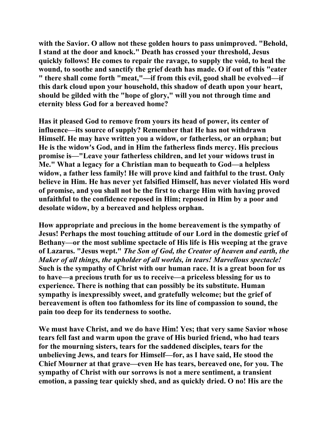**with the Savior. O allow not these golden hours to pass unimproved. "Behold, I stand at the door and knock." Death has crossed your threshold, Jesus quickly follows! He comes to repair the ravage, to supply the void, to heal the wound, to soothe and sanctify the grief death has made. O if out of this "eater " there shall come forth "meat,"—if from this evil, good shall be evolved—if this dark cloud upon your household, this shadow of death upon your heart, should be gilded with the "hope of glory," will you not through time and eternity bless God for a bereaved home?** 

**Has it pleased God to remove from yours its head of power, its center of influence—its source of supply? Remember that He has not withdrawn Himself. He may have written you a widow, or fatherless, or an orphan; but He is the widow's God, and in Him the fatherless finds mercy. His precious promise is—"Leave your fatherless children, and let your widows trust in Me." What a legacy for a Christian man to bequeath to God—a helpless widow, a father less family! He will prove kind and faithful to the trust. Only believe in Him. He has never yet falsified Himself, has never violated His word of promise, and you shall not be the first to charge Him with having proved unfaithful to the confidence reposed in Him; reposed in Him by a poor and desolate widow, by a bereaved and helpless orphan.** 

**How appropriate and precious in the home bereavement is the sympathy of Jesus! Perhaps the most touching attitude of our Lord in the domestic grief of Bethany—or the most sublime spectacle of His life is His weeping at the grave of Lazarus. "Jesus wept."** *The Son of God, the Creator of heaven and earth, the Maker of all things, the upholder of all worlds, in tears! Marvellous spectacle!* **Such is the sympathy of Christ with our human race. It is a great boon for us to have—a precious truth for us to receive—a priceless blessing for us to experience. There is nothing that can possibly be its substitute. Human sympathy is inexpressibly sweet, and gratefully welcome; but the grief of bereavement is often too fathomless for its line of compassion to sound, the pain too deep for its tenderness to soothe.** 

**We must have Christ, and we do have Him! Yes; that very same Savior whose tears fell fast and warm upon the grave of His buried friend, who had tears for the mourning sisters, tears for the saddened disciples, tears for the unbelieving Jews, and tears for Himself—for, as I have said, He stood the Chief Mourner at that grave—even He has tears, bereaved one, for you. The sympathy of Christ with our sorrows is not a mere sentiment, a transient emotion, a passing tear quickly shed, and as quickly dried. O no! His are the**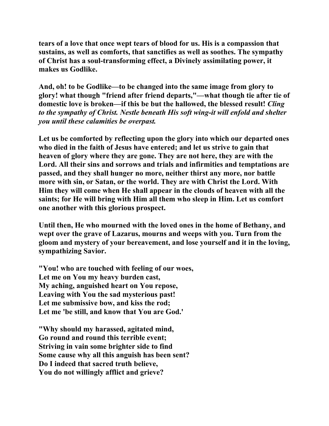**tears of a love that once wept tears of blood for us. His is a compassion that sustains, as well as comforts, that sanctifies as well as soothes. The sympathy of Christ has a soul-transforming effect, a Divinely assimilating power, it makes us Godlike.** 

**And, oh! to be Godlike—to be changed into the same image from glory to glory! what though "friend after friend departs,"—what though tie after tie of domestic love is broken—if this be but the hallowed, the blessed result!** *Cling to the sympathy of Christ. Nestle beneath His soft wing-it will enfold and shelter you until these calamities be overpast.* 

**Let us be comforted by reflecting upon the glory into which our departed ones who died in the faith of Jesus have entered; and let us strive to gain that heaven of glory where they are gone. They are not here, they are with the Lord. All their sins and sorrows and trials and infirmities and temptations are passed, and they shall hunger no more, neither thirst any more, nor battle more with sin, or Satan, or the world. They are with Christ the Lord. With Him they will come when He shall appear in the clouds of heaven with all the saints; for He will bring with Him all them who sleep in Him. Let us comfort one another with this glorious prospect.** 

**Until then, He who mourned with the loved ones in the home of Bethany, and wept over the grave of Lazarus, mourns and weeps with you. Turn from the gloom and mystery of your bereavement, and lose yourself and it in the loving, sympathizing Savior.** 

**"You! who are touched with feeling of our woes, Let me on You my heavy burden cast, My aching, anguished heart on You repose, Leaving with You the sad mysterious past! Let me submissive bow, and kiss the rod; Let me 'be still, and know that You are God.'** 

**"Why should my harassed, agitated mind, Go round and round this terrible event; Striving in vain some brighter side to find Some cause why all this anguish has been sent? Do I indeed that sacred truth believe, You do not willingly afflict and grieve?**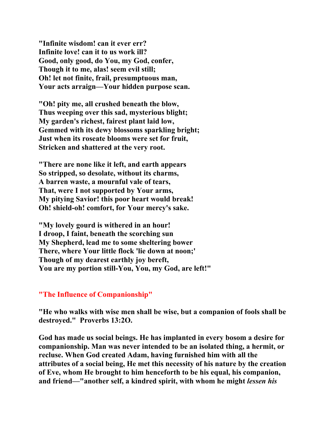**"Infinite wisdom! can it ever err? Infinite love! can it to us work ill? Good, only good, do You, my God, confer, Though it to me, alas! seem evil still; Oh! let not finite, frail, presumptuous man, Your acts arraign—Your hidden purpose scan.** 

**"Oh! pity me, all crushed beneath the blow, Thus weeping over this sad, mysterious blight; My garden's richest, fairest plant laid low, Gemmed with its dewy blossoms sparkling bright; Just when its roseate blooms were set for fruit, Stricken and shattered at the very root.** 

**"There are none like it left, and earth appears So stripped, so desolate, without its charms, A barren waste, a mournful vale of tears, That, were I not supported by Your arms, My pitying Savior! this poor heart would break! Oh! shield-oh! comfort, for Your mercy's sake.** 

**"My lovely gourd is withered in an hour! I droop, I faint, beneath the scorching sun My Shepherd, lead me to some sheltering bower There, where Your little flock 'lie down at noon;' Though of my dearest earthly joy bereft, You are my portion still-You, You, my God, are left!"** 

### **"The Influence of Companionship"**

**"He who walks with wise men shall be wise, but a companion of fools shall be destroyed." Proverbs 13:2O.** 

**God has made us social beings. He has implanted in every bosom a desire for companionship. Man was never intended to be an isolated thing, a hermit, or recluse. When God created Adam, having furnished him with all the attributes of a social being, He met this necessity of his nature by the creation of Eve, whom He brought to him henceforth to be his equal, his companion, and friend—"another self, a kindred spirit, with whom he might** *lessen his*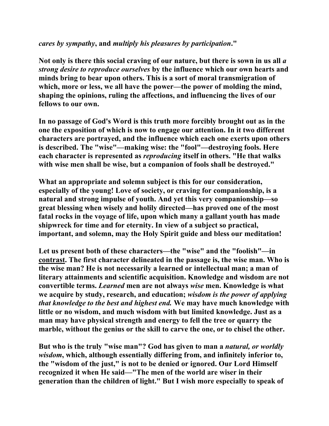## *cares by sympathy***, and** *multiply his pleasures by participation***."**

**Not only is there this social craving of our nature, but there is sown in us all** *a strong desire to reproduce ourselves* **by the influence which our own hearts and minds bring to bear upon others. This is a sort of moral transmigration of which, more or less, we all have the power—the power of molding the mind, shaping the opinions, ruling the affections, and influencing the lives of our fellows to our own.** 

**In no passage of God's Word is this truth more forcibly brought out as in the one the exposition of which is now to engage our attention. In it two different characters are portrayed, and the influence which each one exerts upon others is described. The "wise"—making wise: the "fool"—destroying fools. Here each character is represented as** *reproducing* **itself in others. "He that walks with wise men shall be wise, but a companion of fools shall be destroyed."** 

**What an appropriate and solemn subject is this for our consideration, especially of the young! Love of society, or craving for companionship, is a natural and strong impulse of youth. And yet this very companionship—so great blessing when wisely and holily directed—has proved one of the most fatal rocks in the voyage of life, upon which many a gallant youth has made shipwreck for time and for eternity. In view of a subject so practical, important, and solemn, may the Holy Spirit guide and bless our meditation!** 

**Let us present both of these characters—the "wise" and the "foolish"—in contrast. The first character delineated in the passage is, the wise man. Who is the wise man? He is not necessarily a learned or intellectual man; a man of literary attainments and scientific acquisition. Knowledge and wisdom are not convertible terms.** *Learned* **men are not always** *wise* **men. Knowledge is what we acquire by study, research, and education;** *wisdom is the power of applying that knowledge to the best and highest end.* **We may have much knowledge with little or no wisdom, and much wisdom with but limited knowledge. Just as a man may have physical strength and energy to fell the tree or quarry the marble, without the genius or the skill to carve the one, or to chisel the other.** 

**But who is the truly "wise man"? God has given to man a** *natural, or worldly wisdom***, which, although essentially differing from, and infinitely inferior to, the "wisdom of the just," is not to be denied or ignored. Our Lord Himself recognized it when He said—"The men of the world are wiser in their generation than the children of light." But I wish more especially to speak of**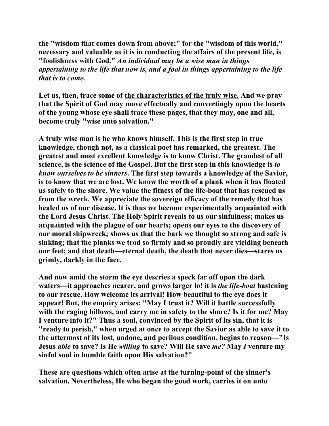**the "wisdom that comes down from above;" for the "wisdom of this world," necessary and valuable as it is in conducting the affairs of the present life, is "foolishness with God."** *An individual may be a wise man in things appertaining to the life that now is, and a fool in things appertaining to the life that is to come.*

**Let us, then, trace some of the characteristics of the truly wise. And we pray that the Spirit of God may move effectually and convertingly upon the hearts of the young whose eye shall trace these pages, that they may, one and all, become truly "wise unto salvation."** 

**A truly wise man is he who knows himself. This is the first step in true knowledge, though not, as a classical poet has remarked, the greatest. The greatest and most excellent knowledge is to know Christ. The grandest of all science, is the science of the Gospel. But the first step in this knowledge is** *to know ourselves to be sinners***. The first step towards a knowledge of the Savior, is to know that we are lost. We know the worth of a plank when it has floated us safely to the shore. We value the fitness of the life-boat that has rescued us from the wreck. We appreciate the sovereign efficacy of the remedy that has healed us of our disease. It is thus we become experimentally acquainted with the Lord Jesus Christ. The Holy Spirit reveals to us our sinfulness; makes us acquainted with the plague of our hearts; opens our eyes to the discovery of our moral shipwreck; shows us that the bark we thought so strong and safe is sinking; that the planks we trod so firmly and so proudly are yielding beneath our feet; and that death—eternal death, the death that never dies—stares us grimly, darkly in the face.** 

**And now amid the storm the eye descries a speck far off upon the dark waters—it approaches nearer, and grows larger lo! it is** *the life-boat* **hastening to our rescue. How welcome its arrival! How beautiful to the eye does it appear! But, the enquiry arises: "May I trust it? Will it battle successfully with the raging billows, and carry me in safety to the shore? Is it for me? May I venture into it?" Thus a soul, convinced by the Spirit of its sin, that it is "ready to perish," when urged at once to accept the Savior as able to save it to the uttermost of its lost, undone, and perilous condition, begins to reason—"Is Jesus** *able* **to save? Is He** *willing* **to save? Will He save** *me?* **May** *I* **venture my sinful soul in humble faith upon His salvation?"** 

**These are questions which often arise at the turning-point of the sinner's salvation. Nevertheless, He who began the good work, carries it on unto**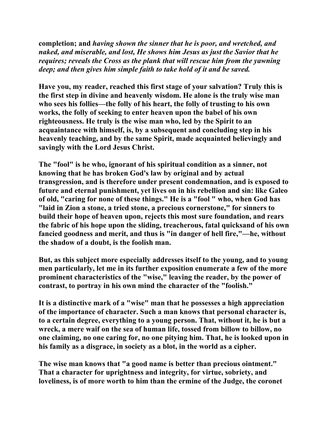**completion; and** *having shown the sinner that he is poor, and wretched, and naked, and miserable, and lost, He shows him Jesus as just the Savior that he requires; reveals the Cross as the plank that will rescue him from the yawning deep; and then gives him simple faith to take hold of it and be saved.* 

**Have you, my reader, reached this first stage of your salvation? Truly this is the first step in divine and heavenly wisdom. He alone is the truly wise man who sees his follies—the folly of his heart, the folly of trusting to his own works, the folly of seeking to enter heaven upon the babel of his own righteousness. He truly is the wise man who, led by the Spirit to an acquaintance with himself, is, by a subsequent and concluding step in his heavenly teaching, and by the same Spirit, made acquainted believingly and savingly with the Lord Jesus Christ.** 

**The "fool" is he who, ignorant of his spiritual condition as a sinner, not knowing that he has broken God's law by original and by actual transgression, and is therefore under present condemnation, and is exposed to future and eternal punishment, yet lives on in his rebellion and sin: like Galeo of old, "caring for none of these things." He is a "fool " who, when God has "laid in Zion a stone, a tried stone, a precious cornerstone," for sinners to build their hope of heaven upon, rejects this most sure foundation, and rears the fabric of his hope upon the sliding, treacherous, fatal quicksand of his own fancied goodness and merit, and thus is "in danger of hell fire,"—he, without the shadow of a doubt, is the foolish man.** 

**But, as this subject more especially addresses itself to the young, and to young men particularly, let me in its further exposition enumerate a few of the more prominent characteristics of the "wise," leaving the reader, by the power of contrast, to portray in his own mind the character of the "foolish."** 

**It is a distinctive mark of a "wise" man that he possesses a high appreciation of the importance of character. Such a man knows that personal character is, to a certain degree, everything to a young person. That, without it, he is but a wreck, a mere waif on the sea of human life, tossed from billow to billow, no one claiming, no one caring for, no one pitying him. That, he is looked upon in his family as a disgrace, in society as a blot, in the world as a cipher.** 

**The wise man knows that "a good name is better than precious ointment." That a character for uprightness and integrity, for virtue, sobriety, and loveliness, is of more worth to him than the ermine of the Judge, the coronet**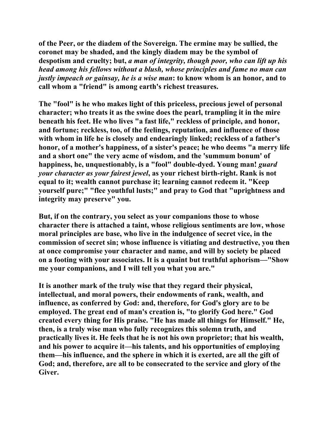**of the Peer, or the diadem of the Sovereign. The ermine may be sullied, the coronet may be shaded, and the kingly diadem may be the symbol of despotism and cruelty; but,** *a man of integrity, though poor, who can lift up his head among his fellows without a blush, whose principles and fame no man can justly impeach or gainsay, he is a wise man***: to know whom is an honor, and to call whom a "friend" is among earth's richest treasures.** 

**The "fool" is he who makes light of this priceless, precious jewel of personal character; who treats it as the swine does the pearl, trampling it in the mire beneath his feet. He who lives "a fast life," reckless of principle, and honor, and fortune; reckless, too, of the feelings, reputation, and influence of those with whom in life he is closely and endearingly linked; reckless of a father's honor, of a mother's happiness, of a sister's peace; he who deems "a merry life and a short one" the very acme of wisdom, and the 'summum bonum' of happiness, he, unquestionably, is a "fool" double-dyed. Young man!** *guard your character as your fairest jewel***, as your richest birth-right. Rank is not equal to it; wealth cannot purchase it; learning cannot redeem it. "Keep yourself pure;" "flee youthful lusts;" and pray to God that "uprightness and integrity may preserve" you.** 

**But, if on the contrary, you select as your companions those to whose character there is attached a taint, whose religious sentiments are low, whose moral principles are base, who live in the indulgence of secret vice, in the commission of secret sin; whose influence is vitiating and destructive, you then at once compromise your character and name, and will by society be placed on a footing with your associates. It is a quaint but truthful aphorism—"Show me your companions, and I will tell you what you are."** 

**It is another mark of the truly wise that they regard their physical, intellectual, and moral powers, their endowments of rank, wealth, and influence, as conferred by God: and, therefore, for God's glory are to be employed. The great end of man's creation is, "to glorify God here." God created every thing for His praise. "He has made all things for Himself." He, then, is a truly wise man who fully recognizes this solemn truth, and practically lives it. He feels that he is not his own proprietor; that his wealth, and his power to acquire it—his talents, and his opportunities of employing them—his influence, and the sphere in which it is exerted, are all the gift of God; and, therefore, are all to be consecrated to the service and glory of the Giver.**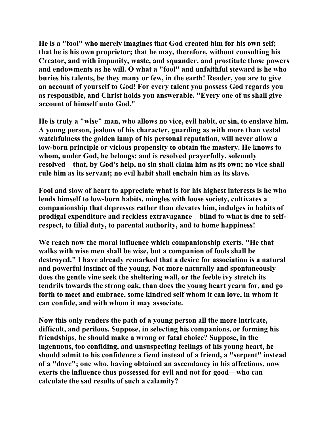**He is a "fool" who merely imagines that God created him for his own self; that he is his own proprietor; that he may, therefore, without consulting his Creator, and with impunity, waste, and squander, and prostitute those powers and endowments as he will. O what a "fool" and unfaithful steward is he who buries his talents, be they many or few, in the earth! Reader, you are to give an account of yourself to God! For every talent you possess God regards you as responsible, and Christ holds you answerable. "Every one of us shall give account of himself unto God."** 

**He is truly a "wise" man, who allows no vice, evil habit, or sin, to enslave him. A young person, jealous of his character, guarding as with more than vestal watchfulness the golden lamp of his personal reputation, will never allow a low-born principle or vicious propensity to obtain the mastery. He knows to whom, under God, he belongs; and is resolved prayerfully, solemnly resolved—that, by God's help, no sin shall claim him as its own; no vice shall rule him as its servant; no evil habit shall enchain him as its slave.** 

**Fool and slow of heart to appreciate what is for his highest interests is he who lends himself to low-born habits, mingles with loose society, cultivates a companionship that depresses rather than elevates him, indulges in habits of prodigal expenditure and reckless extravagance—blind to what is due to selfrespect, to filial duty, to parental authority, and to home happiness!** 

**We reach now the moral influence which companionship exerts. "He that walks with wise men shall be wise, but a companion of fools shall be destroyed." I have already remarked that a desire for association is a natural and powerful instinct of the young. Not more naturally and spontaneously does the gentle vine seek the sheltering wall, or the feeble ivy stretch its tendrils towards the strong oak, than does the young heart yearn for, and go forth to meet and embrace, some kindred self whom it can love, in whom it can confide, and with whom it may associate.** 

**Now this only renders the path of a young person all the more intricate, difficult, and perilous. Suppose, in selecting his companions, or forming his friendships, he should make a wrong or fatal choice? Suppose, in the ingenuous, too confiding, and unsuspecting feelings of his young heart, he should admit to his confidence a fiend instead of a friend, a "serpent" instead of a "dove"; one who, having obtained an ascendancy in his affections, now exerts the influence thus possessed for evil and not for good—who can calculate the sad results of such a calamity?**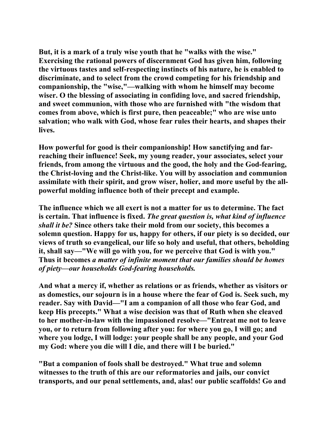**But, it is a mark of a truly wise youth that he "walks with the wise." Exercising the rational powers of discernment God has given him, following the virtuous tastes and self-respecting instincts of his nature, he is enabled to discriminate, and to select from the crowd competing for his friendship and companionship, the "wise,"—walking with whom he himself may become wiser. O the blessing of associating in confiding love, and sacred friendship, and sweet communion, with those who are furnished with "the wisdom that comes from above, which is first pure, then peaceable;" who are wise unto salvation; who walk with God, whose fear rules their hearts, and shapes their lives.** 

**How powerful for good is their companionship! How sanctifying and farreaching their influence! Seek, my young reader, your associates, select your friends, from among the virtuous and the good, the holy and the God-fearing, the Christ-loving and the Christ-like. You will by association and communion assimilate with their spirit, and grow wiser, holier, and more useful by the allpowerful molding influence both of their precept and example.** 

**The influence which we all exert is not a matter for us to determine. The fact is certain. That influence is fixed.** *The great question is, what kind of influence shall it be?* **Since others take their mold from our society, this becomes a solemn question. Happy for us, happy for others, if our piety is so decided, our views of truth so evangelical, our life so holy and useful, that others, beholding it, shall say—"We will go with you, for we perceive that God is with you." Thus it becomes** *a matter of infinite moment that our families should be homes of piety—our households God-fearing households.* 

**And what a mercy if, whether as relations or as friends, whether as visitors or as domestics, our sojourn is in a house where the fear of God is. Seek such, my reader. Say with David—"I am a companion of all those who fear God, and keep His precepts." What a wise decision was that of Ruth when she cleaved to her mother-in-law with the impassioned resolve—"Entreat me not to leave you, or to return from following after you: for where you go, I will go; and where you lodge, I will lodge: your people shall be any people, and your God my God: where you die will I die, and there will I be buried."** 

**"But a companion of fools shall be destroyed." What true and solemn witnesses to the truth of this are our reformatories and jails, our convict transports, and our penal settlements, and, alas! our public scaffolds! Go and**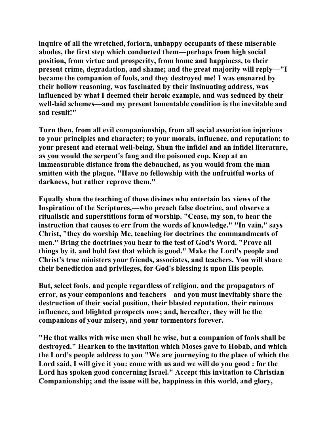**inquire of all the wretched, forlorn, unhappy occupants of these miserable abodes, the first step which conducted them—perhaps from high social position, from virtue and prosperity, from home and happiness, to their present crime, degradation, and shame; and the great majority will reply—"I became the companion of fools, and they destroyed me! I was ensnared by their hollow reasoning, was fascinated by their insinuating address, was influenced by what I deemed their heroic example, and was seduced by their well-laid schemes—and my present lamentable condition is the inevitable and sad result!"** 

**Turn then, from all evil companionship, from all social association injurious to your principles and character; to your morals, influence, and reputation; to your present and eternal well-being. Shun the infidel and an infidel literature, as you would the serpent's fang and the poisoned cup. Keep at an immeasurable distance from the debauched, as you would from the man smitten with the plague. "Have no fellowship with the unfruitful works of darkness, but rather reprove them."** 

**Equally shun the teaching of those divines who entertain lax views of the Inspiration of the Scriptures,—who preach false doctrine, and observe a ritualistic and superstitious form of worship. "Cease, my son, to hear the instruction that causes to err from the words of knowledge." "In vain," says Christ, "they do worship Me, teaching for doctrines the commandments of men." Bring the doctrines you hear to the test of God's Word. "Prove all things by it, and hold fast that which is good." Make the Lord's people and Christ's true ministers your friends, associates, and teachers. You will share their benediction and privileges, for God's blessing is upon His people.** 

**But, select fools, and people regardless of religion, and the propagators of error, as your companions and teachers—and you must inevitably share the destruction of their social position, their blasted reputation, their ruinous influence, and blighted prospects now; and, hereafter, they will be the companions of your misery, and your tormentors forever.** 

**"He that walks with wise men shall be wise, but a companion of fools shall be destroyed." Hearken to the invitation which Moses gave to Hobab, and which the Lord's people address to you "We are journeying to the place of which the Lord said, I will give it you: come with us and we will do you good : for the Lord has spoken good concerning Israel." Accept this invitation to Christian Companionship; and the issue will be, happiness in this world, and glory,**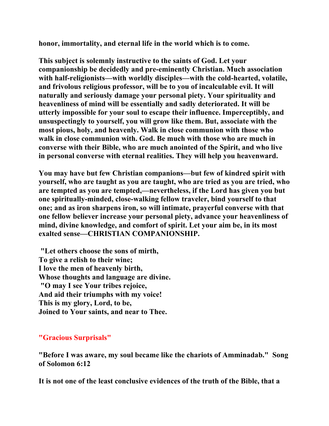**honor, immortality, and eternal life in the world which is to come.** 

**This subject is solemnly instructive to the saints of God. Let your companionship be decidedly and pre-eminently Christian. Much association with half-religionists—with worldly disciples—with the cold-hearted, volatile, and frivolous religious professor, will be to you of incalculable evil. It will naturally and seriously damage your personal piety. Your spirituality and heavenliness of mind will be essentially and sadly deteriorated. It will be utterly impossible for your soul to escape their influence. Imperceptibly, and unsuspectingly to yourself, you will grow like them. But, associate with the most pious, holy, and heavenly. Walk in close communion with those who walk in close communion with. God. Be much with those who are much in converse with their Bible, who are much anointed of the Spirit, and who live in personal converse with eternal realities. They will help you heavenward.** 

**You may have but few Christian companions—but few of kindred spirit with yourself, who are taught as you are taught, who are tried as you are tried, who are tempted as you are tempted,—nevertheless, if the Lord has given you but one spiritually-minded, close-walking fellow traveler, bind yourself to that one; and as iron sharpens iron, so will intimate, prayerful converse with that one fellow believer increase your personal piety, advance your heavenliness of mind, divine knowledge, and comfort of spirit. Let your aim be, in its most exalted sense—CHRISTIAN COMPANIONSHIP.** 

 **"Let others choose the sons of mirth, To give a relish to their wine; I love the men of heavenly birth, Whose thoughts and language are divine. "O may I see Your tribes rejoice, And aid their triumphs with my voice! This is my glory, Lord, to be, Joined to Your saints, and near to Thee.** 

**"Gracious Surprisals"**

**"Before I was aware, my soul became like the chariots of Amminadab." Song of Solomon 6:12** 

**It is not one of the least conclusive evidences of the truth of the Bible, that a**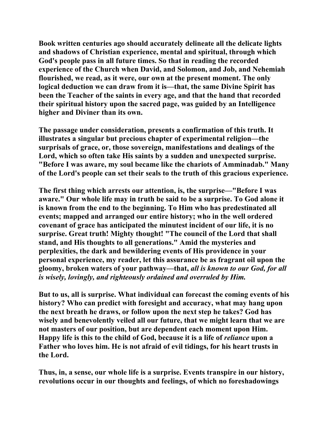**Book written centuries ago should accurately delineate all the delicate lights and shadows of Christian experience, mental and spiritual, through which God's people pass in all future times. So that in reading the recorded experience of the Church when David, and Solomon, and Job, and Nehemiah flourished, we read, as it were, our own at the present moment. The only logical deduction we can draw from it is—that, the same Divine Spirit has been the Teacher of the saints in every age, and that the hand that recorded their spiritual history upon the sacred page, was guided by an Intelligence higher and Diviner than its own.** 

**The passage under consideration, presents a confirmation of this truth. It illustrates a singular but precious chapter of experimental religion—the surprisals of grace, or, those sovereign, manifestations and dealings of the Lord, which so often take His saints by a sudden and unexpected surprise. "Before I was aware, my soul became like the chariots of Amminadab." Many of the Lord's people can set their seals to the truth of this gracious experience.** 

**The first thing which arrests our attention, is, the surprise—"Before I was aware." Our whole life may in truth be said to be a surprise. To God alone it is known from the end to the beginning. To Him who has predestinated all events; mapped and arranged our entire history; who in the well ordered covenant of grace has anticipated the minutest incident of our life, it is no surprise. Great truth! Mighty thought! "The council of the Lord that shall stand, and His thoughts to all generations." Amid the mysteries and perplexities, the dark and bewildering events of His providence in your personal experience, my reader, let this assurance be as fragrant oil upon the gloomy, broken waters of your pathway—that,** *all is known to our God, for all is wisely, lovingly, and righteously ordained and overruled by Him.* 

**But to us, all is surprise. What individual can forecast the coming events of his history? Who can predict with foresight and accuracy, what may hang upon the next breath he draws, or follow upon the next step he takes? God has wisely and benevolently veiled all our future, that we might learn that we are not masters of our position, but are dependent each moment upon Him. Happy life is this to the child of God, because it is a life of** *reliance* **upon a Father who loves him. He is not afraid of evil tidings, for his heart trusts in the Lord.** 

**Thus, in, a sense, our whole life is a surprise. Events transpire in our history, revolutions occur in our thoughts and feelings, of which no foreshadowings**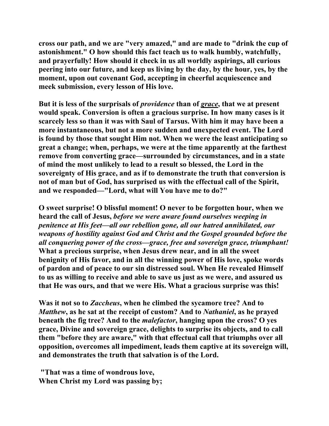**cross our path, and we are "very amazed," and are made to "drink the cup of astonishment." O how should this fact teach us to walk humbly, watchfully, and prayerfully! How should it check in us all worldly aspirings, all curious peering into our future, and keep us living by the day, by the hour, yes, by the moment, upon out covenant God, accepting in cheerful acquiescence and meek submission, every lesson of His love.** 

**But it is less of the surprisals of** *providence* **than of** *grace***, that we at present would speak. Conversion is often a gracious surprise. In how many cases is it scarcely less so than it was with Saul of Tarsus. With him it may have been a more instantaneous, but not a more sudden and unexpected event. The Lord is found by those that sought Him not. When we were the least anticipating so great a change; when, perhaps, we were at the time apparently at the farthest remove from converting grace—surrounded by circumstances, and in a state of mind the most unlikely to lead to a result so blessed, the Lord in the sovereignty of His grace, and as if to demonstrate the truth that conversion is not of man but of God, has surprised us with the effectual call of the Spirit, and we responded—"Lord, what will You have me to do?"** 

**O sweet surprise! O blissful moment! O never to be forgotten hour, when we heard the call of Jesus,** *before we were aware found ourselves weeping in penitence at His feet—all our rebellion gone, all our hatred annihilated, our weapons of hostility against God and Christ and the Gospel grounded before the all conquering power of the cross—grace, free and sovereign grace, triumphant!*  **What a precious surprise, when Jesus drew near, and in all the sweet benignity of His favor, and in all the winning power of His love, spoke words of pardon and of peace to our sin distressed soul. When He revealed Himself to us as willing to receive and able to save us just as we were, and assured us that He was ours, and that we were His. What a gracious surprise was this!** 

**Was it not so to** *Zaccheus***, when he climbed the sycamore tree? And to**  *Matthew***, as he sat at the receipt of custom? And to** *Nathaniel***, as he prayed beneath the fig tree? And to the** *malefactor***, hanging upon the cross? O yes grace, Divine and sovereign grace, delights to surprise its objects, and to call them "before they are aware," with that effectual call that triumphs over all opposition, overcomes all impediment, leads them captive at its sovereign will, and demonstrates the truth that salvation is of the Lord.** 

 **"That was a time of wondrous love, When Christ my Lord was passing by;**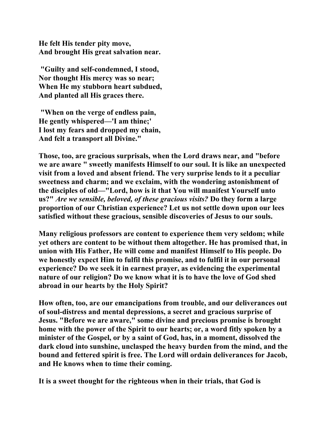**He felt His tender pity move, And brought His great salvation near.** 

 **"Guilty and self-condemned, I stood, Nor thought His mercy was so near; When He my stubborn heart subdued, And planted all His graces there.** 

 **"When on the verge of endless pain, He gently whispered—'I am thine;' I lost my fears and dropped my chain, And felt a transport all Divine."** 

**Those, too, are gracious surprisals, when the Lord draws near, and "before we are aware " sweetly manifests Himself to our soul. It is like an unexpected visit from a loved and absent friend. The very surprise lends to it a peculiar sweetness and charm; and we exclaim, with the wondering astonishment of the disciples of old—"Lord, how is it that You will manifest Yourself unto us?"** *Are we sensible, beloved, of these gracious visits?* **Do they form a large proportion of our Christian experience? Let us not settle down upon our lees satisfied without these gracious, sensible discoveries of Jesus to our souls.** 

**Many religious professors are content to experience them very seldom; while yet others are content to be without them altogether. He has promised that, in union with His Father, He will come and manifest Himself to His people. Do we honestly expect Him to fulfil this promise, and to fulfil it in our personal experience? Do we seek it in earnest prayer, as evidencing the experimental nature of our religion? Do we know what it is to have the love of God shed abroad in our hearts by the Holy Spirit?** 

**How often, too, are our emancipations from trouble, and our deliverances out of soul-distress and mental depressions, a secret and gracious surprise of Jesus. "Before we are aware," some divine and precious promise is brought home with the power of the Spirit to our hearts; or, a word fitly spoken by a minister of the Gospel, or by a saint of God, has, in a moment, dissolved the dark cloud into sunshine, unclasped the heavy burden from the mind, and the bound and fettered spirit is free. The Lord will ordain deliverances for Jacob, and He knows when to time their coming.** 

**It is a sweet thought for the righteous when in their trials, that God is**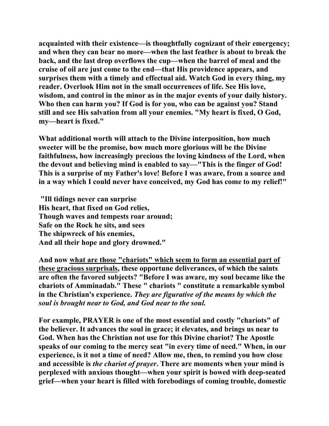**acquainted with their existence—is thoughtfully cognizant of their emergency; and when they can bear no more—when the last feather is about to break the back, and the last drop overflows the cup—when the barrel of meal and the cruise of oil are just come to the end—that His providence appears, and surprises them with a timely and effectual aid. Watch God in every thing, my reader. Overlook Him not in the small occurrences of life. See His love, wisdom, and control in the minor as in the major events of your daily history. Who then can harm you? If God is for you, who can be against you? Stand still and see His salvation from all your enemies. "My heart is fixed, O God, my—heart is fixed."** 

**What additional worth will attach to the Divine interposition, how much sweeter will be the promise, how much more glorious will be the Divine faithfulness, how increasingly precious the loving kindness of the Lord, when the devout and believing mind is enabled to say—"This is the finger of God! This is a surprise of my Father's love! Before I was aware, from a source and in a way which I could never have conceived, my God has come to my relief!"** 

 **"Ill tidings never can surprise His heart, that fixed on God relies, Though waves and tempests roar around; Safe on the Rock he sits, and sees The shipwreck of his enemies, And all their hope and glory drowned."** 

**And now what are those "chariots" which seem to form an essential part of these gracious surprisals, these opportune deliverances, of which the saints are often the favored subjects? "Before I was aware, my soul became like the chariots of Amminadab." These " chariots " constitute a remarkable symbol in the Christian's experience.** *They are figurative of the means by which the soul is brought near to God, and God near to the soul.* 

**For example, PRAYER is one of the most essential and costly "chariots" of the believer. It advances the soul in grace; it elevates, and brings us near to God. When has the Christian not use for this Divine chariot? The Apostle speaks of our coming to the mercy seat "in every time of need." When, in our experience, is it not a time of need? Allow me, then, to remind you how close and accessible is** *the chariot of prayer***. There are moments when your mind is perplexed with anxious thought—when your spirit is bowed with deep-seated grief—when your heart is filled with forebodings of coming trouble, domestic**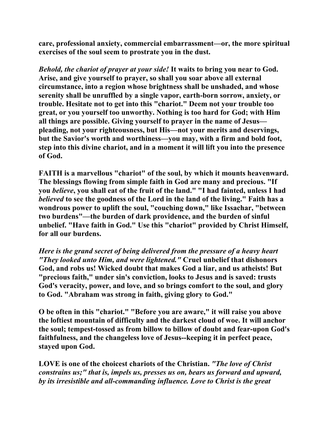**care, professional anxiety, commercial embarrassment—or, the more spiritual exercises of the soul seem to prostrate you in the dust.** 

*Behold, the chariot of prayer at your side!* **It waits to bring you near to God. Arise, and give yourself to prayer, so shall you soar above all external circumstance, into a region whose brightness shall be unshaded, and whose serenity shall be unruffled by a single vapor, earth-born sorrow, anxiety, or trouble. Hesitate not to get into this "chariot." Deem not your trouble too great, or you yourself too unworthy. Nothing is too hard for God; with Him all things are possible. Giving yourself to prayer in the name of Jesus pleading, not your righteousness, but His—not your merits and deservings, but the Savior's worth and worthiness—you may, with a firm and bold foot, step into this divine chariot, and in a moment it will lift you into the presence of God.** 

**FAITH is a marvellous "chariot" of the soul, by which it mounts heavenward. The blessings flowing from simple faith in God are many and precious. "If you** *believe***, you shall eat of the fruit of the land." "I had fainted, unless I had**  *believed* **to see the goodness of the Lord in the land of the living." Faith has a wondrous power to uplift the soul, "couching down," like Issachar, "between two burdens"—the burden of dark providence, and the burden of sinful unbelief. "Have faith in God." Use this "chariot" provided by Christ Himself, for all our burdens.** 

*Here is the grand secret of being delivered from the pressure of a heavy heart "They looked unto Him, and were lightened."* **Cruel unbelief that dishonors God, and robs us! Wicked doubt that makes God a liar, and us atheists! But "precious faith," under sin's conviction, looks to Jesus and is saved: trusts God's veracity, power, and love, and so brings comfort to the soul, and glory to God. "Abraham was strong in faith, giving glory to God."** 

**O be often in this "chariot." "Before you are aware," it will raise you above the loftiest mountain of difficulty and the darkest cloud of woe. It will anchor the soul; tempest-tossed as from billow to billow of doubt and fear-upon God's faithfulness, and the changeless love of Jesus--keeping it in perfect peace, stayed upon God.** 

**LOVE is one of the choicest chariots of the Christian.** *"The love of Christ constrains us;" that is, impels us, presses us on, bears us forward and upward, by its irresistible and all-commanding influence. Love to Christ is the great*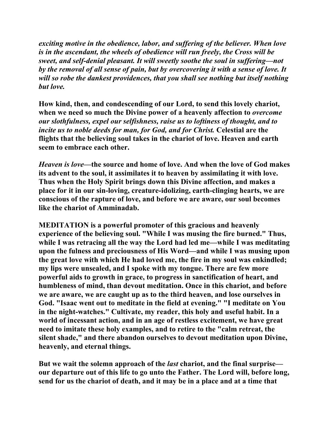*exciting motive in the obedience, labor, and suffering of the believer. When love is in the ascendant, the wheels of obedience will run freely, the Cross will be sweet, and self-denial pleasant. It will sweetly soothe the soul in suffering—not by the removal of all sense of pain, but by overcovering it with a sense of love. It will so robe the dankest providences, that you shall see nothing but itself nothing but love.* 

**How kind, then, and condescending of our Lord, to send this lovely chariot, when we need so much the Divine power of a heavenly affection to** *overcome our slothfulness, expel our selfishness, raise us to loftiness of thought, and to incite us to noble deeds for man, for God, and for Christ.* **Celestial are the flights that the believing soul takes in the chariot of love. Heaven and earth seem to embrace each other.** 

*Heaven is love***—the source and home of love. And when the love of God makes its advent to the soul, it assimilates it to heaven by assimilating it with love. Thus when the Holy Spirit brings down this Divine affection, and makes a place for it in our sin-loving, creature-idolizing, earth-clinging hearts, we are conscious of the rapture of love, and before we are aware, our soul becomes like the chariot of Amminadab.** 

**MEDITATION is a powerful promoter of this gracious and heavenly experience of the believing soul. "While I was musing the fire burned." Thus, while I was retracing all the way the Lord had led me—while I was meditating upon the fulness and preciousness of His Word—and while I was musing upon the great love with which He had loved me, the fire in my soul was enkindled; my lips were unsealed, and I spoke with my tongue. There are few more powerful aids to growth in grace, to progress in sanctification of heart, and humbleness of mind, than devout meditation. Once in this chariot, and before we are aware, we are caught up as to the third heaven, and lose ourselves in God. "Isaac went out to meditate in the field at evening." "I meditate on You in the night-watches." Cultivate, my reader, this holy and useful habit. In a world of incessant action, and in an age of restless excitement, we have great need to imitate these holy examples, and to retire to the "calm retreat, the silent shade," and there abandon ourselves to devout meditation upon Divine, heavenly, and eternal things.** 

**But we wait the solemn approach of the** *last* **chariot, and the final surprise our departure out of this life to go unto the Father. The Lord will, before long, send for us the chariot of death, and it may be in a place and at a time that**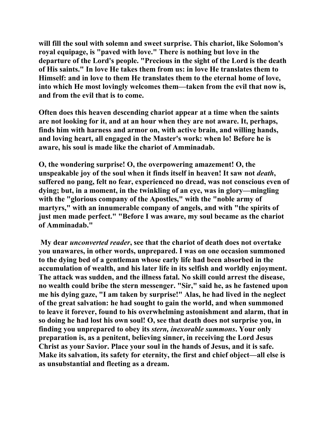**will fill the soul with solemn and sweet surprise. This chariot, like Solomon's royal equipage, is "paved with love." There is nothing but love in the departure of the Lord's people. "Precious in the sight of the Lord is the death of His saints." In love He takes them from us: in love He translates them to Himself: and in love to them He translates them to the eternal home of love, into which He most lovingly welcomes them—taken from the evil that now is, and from the evil that is to come.** 

**Often does this heaven descending chariot appear at a time when the saints are not looking for it, and at an hour when they are not aware. It, perhaps, finds him with harness and armor on, with active brain, and willing hands, and loving heart, all engaged in the Master's work: when lo! Before he is aware, his soul is made like the chariot of Amminadab.** 

**O, the wondering surprise! O, the overpowering amazement! O, the**  unspeakable joy of the soul when it finds itself in heaven! It saw not *death*, **suffered no pang, felt no fear, experienced no dread, was not conscious even of dying; but, in a moment, in the twinkling of an eye, was in glory—mingling with the "glorious company of the Apostles," with the "noble army of martyrs," with an innumerable company of angels, and with "the spirits of just men made perfect." "Before I was aware, my soul became as the chariot of Amminadab."** 

 **My dear** *unconverted reader***, see that the chariot of death does not overtake you unawares, in other words, unprepared. I was on one occasion summoned to the dying bed of a gentleman whose early life had been absorbed in the accumulation of wealth, and his later life in its selfish and worldly enjoyment. The attack was sudden, and the illness fatal. No skill could arrest the disease, no wealth could bribe the stern messenger. "Sir," said he, as he fastened upon me his dying gaze, "I am taken by surprise!" Alas, he had lived in the neglect of the great salvation: he had sought to gain the world, and when summoned to leave it forever, found to his overwhelming astonishment and alarm, that in so doing he had lost his own soul! O, see that death does not surprise you, in finding you unprepared to obey its** *stern, inexorable summons***. Your only preparation is, as a penitent, believing sinner, in receiving the Lord Jesus Christ as your Savior. Place your soul in the hands of Jesus, and it is safe. Make its salvation, its safety for eternity, the first and chief object—all else is as unsubstantial and fleeting as a dream.**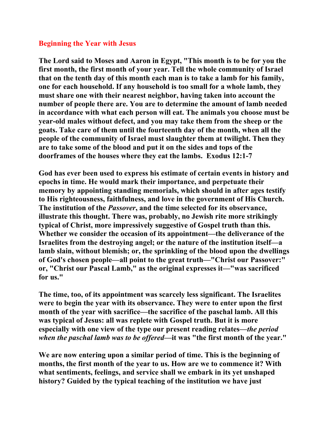## **Beginning the Year with Jesus**

**The Lord said to Moses and Aaron in Egypt, "This month is to be for you the first month, the first month of your year. Tell the whole community of Israel that on the tenth day of this month each man is to take a lamb for his family, one for each household. If any household is too small for a whole lamb, they must share one with their nearest neighbor, having taken into account the number of people there are. You are to determine the amount of lamb needed in accordance with what each person will eat. The animals you choose must be year-old males without defect, and you may take them from the sheep or the goats. Take care of them until the fourteenth day of the month, when all the people of the community of Israel must slaughter them at twilight. Then they are to take some of the blood and put it on the sides and tops of the doorframes of the houses where they eat the lambs. Exodus 12:1-7** 

**God has ever been used to express his estimate of certain events in history and epochs in time. He would mark their importance, and perpetuate their memory by appointing standing memorials, which should in after ages testify to His righteousness, faithfulness, and love in the government of His Church. The institution of the** *Passover***, and the time selected for its observance, illustrate this thought. There was, probably, no Jewish rite more strikingly typical of Christ, more impressively suggestive of Gospel truth than this. Whether we consider the occasion of its appointment—the deliverance of the Israelites from the destroying angel; or the nature of the institution itself—a lamb slain, without blemish; or, the sprinkling of the blood upon the dwellings of God's chosen people—all point to the great truth—"Christ our Passover:" or, "Christ our Pascal Lamb," as the original expresses it—"was sacrificed for us."** 

**The time, too, of its appointment was scarcely less significant. The Israelites were to begin the year with its observance. They were to enter upon the first month of the year with sacrifice—the sacrifice of the paschal lamb. All this was typical of Jesus: all was replete with Gospel truth. But it is more especially with one view of the type our present reading relates—***the period when the paschal lamb was to be offered***—it was "the first month of the year."** 

**We are now entering upon a similar period of time. This is the beginning of months, the first month of the year to us. How are we to commence it? With what sentiments, feelings, and service shall we embark in its yet unshaped history? Guided by the typical teaching of the institution we have just**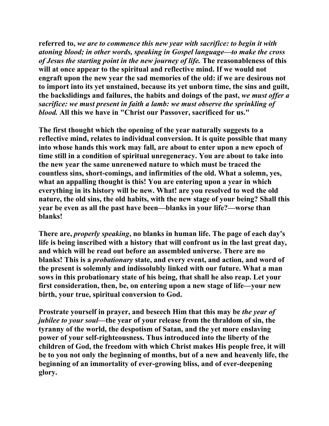**referred to,** *we are to commence this new year with sacrifice: to begin it with atoning blood; in other words, speaking in Gospel language—to make the cross of Jesus the starting point in the new journey of life.* **The reasonableness of this will at once appear to the spiritual and reflective mind. If we would not engraft upon the new year the sad memories of the old: if we are desirous not to import into its yet unstained, because its yet unborn time, the sins and guilt, the backslidings and failures, the habits and doings of the past,** *we must offer a sacrifice: we must present in faith a lamb: we must observe the sprinkling of blood.* **All this we have in "Christ our Passover, sacrificed for us."** 

**The first thought which the opening of the year naturally suggests to a reflective mind, relates to individual conversion. It is quite possible that many into whose hands this work may fall, are about to enter upon a new epoch of time still in a condition of spiritual unregeneracy. You are about to take into the new year the same unrenewed nature to which must be traced the countless sins, short-comings, and infirmities of the old. What a solemn, yes, what an appalling thought is this! You are entering upon a year in which everything in its history will be new. What! are you resolved to wed the old nature, the old sins, the old habits, with the new stage of your being? Shall this year be even as all the past have been—blanks in your life?—worse than blanks!** 

**There are,** *properly speaking***, no blanks in human life. The page of each day's life is being inscribed with a history that will confront us in the last great day, and which will be read out before an assembled universe. There are no blanks! This is a** *probationary* **state, and every event, and action, and word of the present is solemnly and indissolubly linked with our future. What a man sows in this probationary state of his being, that shall he also reap. Let your first consideration, then, be, on entering upon a new stage of life—your new birth, your true, spiritual conversion to God.** 

**Prostrate yourself in prayer, and beseech Him that this may be** *the year of jubilee to your soul***—the year of your release from the thraldom of sin, the tyranny of the world, the despotism of Satan, and the yet more enslaving power of your self-righteousness. Thus introduced into the liberty of the children of God, the freedom with which Christ makes His people free, it will be to you not only the beginning of months, but of a new and heavenly life, the beginning of an immortality of ever-growing bliss, and of ever-deepening glory.**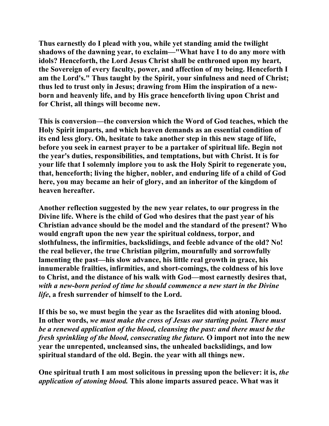**Thus earnestly do I plead with you, while yet standing amid the twilight shadows of the dawning year, to exclaim—"What have I to do any more with idols? Henceforth, the Lord Jesus Christ shall be enthroned upon my heart, the Sovereign of every faculty, power, and affection of my being. Henceforth I am the Lord's." Thus taught by the Spirit, your sinfulness and need of Christ; thus led to trust only in Jesus; drawing from Him the inspiration of a newborn and heavenly life, and by His grace henceforth living upon Christ and for Christ, all things will become new.** 

**This is conversion—the conversion which the Word of God teaches, which the Holy Spirit imparts, and which heaven demands as an essential condition of its end less glory. Oh, hesitate to take another step in this new stage of life, before you seek in earnest prayer to be a partaker of spiritual life. Begin not the year's duties, responsibilities, and temptations, but with Christ. It is for your life that I solemnly implore you to ask the Holy Spirit to regenerate you, that, henceforth; living the higher, nobler, and enduring life of a child of God here, you may became an heir of glory, and an inheritor of the kingdom of heaven hereafter.** 

**Another reflection suggested by the new year relates, to our progress in the Divine life. Where is the child of God who desires that the past year of his Christian advance should be the model and the standard of the present? Who would engraft upon the new year the spiritual coldness, torpor, and slothfulness, the infirmities, backslidings, and feeble advance of the old? No! the real believer, the true Christian pilgrim, mournfully and sorrowfully lamenting the past—his slow advance, his little real growth in grace, his innumerable frailties, infirmities, and short-comings, the coldness of his love to Christ, and the distance of his walk with God—most earnestly desires that,**  *with a new-born period of time he should commence a new start in the Divine life***, a fresh surrender of himself to the Lord.** 

**If this be so, we must begin the year as the Israelites did with atoning blood. In other words,** *we must make the cross of Jesus our starting point. There must be a renewed application of the blood, cleansing the past: and there must be the fresh sprinkling of the blood, consecrating the future.* **O import not into the new year the unrepented, uncleansed sins, the unhealed backslidings, and low spiritual standard of the old. Begin. the year with all things new.** 

**One spiritual truth I am most solicitous in pressing upon the believer: it is,** *the application of atoning blood.* **This alone imparts assured peace. What was it**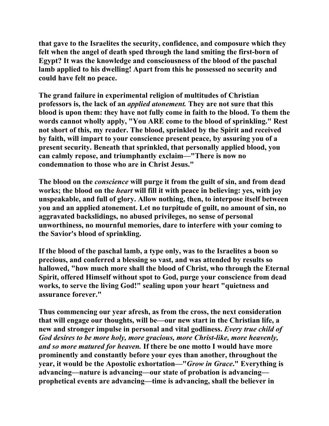**that gave to the Israelites the security, confidence, and composure which they felt when the angel of death sped through the land smiting the first-born of Egypt? It was the knowledge and consciousness of the blood of the paschal lamb applied to his dwelling! Apart from this he possessed no security and could have felt no peace.** 

**The grand failure in experimental religion of multitudes of Christian professors is, the lack of an** *applied atonement.* **They are not sure that this blood is upon them: they have not fully come in faith to the blood. To them the words cannot wholly apply, "You ARE come to the blood of sprinkling." Rest not short of this, my reader. The blood, sprinkled by the Spirit and received by faith, will impart to your conscience present peace, by assuring you of a present security. Beneath that sprinkled, that personally applied blood, you can calmly repose, and triumphantly exclaim—"There is now no condemnation to those who are in Christ Jesus."** 

**The blood on the** *conscience* **will purge it from the guilt of sin, and from dead works; the blood on the** *heart* **will fill it with peace in believing: yes, with joy unspeakable, and full of glory. Allow nothing, then, to interpose itself between you and an applied atonement. Let no turpitude of guilt, no amount of sin, no aggravated backslidings, no abused privileges, no sense of personal unworthiness, no mournful memories, dare to interfere with your coming to the Savior's blood of sprinkling.** 

**If the blood of the paschal lamb, a type only, was to the Israelites a boon so precious, and conferred a blessing so vast, and was attended by results so hallowed, "how much more shall the blood of Christ, who through the Eternal Spirit, offered Himself without spot to God, purge your conscience from dead works, to serve the living God!" sealing upon your heart "quietness and assurance forever."** 

**Thus commencing our year afresh, as from the cross, the next consideration that will engage our thoughts, will be—our new start in the Christian life, a new and stronger impulse in personal and vital godliness.** *Every true child of God desires to be more holy, more gracious, more Christ-like, more heavenly, and so more matured for heaven.* **If there be one motto I would have more prominently and constantly before your eyes than another, throughout the year, it would be the Apostolic exhortation—"***Grow in Grace***." Everything is advancing—nature is advancing—our state of probation is advancing prophetical events are advancing—time is advancing, shall the believer in**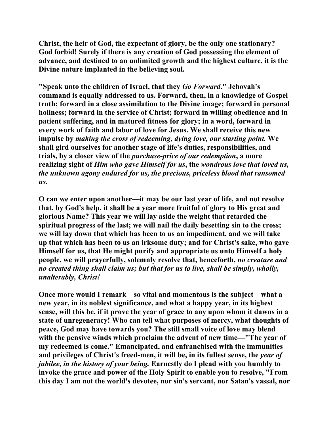**Christ, the heir of God, the expectant of glory, be the only one stationary? God forbid! Surely if there is any creation of God possessing the element of advance, and destined to an unlimited growth and the highest culture, it is the Divine nature implanted in the believing soul.** 

**"Speak unto the children of Israel, that they** *Go Forward***." Jehovah's command is equally addressed to us. Forward, then, in a knowledge of Gospel truth; forward in a close assimilation to the Divine image; forward in personal holiness; forward in the service of Christ; forward in willing obedience and in patient suffering, and in matured fitness for glory; in a word, forward in every work of faith and labor of love for Jesus. We shall receive this new impulse by** *making the cross of redeeming, dying love, our starting point.* **We shall gird ourselves for another stage of life's duties, responsibilities, and trials, by a closer view of the** *purchase-price of our redemption***, a more realizing sight of** *Him who gave Himself for us***, the** *wondrous love that loved us, the unknown agony endured for us, the precious, priceless blood that ransomed us.* 

**O can we enter upon another—it may be our last year of life, and not resolve that, by God's help, it shall be a year more fruitful of glory to His great and glorious Name? This year we will lay aside the weight that retarded the spiritual progress of the last; we will nail the daily besetting sin to the cross; we will lay down that which has been to us an impediment, and we will take up that which has been to us an irksome duty; and for Christ's sake, who gave Himself for us, that He might purify and appropriate us unto Himself a holy people, we will prayerfully, solemnly resolve that, henceforth,** *no creature and no created thing shall claim us; but that for us to live, shall be simply, wholly, unalterably, Christ!*

**Once more would I remark—so vital and momentous is the subject—what a new year, in its noblest significance, and what a happy year, in its highest sense, will this be, if it prove the year of grace to any upon whom it dawns in a state of unregeneracy! Who can tell what purposes of mercy, what thoughts of peace, God may have towards you? The still small voice of love may blend with the pensive winds which proclaim the advent of new time—"The year of my redeemed is come." Emancipated, and enfranchised with the immunities and privileges of Christ's freed-men, it will be, in its fullest sense, the** *year of jubilee, in the history of your being.* **Earnestly do I plead with you humbly to invoke the grace and power of the Holy Spirit to enable you to resolve, "From this day I am not the world's devotee, nor sin's servant, nor Satan's vassal, nor**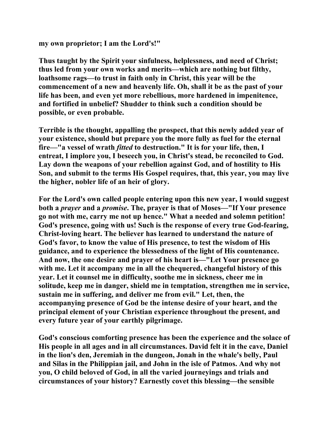**my own proprietor; I am the Lord's!"** 

**Thus taught by the Spirit your sinfulness, helplessness, and need of Christ; thus led from your own works and merits—which are nothing but filthy, loathsome rags—to trust in faith only in Christ, this year will be the commencement of a new and heavenly life. Oh, shall it be as the past of your life has been, and even yet more rebellious, more hardened in impenitence, and fortified in unbelief? Shudder to think such a condition should be possible, or even probable.** 

**Terrible is the thought, appalling the prospect, that this newly added year of your existence, should but prepare you the more fully as fuel for the eternal fire—"a vessel of wrath** *fitted* **to destruction." It is for your life, then, I entreat, I implore you, I beseech you, in Christ's stead, be reconciled to God. Lay down the weapons of your rebellion against God, and of hostility to His Son, and submit to the terms His Gospel requires, that, this year, you may live the higher, nobler life of an heir of glory.** 

**For the Lord's own called people entering upon this new year, I would suggest both a** *prayer* **and a** *promise***. The, prayer is that of Moses—"If Your presence go not with me, carry me not up hence." What a needed and solemn petition! God's presence, going with us! Such is the response of every true God-fearing, Christ-loving heart. The believer has learned to understand the nature of God's favor, to know the value of His presence, to test the wisdom of His guidance, and to experience the blessedness of the light of His countenance. And now, the one desire and prayer of his heart is—"Let Your presence go with me. Let it accompany me in all the chequered, changeful history of this year. Let it counsel me in difficulty, soothe me in sickness, cheer me in solitude, keep me in danger, shield me in temptation, strengthen me in service, sustain me in suffering, and deliver me from evil." Let, then, the accompanying presence of God be the intense desire of your heart, and the principal element of your Christian experience throughout the present, and every future year of your earthly pilgrimage.** 

**God's conscious comforting presence has been the experience and the solace of His people in all ages and in all circumstances. David felt it in the cave, Daniel in the lion's den, Jeremiah in the dungeon, Jonah in the whale's belly, Paul and Silas in the Philippian jail, and John in the isle of Patmos. And why not you, O child beloved of God, in all the varied journeyings and trials and circumstances of your history? Earnestly covet this blessing—the sensible**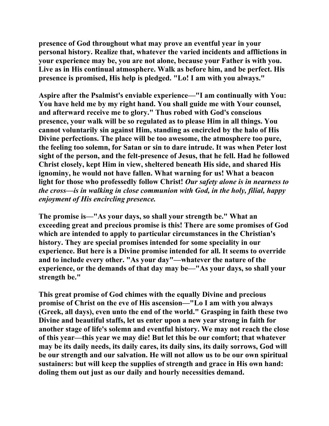**presence of God throughout what may prove an eventful year in your personal history. Realize that, whatever the varied incidents and afflictions in your experience may be, you are not alone, because your Father is with you. Live as in His continual atmosphere. Walk as before him, and be perfect. His presence is promised, His help is pledged. "Lo! I am with you always."** 

**Aspire after the Psalmist's enviable experience—"I am continually with You: You have held me by my right hand. You shall guide me with Your counsel, and afterward receive me to glory." Thus robed with God's conscious presence, your walk will be so regulated as to please Him in all things. You cannot voluntarily sin against Him, standing as encircled by the halo of His Divine perfections. The place will be too awesome, the atmosphere too pure, the feeling too solemn, for Satan or sin to dare intrude. It was when Peter lost sight of the person, and the felt-presence of Jesus, that he fell. Had he followed Christ closely, kept Him in view, sheltered beneath His side, and shared His ignominy, he would not have fallen. What warning for us! What a beacon light for those who professedly follow Christ!** *Our safety alone is in nearness to the cross—is in walking in close communion with God, in the holy, filial, happy enjoyment of His encircling presence.* 

**The promise is—"As your days, so shall your strength be." What an exceeding great and precious promise is this! There are some promises of God which are intended to apply to particular circumstances in the Christian's history. They are special promises intended for some speciality in our experience. But here is a Divine promise intended for all. It seems to override and to include every other. "As your day"—whatever the nature of the experience, or the demands of that day may be—"As your days, so shall your strength be."** 

**This great promise of God chimes with the equally Divine and precious promise of Christ on the eve of His ascension—"Lo I am with you always (Greek, all days), even unto the end of the world." Grasping in faith these two Divine and beautiful staffs, let us enter upon a new year strong in faith for another stage of life's solemn and eventful history. We may not reach the close of this year—this year we may die! But let this be our comfort; that whatever may be its daily needs, its daily cares, its daily sins, its daily sorrows, God will be our strength and our salvation. He will not allow us to be our own spiritual sustainers: but will keep the supplies of strength and grace in His own hand: doling them out just as our daily and hourly necessities demand.**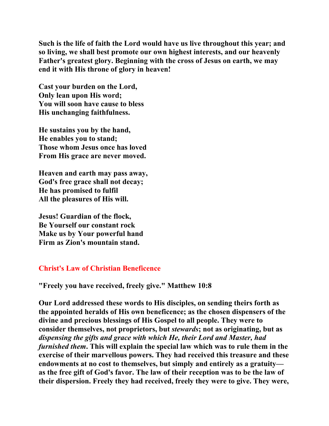**Such is the life of faith the Lord would have us live throughout this year; and so living, we shall best promote our own highest interests, and our heavenly Father's greatest glory. Beginning with the cross of Jesus on earth, we may end it with His throne of glory in heaven!** 

**Cast your burden on the Lord, Only lean upon His word; You will soon have cause to bless His unchanging faithfulness.** 

**He sustains you by the hand, He enables you to stand; Those whom Jesus once has loved From His grace are never moved.** 

**Heaven and earth may pass away, God's free grace shall not decay; He has promised to fulfil All the pleasures of His will.** 

**Jesus! Guardian of the flock, Be Yourself our constant rock Make us by Your powerful hand Firm as Zion's mountain stand.** 

# **Christ's Law of Christian Beneficence**

**"Freely you have received, freely give." Matthew 10:8** 

**Our Lord addressed these words to His disciples, on sending theirs forth as the appointed heralds of His own beneficence; as the chosen dispensers of the divine and precious blessings of His Gospel to all people. They were to consider themselves, not proprietors, but** *stewards***; not as originating, but as**  *dispensing the gifts and grace with which He, their Lord and Master, had furnished them***. This will explain the special law which was to rule them in the exercise of their marvellous powers. They had received this treasure and these endowments at no cost to themselves, but simply and entirely as a gratuity as the free gift of God's favor. The law of their reception was to be the law of their dispersion. Freely they had received, freely they were to give. They were,**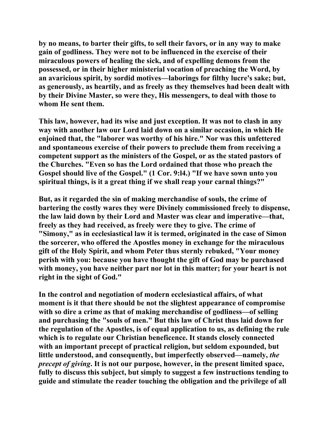**by no means, to barter their gifts, to sell their favors, or in any way to make gain of godliness. They were not to be influenced in the exercise of their miraculous powers of healing the sick, and of expelling demons from the possessed, or in their higher ministerial vocation of preaching the Word, by an avaricious spirit, by sordid motives—laborings for filthy lucre's sake; but, as generously, as heartily, and as freely as they themselves had been dealt with by their Divine Master, so were they, His messengers, to deal with those to whom He sent them.** 

**This law, however, had its wise and just exception. It was not to clash in any way with another law our Lord laid down on a similar occasion, in which He enjoined that, the "laborer was worthy of his hire." Nor was this unfettered and spontaneous exercise of their powers to preclude them from receiving a competent support as the ministers of the Gospel, or as the stated pastors of the Churches. "Even so has the Lord ordained that those who preach the Gospel should live of the Gospel." (1 Cor. 9:l4.) "If we have sown unto you spiritual things, is it a great thing if we shall reap your carnal things?"** 

**But, as it regarded the sin of making merchandise of souls, the crime of bartering the costly wares they were Divinely commissioned freely to dispense, the law laid down by their Lord and Master was clear and imperative—that, freely as they had received, as freely were they to give. The crime of "Simony," as in ecclesiastical law it is termed, originated in the case of Simon the sorcerer, who offered the Apostles money in exchange for the miraculous gift of the Holy Spirit, and whom Peter thus sternly rebuked, "Your money perish with you: because you have thought the gift of God may be purchased with money, you have neither part nor lot in this matter; for your heart is not right in the sight of God."** 

**In the control and negotiation of modern ecclesiastical affairs, of what moment is it that there should be not the slightest appearance of compromise with so dire a crime as that of making merchandise of godliness—of selling and purchasing the "souls of men." But this law of Christ thus laid down for the regulation of the Apostles, is of equal application to us, as defining the rule which is to regulate our Christian beneficence. It stands closely connected with an important precept of practical religion, but seldom expounded, but little understood, and consequently, but imperfectly observed—namely,** *the precept of giving***. It is not our purpose, however, in the present limited space, fully to discuss this subject, but simply to suggest a few instructions tending to guide and stimulate the reader touching the obligation and the privilege of all**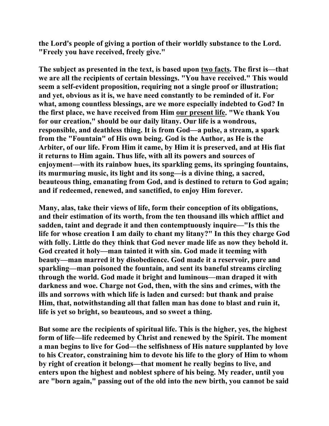**the Lord's people of giving a portion of their worldly substance to the Lord. "Freely you have received, freely give."** 

**The subject as presented in the text, is based upon two facts. The first is—that we are all the recipients of certain blessings. "You have received." This would seem a self-evident proposition, requiring not a single proof or illustration; and yet, obvious as it is, we have need constantly to be reminded of it. For what, among countless blessings, are we more especially indebted to God? In the first place, we have received from Him our present life. "We thank You for our creation," should be our daily litany. Our life is a wondrous, responsible, and deathless thing. It is from God—a pulse, a stream, a spark from the "Fountain" of His own being. God is the Author, as He is the Arbiter, of our life. From Him it came, by Him it is preserved, and at His fiat it returns to Him again. Thus life, with all its powers and sources of enjoyment—with its rainbow hues, its sparkling gems, its springing fountains, its murmuring music, its light and its song—is a divine thing, a sacred, beauteous thing, emanating from God, and is destined to return to God again; and if redeemed, renewed, and sanctified, to enjoy Him forever.** 

**Many, alas, take their views of life, form their conception of its obligations, and their estimation of its worth, from the ten thousand ills which afflict and sadden, taint and degrade it and then contemptuously inquire—"Is this the life for whose creation I am daily to chant my litany?" In this they charge God with folly. Little do they think that God never made life as now they behold it. God created it holy—man tainted it with sin. God made it teeming with beauty—man marred it by disobedience. God made it a reservoir, pure and sparkling—man poisoned the fountain, and sent its baneful streams circling through the world. God made it bright and luminous—man draped it with darkness and woe. Charge not God, then, with the sins and crimes, with the ills and sorrows with which life is laden and cursed: but thank and praise Him, that, notwithstanding all that fallen man has done to blast and ruin it, life is yet so bright, so beauteous, and so sweet a thing.** 

**But some are the recipients of spiritual life. This is the higher, yes, the highest form of life—life redeemed by Christ and renewed by the Spirit. The moment a man begins to live for God—the selfishness of His nature supplanted by love to his Creator, constraining him to devote his life to the glory of Him to whom by right of creation it belongs—that moment he really begins to live, and enters upon the highest and noblest sphere of his being. My reader, until you are "born again," passing out of the old into the new birth, you cannot be said**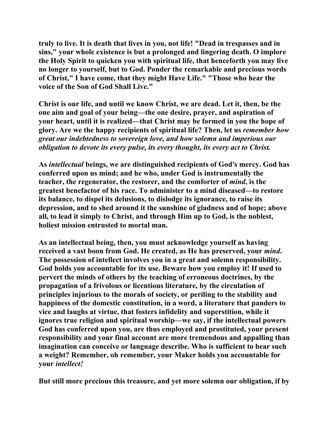**truly to live. It is death that lives in you, not life! "Dead in trespasses and in sins," your whole existence is but a prolonged and lingering death. O implore the Holy Spirit to quicken you with spiritual life, that henceforth you may live no longer to yourself, but to God. Ponder the remarkable and precious words of Christ," I have come, that they might Have Life." "Those who hear the voice of the Son of God Shall Live."** 

**Christ is our life, and until we know Christ, we are dead. Let it, then, be the one aim and goal of your being—the one desire, prayer, and aspiration of your heart, until it is realized—that Christ may be formed in you the hope of glory. Are we the happy recipients of spiritual life? Then, let us** *remember how great our indebtedness to sovereign love, and how solemn and imperious our obligation to devote its every pulse, its every thought, its every act to Christ.* 

**As** *intellectual* **beings, we are distinguished recipients of God's mercy. God has conferred upon us mind; and he who, under God is instrumentally the teacher, the regenerator, the restorer, and the comforter of** *mind***, is the greatest benefactor of his race. To administer to a mind diseased—to restore its balance, to dispel its delusions, to dislodge its ignorance, to raise its depression, and to shed around it the sunshine of gladness and of hope; above all, to lead it simply to Christ, and through Him up to God, is the noblest, holiest mission entrusted to mortal man.** 

**As an intellectual being, then, you must acknowledge yourself as having received a vast boon from God. He created, as He has preserved, your** *mind***. The possession of intellect involves you in a great and solemn responsibility. God holds you accountable for its use. Beware how you employ it! If used to pervert the minds of others by the teaching of erroneous doctrines, by the propagation of a frivolous or licentious literature, by the circulation of principles injurious to the morals of society, or periling to the stability and happiness of the domestic constitution, in a word, a literature that panders to vice and laughs at virtue, that fosters infidelity and superstition, while it ignores true religion and spiritual worship—we say, if the intellectual powers God has conferred upon you, are thus employed and prostituted, your present responsibility and your final account are more tremendous and appalling than imagination can conceive or language describe. Who is sufficient to bear such a weight? Remember, oh remember, your Maker holds you accountable for your** *intellect!*

**But still more precious this treasure, and yet more solemn our obligation, if by**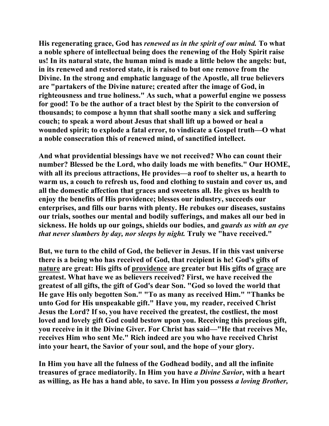**His regenerating grace, God has** *renewed us in the spirit of our mind.* **To what a noble sphere of intellectual being does the renewing of the Holy Spirit raise us! In its natural state, the human mind is made a little below the angels: but, in its renewed and restored state, it is raised to but one remove from the Divine. In the strong and emphatic language of the Apostle, all true believers are "partakers of the Divine nature; created after the image of God, in righteousness and true holiness." As such, what a powerful engine we possess for good! To be the author of a tract blest by the Spirit to the conversion of thousands; to compose a hymn that shall soothe many a sick and suffering couch; to speak a word about Jesus that shall lift up a bowed or heal a wounded spirit; to explode a fatal error, to vindicate a Gospel truth—O what a noble consecration this of renewed mind, of sanctified intellect.** 

**And what providential blessings have we not received? Who can count their number? Blessed be the Lord, who daily loads me with benefits." Our HOME, with all its precious attractions, He provides—a roof to shelter us, a hearth to warm us, a couch to refresh us, food and clothing to sustain and cover us, and all the domestic affection that graces and sweetens all. He gives us health to enjoy the benefits of His providence; blesses our industry, succeeds our enterprises, and fills our barns with plenty. He rebukes our diseases, sustains our trials, soothes our mental and bodily sufferings, and makes all our bed in sickness. He holds up our goings, shields our bodies, and** *guards us with an eye that never slumbers by day, nor sleeps by night.* **Truly we "have received."** 

**But, we turn to the child of God, the believer in Jesus. If in this vast universe there is a being who has received of God, that recipient is he! God's gifts of nature are great: His gifts of providence are greater but His gifts of grace are greatest. What have we as believers received? First, we have received the greatest of all gifts, the gift of God's dear Son. "God so loved the world that He gave His only begotten Son." "To as many as received Him." "Thanks be unto God for His unspeakable gift." Have you, my reader, received Christ Jesus the Lord? If so, you have received the greatest, the costliest, the most loved and lovely gift God could bestow upon you. Receiving this precious gift, you receive in it the Divine Giver. For Christ has said—"He that receives Me, receives Him who sent Me." Rich indeed are you who have received Christ into your heart, the Savior of your soul, and the hope of your glory.** 

**In Him you have all the fulness of the Godhead bodily, and all the infinite treasures of grace mediatorily. In Him you have** *a Divine Savior***, with a heart as willing, as He has a hand able, to save. In Him you possess** *a loving Brother,*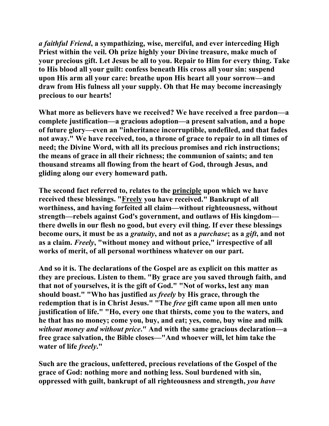*a faithful Friend***, a sympathizing, wise, merciful, and ever interceding High Priest within the veil. Oh prize highly your Divine treasure, make much of your precious gift. Let Jesus be all to you. Repair to Him for every thing. Take to His blood all your guilt: confess beneath His cross all your sin: suspend upon His arm all your care: breathe upon His heart all your sorrow—and draw from His fulness all your supply. Oh that He may become increasingly precious to our hearts!** 

**What more as believers have we received? We have received a free pardon—a complete justification—a gracious adoption—a present salvation, and a hope of future glory—even an "inheritance incorruptible, undefiled, and that fades not away." We have received, too, a throne of grace to repair to in all times of need; the Divine Word, with all its precious promises and rich instructions; the means of grace in all their richness; the communion of saints; and ten thousand streams all flowing from the heart of God, through Jesus, and gliding along our every homeward path.** 

**The second fact referred to, relates to the principle upon which we have received these blessings. "Freely you have received." Bankrupt of all worthiness, and having forfeited all claim—without righteousness, without strength—rebels against God's government, and outlaws of His kingdom there dwells in our flesh no good, but every evil thing. If ever these blessings become ours, it must be as a** *gratuity***, and not as a** *purchase***; as a** *gift***, and not as a claim.** *Freely***, "without money and without price," irrespective of all works of merit, of all personal worthiness whatever on our part.** 

**And so it is. The declarations of the Gospel are as explicit on this matter as they are precious. Listen to them. "By grace are you saved through faith, and that not of yourselves, it is the gift of God." "Not of works, lest any man should boast." "Who has justified** *us freely* **by His grace, through the redemption that is in Christ Jesus." "The** *free* **gift came upon all men unto justification of life." "Ho, every one that thirsts, come you to the waters, and he that has no money; come you, buy, and eat; yes, come, buy wine and milk**  *without money and without price***." And with the same gracious declaration—a free grace salvation, the Bible closes—"And whoever will, let him take the water of life** *freely***."** 

**Such are the gracious, unfettered, precious revelations of the Gospel of the grace of God: nothing more and nothing less. Soul burdened with sin, oppressed with guilt, bankrupt of all righteousness and strength,** *you have*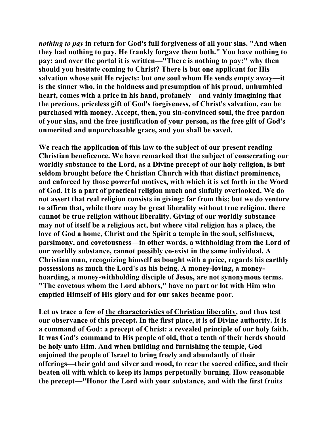*nothing to pay* **in return for God's full forgiveness of all your sins. "And when they had nothing to pay, He frankly forgave them both." You have nothing to pay; and over the portal it is written—"There is nothing to pay:" why then should you hesitate coming to Christ? There is but one applicant for His salvation whose suit He rejects: but one soul whom He sends empty away—it is the sinner who, in the boldness and presumption of his proud, unhumbled heart, comes with a price in his hand, profanely—and vainly imagining that the precious, priceless gift of God's forgiveness, of Christ's salvation, can be purchased with money. Accept, then, you sin-convinced soul, the free pardon of your sins, and the free justification of your person, as the free gift of God's unmerited and unpurchasable grace, and you shall be saved.** 

**We reach the application of this law to the subject of our present reading— Christian beneficence. We have remarked that the subject of consecrating our worldly substance to the Lord, as a Divine precept of our holy religion, is but seldom brought before the Christian Church with that distinct prominence, and enforced by those powerful motives, with which it is set forth in the Word of God. It is a part of practical religion much and sinfully overlooked. We do not assert that real religion consists in giving: far from this; but we do venture to affirm that, while there may be great liberality without true religion, there cannot be true religion without liberality. Giving of our worldly substance may not of itself be a religious act, but where vital religion has a place, the love of God a home, Christ and the Spirit a temple in the soul, selfishness, parsimony, and covetousness—in other words, a withholding from the Lord of our worldly substance, cannot possibly co-exist in the same individual. A Christian man, recognizing himself as bought with a price, regards his earthly possessions as much the Lord's as his being. A money-loving, a moneyhoarding, a money-withholding disciple of Jesus, are not synonymous terms. "The covetous whom the Lord abhors," have no part or lot with Him who emptied Himself of His glory and for our sakes became poor.** 

**Let us trace a few of the characteristics of Christian liberality, and thus test our observance of this precept. In the first place, it is of Divine authority. It is a command of God: a precept of Christ: a revealed principle of our holy faith. It was God's command to His people of old, that a tenth of their herds should be holy unto Him. And when building and furnishing the temple, God enjoined the people of Israel to bring freely and abundantly of their offerings—their gold and silver and wood, to rear the sacred edifice, and their beaten oil with which to keep its lamps perpetually burning. How reasonable the precept—"Honor the Lord with your substance, and with the first fruits**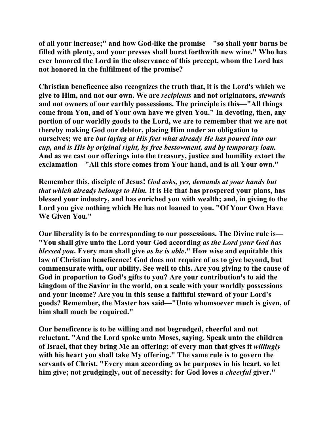**of all your increase;" and how God-like the promise—"so shall your barns be filled with plenty, and your presses shall burst forthwith new wine." Who has ever honored the Lord in the observance of this precept, whom the Lord has not honored in the fulfilment of the promise?** 

**Christian beneficence also recognizes the truth that, it is the Lord's which we give to Him, and not our own. We are** *recipients* **and not originators,** *stewards* **and not owners of our earthly possessions. The principle is this—"All things come from You, and of Your own have we given You." In devoting, then, any portion of our worldly goods to the Lord, we are to remember that we are not thereby making God our debtor, placing Him under an obligation to ourselves; we are** *but laying at His feet what already He has poured into our cup, and is His by original right, by free bestowment, and by temporary loan.*  **And as we cast our offerings into the treasury, justice and humility extort the exclamation—"All this store comes from Your hand, and is all Your own."** 

**Remember this, disciple of Jesus!** *God asks, yes, demands at your hands but that which already belongs to Him.* **It is He that has prospered your plans, has blessed your industry, and has enriched you with wealth; and, in giving to the Lord you give nothing which He has not loaned to you. "Of Your Own Have We Given You."** 

**Our liberality is to be corresponding to our possessions. The Divine rule is— "You shall give unto the Lord your God according** *as the Lord your God has blessed you***. Every man shall give** *as he is able***." How wise and equitable this law of Christian beneficence! God does not require of us to give beyond, but commensurate with, our ability. See well to this. Are you giving to the cause of God in proportion to God's gifts to you? Are your contribution's to aid the kingdom of the Savior in the world, on a scale with your worldly possessions and your income? Are you in this sense a faithful steward of your Lord's goods? Remember, the Master has said—"Unto whomsoever much is given, of him shall much be required."** 

**Our beneficence is to be willing and not begrudged, cheerful and not reluctant. "And the Lord spoke unto Moses, saying, Speak unto the children of Israel, that they bring Me an offering: of every man that gives it** *willingly* **with his heart you shall take My offering." The same rule is to govern the servants of Christ. "Every man according as he purposes in his heart, so let him give; not grudgingly, out of necessity: for God loves a** *cheerful* **giver."**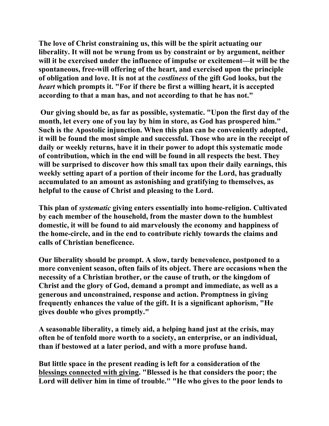**The love of Christ constraining us, this will be the spirit actuating our liberality. It will not be wrung from us by constraint or by argument, neither will it be exercised under the influence of impulse or excitement—it will be the spontaneous, free-will offering of the heart, and exercised upon the principle of obligation and love. It is not at the** *costliness* **of the gift God looks, but the**  *heart* **which prompts it. "For if there be first a willing heart, it is accepted according to that a man has, and not according to that he has not."** 

 **Our giving should be, as far as possible, systematic. "Upon the first day of the month, let every one of you lay by him in store, as God has prospered him." Such is the Apostolic injunction. When this plan can be conveniently adopted, it will be found the most simple and successful. Those who are in the receipt of daily or weekly returns, have it in their power to adopt this systematic mode of contribution, which in the end will be found in all respects the best. They will be surprised to discover how this small tax upon their daily earnings, this weekly setting apart of a portion of their income for the Lord, has gradually accumulated to an amount as astonishing and gratifying to themselves, as helpful to the cause of Christ and pleasing to the Lord.** 

**This plan of** *systematic* **giving enters essentially into home-religion. Cultivated by each member of the household, from the master down to the humblest domestic, it will be found to aid marvelously the economy and happiness of the home-circle, and in the end to contribute richly towards the claims and calls of Christian beneficence.** 

**Our liberality should be prompt. A slow, tardy benevolence, postponed to a more convenient season, often fails of its object. There are occasions when the necessity of a Christian brother, or the cause of truth, or the kingdom of Christ and the glory of God, demand a prompt and immediate, as well as a generous and unconstrained, response and action. Promptness in giving frequently enhances the value of the gift. It is a significant aphorism, "He gives double who gives promptly."** 

**A seasonable liberality, a timely aid, a helping hand just at the crisis, may often be of tenfold more worth to a society, an enterprise, or an individual, than if bestowed at a later period, and with a more profuse hand.** 

**But little space in the present reading is left for a consideration of the blessings connected with giving. "Blessed is he that considers the poor; the Lord will deliver him in time of trouble." "He who gives to the poor lends to**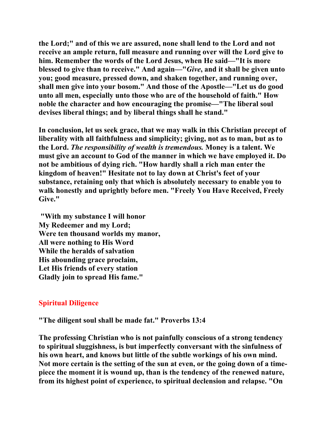**the Lord;" and of this we are assured, none shall lend to the Lord and not receive an ample return, full measure and running over will the Lord give to him. Remember the words of the Lord Jesus, when He said—"It is more blessed to give than to receive." And again—"***Give***, and it shall be given unto you; good measure, pressed down, and shaken together, and running over, shall men give into your bosom." And those of the Apostle—"Let us do good unto all men, especially unto those who are of the household of faith." How noble the character and how encouraging the promise—"The liberal soul devises liberal things; and by liberal things shall he stand."** 

**In conclusion, let us seek grace, that we may walk in this Christian precept of liberality with all faithfulness and simplicity; giving, not as to man, but as to the Lord.** *The responsibility of wealth is tremendous.* **Money is a talent. We must give an account to God of the manner in which we have employed it. Do not be ambitious of dying rich. "How hardly shall a rich man enter the kingdom of heaven!" Hesitate not to lay down at Christ's feet of your substance, retaining only that which is absolutely necessary to enable you to walk honestly and uprightly before men. "Freely You Have Received, Freely Give."** 

 **"With my substance I will honor My Redeemer and my Lord; Were ten thousand worlds my manor, All were nothing to His Word While the heralds of salvation His abounding grace proclaim, Let His friends of every station Gladly join to spread His fame."** 

## **Spiritual Diligence**

**"The diligent soul shall be made fat." Proverbs 13:4** 

**The professing Christian who is not painfully conscious of a strong tendency to spiritual sluggishness, is but imperfectly conversant with the sinfulness of his own heart, and knows but little of the subtle workings of his own mind. Not more certain is the setting of the sun at even, or the going down of a timepiece the moment it is wound up, than is the tendency of the renewed nature, from its highest point of experience, to spiritual declension and relapse. "On**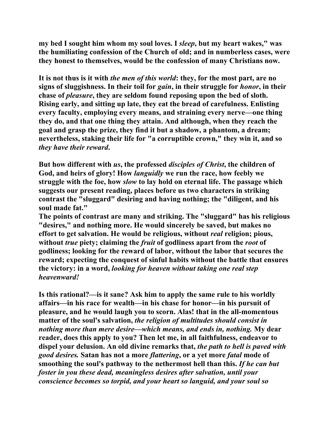**my bed I sought him whom my soul loves. I** *sleep***, but my heart wakes," was the humiliating confession of the Church of old; and in numberless cases, were they honest to themselves, would be the confession of many Christians now.** 

**It is not thus is it with** *the men of this world***: they, for the most part, are no signs of sluggishness. In their toil for** *gain***, in their struggle for** *honor***, in their chase of** *pleasure***, they are seldom found reposing upon the bed of sloth. Rising early, and sitting up late, they eat the bread of carefulness. Enlisting every faculty, employing every means, and straining every nerve—one thing they do, and that one thing they attain. And although, when they reach the goal and grasp the prize, they find it but a shadow, a phantom, a dream; nevertheless, staking their life for "a corruptible crown," they win it, and so**  *they have their reward***.** 

**But how different with** *us***, the professed** *disciples of Christ***, the children of God, and heirs of glory! How** *languidly* **we run the race, how feebly we struggle with the foe, how** *slow* **to lay hold on eternal life. The passage which suggests our present reading, places before us two characters in striking contrast the "sluggard" desiring and having nothing; the "diligent, and his soul made fat."** 

**The points of contrast are many and striking. The "sluggard" has his religious "desires," and nothing more. He would sincerely be saved, but makes no effort to get salvation. He would be religious, without** *real* **religion; pious, without** *true* **piety; claiming the** *fruit* **of godliness apart from the** *root* **of godliness; looking for the reward of labor, without the labor that secures the reward; expecting the conquest of sinful habits without the battle that ensures the victory: in a word,** *looking for heaven without taking one real step heavenward!* 

**Is this rational?—is it sane? Ask him to apply the same rule to his worldly affairs—in his race for wealth—in his chase for honor—in his pursuit of pleasure, and he would laugh you to scorn. Alas! that in the all-momentous matter of the soul's salvation,** *the religion of multitudes should consist in nothing more than mere desire—which means, and ends in, nothing.* **My dear reader, does this apply to you? Then let me, in all faithfulness, endeavor to dispel your delusion. An old divine remarks that,** *the path to hell is paved with good desires.* **Satan has not a more** *flattering***, or a yet more** *fatal* **mode of smoothing the soul's pathway to the nethermost hell than this.** *If he can but foster in you these dead, meaningless desires after salvation, until your conscience becomes so torpid, and your heart so languid, and your soul so*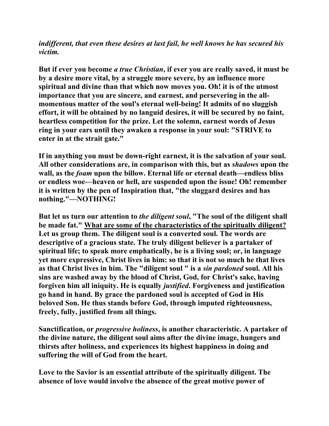*indifferent, that even these desires at last fail, he well knows he has secured his victim.* 

**But if ever you become** *a true Christian***, if ever you are really saved, it must be by a desire more vital, by a struggle more severe, by an influence more spiritual and divine than that which now moves you. Oh! it is of the utmost importance that you are sincere, and earnest, and persevering in the allmomentous matter of the soul's eternal well-being! It admits of no sluggish effort, it will be obtained by no languid desires, it will be secured by no faint, heartless competition for the prize. Let the solemn, earnest words of Jesus ring in your ears until they awaken a response in your soul: "STRIVE to enter in at the strait gate."** 

**If in anything you must be down-right earnest, it is the salvation of your soul. All other considerations are, in comparison with this, but as** *shadows* **upon the wall, as the** *foam* **upon the billow. Eternal life or eternal death—endless bliss or endless woe—heaven or hell, are suspended upon the issue! Oh! remember it is written by the pen of Inspiration that, "the sluggard desires and has nothing."—NOTHING!** 

**But let us turn our attention to** *the diligent soul***, "The soul of the diligent shall be made fat." What are some of the characteristics of the spiritually diligent? Let us group them. The diligent soul is a converted soul. The words are descriptive of a gracious state. The truly diligent believer is a partaker of spiritual life; to speak more emphatically, he is a living soul; or, in language yet more expressive, Christ lives in him: so that it is not so much he that lives as that Christ lives in him. The "diligent soul " is a** *sin pardoned* **soul. All his sins are washed away by the blood of Christ, God, for Christ's sake, having forgiven him all iniquity. He is equally** *justified***. Forgiveness and justification go hand in hand. By grace the pardoned soul is accepted of God in His beloved Son. He thus stands before God, through imputed righteousness, freely, fully, justified from all things.** 

**Sanctification, or** *progressive holiness***, is another characteristic. A partaker of the divine nature, the diligent soul aims after the divine image, hungers and thirsts after holiness, and experiences its highest happiness in doing and suffering the will of God from the heart.** 

**Love to the Savior is an essential attribute of the spiritually diligent. The absence of love would involve the absence of the great motive power of**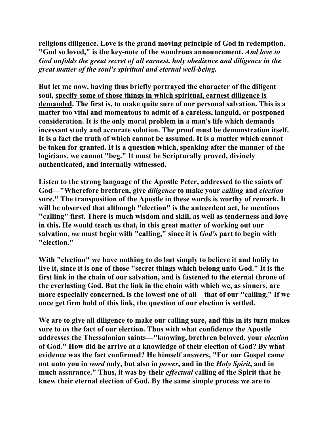**religious diligence. Love is the grand moving principle of God in redemption. "God so loved," is the key-note of the wondrous announcement.** *And love to God unfolds the great secret of all earnest, holy obedience and diligence in the great matter of the soul's spiritual and eternal well-being.*

**But let me now, having thus briefly portrayed the character of the diligent soul, specify some of those things in which spiritual, earnest diligence is demanded. The first is, to make quite sure of our personal salvation. This is a matter too vital and momentous to admit of a careless, languid, or postponed consideration. It is the only moral problem in a man's life which demands incessant study and accurate solution. The proof must be demonstration itself. It is a fact the truth of which cannot be assumed. It is a matter which cannot be taken for granted. It is a question which, speaking after the manner of the logicians, we cannot "beg." It must be Scripturally proved, divinely authenticated, and internally witnessed.** 

**Listen to the strong language of the Apostle Peter, addressed to the saints of God—"Wherefore brethren, give** *diligence* **to make your** *calling* **and** *election* **sure." The transposition of the Apostle in these words is worthy of remark. It will be observed that although "election" is the antecedent act, he mentions "calling" first. There is much wisdom and skill, as well as tenderness and love in this. He would teach us that, in this great matter of working out our salvation,** *we* **must begin with "calling," since it is** *God's* **part to begin with "election."** 

**With "election" we have nothing to do but simply to believe it and holily to live it, since it is one of those "secret things which belong unto God." It is the first link in the chain of our salvation, and is fastened to the eternal throne of the everlasting God. But the link in the chain with which we, as sinners, are more especially concerned, is the lowest one of all—that of our "calling." If we once get firm hold of this link, the question of our election is settled.** 

**We are to give all diligence to make our calling sure, and this in its turn makes sure to us the fact of our election. Thus with what confidence the Apostle addresses the Thessalonian saints—"knowing, brethren beloved, your** *election* **of God." How did he arrive at a knowledge of their election of God? By what evidence was the fact confirmed? He himself answers, "For our Gospel came not unto you in** *word* **only, but also in** *power***, and in the** *Holy Spirit***, and in much assurance." Thus, it was by their** *effectual* **calling of the Spirit that he knew their eternal election of God. By the same simple process we are to**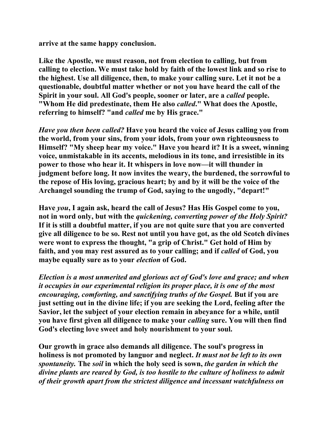**arrive at the same happy conclusion.** 

**Like the Apostle, we must reason, not from election to calling, but from calling to election. We must take hold by faith of the lowest link and so rise to the highest. Use all diligence, then, to make your calling sure. Let it not be a questionable, doubtful matter whether or not you have heard the call of the Spirit in your soul. All God's people, sooner or later, are a** *called* **people. "Whom He did predestinate, them He also** *called***." What does the Apostle, referring to himself? "and** *called* **me by His grace."** 

*Have you then been called?* **Have you heard the voice of Jesus calling you from the world, from your sins, from your idols, from your own righteousness to Himself? "My sheep hear my voice." Have you heard it? It is a sweet, winning voice, unmistakable in its accents, melodious in its tone, and irresistible in its power to those who hear it. It whispers in love now—it will thunder in judgment before long. It now invites the weary, the burdened, the sorrowful to the repose of His loving, gracious heart; by and by it will be the voice of the Archangel sounding the trump of God, saying to the ungodly, "depart!"** 

**Have** *you***, I again ask, heard the call of Jesus? Has His Gospel come to you, not in word only, but with the** *quickening, converting power of the Holy Spirit?* **If it is still a doubtful matter, if you are not quite sure that you are converted give all diligence to be so. Rest not until you have got, as the old Scotch divines were wont to express the thought, "a grip of Christ." Get hold of Him by**  faith, and you may rest assured as to your calling; and if *called* of God, you **maybe equally sure as to your** *election* **of God.** 

*Election is a most unmerited and glorious act of God's love and grace; and when it occupies in our experimental religion its proper place, it is one of the most encouraging, comforting, and sanctifying truths of the Gospel.* **But if you are just setting out in the divine life; if you are seeking the Lord, feeling after the Savior, let the subject of your election remain in abeyance for a while, until you have first given all diligence to make your** *calling* **sure. You will then find God's electing love sweet and holy nourishment to your soul.** 

**Our growth in grace also demands all diligence. The soul's progress in holiness is not promoted by languor and neglect.** *It must not be left to its own spontaneity.* **The** *soil* **in which the holy seed is sown,** *the garden in which the divine plants are reared by God, is too hostile to the culture of holiness to admit of their growth apart from the strictest diligence and incessant watchfulness on*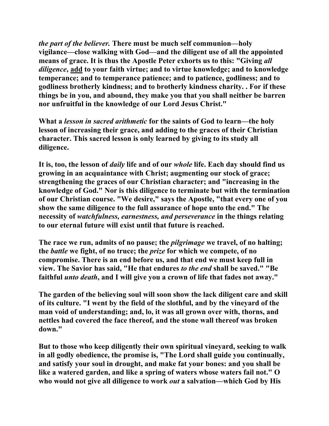*the part of the believer.* **There must be much self communion—holy vigilance—close walking with God—and the diligent use of all the appointed means of grace. It is thus the Apostle Peter exhorts us to this: "Giving** *all diligence***, add to your faith virtue; and to virtue knowledge; and to knowledge temperance; and to temperance patience; and to patience, godliness; and to godliness brotherly kindness; and to brotherly kindness charity. . For if these things be in you, and abound, they make you that you shall neither be barren nor unfruitful in the knowledge of our Lord Jesus Christ."** 

**What a** *lesson in sacred arithmetic* **for the saints of God to learn—the holy lesson of increasing their grace, and adding to the graces of their Christian character. This sacred lesson is only learned by giving to its study all diligence.** 

**It is, too, the lesson of** *daily* **life and of our** *whole* **life. Each day should find us growing in an acquaintance with Christ; augmenting our stock of grace; strengthening the graces of our Christian character; and "increasing in the knowledge of God." Nor is this diligence to terminate but with the termination of our Christian course. "We desire," says the Apostle, "that every one of you show the same diligence to the full assurance of hope unto the end." The necessity of** *watchfulness, earnestness, and perseverance* **in the things relating to our eternal future will exist until that future is reached.** 

**The race we run, admits of no pause; the** *pilgrimage* **we travel, of no halting; the** *battle* **we fight, of no truce; the** *prize* **for which we compete, of no compromise. There is an end before us, and that end we must keep full in view. The Savior has said, "He that endures** *to the end* **shall be saved." "Be faithful** *unto death***, and I will give you a crown of life that fades not away."** 

**The garden of the believing soul will soon show the lack diligent care and skill of its culture. "I went by the field of the slothful, and by the vineyard of the man void of understanding; and, lo, it was all grown over with, thorns, and nettles had covered the face thereof, and the stone wall thereof was broken down."** 

**But to those who keep diligently their own spiritual vineyard, seeking to walk in all godly obedience, the promise is, "The Lord shall guide you continually, and satisfy your soul in drought, and make fat your bones: and you shall be like a watered garden, and like a spring of waters whose waters fail not." O who would not give all diligence to work** *out* **a salvation—which God by His**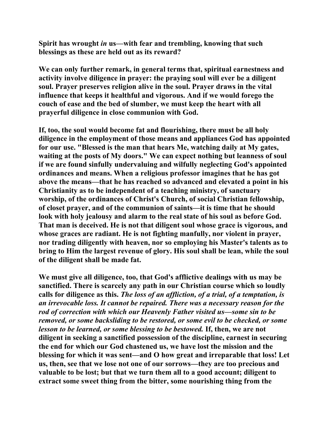**Spirit has wrought** *in* **us—with fear and trembling, knowing that such blessings as these are held out as its reward?** 

**We can only further remark, in general terms that, spiritual earnestness and activity involve diligence in prayer: the praying soul will ever be a diligent soul. Prayer preserves religion alive in the soul. Prayer draws in the vital influence that keeps it healthful and vigorous. And if we would forego the couch of ease and the bed of slumber, we must keep the heart with all prayerful diligence in close communion with God.** 

**If, too, the soul would become fat and flourishing, there must be all holy diligence in the employment of those means and appliances God has appointed for our use. "Blessed is the man that hears Me, watching daily at My gates, waiting at the posts of My doors." We can expect nothing but leanness of soul if we are found sinfully undervaluing and wilfully neglecting God's appointed ordinances and means. When a religious professor imagines that he has got above the means—that he has reached so advanced and elevated a point in his Christianity as to be independent of a teaching ministry, of sanctuary worship, of the ordinances of Christ's Church, of social Christian fellowship, of closet prayer, and of the communion of saints—it is time that he should look with holy jealousy and alarm to the real state of his soul as before God. That man is deceived. He is not that diligent soul whose grace is vigorous, and whose graces are radiant. He is not fighting manfully, nor violent in prayer, nor trading diligently with heaven, nor so employing his Master's talents as to bring to Him the largest revenue of glory. His soul shall be lean, while the soul of the diligent shall be made fat.** 

**We must give all diligence, too, that God's afflictive dealings with us may be sanctified. There is scarcely any path in our Christian course which so loudly calls for diligence as this.** *The loss of an affliction, of a trial, of a temptation, is an irrevocable loss. It cannot be repaired. There was a necessary reason for the rod of correction with which our Heavenly Father visited us—some sin to be removed, or some backsliding to be restored, or some evil to be checked, or some lesson to be learned, or some blessing to be bestowed.* **If, then, we are not diligent in seeking a sanctified possession of the discipline, earnest in securing the end for which our God chastened us, we have lost the mission and the blessing for which it was sent—and O how great and irreparable that loss! Let us, then, see that we lose not one of our sorrows—they are too precious and valuable to be lost; but that we turn them all to a good account; diligent to extract some sweet thing from the bitter, some nourishing thing from the**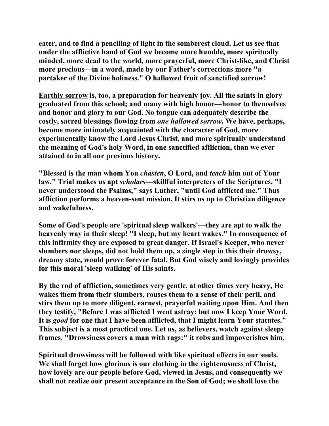**eater, and to find a penciling of light in the somberest cloud. Let us see that under the afflictive hand of God we become more humble, more spiritually minded, more dead to the world, more prayerful, more Christ-like, and Christ more precious—in a word, made by our Father's corrections more "a partaker of the Divine holiness." O hallowed fruit of sanctified sorrow!** 

**Earthly sorrow is, too, a preparation for heavenly joy. All the saints in glory graduated from this school; and many with high honor—honor to themselves and honor and glory to our God. No tongue can adequately describe the costly, sacred blessings flowing from** *one hallowed sorrow***. We have, perhaps, become more intimately acquainted with the character of God, more experimentally know the Lord Jesus Christ, and more spiritually understand the meaning of God's holy Word, in one sanctified affliction, than we ever attained to in all our previous history.** 

**"Blessed is the man whom You** *chasten***, O Lord, and** *teach* **him out of Your law." Trial makes us apt** *scholars***—skillful interpreters of the Scriptures. "I never understood the Psalms," says Luther, "until God afflicted me." Thus affliction performs a heaven-sent mission. It stirs us up to Christian diligence and wakefulness.** 

**Some of God's people are 'spiritual sleep walkers'—they are apt to walk the heavenly way in their sleep! "I sleep, but my heart wakes." In consequence of this infirmity they are exposed to great danger. If Israel's Keeper, who never slumbers nor sleeps, did not hold them up, a single step in this their drowsy, dreamy state, would prove forever fatal. But God wisely and lovingly provides for this moral 'sleep walking' of His saints.** 

**By the rod of affliction, sometimes very gentle, at other times very heavy, He wakes them from their slumbers, rouses them to a sense of their peril, and stirs them up to more diligent, earnest, prayerful waiting upon Him. And then they testify, "Before I was afflicted I went astray; but now I keep Your Word. It is** *good* **for one that I have been afflicted, that I might learn Your statutes." This subject is a most practical one. Let us, as believers, watch against sleepy frames. "Drowsiness covers a man with rags:" it robs and impoverishes him.** 

**Spiritual drowsiness will be followed with like spiritual effects in our souls. We shall forget how glorious is our clothing in the righteousness of Christ, how lovely are our people before God, viewed in Jesus, and consequently we shall not realize our present acceptance in the Son of God; we shall lose the**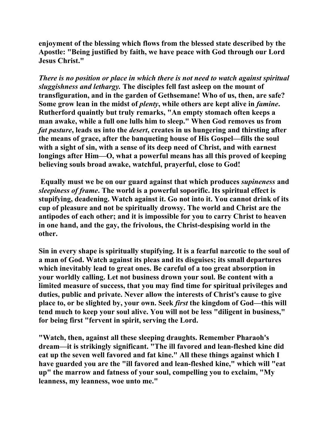**enjoyment of the blessing which flows from the blessed state described by the Apostle: "Being justified by faith, we have peace with God through our Lord Jesus Christ."** 

*There is no position or place in which there is not need to watch against spiritual sluggishness and lethargy.* **The disciples fell fast asleep on the mount of transfiguration, and in the garden of Gethsemane! Who of us, then, are safe? Some grow lean in the midst of** *plenty***, while others are kept alive in** *famine***. Rutherford quaintly but truly remarks, "An empty stomach often keeps a man awake, while a full one lulls him to sleep." When God removes us from**  *fat pasture***, leads us into the** *desert***, creates in us hungering and thirsting after the means of grace, after the banqueting house of His Gospel—fills the soul with a sight of sin, with a sense of its deep need of Christ, and with earnest longings after Him—O, what a powerful means has all this proved of keeping believing souls broad awake, watchful, prayerful, close to God!** 

 **Equally must we be on our guard against that which produces** *supineness* **and**  *sleepiness of frame***. The world is a powerful soporific. Its spiritual effect is stupifying, deadening. Watch against it. Go not into it. You cannot drink of its cup of pleasure and not be spiritually drowsy. The world and Christ are the antipodes of each other; and it is impossible for you to carry Christ to heaven in one hand, and the gay, the frivolous, the Christ-despising world in the other.** 

**Sin in every shape is spiritually stupifying. It is a fearful narcotic to the soul of a man of God. Watch against its pleas and its disguises; its small departures which inevitably lead to great ones. Be careful of a too great absorption in your worldly calling. Let not business drown your soul. Be content with a limited measure of success, that you may find time for spiritual privileges and duties, public and private. Never allow the interests of Christ's cause to give place to, or be slighted by, your own. Seek** *first* **the kingdom of God—this will tend much to keep your soul alive. You will not be less "diligent in business," for being first "fervent in spirit, serving the Lord.** 

**"Watch, then, against all these sleeping draughts. Remember Pharaoh's dream—it is strikingly significant. "The ill favored and lean-fleshed kine did eat up the seven well favored and fat kine." All these things against which I have guarded you are the "ill favored and lean-fleshed kine," which will "eat up" the marrow and fatness of your soul, compelling you to exclaim, "My leanness, my leanness, woe unto me."**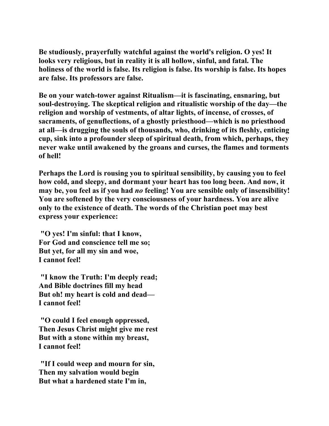**Be studiously, prayerfully watchful against the world's religion. O yes! It looks very religious, but in reality it is all hollow, sinful, and fatal. The holiness of the world is false. Its religion is false. Its worship is false. Its hopes are false. Its professors are false.** 

**Be on your watch-tower against Ritualism—it is fascinating, ensnaring, but soul-destroying. The skeptical religion and ritualistic worship of the day—the religion and worship of vestments, of altar lights, of incense, of crosses, of sacraments, of genuflections, of a ghostly priesthood—which is no priesthood at all—is drugging the souls of thousands, who, drinking of its fleshly, enticing cup, sink into a profounder sleep of spiritual death, from which, perhaps, they never wake until awakened by the groans and curses, the flames and torments of hell!** 

**Perhaps the Lord is rousing you to spiritual sensibility, by causing you to feel how cold, and sleepy, and dormant your heart has too long been. And now, it may be, you feel as if you had** *no* **feeling! You are sensible only of insensibility! You are softened by the very consciousness of your hardness. You are alive only to the existence of death. The words of the Christian poet may best express your experience:** 

 **"O yes! I'm sinful: that I know, For God and conscience tell me so; But yet, for all my sin and woe, I cannot feel!** 

 **"I know the Truth: I'm deeply read; And Bible doctrines fill my head But oh! my heart is cold and dead— I cannot feel!** 

 **"O could I feel enough oppressed, Then Jesus Christ might give me rest But with a stone within my breast, I cannot feel!** 

 **"If I could weep and mourn for sin, Then my salvation would begin But what a hardened state I'm in,**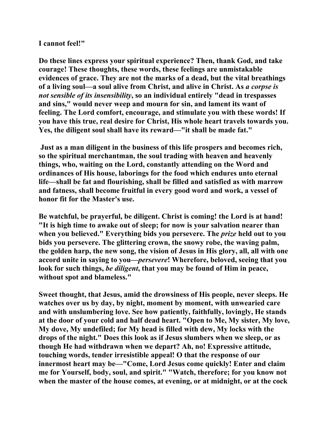## **I cannot feel!"**

**Do these lines express your spiritual experience? Then, thank God, and take courage! These thoughts, these words, these feelings are unmistakable evidences of grace. They are not the marks of a dead, but the vital breathings of a living soul—a soul alive from Christ, and alive in Christ. As** *a corpse is not sensible of its insensibility***, so an individual entirely "dead in trespasses and sins," would never weep and mourn for sin, and lament its want of feeling. The Lord comfort, encourage, and stimulate you with these words! If you have this true, real desire for Christ, His whole heart travels towards you. Yes, the diligent soul shall have its reward—"it shall be made fat."** 

 **Just as a man diligent in the business of this life prospers and becomes rich, so the spiritual merchantman, the soul trading with heaven and heavenly things, who, waiting on the Lord, constantly attending on the Word and ordinances of His house, laborings for the food which endures unto eternal life—shall be fat and flourishing, shall be filled and satisfied as with marrow and fatness, shall become fruitful in every good word and work, a vessel of honor fit for the Master's use.** 

**Be watchful, be prayerful, be diligent. Christ is coming! the Lord is at hand! "It is high time to awake out of sleep; for now is your salvation nearer than when you believed." Everything bids you persevere. The** *prize* **held out to you bids you persevere. The glittering crown, the snowy robe, the waving palm, the golden harp, the new song, the vision of Jesus in His glory, all, all with one accord unite in saying to you—***persevere***! Wherefore, beloved, seeing that you look for such things,** *be diligent***, that you may be found of Him in peace, without spot and blameless."** 

**Sweet thought, that Jesus, amid the drowsiness of His people, never sleeps. He watches over us by day, by night, moment by moment, with unwearied care and with unslumbering love. See how patiently, faithfully, lovingly, He stands at the door of your cold and half dead heart. "Open to Me, My sister, My love, My dove, My undefiled; for My head is filled with dew, My locks with the drops of the night." Does this look as if Jesus slumbers when we sleep, or as though He had withdrawn when we depart? Ah, no! Expressive attitude, touching words, tender irresistible appeal! O that the response of our innermost heart may be—"Come, Lord Jesus come quickly! Enter and claim me for Yourself, body, soul, and spirit." "Watch, therefore; for you know not when the master of the house comes, at evening, or at midnight, or at the cock**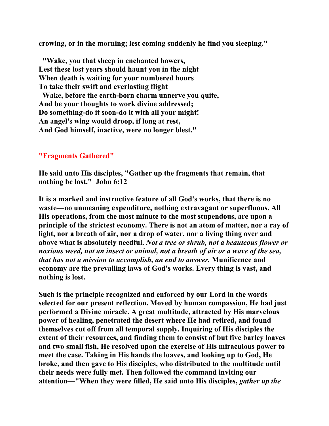**crowing, or in the morning; lest coming suddenly he find you sleeping."** 

 **"Wake, you that sheep in enchanted bowers, Lest these lost years should haunt you in the night When death is waiting for your numbered hours To take their swift and everlasting flight** 

 **Wake, before the earth-born charm unnerve you quite, And be your thoughts to work divine addressed; Do something-do it soon-do it with all your might! An angel's wing would droop, if long at rest, And God himself, inactive, were no longer blest."**

### **"Fragments Gathered"**

**He said unto His disciples, "Gather up the fragments that remain, that nothing be lost." John 6:12** 

**It is a marked and instructive feature of all God's works, that there is no waste—no unmeaning expenditure, nothing extravagant or superfluous. All His operations, from the most minute to the most stupendous, are upon a principle of the strictest economy. There is not an atom of matter, nor a ray of light, nor a breath of air, nor a drop of water, nor a living thing over and above what is absolutely needful.** *Not a tree or shrub, not a beauteous flower or noxious weed, not an insect or animal, not a breath of air or a wave of the sea, that has not a mission to accomplish, an end to answer.* **Munificence and economy are the prevailing laws of God's works. Every thing is vast, and nothing is lost.** 

**Such is the principle recognized and enforced by our Lord in the words selected for our present reflection. Moved by human compassion, He had just performed a Divine miracle. A great multitude, attracted by His marvelous power of healing, penetrated the desert where He had retired, and found themselves cut off from all temporal supply. Inquiring of His disciples the extent of their resources, and finding them to consist of but five barley loaves and two small fish, He resolved upon the exercise of His miraculous power to meet the case. Taking in His hands the loaves, and looking up to God, He broke, and then gave to His disciples, who distributed to the multitude until their needs were fully met. Then followed the command inviting our attention—"When they were filled, He said unto His disciples,** *gather up the*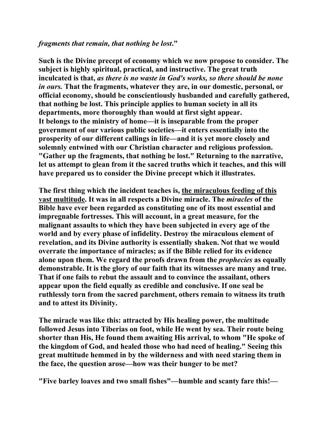### *fragments that remain, that nothing be lost***."**

**Such is the Divine precept of economy which we now propose to consider. The subject is highly spiritual, practical, and instructive. The great truth inculcated is that,** *as there is no waste in God's works, so there should be none in ours.* **That the fragments, whatever they are, in our domestic, personal, or official economy, should be conscientiously husbanded and carefully gathered, that nothing be lost. This principle applies to human society in all its departments, more thoroughly than would at first sight appear. It belongs to the ministry of home—it is inseparable from the proper government of our various public societies—it enters essentially into the prosperity of our different callings in life—and it is yet more closely and solemnly entwined with our Christian character and religious profession. "Gather up the fragments, that nothing be lost." Returning to the narrative, let us attempt to glean from it the sacred truths which it teaches, and this will have prepared us to consider the Divine precept which it illustrates.** 

**The first thing which the incident teaches is, the miraculous feeding of this vast multitude. It was in all respects a Divine miracle. The** *miracles* **of the Bible have ever been regarded as constituting one of its most essential and impregnable fortresses. This will account, in a great measure, for the malignant assaults to which they have been subjected in every age of the world and by every phase of infidelity. Destroy the miraculous element of revelation, and its Divine authority is essentially shaken. Not that we would overrate the importance of miracles; as if the Bible relied for its evidence alone upon them. We regard the proofs drawn from the** *prophecies* **as equally demonstrable. It is the glory of our faith that its witnesses are many and true. That if one fails to rebut the assault and to convince the assailant, others appear upon the field equally as credible and conclusive. If one seal be ruthlessly torn from the sacred parchment, others remain to witness its truth and to attest its Divinity.** 

**The miracle was like this: attracted by His healing power, the multitude followed Jesus into Tiberias on foot, while He went by sea. Their route being shorter than His, He found them awaiting His arrival, to whom "He spoke of the kingdom of God, and healed those who had need of healing." Seeing this great multitude hemmed in by the wilderness and with need staring them in the face, the question arose—how was their hunger to be met?** 

**"Five barley loaves and two small fishes"—humble and scanty fare this!—**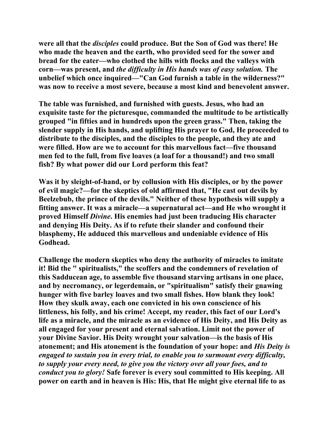**were all that the** *disciples* **could produce. But the Son of God was there! He who made the heaven and the earth, who provided seed for the sower and bread for the eater—who clothed the hills with flocks and the valleys with corn—was present, and** *the difficulty in His hands was of easy solution.* **The unbelief which once inquired—"Can God furnish a table in the wilderness?" was now to receive a most severe, because a most kind and benevolent answer.** 

**The table was furnished, and furnished with guests. Jesus, who had an exquisite taste for the picturesque, commanded the multitude to be artistically grouped "in fifties and in hundreds upon the green grass." Then, taking the slender supply in His hands, and uplifting His prayer to God, He proceeded to distribute to the disciples, and the disciples to the people, and they ate and were filled. How are we to account for this marvellous fact—five thousand men fed to the full, from five loaves (a loaf for a thousand!) and two small fish? By what power did our Lord perform this feat?** 

**Was it by sleight-of-hand, or by collusion with His disciples, or by the power of evil magic?—for the skeptics of old affirmed that, "He cast out devils by Beelzebub, the prince of the devils." Neither of these hypothesis will supply a fitting answer. It was a miracle—a supernatural act—and He who wrought it proved Himself** *Divine***. His enemies had just been traducing His character and denying His Deity. As if to refute their slander and confound their blasphemy, He adduced this marvellous and undeniable evidence of His Godhead.** 

**Challenge the modern skeptics who deny the authority of miracles to imitate it! Bid the " spiritualists," the scoffers and the condemners of revelation of this Sadducean age, to assemble five thousand starving artisans in one place, and by necromancy, or legerdemain, or "spiritualism" satisfy their gnawing hunger with five barley loaves and two small fishes. How blank they look! How they skulk away, each one convicted in his own conscience of his littleness, his folly, and his crime! Accept, my reader, this fact of our Lord's life as a miracle, and the miracle as an evidence of His Deity, and His Deity as all engaged for your present and eternal salvation. Limit not the power of your Divine Savior. His Deity wrought your salvation—is the basis of His atonement; and His atonement is the foundation of your hope: and** *His Deity is engaged to sustain you in every trial, to enable you to surmount every difficulty, to supply your every need, to give you the victory over all your foes, and to conduct you to glory!* **Safe forever is every soul committed to His keeping. All power on earth and in heaven is His: His, that He might give eternal life to as**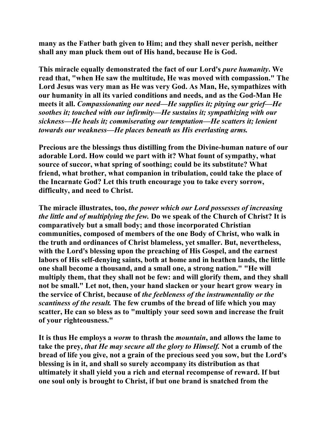**many as the Father bath given to Him; and they shall never perish, neither shall any man pluck them out of His hand, because He is God.** 

**This miracle equally demonstrated the fact of our Lord's** *pure humanity***. We read that, "when He saw the multitude, He was moved with compassion." The Lord Jesus was very man as He was very God. As Man, He, sympathizes with our humanity in all its varied conditions and needs, and as the God-Man He meets it all.** *Compassionating our need—He supplies it; pitying our grief—He soothes it; touched with our infirmity—He sustains it; sympathizing with our sickness—He heals it; commiserating our temptation—He scatters it; lenient towards our weakness—He places beneath us His everlasting arms.*

**Precious are the blessings thus distilling from the Divine-human nature of our adorable Lord. How could we part with it? What fount of sympathy, what source of succor, what spring of soothing; could be its substitute? What friend, what brother, what companion in tribulation, could take the place of the Incarnate God? Let this truth encourage you to take every sorrow, difficulty, and need to Christ.** 

**The miracle illustrates, too,** *the power which our Lord possesses of increasing the little and of multiplying the few.* **Do we speak of the Church of Christ? It is comparatively but a small body; and those incorporated Christian communities, composed of members of the one Body of Christ, who walk in the truth and ordinances of Christ blameless, yet smaller. But, nevertheless, with the Lord's blessing upon the preaching of His Gospel, and the earnest labors of His self-denying saints, both at home and in heathen lands, the little one shall become a thousand, and a small one, a strong nation." "He will multiply them, that they shall not be few: and will glorify them, and they shall not be small." Let not, then, your hand slacken or your heart grow weary in the service of Christ, because of** *the feebleness of the instrumentality or the scantiness of the result.* **The few crumbs of the bread of life which you may scatter, He can so bless as to "multiply your seed sown and increase the fruit of your righteousness."** 

**It is thus He employs a** *worm* **to thrash the** *mountain***, and allows the lame to take the prey,** *that He may secure all the glory to Himself.* **Not a crumb of the bread of life you give, not a grain of the precious seed you sow, but the Lord's blessing is in it, and shall so surely accompany its distribution as that ultimately it shall yield you a rich and eternal recompense of reward. If but one soul only is brought to Christ, if but one brand is snatched from the**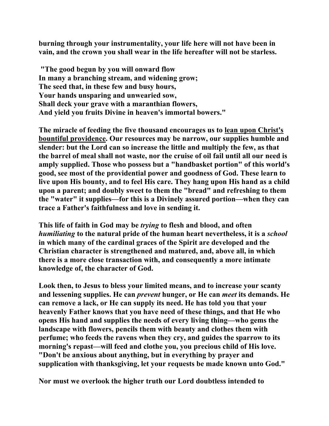**burning through your instrumentality, your life here will not have been in vain, and the crown you shall wear in the life hereafter will not be starless.** 

 **"The good begun by you will onward flow In many a branching stream, and widening grow; The seed that, in these few and busy hours, Your hands unsparing and unwearied sow, Shall deck your grave with a maranthian flowers, And yield you fruits Divine in heaven's immortal bowers."** 

**The miracle of feeding the five thousand encourages us to lean upon Christ's bountiful providence. Our resources may be narrow, our supplies humble and slender: but the Lord can so increase the little and multiply the few, as that the barrel of meal shall not waste, nor the cruise of oil fail until all our need is amply supplied. Those who possess but a "handbasket portion" of this world's good, see most of the providential power and goodness of God. These learn to live upon His bounty, and to feel His care. They hang upon His hand as a child upon a parent; and doubly sweet to them the "bread" and refreshing to them the "water" it supplies—for this is a Divinely assured portion—when they can trace a Father's faithfulness and love in sending it.** 

**This life of faith in God may be** *trying* **to flesh and blood, and often**  *humiliating* **to the natural pride of the human heart nevertheless, it is a** *school* **in which many of the cardinal graces of the Spirit are developed and the Christian character is strengthened and matured, and, above all, in which there is a more close transaction with, and consequently a more intimate knowledge of, the character of God.** 

**Look then, to Jesus to bless your limited means, and to increase your scanty and lessening supplies. He can** *prevent* **hunger, or He can** *meet* **its demands. He can remove a lack, or He can supply its need. He has told you that your heavenly Father knows that you have need of these things, and that He who opens His hand and supplies the needs of every living thing—who gems the landscape with flowers, pencils them with beauty and clothes them with perfume; who feeds the ravens when they cry, and guides the sparrow to its morning's repast—will feed and clothe you, you precious child of His love. "Don't be anxious about anything, but in everything by prayer and supplication with thanksgiving, let your requests be made known unto God."** 

**Nor must we overlook the higher truth our Lord doubtless intended to**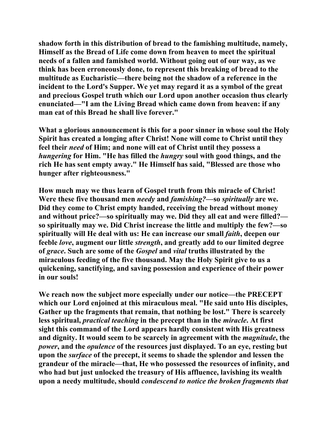**shadow forth in this distribution of bread to the famishing multitude, namely, Himself as the Bread of Life come down from heaven to meet the spiritual needs of a fallen and famished world. Without going out of our way, as we think has been erroneously done, to represent this breaking of bread to the multitude as Eucharistic—there being not the shadow of a reference in the incident to the Lord's Supper. We yet may regard it as a symbol of the great and precious Gospel truth which our Lord upon another occasion thus clearly enunciated—"I am the Living Bread which came down from heaven: if any man eat of this Bread he shall live forever."** 

**What a glorious announcement is this for a poor sinner in whose soul the Holy Spirit has created a longing after Christ! None will come to Christ until they feel their** *need* **of Him; and none will eat of Christ until they possess a**  *hungering* **for Him. "He has filled the** *hungry* **soul with good things, and the rich He has sent empty away." He Himself has said, "Blessed are those who hunger after righteousness."** 

**How much may we thus learn of Gospel truth from this miracle of Christ! Were these five thousand men** *needy* **and** *famishing?***—so** *spiritually* **are we. Did they come to Christ empty handed, receiving the bread without money and without price?—so spiritually may we. Did they all eat and were filled? so spiritually may we. Did Christ increase the little and multiply the few?—so spiritually will He deal with us: He can increase our small** *faith***, deepen our feeble** *love***, augment our little** *strength***, and greatly add to our limited degree of** *grace***. Such are some of the** *Gospel* **and** *vital* **truths illustrated by the miraculous feeding of the five thousand. May the Holy Spirit give to us a quickening, sanctifying, and saving possession and experience of their power in our souls!** 

**We reach now the subject more especially under our notice—the PRECEPT which our Lord enjoined at this miraculous meal. "He said unto His disciples, Gather up the fragments that remain, that nothing be lost." There is scarcely less spiritual,** *practical teaching* **in the precept than in the** *miracle***. At first sight this command of the Lord appears hardly consistent with His greatness and dignity. It would seem to be scarcely in agreement with the** *magnitude***, the**  *power*, and the *opulence* of the resources just displayed. To an eye, resting but **upon the** *surface* **of the precept, it seems to shade the splendor and lessen the grandeur of the miracle—that, He who possessed the resources of infinity, and who had but just unlocked the treasury of His affluence, lavishing its wealth upon a needy multitude, should** *condescend to notice the broken fragments that*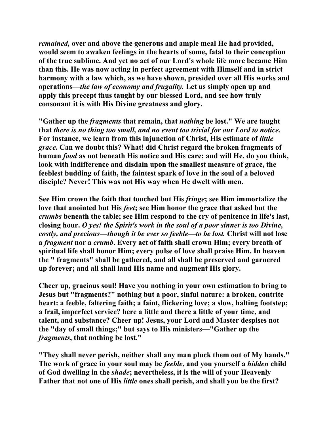*remained,* **over and above the generous and ample meal He had provided, would seem to awaken feelings in the hearts of some, fatal to their conception of the true sublime. And yet no act of our Lord's whole life more became Him than this. He was now acting in perfect agreement with Himself and in strict harmony with a law which, as we have shown, presided over all His works and operations—***the law of economy and frugality.* **Let us simply open up and apply this precept thus taught by our blessed Lord, and see how truly consonant it is with His Divine greatness and glory.** 

**"Gather up the** *fragments* **that remain, that** *nothing* **be lost." We are taught that** *there is no thing too small, and no event too trivial for our Lord to notice.* **For instance, we learn from this injunction of Christ, His estimate of** *little grace***. Can we doubt this? What! did Christ regard the broken fragments of human** *food* **as not beneath His notice and His care; and will He, do you think, look with indifference and disdain upon the smallest measure of grace, the feeblest budding of faith, the faintest spark of love in the soul of a beloved disciple? Never! This was not His way when He dwelt with men.** 

**See Him crown the faith that touched but His** *fringe***; see Him immortalize the love that anointed but His** *feet***; see Him honor the grace that asked but the**  *crumbs* **beneath the table; see Him respond to the cry of penitence in life's last, closing hour.** *O yes! the Spirit's work in the soul of a poor sinner is too Divine, costly, and precious—though it be ever so feeble—to be lost. Christ will not lose* **a** *fragment* **nor a** *crumb***. Every act of faith shall crown Him; every breath of spiritual life shall honor Him; every pulse of love shall praise Him. In heaven the " fragments" shall be gathered, and all shall be preserved and garnered up forever; and all shall laud His name and augment His glory.** 

**Cheer up, gracious soul! Have you nothing in your own estimation to bring to Jesus but "fragments?" nothing but a poor, sinful nature: a broken, contrite heart: a feeble, faltering faith; a faint, flickering love; a slow, halting footstep; a frail, imperfect service? here a little and there a little of your time, and talent, and substance? Cheer up! Jesus, your Lord and Master despises not the "day of small things;" but says to His ministers—"Gather up the**  *fragments***, that nothing be lost."** 

**"They shall never perish, neither shall any man pluck them out of My hands." The work of grace in your soul may be** *feeble***, and you yourself a** *hidden* **child of God dwelling in the** *shade***; nevertheless, it is the will of your Heavenly Father that not one of His** *little* **ones shall perish, and shall you be the first?**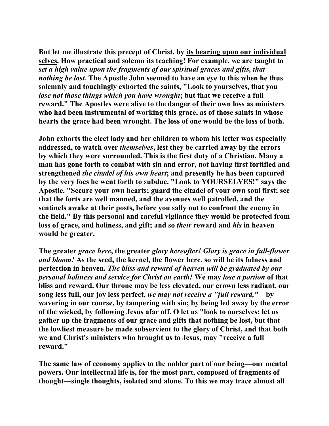**But let me illustrate this precept of Christ, by its bearing upon our individual selves. How practical and solemn its teaching! For example, we are taught to**  *set a high value upon the fragments of our spiritual graces and gifts, that nothing be lost.* **The Apostle John seemed to have an eye to this when he thus solemnly and touchingly exhorted the saints, "Look to yourselves, that you**  *lose not those things which you have wrought***; but that we receive a full reward." The Apostles were alive to the danger of their own loss as ministers who had been instrumental of working this grace, as of those saints in whose hearts the grace had been wrought. The loss of one would be the loss of both.** 

**John exhorts the elect lady and her children to whom his letter was especially addressed, to watch over** *themselves***, lest they be carried away by the errors by which they were surrounded. This is the first duty of a Christian. Many a man has gone forth to combat with sin and error, not having first fortified and strengthened** *the citadel of his own heart***; and presently he has been captured by the very foes he went forth to subdue. "Look to YOURSELVES!" says the Apostle. "Secure your own hearts; guard the citadel of your own soul first; see that the forts are well manned, and the avenues well patrolled, and the sentinels awake at their posts, before you sally out to confront the enemy in the field." By this personal and careful vigilance they would be protected from loss of grace, and holiness, and gift; and so** *their* **reward and** *his* **in heaven would be greater.** 

**The greater** *grace here***, the greater** *glory hereafter! Glory is grace in full-flower and bloom!* **As the seed, the kernel, the flower here, so will be its fulness and perfection in heaven.** *The bliss and reward of heaven will be graduated by our personal holiness and service for Christ on earth!* **We may** *lose a portion* **of that bliss and reward. Our throne may be less elevated, our crown less radiant, our song less full, our joy less perfect,** *we may not receive a "full reward,"***—by wavering in our course, by tampering with sin; by being led away by the error of the wicked, by following Jesus afar off. O let us "look to ourselves; let us gather up the fragments of our grace and gifts that nothing be lost, but that the lowliest measure be made subservient to the glory of Christ, and that both we and Christ's ministers who brought us to Jesus, may "receive a full reward."** 

**The same law of economy applies to the nobler part of our being—our mental powers. Our intellectual life is, for the most part, composed of fragments of thought—single thoughts, isolated and alone. To this we may trace almost all**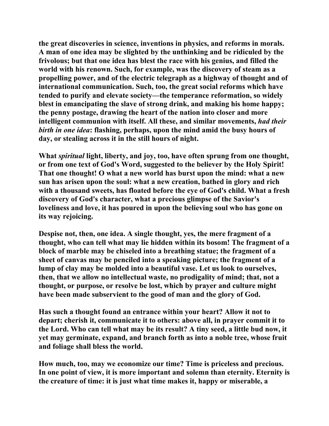**the great discoveries in science, inventions in physics, and reforms in morals. A man of one idea may be slighted by the unthinking and be ridiculed by the frivolous; but that one idea has blest the race with his genius, and filled the world with his renown. Such, for example, was the discovery of steam as a propelling power, and of the electric telegraph as a highway of thought and of international communication. Such, too, the great social reforms which have tended to purify and elevate society—the temperance reformation, so widely blest in emancipating the slave of strong drink, and making his home happy; the penny postage, drawing the heart of the nation into closer and more intelligent communion with itself. All these, and similar movements,** *had their birth in one idea***: flashing, perhaps, upon the mind amid the busy hours of day, or stealing across it in the still hours of night.** 

**What** *spiritual* **light, liberty, and joy, too, have often sprung from one thought, or from one text of God's Word, suggested to the believer by the Holy Spirit! That one thought! O what a new world has burst upon the mind: what a new sun has arisen upon the soul: what a new creation, bathed in glory and rich with a thousand sweets, has floated before the eye of God's child. What a fresh discovery of God's character, what a precious glimpse of the Savior's loveliness and love, it has poured in upon the believing soul who has gone on its way rejoicing.** 

**Despise not, then, one idea. A single thought, yes, the mere fragment of a thought, who can tell what may lie hidden within its bosom! The fragment of a block of marble may be chiseled into a breathing statue; the fragment of a sheet of canvas may be penciled into a speaking picture; the fragment of a lump of clay may be molded into a beautiful vase. Let us look to ourselves, then, that we allow no intellectual waste, no prodigality of mind; that, not a thought, or purpose, or resolve be lost, which by prayer and culture might have been made subservient to the good of man and the glory of God.** 

**Has such a thought found an entrance within your heart? Allow it not to depart; cherish it, communicate it to others: above all, in prayer commit it to the Lord. Who can tell what may be its result? A tiny seed, a little bud now, it yet may germinate, expand, and branch forth as into a noble tree, whose fruit and foliage shall bless the world.** 

**How much, too, may we economize our time? Time is priceless and precious. In one point of view, it is more important and solemn than eternity. Eternity is the creature of time: it is just what time makes it, happy or miserable, a**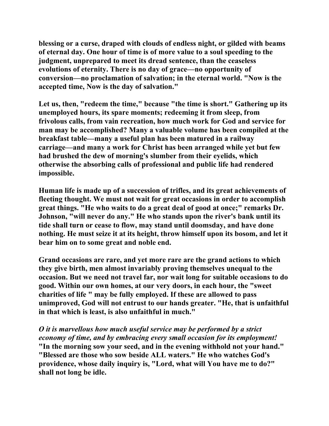**blessing or a curse, draped with clouds of endless night, or gilded with beams of eternal day. One hour of time is of more value to a soul speeding to the judgment, unprepared to meet its dread sentence, than the ceaseless evolutions of eternity. There is no day of grace—no opportunity of conversion—no proclamation of salvation; in the eternal world. "Now is the accepted time, Now is the day of salvation."** 

**Let us, then, "redeem the time," because "the time is short." Gathering up its unemployed hours, its spare moments; redeeming it from sleep, from frivolous calls, from vain recreation, how much work for God and service for man may be accomplished? Many a valuable volume has been compiled at the breakfast table—many a useful plan has been matured in a railway carriage—and many a work for Christ has been arranged while yet but few had brushed the dew of morning's slumber from their eyelids, which otherwise the absorbing calls of professional and public life had rendered impossible.** 

**Human life is made up of a succession of trifles, and its great achievements of fleeting thought. We must not wait for great occasions in order to accomplish great things. "He who waits to do a great deal of good at once;" remarks Dr. Johnson, "will never do any." He who stands upon the river's bank until its tide shall turn or cease to flow, may stand until doomsday, and have done nothing. He must seize it at its height, throw himself upon its bosom, and let it bear him on to some great and noble end.** 

**Grand occasions are rare, and yet more rare are the grand actions to which they give birth, men almost invariably proving themselves unequal to the occasion. But we need not travel far, nor wait long for suitable occasions to do good. Within our own homes, at our very doors, in each hour, the "sweet charities of life " may be fully employed. If these are allowed to pass unimproved, God will not entrust to our hands greater. "He, that is unfaithful in that which is least, is also unfaithful in much."** 

*O it is marvellous how much useful service may be performed by a strict economy of time, and by embracing every small occasion for its employment!*  **"In the morning sow your seed, and in the evening withhold not your hand." "Blessed are those who sow beside ALL waters." He who watches God's providence, whose daily inquiry is, "Lord, what will You have me to do?"** 

**shall not long be idle.**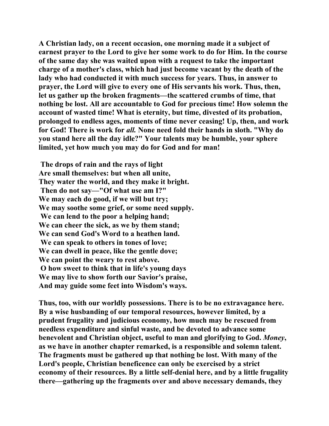**A Christian lady, on a recent occasion, one morning made it a subject of earnest prayer to the Lord to give her some work to do for Him. In the course of the same day she was waited upon with a request to take the important charge of a mother's class, which had just become vacant by the death of the lady who had conducted it with much success for years. Thus, in answer to prayer, the Lord will give to every one of His servants his work. Thus, then, let us gather up the broken fragments—the scattered crumbs of time, that nothing be lost. All are accountable to God for precious time! How solemn the account of wasted time! What is eternity, but time, divested of its probation, prolonged to endless ages, moments of time never ceasing! Up, then, and work for God! There is work for** *all.* **None need fold their hands in sloth. "Why do you stand here all the day idle?" Your talents may be humble, your sphere limited, yet how much you may do for God and for man!** 

 **The drops of rain and the rays of light Are small themselves: but when all unite, They water the world, and they make it bright. Then do not say—"Of what use am I?" We may each do good, if we will but try; We may soothe some grief, or some need supply. We can lend to the poor a helping hand; We can cheer the sick, as we by them stand; We can send God's Word to a heathen land. We can speak to others in tones of love; We can dwell in peace, like the gentle dove; We can point the weary to rest above. O how sweet to think that in life's young days We may live to show forth our Savior's praise, And may guide some feet into Wisdom's ways.** 

**Thus, too, with our worldly possessions. There is to be no extravagance here. By a wise husbanding of our temporal resources, however limited, by a prudent frugality and judicious economy, how much may be rescued from needless expenditure and sinful waste, and be devoted to advance some benevolent and Christian object, useful to man and glorifying to God.** *Money***, as we have in another chapter remarked, is a responsible and solemn talent. The fragments must be gathered up that nothing be lost. With many of the Lord's people, Christian beneficence can only be exercised by a strict economy of their resources. By a little self-denial here, and by a little frugality there—gathering up the fragments over and above necessary demands, they**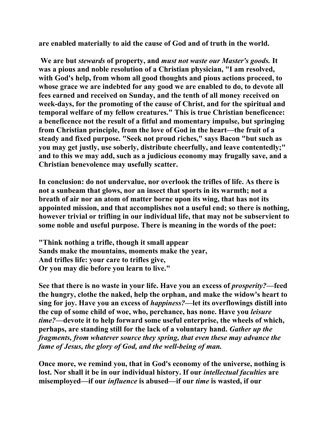**are enabled materially to aid the cause of God and of truth in the world.** 

 **We are but** *stewards* **of property, and** *must not waste our Master's goods.* **It was a pious and noble resolution of a Christian physician, "I am resolved, with God's help, from whom all good thoughts and pious actions proceed, to whose grace we are indebted for any good we are enabled to do, to devote all fees earned and received on Sunday, and the tenth of all money received on week-days, for the promoting of the cause of Christ, and for the spiritual and temporal welfare of my fellow creatures." This is true Christian beneficence: a beneficence not the result of a fitful and momentary impulse, but springing from Christian principle, from the love of God in the heart—the fruit of a steady and fixed purpose. "Seek not proud riches," says Bacon "but such as you may get justly, use soberly, distribute cheerfully, and leave contentedly;" and to this we may add, such as a judicious economy may frugally save, and a Christian benevolence may usefully scatter.** 

**In conclusion: do not undervalue, nor overlook the trifles of life. As there is not a sunbeam that glows, nor an insect that sports in its warmth; not a breath of air nor an atom of matter borne upon its wing, that has not its appointed mission, and that accomplishes not a useful end; so there is nothing, however trivial or trifling in our individual life, that may not be subservient to some noble and useful purpose. There is meaning in the words of the poet:** 

**"Think nothing a trifle, though it small appear Sands make the mountains, moments make the year, And trifles life: your care to trifles give, Or you may die before you learn to live."** 

**See that there is no waste in your life. Have you an excess of** *prosperity?***—feed the hungry, clothe the naked, help the orphan, and make the widow's heart to sing for joy. Have you an excess of** *happiness?***—let its overflowings distill into the cup of some child of woe, who, perchance, has none. Have you** *leisure time?***—devote it to help forward some useful enterprise, the wheels of which, perhaps, are standing still for the lack of a voluntary hand.** *Gather up the fragments, from whatever source they spring, that even these may advance the fame of Jesus, the glory of God, and the well-being of man.* 

**Once more, we remind you, that in God's economy of the universe, nothing is lost. Nor shall it be in our individual history. If our** *intellectual faculties* **are misemployed—if our** *influence* **is abused—if our** *time* **is wasted, if our**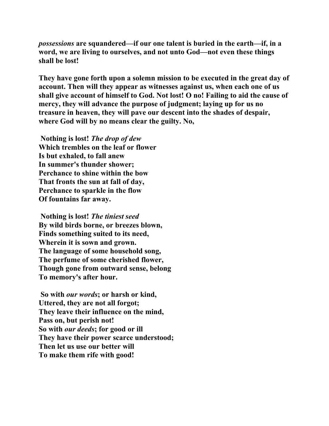*possessions* **are squandered—if our one talent is buried in the earth—if, in a word, we are living to ourselves, and not unto God—not even these things shall be lost!** 

**They have gone forth upon a solemn mission to be executed in the great day of account. Then will they appear as witnesses against us, when each one of us shall give account of himself to God. Not lost! O no! Failing to aid the cause of mercy, they will advance the purpose of judgment; laying up for us no treasure in heaven, they will pave our descent into the shades of despair, where God will by no means clear the guilty. No,** 

 **Nothing is lost!** *The drop of dew*  **Which trembles on the leaf or flower Is but exhaled, to fall anew In summer's thunder shower; Perchance to shine within the bow That fronts the sun at fall of day, Perchance to sparkle in the flow Of fountains far away.** 

 **Nothing is lost!** *The tiniest seed* **By wild birds borne, or breezes blown, Finds something suited to its need, Wherein it is sown and grown. The language of some household song, The perfume of some cherished flower, Though gone from outward sense, belong To memory's after hour.** 

 **So with** *our words***; or harsh or kind, Uttered, they are not all forgot; They leave their influence on the mind, Pass on, but perish not! So with** *our deeds***; for good or ill They have their power scarce understood; Then let us use our better will To make them rife with good!**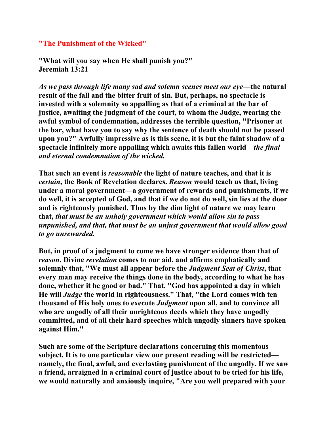## **"The Punishment of the Wicked"**

**"What will you say when He shall punish you?" Jeremiah 13:21** 

*As we pass through life many sad and solemn scenes meet our eye—***the natural result of the fall and the bitter fruit of sin. But, perhaps, no spectacle is invested with a solemnity so appalling as that of a criminal at the bar of justice, awaiting the judgment of the court, to whom the Judge, wearing the awful symbol of condemnation, addresses the terrible question, "Prisoner at the bar, what have you to say why the sentence of death should not be passed upon you?" Awfully impressive as is this scene, it is but the faint shadow of a spectacle infinitely more appalling which awaits this fallen world—***the final and eternal condemnation of the wicked.* 

**That such an event is** *reasonable* **the light of nature teaches, and that it is**  *certain***, the Book of Revelation declares.** *Reason* **would teach us that, living under a moral government—a government of rewards and punishments, if we do well, it is accepted of God, and that if we do not do well, sin lies at the door and is righteously punished. Thus by the dim light of nature we may learn that,** *that must be an unholy government which would allow sin to pass unpunished, and that, that must be an unjust government that would allow good to go unrewarded.* 

**But, in proof of a judgment to come we have stronger evidence than that of**  *reason***. Divine** *revelation* **comes to our aid, and affirms emphatically and solemnly that, "We must all appear before the** *Judgment Seat of Christ***, that every man may receive the things done in the body, according to what he has done, whether it be good or bad." That, "God has appointed a day in which He will** *Judge* **the world in righteousness." That, "the Lord comes with ten thousand of His holy ones to execute** *Judgment* **upon all, and to convince all who are ungodly of all their unrighteous deeds which they have ungodly committed, and of all their hard speeches which ungodly sinners have spoken against Him."** 

**Such are some of the Scripture declarations concerning this momentous subject. It is to one particular view our present reading will be restricted namely, the final, awful, and everlasting punishment of the ungodly. If we saw a friend, arraigned in a criminal court of justice about to be tried for his life, we would naturally and anxiously inquire, "Are you well prepared with your**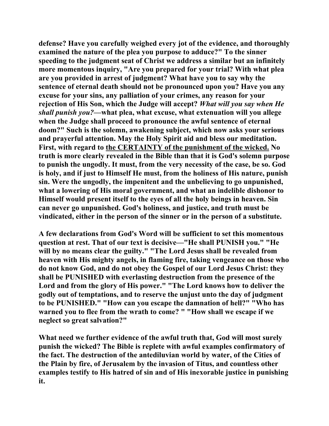**defense? Have you carefully weighed every jot of the evidence, and thoroughly examined the nature of the plea you purpose to adduce?" To the sinner speeding to the judgment seat of Christ we address a similar but an infinitely more momentous inquiry, "Are you prepared for your trial? With what plea are you provided in arrest of judgment? What have you to say why the sentence of eternal death should not be pronounced upon you? Have you any excuse for your sins, any palliation of your crimes, any reason for your rejection of His Son, which the Judge will accept?** *What will you say when He shall punish you?***—what plea, what excuse, what extenuation will you allege when the Judge shall proceed to pronounce the awful sentence of eternal doom?" Such is the solemn, awakening subject, which now asks your serious and prayerful attention. May the Holy Spirit aid and bless our meditation. First, with regard to the CERTAINTY of the punishment of the wicked. No truth is more clearly revealed in the Bible than that it is God's solemn purpose to punish the ungodly. It must, from the very necessity of the case, be so. God is holy, and if just to Himself He must, from the holiness of His nature, punish sin. Were the ungodly, the impenitent and the unbelieving to go unpunished, what a lowering of His moral government, and what an indelible dishonor to Himself would present itself to the eyes of all the holy beings in heaven. Sin can never go unpunished. God's holiness, and justice, and truth must be vindicated, either in the person of the sinner or in the person of a substitute.** 

**A few declarations from God's Word will be sufficient to set this momentous question at rest. That of our text is decisive—"He shall PUNISH you." "He will by no means clear the guilty." "The Lord Jesus shall be revealed from heaven with His mighty angels, in flaming fire, taking vengeance on those who do not know God, and do not obey the Gospel of our Lord Jesus Christ: they shall be PUNISHED with everlasting destruction from the presence of the Lord and from the glory of His power." "The Lord knows how to deliver the godly out of temptations, and to reserve the unjust unto the day of judgment to be PUNISHED." "How can you escape the damnation of hell?" "Who has warned you to flee from the wrath to come? " "How shall we escape if we neglect so great salvation?"** 

**What need we further evidence of the awful truth that, God will most surely punish the wicked? The Bible is replete with awful examples confirmatory of the fact. The destruction of the antediluvian world by water, of the Cities of the Plain by fire, of Jerusalem by the invasion of Titus, and countless other examples testify to His hatred of sin and of His inexorable justice in punishing it.**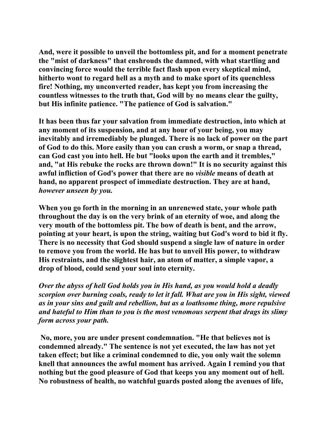**And, were it possible to unveil the bottomless pit, and for a moment penetrate the "mist of darkness" that enshrouds the damned, with what startling and convincing force would the terrible fact flash upon every skeptical mind, hitherto wont to regard hell as a myth and to make sport of its quenchless fire! Nothing, my unconverted reader, has kept you from increasing the countless witnesses to the truth that, God will by no means clear the guilty, but His infinite patience. "The patience of God is salvation."** 

**It has been thus far your salvation from immediate destruction, into which at any moment of its suspension, and at any hour of your being, you may inevitably and irremediably be plunged. There is no lack of power on the part of God to do this. More easily than you can crush a worm, or snap a thread, can God cast you into hell. He but "looks upon the earth and it trembles," and, "at His rebuke the rocks are thrown down!" It is no security against this awful infliction of God's power that there are no** *visible* **means of death at hand, no apparent prospect of immediate destruction. They are at hand,**  *however unseen by you.*

**When you go forth in the morning in an unrenewed state, your whole path throughout the day is on the very brink of an eternity of woe, and along the very mouth of the bottomless pit. The bow of death is bent, and the arrow, pointing at your heart, is upon the string, waiting but God's word to bid it fly. There is no necessity that God should suspend a single law of nature in order to remove you from the world. He has but to unveil His power, to withdraw His restraints, and the slightest hair, an atom of matter, a simple vapor, a drop of blood, could send your soul into eternity.** 

*Over the abyss of hell God holds you in His hand, as you would hold a deadly scorpion over burning coals, ready to let it fall. What are you in His sight, viewed as in your sins and guilt and rebellion, but as a loathsome thing, more repulsive and hateful to Him than to you is the most venomous serpent that drags its slimy form across your path.* 

 **No, more, you are under present condemnation. "He that believes not is condemned already." The sentence is not yet executed, the law has not yet taken effect; but like a criminal condemned to die, you only wait the solemn knell that announces the awful moment has arrived. Again I remind you that nothing but the good pleasure of God that keeps you any moment out of hell. No robustness of health, no watchful guards posted along the avenues of life,**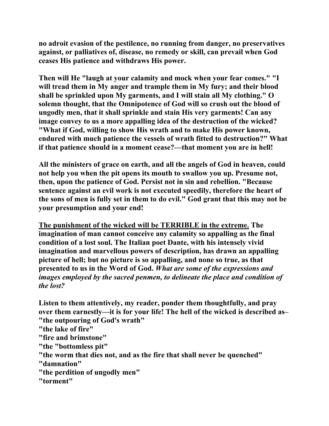**no adroit evasion of the pestilence, no running from danger, no preservatives against, or palliatives of, disease, no remedy or skill, can prevail when God ceases His patience and withdraws His power.** 

**Then will He "laugh at your calamity and mock when your fear comes." "I will tread them in My anger and trample them in My fury; and their blood shall be sprinkled upon My garments, and I will stain all My clothing." O solemn thought, that the Omnipotence of God will so crush out the blood of ungodly men, that it shall sprinkle and stain His very garments! Can any image convey to us a more appalling idea of the destruction of the wicked? "What if God, willing to show His wrath and to make His power known, endured with much patience the vessels of wrath fitted to destruction?" What if that patience should in a moment cease?—that moment you are in hell!** 

**All the ministers of grace on earth, and all the angels of God in heaven, could not help you when the pit opens its mouth to swallow you up. Presume not, then, upon the patience of God. Persist not in sin and rebellion. "Because sentence against an evil work is not executed speedily, therefore the heart of the sons of men is fully set in them to do evil." God grant that this may not be your presumption and your end!** 

**The punishment of the wicked will be TERRIBLE in the extreme. The imagination of man cannot conceive any calamity so appalling as the final condition of a lost soul. The Italian poet Dante, with his intensely vivid imagination and marvellous powers of description, has drawn an appalling picture of hell; but no picture is so appalling, and none so true, as that presented to us in the Word of God.** *What are some of the expressions and images employed by the sacred penmen, to delineate the place and condition of the lost?* 

**Listen to them attentively, my reader, ponder them thoughtfully, and pray over them earnestly—it is for your life! The hell of the wicked is described as– "the outpouring of God's wrath"** 

**"the lake of fire"** 

- **"fire and brimstone"**
- **"the "bottomless pit"**
- **"the worm that dies not, and as the fire that shall never be quenched"**
- **"damnation"**
- **"the perdition of ungodly men"**
- **"torment"**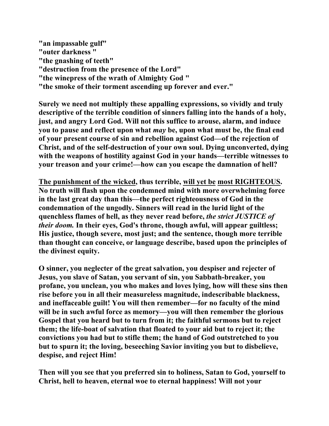**"an impassable gulf" "outer darkness " "the gnashing of teeth" "destruction from the presence of the Lord" "the winepress of the wrath of Almighty God " "the smoke of their torment ascending up forever and ever."** 

**Surely we need not multiply these appalling expressions, so vividly and truly descriptive of the terrible condition of sinners falling into the hands of a holy, just, and angry Lord God. Will not this suffice to arouse, alarm, and induce you to pause and reflect upon what** *may* **be, upon what must be, the final end of your present course of sin and rebellion against God—of the rejection of Christ, and of the self-destruction of your own soul. Dying unconverted, dying with the weapons of hostility against God in your hands—terrible witnesses to your treason and your crime!—how can you escape the damnation of hell?** 

**The punishment of the wicked, thus terrible, will yet be most RIGHTEOUS. No truth will flash upon the condemned mind with more overwhelming force in the last great day than this—the perfect righteousness of God in the condemnation of the ungodly. Sinners will read in the lurid light of the quenchless flames of hell, as they never read before,** *the strict JUSTICE of their doom.* **In their eyes, God's throne, though awful, will appear guiltless; His justice, though severe, most just; and the sentence, though more terrible than thought can conceive, or language describe, based upon the principles of the divinest equity.** 

**O sinner, you neglecter of the great salvation, you despiser and rejecter of Jesus, you slave of Satan, you servant of sin, you Sabbath-breaker, you profane, you unclean, you who makes and loves lying, how will these sins then rise before you in all their measureless magnitude, indescribable blackness, and ineffaceable guilt! You will then remember—for no faculty of the mind will be in such awful force as memory—you will then remember the glorious Gospel that you heard but to turn from it; the faithful sermons but to reject them; the life-boat of salvation that floated to your aid but to reject it; the convictions you had but to stifle them; the hand of God outstretched to you but to spurn it; the loving, beseeching Savior inviting you but to disbelieve, despise, and reject Him!** 

**Then will you see that you preferred sin to holiness, Satan to God, yourself to Christ, hell to heaven, eternal woe to eternal happiness! Will not your**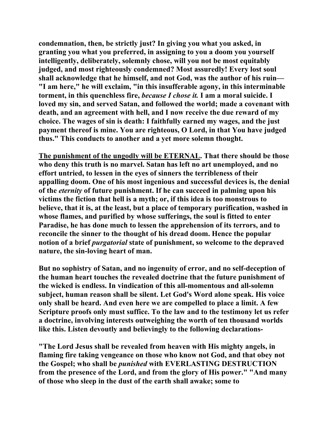**condemnation, then, be strictly just? In giving you what you asked, in granting you what you preferred, in assigning to you a doom you yourself intelligently, deliberately, solemnly chose, will you not be most equitably judged, and most righteously condemned? Most assuredly! Every lost soul shall acknowledge that he himself, and not God, was the author of his ruin— "I am here," he will exclaim, "in this insufferable agony, in this interminable torment, in this quenchless fire,** *because I chose it.* **I am a moral suicide. I loved my sin, and served Satan, and followed the world; made a covenant with death, and an agreement with hell, and I now receive the due reward of my choice. The wages of sin is death: I faithfully earned my wages, and the just payment thereof is mine. You are righteous, O Lord, in that You have judged thus." This conducts to another and a yet more solemn thought.** 

**The punishment of the ungodly will be ETERNAL. That there should be those who deny this truth is no marvel. Satan has left no art unemployed, and no effort untried, to lessen in the eyes of sinners the terribleness of their appalling doom. One of his most ingenious and successful devices is, the denial of the** *eternity* **of future punishment. If he can succeed in palming upon his victims the fiction that hell is a myth; or, if this idea is too monstrous to believe, that it is, at the least, but a place of temporary purification, washed in whose flames, and purified by whose sufferings, the soul is fitted to enter Paradise, he has done much to lessen the apprehension of its terrors, and to reconcile the sinner to the thought of his dread doom. Hence the popular notion of a brief** *purgatorial* **state of punishment, so welcome to the depraved nature, the sin-loving heart of man.** 

**But no sophistry of Satan, and no ingenuity of error, and no self-deception of the human heart touches the revealed doctrine that the future punishment of the wicked is endless. In vindication of this all-momentous and all-solemn subject, human reason shall be silent. Let God's Word alone speak. His voice only shall be heard. And even here we are compelled to place a limit. A few Scripture proofs only must suffice. To the law and to the testimony let us refer a doctrine, involving interests outweighing the worth of ten thousand worlds like this. Listen devoutly and believingly to the following declarations-** 

**"The Lord Jesus shall be revealed from heaven with His mighty angels, in flaming fire taking vengeance on those who know not God, and that obey not the Gospel; who shall be** *punished* **with EVERLASTING DESTRUCTION from the presence of the Lord, and from the glory of His power." "And many of those who sleep in the dust of the earth shall awake; some to**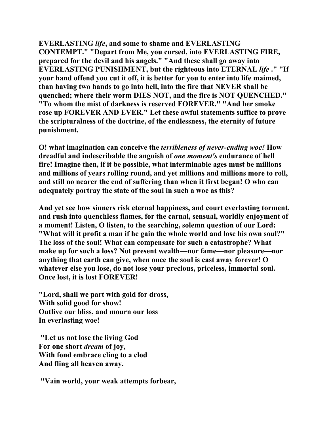**EVERLASTING** *life***, and some to shame and EVERLASTING CONTEMPT." "Depart from Me, you cursed, into EVERLASTING FIRE, prepared for the devil and his angels." "And these shall go away into EVERLASTING PUNISHMENT, but the righteous into ETERNAL** *life* **." "If your hand offend you cut it off, it is better for you to enter into life maimed, than having two hands to go into hell, into the fire that NEVER shall be quenched; where their worm DIES NOT, and the fire is NOT QUENCHED." "To whom the mist of darkness is reserved FOREVER." "And her smoke rose up FOREVER AND EVER." Let these awful statements suffice to prove the scripturalness of the doctrine, of the endlessness, the eternity of future punishment.** 

**O! what imagination can conceive the** *terribleness of never-ending woe!* **How dreadful and indescribable the anguish of** *one moment's* **endurance of hell fire! Imagine then, if it be possible, what interminable ages must be millions and millions of years rolling round, and yet millions and millions more to roll, and still no nearer the end of suffering than when it first began! O who can adequately portray the state of the soul in such a woe as this?** 

**And yet see how sinners risk eternal happiness, and court everlasting torment, and rush into quenchless flames, for the carnal, sensual, worldly enjoyment of a moment! Listen, O listen, to the searching, solemn question of our Lord: "What will it profit a man if he gain the whole world and lose his own soul?" The loss of the soul! What can compensate for such a catastrophe? What make up for such a loss? Not present wealth—nor fame—nor pleasure—nor anything that earth can give, when once the soul is cast away forever! O whatever else you lose, do not lose your precious, priceless, immortal soul. Once lost, it is lost FOREVER!** 

**"Lord, shall we part with gold for dross, With solid good for show! Outlive our bliss, and mourn our loss In everlasting woe!** 

 **"Let us not lose the living God For one short** *dream* **of joy, With fond embrace cling to a clod And fling all heaven away.** 

 **"Vain world, your weak attempts forbear,**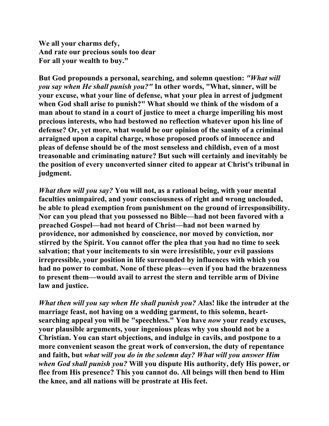**We all your charms defy, And rate our precious souls too dear For all your wealth to buy."** 

**But God propounds a personal, searching, and solemn question:** *"What will you say when He shall punish you?"* **In other words, "What, sinner, will be your excuse, what your line of defense, what your plea in arrest of judgment when God shall arise to punish?" What should we think of the wisdom of a man about to stand in a court of justice to meet a charge imperiling his most precious interests, who had bestowed no reflection whatever upon his line of defense? Or, yet more, what would be our opinion of the sanity of a criminal arraigned upon a capital charge, whose proposed proofs of innocence and pleas of defense should be of the most senseless and childish, even of a most treasonable and criminating nature? But such will certainly and inevitably be the position of every unconverted sinner cited to appear at Christ's tribunal in judgment.** 

*What then will you say?* **You will not, as a rational being, with your mental faculties unimpaired, and your consciousness of right and wrong unclouded, be able to plead exemption from punishment on the ground of irresponsibility. Nor can you plead that you possessed no Bible—had not been favored with a preached Gospel—had not heard of Christ—had not been warned by providence, nor admonished by conscience, nor moved by conviction, nor stirred by the Spirit. You cannot offer the plea that you had no time to seek salvation; that your incitements to sin were irresistible, your evil passions irrepressible, your position in life surrounded by influences with which you had no power to combat. None of these pleas—even if you had the brazenness to present them—would avail to arrest the stern and terrible arm of Divine law and justice.** 

*What then will you say when He shall punish you?* **Alas! like the intruder at the marriage feast, not having on a wedding garment, to this solemn, heartsearching appeal you will be "speechless." You have** *now* **your ready excuses, your plausible arguments, your ingenious pleas why you should not be a Christian. You can start objections, and indulge in cavils, and postpone to a more convenient season the great work of conversion, the duty of repentance and faith, but** *what will you do in the solemn day? What will you answer Him when God shall punish you?* **Will you dispute His authority, defy His power, or flee from His presence? This you cannot do. All beings will then bend to Him the knee, and all nations will be prostrate at His feet.**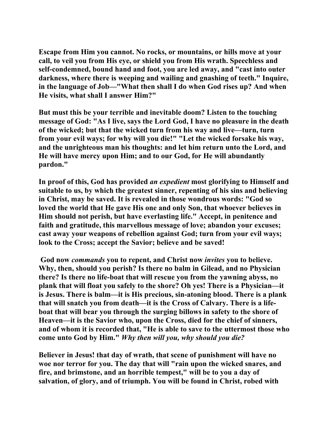**Escape from Him you cannot. No rocks, or mountains, or hills move at your call, to veil you from His eye, or shield you from His wrath. Speechless and self-condemned, bound hand and foot, you are led away, and "cast into outer darkness, where there is weeping and wailing and gnashing of teeth." Inquire, in the language of Job—"What then shall I do when God rises up? And when He visits, what shall I answer Him?"** 

**But must this be your terrible and inevitable doom? Listen to the touching message of God: "As I live, says the Lord God, I have no pleasure in the death of the wicked; but that the wicked turn from his way and live—turn, turn from your evil ways; for why will you die!" "Let the wicked forsake his way, and the unrighteous man his thoughts: and let him return unto the Lord, and He will have mercy upon Him; and to our God, for He will abundantly pardon."** 

**In proof of this, God has provided** *an expedient* **most glorifying to Himself and suitable to us, by which the greatest sinner, repenting of his sins and believing in Christ, may be saved. It is revealed in those wondrous words: "God so loved the world that He gave His one and only Son, that whoever believes in Him should not perish, but have everlasting life." Accept, in penitence and faith and gratitude, this marvellous message of love; abandon your excuses; cast away your weapons of rebellion against God; turn from your evil ways; look to the Cross; accept the Savior; believe and be saved!** 

 **God now** *commands* **you to repent, and Christ now** *invites* **you to believe. Why, then, should you perish? Is there no balm in Gilead, and no Physician there? Is there no life-boat that will rescue you from the yawning abyss, no plank that will float you safely to the shore? Oh yes! There is a Physician—it is Jesus. There is balm—it is His precious, sin-atoning blood. There is a plank that will snatch you from death—it is the Cross of Calvary. There is a lifeboat that will bear you through the surging billows in safety to the shore of Heaven—it is the Savior who, upon the Cross, died for the chief of sinners, and of whom it is recorded that, "He is able to save to the uttermost those who come unto God by Him."** *Why then will you, why should you die?*

**Believer in Jesus! that day of wrath, that scene of punishment will have no woe nor terror for you. The day that will "rain upon the wicked snares, and fire, and brimstone, and an horrible tempest," will be to you a day of salvation, of glory, and of triumph. You will be found in Christ, robed with**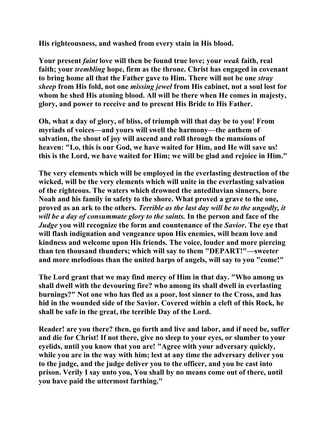**His righteousness, and washed from every stain in His blood.** 

**Your present** *faint* **love will then be found true love; your** *weak* **faith, real faith; your** *trembling* **hope, firm as the throne. Christ has engaged in covenant to bring home all that the Father gave to Him. There will not be one** *stray sheep* **from His fold, not one** *missing jewel* **from His cabinet, not a soul lost for whom he shed His atoning blood. All will be there when He comes in majesty, glory, and power to receive and to present His Bride to His Father.** 

**Oh, what a day of glory, of bliss, of triumph will that day be to you! From myriads of voices—and yours will swell the harmony—the anthem of salvation, the shout of joy will ascend and roll through the mansions of heaven: "Lo, this is our God, we have waited for Him, and He will save us! this is the Lord, we have waited for Him; we will be glad and rejoice in Him."** 

**The very elements which will be employed in the everlasting destruction of the wicked, will be the very elements which will unite in the everlasting salvation of the righteous. The waters which drowned the antediluvian sinners, bore Noah and his family in safety to the shore. What proved a grave to the one, proved as an ark to the others.** *Terrible as the last day will be to the ungodly, it will be a day of consummate glory to the saints.* **In the person and face of the**  *Judge* **you will recognize the form and countenance of the** *Savior***. The eye that will flash indignation and vengeance upon His enemies, will beam love and kindness and welcome upon His friends. The voice, louder and more piercing than ten thousand thunders; which will say to them "DEPART!"—sweeter and more melodious than the united harps of angels, will say to you "come!"** 

**The Lord grant that we may find mercy of Him in that day. "Who among us shall dwell with the devouring fire? who among its shall dwell in everlasting burnings?" Not one who has fled as a poor, lost sinner to the Cross, and has hid in the wounded side of the Savior. Covered within a cleft of this Rock, he shall be safe in the great, the terrible Day of the Lord.** 

**Reader! are you there? then, go forth and live and labor, and if need be, suffer and die for Christ! If not there, give no sleep to your eyes, or slumber to your eyelids, until you know that you are! "Agree with your adversary quickly, while you are in the way with him; lest at any time the adversary deliver you to the judge, and the judge deliver you to the officer, and you be cast into prison. Verily I say unto you, You shall by no means come out of there, until you have paid the uttermost farthing."**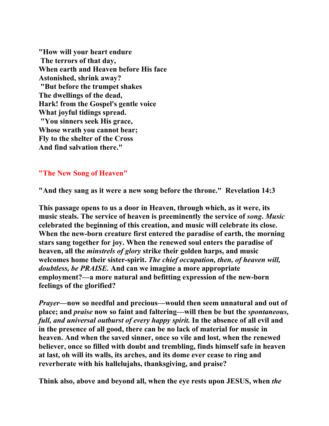**"How will your heart endure The terrors of that day, When earth and Heaven before His face Astonished, shrink away? "But before the trumpet shakes The dwellings of the dead, Hark! from the Gospel's gentle voice What joyful tidings spread. "You sinners seek His grace, Whose wrath you cannot bear; Fly to the shelter of the Cross And find salvation there."** 

## **"The New Song of Heaven"**

**"And they sang as it were a new song before the throne." Revelation 14:3** 

**This passage opens to us a door in Heaven, through which, as it were, its music steals. The service of heaven is preeminently the service of** *song***.** *Music* **celebrated the beginning of this creation, and music will celebrate its close. When the new-born creature first entered the paradise of earth, the morning stars sang together for joy. When the renewed soul enters the paradise of heaven, all the** *minstrels of glory* **strike their golden harps, and music welcomes home their sister-spirit.** *The chief occupation, then, of heaven will, doubtless, be PRAISE.* **And can we imagine a more appropriate employment?—a more natural and befitting expression of the new-born feelings of the glorified?** 

*Prayer***—now so needful and precious—would then seem unnatural and out of place; and** *praise* **now so faint and faltering—will then be but the** *spontaneous, full, and universal outburst of every happy spirit.* **In the absence of all evil and in the presence of all good, there can be no lack of material for music in heaven. And when the saved sinner, once so vile and lost, when the renewed believer, once so filled with doubt and trembling, finds himself safe in heaven at last, oh will its walls, its arches, and its dome ever cease to ring and reverberate with his hallelujahs, thanksgiving, and praise?** 

**Think also, above and beyond all, when the eye rests upon JESUS, when** *the*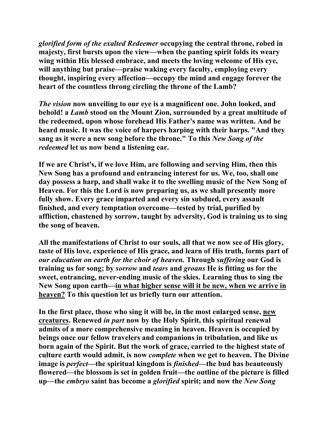*glorified form of the exalted Redeemer* **occupying the central throne, robed in majesty, first bursts upon the view—when the panting spirit folds its weary wing within His blessed embrace, and meets the loving welcome of His eye, will anything but praise—praise waking every faculty, employing every thought, inspiring every affection—occupy the mind and engage forever the heart of the countless throng circling the throne of the Lamb?** 

*The vision* **now unveiling to our eye is a magnificent one. John looked, and behold! a** *Lamb* **stood on the Mount Zion, surrounded by a great multitude of the redeemed, upon whose forehead His Father's name was written. And he heard music. It was the voice of harpers harping with their harps. "And they sang as it were a new song before the throne." To this** *New Song of the redeemed* **let us now bend a listening ear.** 

**If we are Christ's, if we love Him, are following and serving Him, then this New Song has a profound and entrancing interest for us. We, too, shall one day possess a harp, and shall wake it to the swelling music of the New Song of Heaven. For this the Lord is now preparing us, as we shall presently more fully show. Every grace imparted and every sin subdued, every assault finished, and every temptation overcome—tested by trial, purified by affliction, chastened by sorrow, taught by adversity, God is training us to sing the song of heaven.** 

**All the manifestations of Christ to our souls, all that we now see of His glory, taste of His love, experience of His grace, and learn of His truth, forms part of**  *our education on earth for the choir of heaven.* **Through** *suffering* **our God is training us for song; by** *sorrow* **and** *tears* **and** *groans* **He is fitting us for the sweet, entrancing, never-ending music of the skies. Learning thus to sing the New Song upon earth—in what higher sense will it be new, when we arrive in heaven? To this question let us briefly turn our attention.** 

**In the first place, those who sing it will be, in the most enlarged sense, new creatures. Renewed** *in part* **now by the Holy Spirit, this spiritual renewal admits of a more comprehensive meaning in heaven. Heaven is occupied by beings once our fellow travelers and companions in tribulation, and like us born again of the Spirit. But the work of grace, carried to the highest state of culture earth would admit, is now** *complete* **when we get to heaven. The Divine image is** *perfect***—the spiritual kingdom is** *finished***—the bud has beauteously flowered—the blossom is set in golden fruit—the outline of the picture is filled up—the** *embryo* **saint has become a** *glorified* **spirit; and now the** *New Song*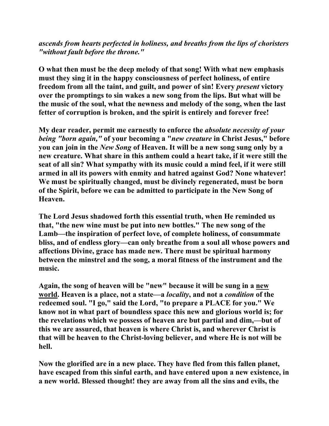*ascends from hearts perfected in holiness, and breaths from the lips of choristers "without fault before the throne."*

**O what then must be the deep melody of that song! With what new emphasis must they sing it in the happy consciousness of perfect holiness, of entire freedom from all the taint, and guilt, and power of sin! Every** *present* **victory over the promptings to sin wakes a new song from the lips. But what will be the music of the soul, what the newness and melody of the song, when the last fetter of corruption is broken, and the spirit is entirely and forever free!** 

**My dear reader, permit me earnestly to enforce the** *absolute necessity of your being "born again,"* **of your becoming a "***new creature* **in Christ Jesus," before you can join in the** *New Song* **of Heaven. It will be a new song sung only by a new creature. What share in this anthem could a heart take, if it were still the seat of all sin? What sympathy with its music could a mind feel, if it were still armed in all its powers with enmity and hatred against God? None whatever! We must be spiritually changed, must be divinely regenerated, must be born of the Spirit, before we can be admitted to participate in the New Song of Heaven.** 

**The Lord Jesus shadowed forth this essential truth, when He reminded us that, "the new wine must be put into new bottles." The new song of the Lamb—the inspiration of perfect love, of complete holiness, of consummate bliss, and of endless glory—can only breathe from a soul all whose powers and affections Divine, grace has made new. There must be spiritual harmony between the minstrel and the song, a moral fitness of the instrument and the music.** 

**Again, the song of heaven will be "new" because it will be sung in a new world. Heaven is a place, not a state—a** *locality***, and not a** *condition* **of the redeemed soul. "I go," said the Lord, "to prepare a PLACE for you." We know not in what part of boundless space this new and glorious world is; for the revelations which we possess of heaven are but partial and dim,—but of this we are assured, that heaven is where Christ is, and wherever Christ is that will be heaven to the Christ-loving believer, and where He is not will be hell.** 

**Now the glorified are in a new place. They have fled from this fallen planet, have escaped from this sinful earth, and have entered upon a new existence, in a new world. Blessed thought! they are away from all the sins and evils, the**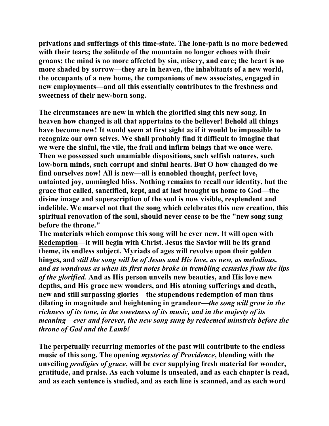**privations and sufferings of this time-state. The lone-path is no more bedewed with their tears; the solitude of the mountain no longer echoes with their groans; the mind is no more affected by sin, misery, and care; the heart is no more shaded by sorrow—they are in heaven, the inhabitants of a new world, the occupants of a new home, the companions of new associates, engaged in new employments—and all this essentially contributes to the freshness and sweetness of their new-born song.** 

**The circumstances are new in which the glorified sing this new song. In heaven how changed is all that appertains to the believer! Behold all things have become new! It would seem at first sight as if it would be impossible to recognize our own selves. We shall probably find it difficult to imagine that we were the sinful, the vile, the frail and infirm beings that we once were. Then we possessed such unamiable dispositions, such selfish natures, such low-born minds, such corrupt and sinful hearts. But O how changed do we find ourselves now! All is new—all is ennobled thought, perfect love, untainted joy, unmingled bliss. Nothing remains to recall our identity, but the grace that called, sanctified, kept, and at last brought us home to God—the divine image and superscription of the soul is now visible, resplendent and indelible. We marvel not that the song which celebrates this new creation, this spiritual renovation of the soul, should never cease to be the "new song sung before the throne."** 

**The materials which compose this song will be ever new. It will open with Redemption—it will begin with Christ. Jesus the Savior will be its grand theme, its endless subject. Myriads of ages will revolve upon their golden hinges, and** *still the song will be of Jesus and His love, as new, as melodious, and as wondrous as when its first notes broke in trembling ecstasies from the lips of the glorified.* **And as His person unveils new beauties, and His love new depths, and His grace new wonders, and His atoning sufferings and death, new and still surpassing glories—the stupendous redemption of man thus dilating in magnitude and heightening in grandeur***—the song will grow in the richness of its tone, in the sweetness of its music, and in the majesty of its meaning—ever and forever, the new song sung by redeemed minstrels before the throne of God and the Lamb!* 

**The perpetually recurring memories of the past will contribute to the endless music of this song. The opening** *mysteries of Providence***, blending with the unveiling** *prodigies of grace***, will be ever supplying fresh material for wonder, gratitude, and praise. As each volume is unsealed, and as each chapter is read, and as each sentence is studied, and as each line is scanned, and as each word**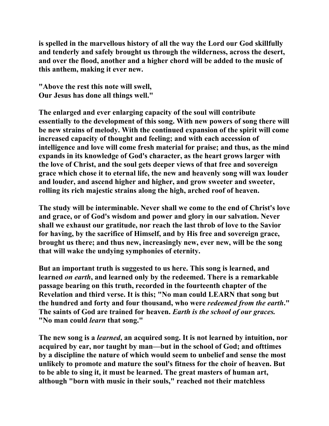**is spelled in the marvellous history of all the way the Lord our God skillfully and tenderly and safely brought us through the wilderness, across the desert, and over the flood, another and a higher chord will be added to the music of this anthem, making it ever new.** 

**"Above the rest this note will swell, Our Jesus has done all things well."** 

**The enlarged and ever enlarging capacity of the soul will contribute essentially to the development of this song. With new powers of song there will be new strains of melody. With the continued expansion of the spirit will come increased capacity of thought and feeling; and with each accession of intelligence and love will come fresh material for praise; and thus, as the mind expands in its knowledge of God's character, as the heart grows larger with the love of Christ, and the soul gets deeper views of that free and sovereign grace which chose it to eternal life, the new and heavenly song will wax louder**  and louder, and ascend higher and higher, and grow sweeter and sweeter, **rolling its rich majestic strains along the high, arched roof of heaven.** 

**The study will be interminable. Never shall we come to the end of Christ's love and grace, or of God's wisdom and power and glory in our salvation. Never shall we exhaust our gratitude, nor reach the last throb of love to the Savior for having, by the sacrifice of Himself, and by His free and sovereign grace, brought us there; and thus new, increasingly new, ever new, will be the song that will wake the undying symphonies of eternity.** 

**But an important truth is suggested to us here. This song is learned, and learned** *on earth***, and learned only by the redeemed. There is a remarkable passage bearing on this truth, recorded in the fourteenth chapter of the Revelation and third verse. It is this; "No man could LEARN that song but the hundred and forty and four thousand, who were** *redeemed from the earth***." The saints of God are trained for heaven.** *Earth is the school of our graces.* **"No man could** *learn* **that song."** 

**The new song is a** *learned***, an acquired song. It is not learned by intuition, nor acquired by ear, nor taught by man—but in the school of God; and ofttimes by a discipline the nature of which would seem to unbelief and sense the most unlikely to promote and mature the soul's fitness for the choir of heaven. But to be able to sing it, it must be learned. The great masters of human art, although "born with music in their souls," reached not their matchless**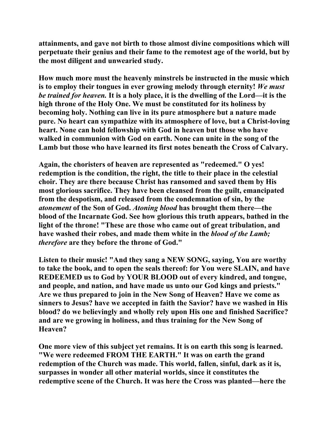**attainments, and gave not birth to those almost divine compositions which will perpetuate their genius and their fame to the remotest age of the world, but by the most diligent and unwearied study.** 

**How much more must the heavenly minstrels be instructed in the music which is to employ their tongues in ever growing melody through eternity!** *We must be trained for heaven.* **It is a holy place, it is the dwelling of the Lord—it is the high throne of the Holy One. We must be constituted for its holiness by becoming holy. Nothing can live in its pure atmosphere but a nature made pure. No heart can sympathize with its atmosphere of love, but a Christ-loving heart. None can hold fellowship with God in heaven but those who have walked in communion with God on earth. None can unite in the song of the Lamb but those who have learned its first notes beneath the Cross of Calvary.** 

**Again, the choristers of heaven are represented as "redeemed." O yes! redemption is the condition, the right, the title to their place in the celestial choir. They are there because Christ has ransomed and saved them by His most glorious sacrifice. They have been cleansed from the guilt, emancipated from the despotism, and released from the condemnation of sin, by the**  *atonement* **of the Son of God.** *Atoning blood* **has brought them there—the blood of the Incarnate God. See how glorious this truth appears, bathed in the light of the throne! "These are those who came out of great tribulation, and have washed their robes, and made them white in the** *blood of the Lamb; therefore* **are they before the throne of God."** 

**Listen to their music! "And they sang a NEW SONG, saying, You are worthy to take the book, and to open the seals thereof: for You were SLAIN, and have REDEEMED us to God by YOUR BLOOD out of every kindred, and tongue, and people, and nation, and have made us unto our God kings and priests." Are we thus prepared to join in the New Song of Heaven? Have we come as sinners to Jesus? have we accepted in faith the Savior? have we washed in His blood? do we believingly and wholly rely upon His one and finished Sacrifice? and are we growing in holiness, and thus training for the New Song of Heaven?** 

**One more view of this subject yet remains. It is on earth this song is learned. "We were redeemed FROM THE EARTH." It was on earth the grand redemption of the Church was made. This world, fallen, sinful, dark as it is, surpasses in wonder all other material worlds, since it constitutes the redemptive scene of the Church. It was here the Cross was planted—here the**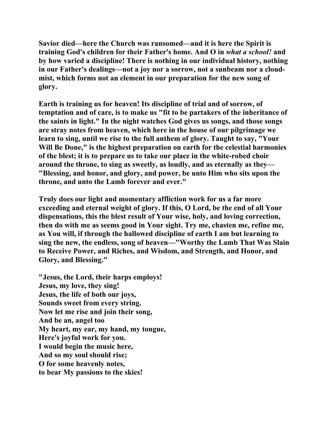**Savior died—here the Church was ransomed—and it is here the Spirit is training God's children for their Father's home. And O in** *what a school!* **and by how varied a discipline! There is nothing in our individual history, nothing in our Father's dealings—not a joy nor a sorrow, not a sunbeam nor a cloudmist, which forms not an element in our preparation for the new song of glory.** 

**Earth is training us for heaven! Its discipline of trial and of sorrow, of temptation and of care, is to make us "fit to be partakers of the inheritance of the saints in light." In the night watches God gives us songs, and those songs are stray notes from heaven, which here in the house of our pilgrimage we learn to sing, until we rise to the full anthem of glory. Taught to say, "Your Will Be Done," is the highest preparation on earth for the celestial harmonies of the blest; it is to prepare us to take our place in the white-robed choir around the throne, to sing as sweetly, as loudly, and as eternally as they— "Blessing, and honor, and glory, and power, be unto Him who sits upon the throne, and unto the Lamb forever and ever."** 

**Truly does our light and momentary affliction work for us a far more exceeding and eternal weight of glory. If this, O Lord, be the end of all Your dispensations, this the blest result of Your wise, holy, and loving correction, then do with me as seems good in Your sight. Try me, chasten me, refine me, as You will, if through the hallowed discipline of earth I am but learning to sing the new, the endless, song of heaven—"Worthy the Lamb That Was Slain to Receive Power, and Riches, and Wisdom, and Strength, and Honor, and Glory, and Blessing."** 

**"Jesus, the Lord, their harps employs! Jesus, my love, they sing! Jesus, the life of both our joys, Sounds sweet from every string. Now let me rise and join their song, And be an, angel too My heart, my ear, my hand, my tongue, Here's joyful work for you. I would begin the music here, And so my soul should rise; O for some heavenly notes, to bear My passions to the skies!**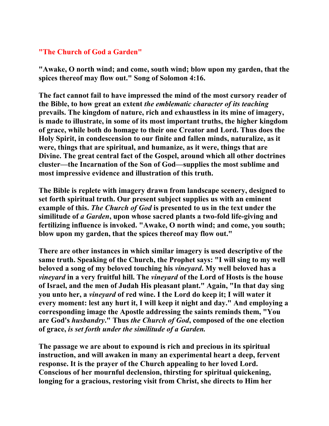## **"The Church of God a Garden"**

**"Awake, O north wind; and come, south wind; blow upon my garden, that the spices thereof may flow out." Song of Solomon 4:16.** 

**The fact cannot fail to have impressed the mind of the most cursory reader of the Bible, to how great an extent** *the emblematic character of its teaching*  **prevails. The kingdom of nature, rich and exhaustless in its mine of imagery, is made to illustrate, in some of its most important truths, the higher kingdom of grace, while both do homage to their one Creator and Lord. Thus does the Holy Spirit, in condescension to our finite and fallen minds, naturalize, as it were, things that are spiritual, and humanize, as it were, things that are Divine. The great central fact of the Gospel, around which all other doctrines cluster—the Incarnation of the Son of God—supplies the most sublime and most impressive evidence and illustration of this truth.** 

**The Bible is replete with imagery drawn from landscape scenery, designed to set forth spiritual truth. Our present subject supplies us with an eminent example of this.** *The Church of God* **is presented to us in the text under the similitude of** *a Garden***, upon whose sacred plants a two-fold life-giving and fertilizing influence is invoked. "Awake, O north wind; and come, you south; blow upon my garden, that the spices thereof may flow out."** 

**There are other instances in which similar imagery is used descriptive of the same truth. Speaking of the Church, the Prophet says: "I will sing to my well beloved a song of my beloved touching his** *vineyard***. My well beloved has a**  *vineyard* **in a very fruitful hill. The** *vineyard* **of the Lord of Hosts is the house of Israel, and the men of Judah His pleasant plant." Again, "In that day sing you unto her, a** *vineyard* **of red wine. I the Lord do keep it; I will water it every moment: lest any hurt it, I will keep it night and day." And employing a corresponding image the Apostle addressing the saints reminds them, "You are God's** *husbandry***." Thus** *the Church of God***, composed of the one election of grace,** *is set forth under the similitude of a Garden.* 

**The passage we are about to expound is rich and precious in its spiritual instruction, and will awaken in many an experimental heart a deep, fervent response. It is the prayer of the Church appealing to her loved Lord. Conscious of her mournful declension, thirsting for spiritual quickening, longing for a gracious, restoring visit from Christ, she directs to Him her**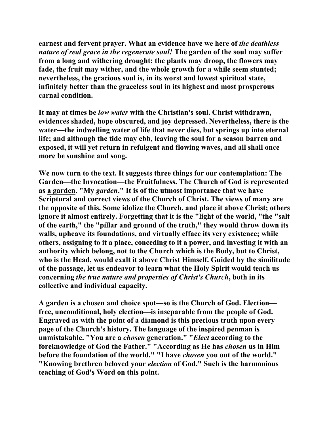**earnest and fervent prayer. What an evidence have we here of** *the deathless nature of real grace in the regenerate soul!* **The garden of the soul may suffer from a long and withering drought; the plants may droop, the flowers may fade, the fruit may wither, and the whole growth for a while seem stunted; nevertheless, the gracious soul is, in its worst and lowest spiritual state, infinitely better than the graceless soul in its highest and most prosperous carnal condition.** 

**It may at times be** *low water* **with the Christian's soul. Christ withdrawn, evidences shaded, hope obscured, and joy depressed. Nevertheless, there is the water—the indwelling water of life that never dies, but springs up into eternal life; and although the tide may ebb, leaving the soul for a season barren and exposed, it will yet return in refulgent and flowing waves, and all shall once more be sunshine and song.** 

**We now turn to the text. It suggests three things for our contemplation: The Garden—the Invocation—the Fruitfulness. The Church of God is represented as a garden. "My** *garden***." It is of the utmost importance that we have Scriptural and correct views of the Church of Christ. The views of many are the opposite of this. Some idolize the Church, and place it above Christ; others ignore it almost entirely. Forgetting that it is the "light of the world, "the "salt of the earth," the "pillar and ground of the truth," they would throw down its walls, upheave its foundations, and virtually efface its very existence; while others, assigning to it a place, conceding to it a power, and investing it with an authority which belong, not to the Church which is the Body, but to Christ, who is the Head, would exalt it above Christ Himself. Guided by the similitude of the passage, let us endeavor to learn what the Holy Spirit would teach us concerning** *the true nature and properties of Christ's Church***, both in its collective and individual capacity.** 

**A garden is a chosen and choice spot—so is the Church of God. Election free, unconditional, holy election—is inseparable from the people of God. Engraved as with the point of a diamond is this precious truth upon every page of the Church's history. The language of the inspired penman is unmistakable. "You are a** *chosen* **generation." "***Elect* **according to the foreknowledge of God the Father." "According as He has** *chosen* **us in Him before the foundation of the world." "I have** *chosen* **you out of the world." "Knowing brethren beloved your** *election* **of God." Such is the harmonious teaching of God's Word on this point.**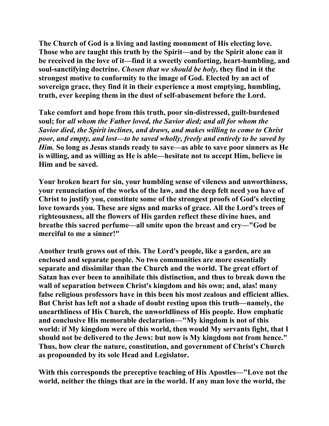**The Church of God is a living and lasting monument of His electing love. Those who are taught this truth by the Spirit—and by the Spirit alone can it be received in the love of it—find it a sweetly comforting, heart-humbling, and soul-sanctifying doctrine.** *Chosen that we should be holy,* **they find in it the strongest motive to conformity to the image of God. Elected by an act of sovereign grace, they find it in their experience a most emptying, humbling, truth, ever keeping them in the dust of self-abasement before the Lord.** 

**Take comfort and hope from this truth, poor sin-distressed, guilt-burdened soul; for** *all whom the Father loved, the Savior died; and all for whom the Savior died, the Spirit inclines, and draws, and makes willing to come to Christ poor, and empty, and lost—to be saved wholly, freely and entirely to be saved by Him.* **So long as Jesus stands ready to save—as able to save poor sinners as He is willing, and as willing as He is able—hesitate not to accept Him, believe in Him and be saved.** 

**Your broken heart for sin, your humbling sense of vileness and unworthiness, your renunciation of the works of the law, and the deep felt need you have of Christ to justify you, constitute some of the strongest proofs of God's electing love towards you. These are signs and marks of grace. All the Lord's trees of righteousness, all the flowers of His garden reflect these divine hues, and breathe this sacred perfume—all smite upon the breast and cry—"God be merciful to me a sinner!"** 

**Another truth grows out of this. The Lord's people, like a garden, are an enclosed and separate people. No two communities are more essentially separate and dissimilar than the Church and the world. The great effort of Satan has ever been to annihilate this distinction, and thus to break down the wall of separation between Christ's kingdom and his own; and, alas! many false religious professors have in this been his most zealous and efficient allies. But Christ has left not a shade of doubt resting upon this truth—namely, the unearthliness of His Church, the unworldliness of His people. How emphatic and conclusive His memorable declaration—"My kingdom is not of this world: if My kingdom were of this world, then would My servants fight, that I should not be delivered to the Jews: but now is My kingdom not from hence." Thus, how clear the nature, constitution, and government of Christ's Church as propounded by its sole Head and Legislator.** 

**With this corresponds the preceptive teaching of His Apostles—"Love not the world, neither the things that are in the world. If any man love the world, the**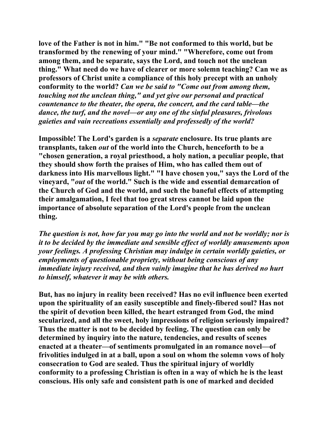**love of the Father is not in him." "Be not conformed to this world, but be transformed by the renewing of your mind." "Wherefore, come out from among them, and be separate, says the Lord, and touch not the unclean thing." What need do we have of clearer or more solemn teaching? Can we as professors of Christ unite a compliance of this holy precept with an unholy conformity to the world?** *Can we be said to "Come out from among them, touching not the unclean thing," and yet give our personal and practical countenance to the theater, the opera, the concert, and the card table—the dance, the turf, and the novel—or any one of the sinful pleasures, frivolous gaieties and vain recreations essentially and professedly of the world?*

**Impossible! The Lord's garden is a** *separate* **enclosure. Its true plants are transplants, taken** *out* **of the world into the Church, henceforth to be a "chosen generation, a royal priesthood, a holy nation, a peculiar people, that they should show forth the praises of Him, who has called them out of darkness into His marvellous light." "I have chosen you," says the Lord of the vineyard, "***out* **of the world." Such is the wide and essential demarcation of the Church of God and the world, and such the baneful effects of attempting their amalgamation, I feel that too great stress cannot be laid upon the importance of absolute separation of the Lord's people from the unclean thing.** 

*The question is not, how far you may go into the world and not be worldly; nor is it to be decided by the immediate and sensible effect of worldly amusements upon your feelings. A professing Christian may indulge in certain worldly gaieties, or employments of questionable propriety, without being conscious of any immediate injury received, and then vainly imagine that he has derived no hurt to himself, whatever it may be with others.* 

**But, has no injury in reality been received? Has no evil influence been exerted upon the spirituality of an easily susceptible and finely-fibered soul? Has not the spirit of devotion been killed, the heart estranged from God, the mind secularized, and all the sweet, holy impressions of religion seriously impaired? Thus the matter is not to be decided by feeling. The question can only be determined by inquiry into the nature, tendencies, and results of scenes enacted at a theater—of sentiments promulgated in an romance novel—of frivolities indulged in at a ball, upon a soul on whom the solemn vows of holy consecration to God are sealed. Thus the spiritual injury of worldly conformity to a professing Christian is often in a way of which he is the least conscious. His only safe and consistent path is one of marked and decided**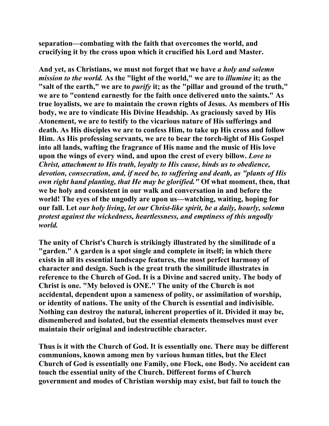**separation—combating with the faith that overcomes the world, and crucifying it by the cross upon which it crucified his Lord and Master.** 

**And yet, as Christians, we must not forget that we have** *a holy and solemn mission to the world.* **As the "light of the world," we are to** *illumine* **it; as the "salt of the earth," we are to** *purify* **it; as the "pillar and ground of the truth," we are to "contend earnestly for the faith once delivered unto the saints." As true loyalists, we are to maintain the crown rights of Jesus. As members of His body, we are to vindicate His Divine Headship. As graciously saved by His Atonement, we are to testify to the vicarious nature of His sufferings and death. As His disciples we are to confess Him, to take up His cross and follow Him. As His professing servants, we are to bear the torch-light of His Gospel into all lands, wafting the fragrance of His name and the music of His love upon the wings of every wind, and upon the crest of every billow.** *Love to Christ, attachment to His truth, loyalty to His cause, binds us to obedience, devotion, consecration, and, if need be, to suffering and death, as "plants of His own right hand planting, that He may be glorified."* **Of what moment, then, that we be holy and consistent in our walk and conversation in and before the world! The eyes of the ungodly are upon us—watching, waiting, hoping for our fall. Let** *our holy living, let our Christ-like spirit, be a daily, hourly, solemn protest against the wickedness, heartlessness, and emptiness of this ungodly world.* 

**The unity of Christ's Church is strikingly illustrated by the similitude of a "garden." A garden is a spot single and complete in itself; in which there exists in all its essential landscape features, the most perfect harmony of character and design. Such is the great truth the similitude illustrates in reference to the Church of God. It is a Divine and sacred unity. The body of Christ is one. "My beloved is ONE." The unity of the Church is not accidental, dependent upon a sameness of polity, or assimilation of worship, or identity of nations. The unity of the Church is essential and indivisible. Nothing can destroy the natural, inherent properties of it. Divided it may be, dismembered and isolated, but the essential elements themselves must ever maintain their original and indestructible character.** 

**Thus is it with the Church of God. It is essentially one. There may be different communions, known among men by various human titles, but the Elect Church of God is essentially one Family, one Flock, one Body. No accident can touch the essential unity of the Church. Different forms of Church government and modes of Christian worship may exist, but fail to touch the**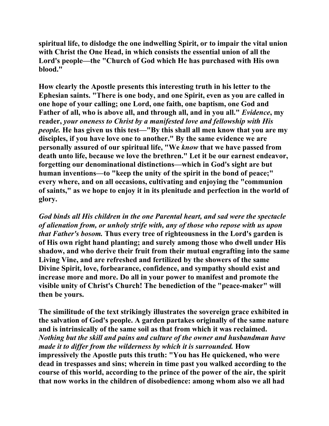**spiritual life, to dislodge the one indwelling Spirit, or to impair the vital union with Christ the One Head, in which consists the essential union of all the Lord's people—the "Church of God which He has purchased with His own blood."** 

**How clearly the Apostle presents this interesting truth in his letter to the Ephesian saints. "There is one body, and one Spirit, even as you are called in one hope of your calling; one Lord, one faith, one baptism, one God and Father of all, who is above all, and through all, and in you all."** *Evidence***, my reader,** *your oneness to Christ by a manifested love and fellowship with His people.* **He has given us this test—"By this shall all men know that you are my disciples, if you have love one to another." By the same evidence we are personally assured of our spiritual life, "We** *know* **that we have passed from death unto life, because we love the brethren." Let it be our earnest endeavor, forgetting our denominational distinctions—which in God's sight are but human inventions—to "keep the unity of the spirit in the bond of peace;" every where, and on all occasions, cultivating and enjoying the "communion of saints," as we hope to enjoy it in its plenitude and perfection in the world of glory.** 

*God binds all His children in the one Parental heart, and sad were the spectacle of alienation from, or unholy strife with, any of those who repose with us upon that Father's bosom.* **Thus every tree of righteousness in the Lord's garden is of His own right hand planting; and surely among those who dwell under His shadow, and who derive their fruit from their mutual engrafting into the same Living Vine, and are refreshed and fertilized by the showers of the same Divine Spirit, love, forbearance, confidence, and sympathy should exist and increase more and more. Do all in your power to manifest and promote the visible unity of Christ's Church! The benediction of the "peace-maker" will then be yours.** 

**The similitude of the text strikingly illustrates the sovereign grace exhibited in the salvation of God's people. A garden partakes originally of the same nature and is intrinsically of the same soil as that from which it was reclaimed.**  *Nothing but the skill and pains and culture of the owner and husbandman have made it to differ from the wilderness by which it is surrounded.* **How impressively the Apostle puts this truth: "You has He quickened, who were dead in trespasses and sins; wherein in time past you walked according to the course of this world, according to the prince of the power of the air, the spirit that now works in the children of disobedience: among whom also we all had**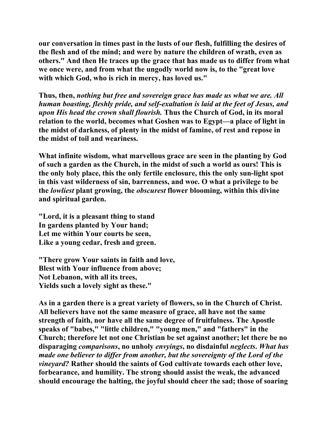**our conversation in times past in the lusts of our flesh, fulfilling the desires of the flesh and of the mind; and were by nature the children of wrath, even as others." And then He traces up the grace that has made us to differ from what we once were, and from what the ungodly world now is, to the "great love with which God, who is rich in mercy, has loved us."** 

**Thus, then,** *nothing but free and sovereign grace has made us what we are. All human boasting, fleshly pride, and self-exaltation is laid at the feet of Jesus, and upon His head the crown shall flourish.* **Thus the Church of God, in its moral relation to the world, becomes what Goshen was to Egypt—a place of light in the midst of darkness, of plenty in the midst of famine, of rest and repose in the midst of toil and weariness.** 

**What infinite wisdom, what marvellous grace are seen in the planting by God of such a garden as the Church, in the midst of such a world as ours! This is the only holy place, this the only fertile enclosure, this the only sun-light spot in this vast wilderness of sin, barrenness, and woe. O what a privilege to be the** *lowliest* **plant growing, the** *obscurest* **flower blooming, within this divine and spiritual garden.** 

**"Lord, it is a pleasant thing to stand In gardens planted by Your hand; Let me within Your courts be seen, Like a young cedar, fresh and green.** 

**"There grow Your saints in faith and love, Blest with Your influence from above; Not Lebanon, with all its trees, Yields such a lovely sight as these."** 

**As in a garden there is a great variety of flowers, so in the Church of Christ. All believers have not the same measure of grace, all have not the same strength of faith, nor have all the same degree of fruitfulness. The Apostle speaks of "babes," "little children," "young men," and "fathers" in the Church; therefore let not one Christian be set against another; let there be no disparaging** *comparisons***, no unholy** *envyings***, no disdainful** *neglects***.** *What has made one believer to differ from another, but the sovereignty of the Lord of the vineyard?* **Rather should the saints of God cultivate towards each other love, forbearance, and humility. The strong should assist the weak, the advanced should encourage the halting, the joyful should cheer the sad; those of soaring**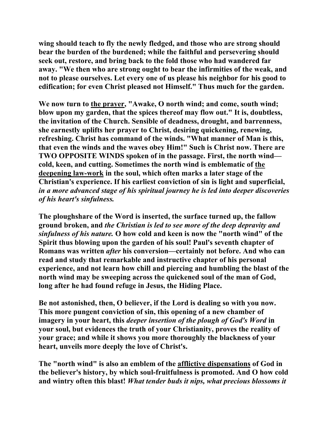**wing should teach to fly the newly fledged, and those who are strong should bear the burden of the burdened; while the faithful and persevering should seek out, restore, and bring back to the fold those who had wandered far away. "We then who are strong ought to bear the infirmities of the weak, and not to please ourselves. Let every one of us please his neighbor for his good to edification; for even Christ pleased not Himself." Thus much for the garden.** 

We now turn to the prayer, "Awake, O north wind; and come, south wind; **blow upon my garden, that the spices thereof may flow out." It is, doubtless, the invitation of the Church. Sensible of deadness, drought, and barrenness, she earnestly uplifts her prayer to Christ, desiring quickening, renewing, refreshing. Christ has command of the winds. "What manner of Man is this, that even the winds and the waves obey Him!" Such is Christ now. There are TWO OPPOSITE WINDS spoken of in the passage. First, the north wind cold, keen, and cutting. Sometimes the north wind is emblematic of the deepening law-work in the soul, which often marks a later stage of the Christian's experience. If his earliest conviction of sin is light and superficial,**  *in a more advanced stage of his spiritual journey he is led into deeper discoveries of his heart's sinfulness.*

**The ploughshare of the Word is inserted, the surface turned up, the fallow ground broken, and** *the Christian is led to see more of the deep depravity and sinfulness of his nature.* **O how cold and keen is now the "north wind" of the Spirit thus blowing upon the garden of his soul! Paul's seventh chapter of Romans was written** *after* **his conversion—certainly not before. And who can read and study that remarkable and instructive chapter of his personal experience, and not learn how chill and piercing and humbling the blast of the north wind may be sweeping across the quickened soul of the man of God, long after he had found refuge in Jesus, the Hiding Place.** 

**Be not astonished, then, O believer, if the Lord is dealing so with you now. This more pungent conviction of sin, this opening of a new chamber of imagery in your heart, this** *deeper insertion of the plough of God's Word* **in your soul, but evidences the truth of your Christianity, proves the reality of your grace; and while it shows you more thoroughly the blackness of your heart, unveils more deeply the love of Christ's.** 

**The "north wind" is also an emblem of the afflictive dispensations of God in the believer's history, by which soul-fruitfulness is promoted. And O how cold and wintry often this blast!** *What tender buds it nips, what precious blossoms it*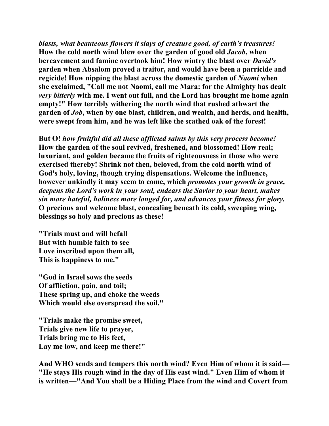*blasts, what beauteous flowers it slays of creature good, of earth's treasures!* **How the cold north wind blew over the garden of good old** *Jacob***, when bereavement and famine overtook him! How wintry the blast over** *David's* **garden when Absalom proved a traitor, and would have been a parricide and regicide! How nipping the blast across the domestic garden of** *Naomi* **when she exclaimed, "Call me not Naomi, call me Mara: for the Almighty has dealt**  *very bitterly* **with me. I went out full, and the Lord has brought me home again empty!" How terribly withering the north wind that rushed athwart the garden of** *Job***, when by one blast, children, and wealth, and herds, and health, were swept from him, and he was left like the scathed oak of the forest!** 

**But O!** *how fruitful did all these afflicted saints by this very process become!* **How the garden of the soul revived, freshened, and blossomed! How real; luxuriant, and golden became the fruits of righteousness in those who were exercised thereby! Shrink not then, beloved, from the cold north wind of God's holy, loving, though trying dispensations. Welcome the influence, however unkindly it may seem to come, which** *promotes your growth in grace, deepens the Lord's work in your soul, endears the Savior to your heart, makes sin more hateful, holiness more longed for, and advances your fitness for glory.*  **O precious and welcome blast, concealing beneath its cold, sweeping wing, blessings so holy and precious as these!** 

**"Trials must and will befall But with humble faith to see Love inscribed upon them all, This is happiness to me."** 

**"God in Israel sows the seeds Of affliction, pain, and toil; These spring up, and choke the weeds Which would else overspread the soil."** 

**"Trials make the promise sweet, Trials give new life to prayer, Trials bring me to His feet, Lay me low, and keep me there!"** 

**And WHO sends and tempers this north wind? Even Him of whom it is said— "He stays His rough wind in the day of His east wind." Even Him of whom it is written—"And You shall be a Hiding Place from the wind and Covert from**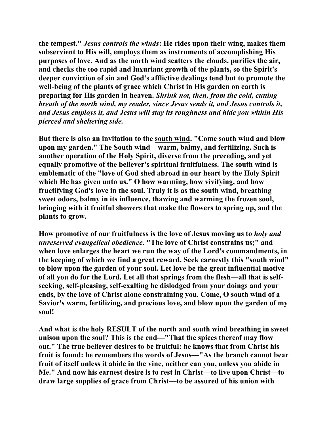**the tempest."** *Jesus controls the winds***: He rides upon their wing, makes them subservient to His will, employs them as instruments of accomplishing His purposes of love. And as the north wind scatters the clouds, purifies the air, and checks the too rapid and luxuriant growth of the plants, so the Spirit's deeper conviction of sin and God's afflictive dealings tend but to promote the well-being of the plants of grace which Christ in His garden on earth is preparing for His garden in heaven.** *Shrink not, then, from the cold, cutting breath of the north wind, my reader, since Jesus sends it, and Jesus controls it, and Jesus employs it, and Jesus will stay its roughness and hide you within His pierced and sheltering side.* 

**But there is also an invitation to the south wind. "Come south wind and blow upon my garden." The South wind—warm, balmy, and fertilizing. Such is another operation of the Holy Spirit, diverse from the preceding, and yet equally promotive of the believer's spiritual fruitfulness. The south wind is emblematic of the "love of God shed abroad in our heart by the Holy Spirit which He has given unto us." O how warming, how vivifying, and how fructifying God's love in the soul. Truly it is as the south wind, breathing sweet odors, balmy in its influence, thawing and warming the frozen soul, bringing with it fruitful showers that make the flowers to spring up, and the plants to grow.** 

**How promotive of our fruitfulness is the love of Jesus moving us to** *holy and unreserved evangelical obedience***. "The love of Christ constrains us;" and when love enlarges the heart we run the way of the Lord's commandments, in the keeping of which we find a great reward. Seek earnestly this "south wind" to blow upon the garden of your soul. Let love be the great influential motive of all you do for the Lord. Let all that springs from the flesh—all that is selfseeking, self-pleasing, self-exalting be dislodged from your doings and your ends, by the love of Christ alone constraining you. Come, O south wind of a Savior's warm, fertilizing, and precious love, and blow upon the garden of my soul!** 

**And what is the holy RESULT of the north and south wind breathing in sweet unison upon the soul? This is the end—"That the spices thereof may flow out." The true believer desires to be fruitful: he knows that from Christ his fruit is found: he remembers the words of Jesus—"As the branch cannot bear fruit of itself unless it abide in the vine, neither can you, unless you abide in Me." And now his earnest desire is to rest in Christ—to live upon Christ—to draw large supplies of grace from Christ—to be assured of his union with**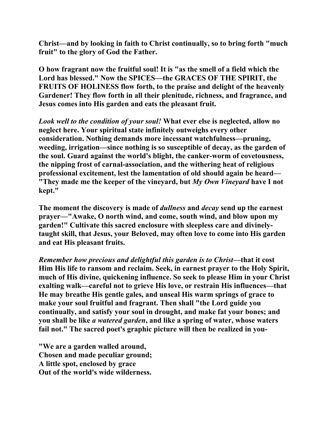**Christ—and by looking in faith to Christ continually, so to bring forth "much fruit" to the glory of God the Father.** 

**O how fragrant now the fruitful soul! It is "as the smell of a field which the Lord has blessed." Now the SPICES—the GRACES OF THE SPIRIT, the FRUITS OF HOLINESS flow forth, to the praise and delight of the heavenly Gardener! They flow forth in all their plenitude, richness, and fragrance, and Jesus comes into His garden and eats the pleasant fruit.** 

*Look well to the condition of your soul!* **What ever else is neglected, allow no neglect here. Your spiritual state infinitely outweighs every other consideration. Nothing demands more incessant watchfulness—pruning, weeding, irrigation—since nothing is so susceptible of decay, as the garden of the soul. Guard against the world's blight, the canker-worm of covetousness, the nipping frost of carnal-association, and the withering heat of religious professional excitement, lest the lamentation of old should again be heard— "They made me the keeper of the vineyard, but** *My Own Vineyard* **have I not kept."** 

**The moment the discovery is made of** *dullness* **and** *decay* **send up the earnest prayer—"Awake, O north wind, and come, south wind, and blow upon my garden!" Cultivate this sacred enclosure with sleepless care and divinelytaught skill, that Jesus, your Beloved, may often love to come into His garden and eat His pleasant fruits.** 

*Remember how precious and delightful this garden is to Christ***—that it cost Him His life to ransom and reclaim. Seek, in earnest prayer to the Holy Spirit, much of His divine, quickening influence. So seek to please Him in your Christ exalting walk—careful not to grieve His love, or restrain His influences—that He may breathe His gentle gales, and unseal His warm springs of grace to make your soul fruitful and fragrant. Then shall "the Lord guide you continually, and satisfy your soul in drought, and make fat your bones; and you shall be like** *a watered garden***, and like a spring of water, whose waters fail not." The sacred poet's graphic picture will then be realized in you-** 

**"We are a garden walled around, Chosen and made peculiar ground; A little spot, enclosed by grace Out of the world's wide wilderness.**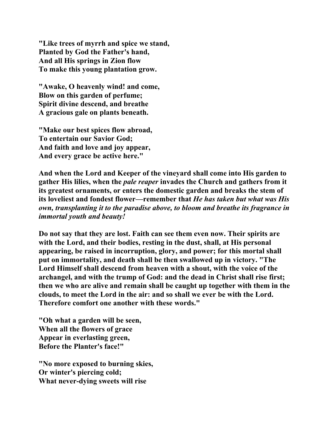**"Like trees of myrrh and spice we stand, Planted by God the Father's hand, And all His springs in Zion flow To make this young plantation grow.** 

**"Awake, O heavenly wind! and come, Blow on this garden of perfume; Spirit divine descend, and breathe A gracious gale on plants beneath.** 

**"Make our best spices flow abroad, To entertain our Savior God; And faith and love and joy appear, And every grace be active here."** 

**And when the Lord and Keeper of the vineyard shall come into His garden to gather His lilies, when the** *pale reaper* **invades the Church and gathers from it its greatest ornaments, or enters the domestic garden and breaks the stem of its loveliest and fondest flower—remember that** *He has taken but what was His own, transplanting it to the paradise above, to bloom and breathe its fragrance in immortal youth and beauty!* 

**Do not say that they are lost. Faith can see them even now. Their spirits are with the Lord, and their bodies, resting in the dust, shall, at His personal appearing, be raised in incorruption, glory, and power; for this mortal shall put on immortality, and death shall be then swallowed up in victory. "The Lord Himself shall descend from heaven with a shout, with the voice of the archangel, and with the trump of God: and the dead in Christ shall rise first; then we who are alive and remain shall be caught up together with them in the clouds, to meet the Lord in the air: and so shall we ever be with the Lord. Therefore comfort one another with these words."** 

**"Oh what a garden will be seen, When all the flowers of grace Appear in everlasting green, Before the Planter's face!"** 

**"No more exposed to burning skies, Or winter's piercing cold; What never-dying sweets will rise**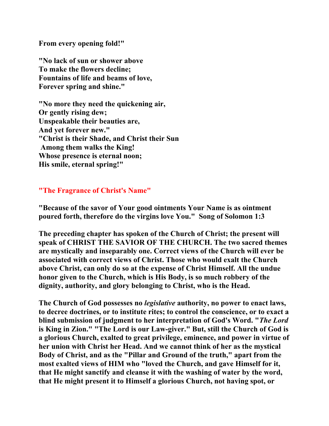**From every opening fold!"** 

**"No lack of sun or shower above To make the flowers decline; Fountains of life and beams of love, Forever spring and shine."** 

**"No more they need the quickening air, Or gently rising dew; Unspeakable their beauties are, And yet forever new." "Christ is their Shade, and Christ their Sun Among them walks the King! Whose presence is eternal noon; His smile, eternal spring!"** 

## **"The Fragrance of Christ's Name"**

**"Because of the savor of Your good ointments Your Name is as ointment poured forth, therefore do the virgins love You." Song of Solomon 1:3** 

**The preceding chapter has spoken of the Church of Christ; the present will speak of CHRIST THE SAVIOR OF THE CHURCH. The two sacred themes are mystically and inseparably one. Correct views of the Church will ever be associated with correct views of Christ. Those who would exalt the Church above Christ, can only do so at the expense of Christ Himself. All the undue honor given to the Church, which is His Body, is so much robbery of the dignity, authority, and glory belonging to Christ, who is the Head.** 

**The Church of God possesses no** *legislative* **authority, no power to enact laws, to decree doctrines, or to institute rites; to control the conscience, or to exact a blind submission of judgment to her interpretation of God's Word. "***The Lord* **is King in Zion." "The Lord is our Law-giver." But, still the Church of God is a glorious Church, exalted to great privilege, eminence, and power in virtue of her union with Christ her Head. And we cannot think of her as the mystical Body of Christ, and as the "Pillar and Ground of the truth," apart from the most exalted views of HIM who "loved the Church, and gave Himself for it, that He might sanctify and cleanse it with the washing of water by the word, that He might present it to Himself a glorious Church, not having spot, or**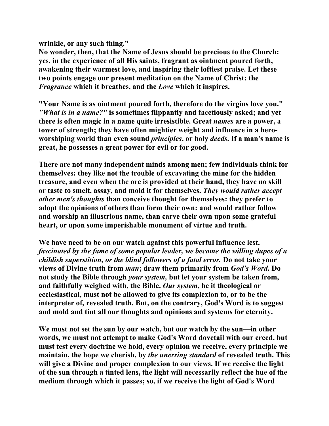**wrinkle, or any such thing."** 

**No wonder, then, that the Name of Jesus should be precious to the Church: yes, in the experience of all His saints, fragrant as ointment poured forth, awakening their warmest love, and inspiring their loftiest praise. Let these two points engage our present meditation on the Name of Christ: the**  *Fragrance* **which it breathes, and the** *Love* **which it inspires.** 

**"Your Name is as ointment poured forth, therefore do the virgins love you."**  *"What is in a name?"* **is sometimes flippantly and facetiously asked; and yet there is often magic in a name quite irresistible. Great** *names* **are a power, a tower of strength; they have often mightier weight and influence in a heroworshiping world than even sound** *principles***, or holy** *deeds***. If a man's name is great, he possesses a great power for evil or for good.** 

**There are not many independent minds among men; few individuals think for themselves: they like not the trouble of excavating the mine for the hidden treasure, and even when the ore is provided at their hand, they have no skill or taste to smelt, assay, and mold it for themselves.** *They would rather accept other men's thoughts* **than conceive thought for themselves: they prefer to adopt the opinions of others than form their own: and would rather follow and worship an illustrious name, than carve their own upon some grateful heart, or upon some imperishable monument of virtue and truth.** 

**We have need to be on our watch against this powerful influence lest,**  *fascinated by the fame of some popular leader, we become the willing dupes of a childish superstition, or the blind followers of a fatal error.* **Do not take your views of Divine truth from** *man***; draw them primarily from** *God's Word***. Do not study the Bible through** *your system,* **but let your system be taken from, and faithfully weighed with, the Bible.** *Our system***, be it theological or ecclesiastical, must not be allowed to give its complexion to, or to be the interpreter of, revealed truth. But, on the contrary, God's Word is to suggest and mold and tint all our thoughts and opinions and systems for eternity.** 

**We must not set the sun by our watch, but our watch by the sun—in other words, we must not attempt to make God's Word dovetail with our creed, but must test every doctrine we hold, every opinion we receive, every principle we maintain, the hope we cherish, by** *the unerring standard* **of revealed truth. This will give a Divine and proper complexion to our views. If we receive the light of the sun through a tinted lens, the light will necessarily reflect the hue of the medium through which it passes; so, if we receive the light of God's Word**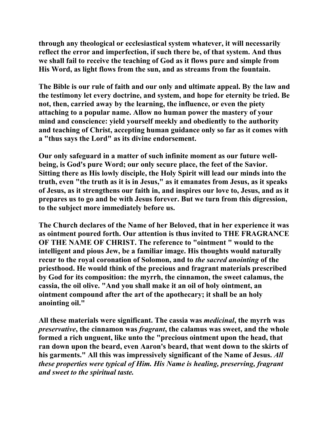**through any theological or ecclesiastical system whatever, it will necessarily reflect the error and imperfection, if such there be, of that system. And thus we shall fail to receive the teaching of God as it flows pure and simple from His Word, as light flows from the sun, and as streams from the fountain.** 

**The Bible is our rule of faith and our only and ultimate appeal. By the law and the testimony let every doctrine, and system, and hope for eternity be tried. Be not, then, carried away by the learning, the influence, or even the piety attaching to a popular name. Allow no human power the mastery of your mind and conscience: yield yourself meekly and obediently to the authority and teaching of Christ, accepting human guidance only so far as it comes with a "thus says the Lord" as its divine endorsement.** 

**Our only safeguard in a matter of such infinite moment as our future wellbeing, is God's pure Word; our only secure place, the feet of the Savior. Sitting there as His lowly disciple, the Holy Spirit will lead our minds into the truth, even "the truth as it is in Jesus," as it emanates from Jesus, as it speaks of Jesus, as it strengthens our faith in, and inspires our love to, Jesus, and as it prepares us to go and be with Jesus forever. But we turn from this digression, to the subject more immediately before us.** 

**The Church declares of the Name of her Beloved, that in her experience it was as ointment poured forth. Our attention is thus invited to THE FRAGRANCE OF THE NAME OF CHRIST. The reference to "ointment " would to the intelligent and pious Jew, be a familiar image. His thoughts would naturally recur to the royal coronation of Solomon, and to** *the sacred anointing* **of the priesthood. He would think of the precious and fragrant materials prescribed by God for its composition: the myrrh, the cinnamon, the sweet calamus, the cassia, the oil olive. "And you shall make it an oil of holy ointment, an ointment compound after the art of the apothecary; it shall be an holy anointing oil."** 

**All these materials were significant. The cassia was** *medicinal***, the myrrh was**  *preservative***, the cinnamon was** *fragrant***, the calamus was sweet, and the whole formed a rich unguent, like unto the "precious ointment upon the head, that ran down upon the beard, even Aaron's beard, that went down to the skirts of his garments." All this was impressively significant of the Name of Jesus.** *All these properties were typical of Him. His Name is healing, preserving, fragrant and sweet to the spiritual taste.*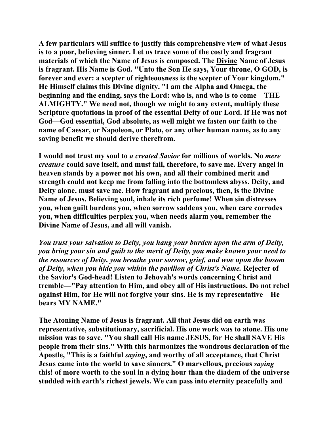**A few particulars will suffice to justify this comprehensive view of what Jesus is to a poor, believing sinner. Let us trace some of the costly and fragrant materials of which the Name of Jesus is composed. The Divine Name of Jesus is fragrant. His Name is God. "Unto the Son He says, Your throne, O GOD, is forever and ever: a scepter of righteousness is the scepter of Your kingdom." He Himself claims this Divine dignity. "I am the Alpha and Omega, the beginning and the ending, says the Lord: who is, and who is to come—THE ALMIGHTY." We need not, though we might to any extent, multiply these Scripture quotations in proof of the essential Deity of our Lord. If He was not God—God essential, God absolute, as well might we fasten our faith to the name of Caesar, or Napoleon, or Plato, or any other human name, as to any saving benefit we should derive therefrom.** 

**I would not trust my soul to** *a created Savior* **for millions of worlds. No** *mere creature* **could save itself, and must fail, therefore, to save me. Every angel in heaven stands by a power not his own, and all their combined merit and strength could not keep me from falling into the bottomless abyss. Deity, and Deity alone, must save me. How fragrant and precious, then, is the Divine Name of Jesus. Believing soul, inhale its rich perfume! When sin distresses you, when guilt burdens you, when sorrow saddens you, when care corrodes you, when difficulties perplex you, when needs alarm you, remember the Divine Name of Jesus, and all will vanish.** 

*You trust your salvation to Deity, you hang your burden upon the arm of Deity, you bring your sin and guilt to the merit of Deity, you make known your need to the resources of Deity, you breathe your sorrow, grief, and woe upon the bosom of Deity, when you hide you within the pavilion of Christ's Name.* **Rejecter of the Savior's God-head! Listen to Jehovah's words concerning Christ and tremble—"Pay attention to Him, and obey all of His instructions. Do not rebel against Him, for He will not forgive your sins. He is my representative—He bears MY NAME."** 

**The Atoning Name of Jesus is fragrant. All that Jesus did on earth was representative, substitutionary, sacrificial. His one work was to atone. His one mission was to save. "You shall call His name JESUS, for He shall SAVE His people from their sins." With this harmonizes the wondrous declaration of the Apostle, "This is a faithful** *saying***, and worthy of all acceptance, that Christ Jesus came into the world to save sinners." O marvellous, precious** *saying* **this! of more worth to the soul in a dying hour than the diadem of the universe studded with earth's richest jewels. We can pass into eternity peacefully and**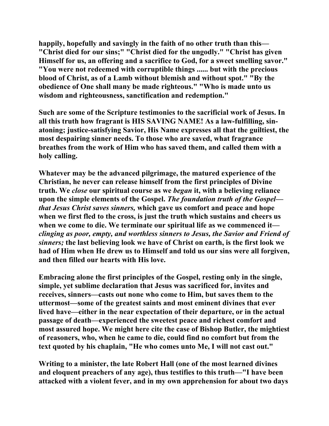**happily, hopefully and savingly in the faith of no other truth than this— "Christ died for our sins;" "Christ died for the ungodly." "Christ has given Himself for us, an offering and a sacrifice to God, for a sweet smelling savor." "You were not redeemed with corruptible things ...... but with the precious blood of Christ, as of a Lamb without blemish and without spot." "By the obedience of One shall many be made righteous." "Who is made unto us wisdom and righteousness, sanctification and redemption."** 

**Such are some of the Scripture testimonies to the sacrificial work of Jesus. In all this truth how fragrant is HIS SAVING NAME! As a law-fulfilling, sinatoning; justice-satisfying Savior, His Name expresses all that the guiltiest, the most despairing sinner needs. To those who are saved, what fragrance breathes from the work of Him who has saved them, and called them with a holy calling.** 

**Whatever may be the advanced pilgrimage, the matured experience of the Christian, he never can release himself from the first principles of Divine truth. We** *close* **our spiritual course as we** *began* **it, with a believing reliance upon the simple elements of the Gospel.** *The foundation truth of the Gospel that Jesus Christ saves sinners,* **which gave us comfort and peace and hope when we first fled to the cross, is just the truth which sustains and cheers us when we come to die. We terminate our spiritual life as we commenced it** *clinging as poor, empty, and worthless sinners to Jesus, the Savior and Friend of sinners;* **the last believing look we have of Christ on earth, is the first look we had of Him when He drew us to Himself and told us our sins were all forgiven, and then filled our hearts with His love.** 

**Embracing alone the first principles of the Gospel, resting only in the single, simple, yet sublime declaration that Jesus was sacrificed for, invites and receives, sinners—casts out none who come to Him, but saves them to the uttermost—some of the greatest saints and most eminent divines that ever lived have—either in the near expectation of their departure, or in the actual passage of death—experienced the sweetest peace and richest comfort and most assured hope. We might here cite the case of Bishop Butler, the mightiest of reasoners, who, when he came to die, could find no comfort but from the text quoted by his chaplain, "He who comes unto Me, I will not cast out."** 

**Writing to a minister, the late Robert Hall (one of the most learned divines and eloquent preachers of any age), thus testifies to this truth—"I have been attacked with a violent fever, and in my own apprehension for about two days**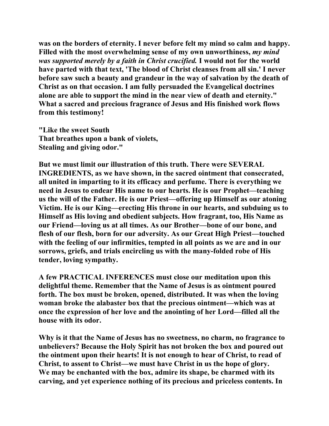**was on the borders of eternity. I never before felt my mind so calm and happy. Filled with the most overwhelming sense of my own unworthiness,** *my mind was supported merely by a faith in Christ crucified.* **I would not for the world have parted with that text, 'The blood of Christ cleanses from all sin.' I never before saw such a beauty and grandeur in the way of salvation by the death of Christ as on that occasion. I am fully persuaded the Evangelical doctrines alone are able to support the mind in the near view of death and eternity." What a sacred and precious fragrance of Jesus and His finished work flows from this testimony!** 

**"Like the sweet South That breathes upon a bank of violets, Stealing and giving odor."** 

**But we must limit our illustration of this truth. There were SEVERAL INGREDIENTS, as we have shown, in the sacred ointment that consecrated, all united in imparting to it its efficacy and perfume. There is everything we need in Jesus to endear His name to our hearts. He is our Prophet—teaching us the will of the Father. He is our Priest—offering up Himself as our atoning Victim. He is our King—erecting His throne in our hearts, and subduing us to Himself as His loving and obedient subjects. How fragrant, too, His Name as our Friend—loving us at all times. As our Brother—bone of our bone, and flesh of our flesh, born for our adversity. As our Great High Priest—touched with the feeling of our infirmities, tempted in all points as we are and in our sorrows, griefs, and trials encircling us with the many-folded robe of His tender, loving sympathy.** 

**A few PRACTICAL INFERENCES must close our meditation upon this delightful theme. Remember that the Name of Jesus is as ointment poured forth. The box must be broken, opened, distributed. It was when the loving woman broke the alabaster box that the precious ointment—which was at once the expression of her love and the anointing of her Lord—filled all the house with its odor.** 

**Why is it that the Name of Jesus has no sweetness, no charm, no fragrance to unbelievers? Because the Holy Spirit has not broken the box and poured out the ointment upon their hearts! It is not enough to hear of Christ, to read of Christ, to assent to Christ—we must have Christ in us the hope of glory. We may be enchanted with the box, admire its shape, be charmed with its carving, and yet experience nothing of its precious and priceless contents. In**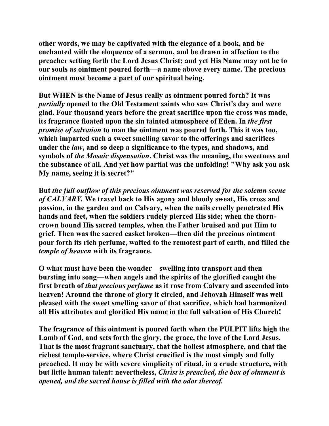**other words, we may be captivated with the elegance of a book, and be enchanted with the eloquence of a sermon, and be drawn in affection to the preacher setting forth the Lord Jesus Christ; and yet His Name may not be to our souls as ointment poured forth—a name above every name. The precious ointment must become a part of our spiritual being.** 

**But WHEN is the Name of Jesus really as ointment poured forth? It was**  *partially* **opened to the Old Testament saints who saw Christ's day and were glad. Four thousand years before the great sacrifice upon the cross was made, its fragrance floated upon the sin tainted atmosphere of Eden. In** *the first promise of salvation* **to man the ointment was poured forth. This it was too, which imparted such a sweet smelling savor to the offerings and sacrifices under the** *law***, and so deep a significance to the types, and shadows, and symbols of** *the Mosaic dispensation***. Christ was the meaning, the sweetness and the substance of all. And yet how partial was the unfolding! "Why ask you ask My name, seeing it is secret?"** 

**But** *the full outflow of this precious ointment was reserved for the solemn scene of CALVARY.* **We travel back to His agony and bloody sweat, His cross and passion, in the garden and on Calvary, when the nails cruelly penetrated His hands and feet, when the soldiers rudely pierced His side; when the thorncrown bound His sacred temples, when the Father bruised and put Him to grief. Then was the sacred casket broken—then did the precious ointment pour forth its rich perfume, wafted to the remotest part of earth, and filled the**  *temple of heaven* **with its fragrance.** 

**O what must have been the wonder—swelling into transport and then bursting into song—when angels and the spirits of the glorified caught the first breath of** *that precious perfume* **as it rose from Calvary and ascended into heaven! Around the throne of glory it circled, and Jehovah Himself was well pleased with the sweet smelling savor of that sacrifice, which had harmonized all His attributes and glorified His name in the full salvation of His Church!** 

**The fragrance of this ointment is poured forth when the PULPIT lifts high the Lamb of God, and sets forth the glory, the grace, the love of the Lord Jesus. That is the most fragrant sanctuary, that the holiest atmosphere, and that the richest temple-service, where Christ crucified is the most simply and fully preached. It may be with severe simplicity of ritual, in a crude structure, with but little human talent: nevertheless,** *Christ is preached, the box of ointment is opened, and the sacred house is filled with the odor thereof.*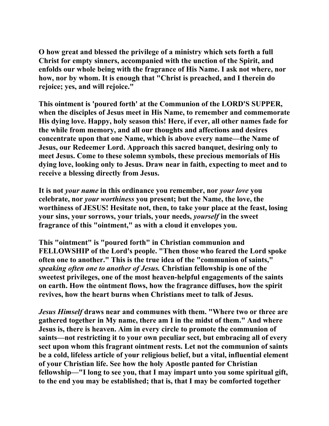**O how great and blessed the privilege of a ministry which sets forth a full Christ for empty sinners, accompanied with the unction of the Spirit, and enfolds our whole being with the fragrance of His Name. I ask not where, nor how, nor by whom. It is enough that "Christ is preached, and I therein do rejoice; yes, and will rejoice."** 

**This ointment is 'poured forth' at the Communion of the LORD'S SUPPER, when the disciples of Jesus meet in His Name, to remember and commemorate His dying love. Happy, holy season this! Here, if ever, all other names fade for the while from memory, and all our thoughts and affections and desires concentrate upon that one Name, which is above every name—the Name of Jesus, our Redeemer Lord. Approach this sacred banquet, desiring only to meet Jesus. Come to these solemn symbols, these precious memorials of His dying love, looking only to Jesus. Draw near in faith, expecting to meet and to receive a blessing directly from Jesus.** 

**It is not** *your name* **in this ordinance you remember, nor** *your love* **you celebrate, nor** *your worthiness* **you present; but the Name, the love, the worthiness of JESUS! Hesitate not, then, to take your place at the feast, losing your sins, your sorrows, your trials, your needs,** *yourself* **in the sweet fragrance of this "ointment," as with a cloud it envelopes you.** 

**This "ointment" is "poured forth" in Christian communion and FELLOWSHIP of the Lord's people. "Then those who feared the Lord spoke often one to another." This is the true idea of the "communion of saints,"**  *speaking often one to another of Jesus.* **Christian fellowship is one of the sweetest privileges, one of the most heaven-helpful engagements of the saints on earth. How the ointment flows, how the fragrance diffuses, how the spirit revives, how the heart burns when Christians meet to talk of Jesus.** 

*Jesus Himself* **draws near and communes with them. "Where two or three are gathered together in My name, there am I in the midst of them." And where Jesus is, there is heaven. Aim in every circle to promote the communion of saints—not restricting it to your own peculiar sect, but embracing all of every sect upon whom this fragrant ointment rests. Let not the communion of saints be a cold, lifeless article of your religious belief, but a vital, influential element of your Christian life. See how the holy Apostle panted for Christian fellowship—"I long to see you, that I may impart unto you some spiritual gift, to the end you may be established; that is, that I may be comforted together**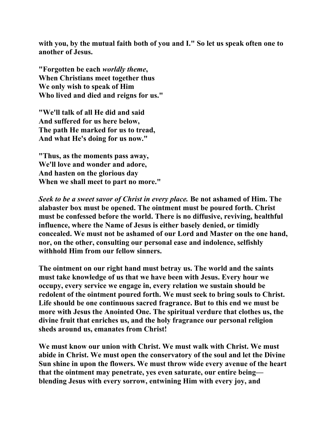**with you, by the mutual faith both of you and I." So let us speak often one to another of Jesus.** 

**"Forgotten be each** *worldly theme***, When Christians meet together thus We only wish to speak of Him Who lived and died and reigns for us."** 

**"We'll talk of all He did and said And suffered for us here below, The path He marked for us to tread, And what He's doing for us now."** 

**"Thus, as the moments pass away, We'll love and wonder and adore, And hasten on the glorious day When we shall meet to part no more."** 

*Seek to be a sweet savor of Christ in every place.* **Be not ashamed of Him. The alabaster box must be opened. The ointment must be poured forth. Christ must be confessed before the world. There is no diffusive, reviving, healthful influence, where the Name of Jesus is either basely denied, or timidly concealed. We must not be ashamed of our Lord and Master on the one hand, nor, on the other, consulting our personal ease and indolence, selfishly withhold Him from our fellow sinners.** 

**The ointment on our right hand must betray us. The world and the saints must take knowledge of us that we have been with Jesus. Every hour we occupy, every service we engage in, every relation we sustain should be redolent of the ointment poured forth. We must seek to bring souls to Christ. Life should be one continuous sacred fragrance. But to this end we must be more with Jesus the Anointed One. The spiritual verdure that clothes us, the divine fruit that enriches us, and the holy fragrance our personal religion sheds around us, emanates from Christ!** 

**We must know our union with Christ. We must walk with Christ. We must abide in Christ. We must open the conservatory of the soul and let the Divine Sun shine in upon the flowers. We must throw wide every avenue of the heart that the ointment may penetrate, yes even saturate, our entire being blending Jesus with every sorrow, entwining Him with every joy, and**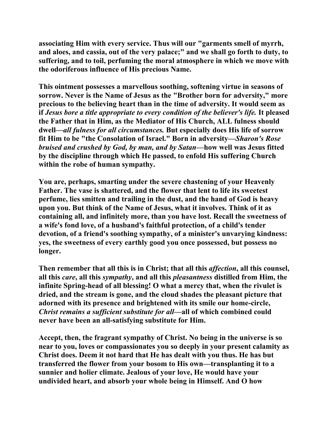**associating Him with every service. Thus will our "garments smell of myrrh, and aloes, and cassia, out of the very palace;" and we shall go forth to duty, to suffering, and to toil, perfuming the moral atmosphere in which we move with the odoriferous influence of His precious Name.** 

**This ointment possesses a marvellous soothing, softening virtue in seasons of sorrow. Never is the Name of Jesus as the "Brother born for adversity," more precious to the believing heart than in the time of adversity. It would seem as if** *Jesus bore a title appropriate to every condition of the believer's life.* **It pleased the Father that in Him, as the Mediator of His Church, ALL fulness should dwell—***all fulness for all circumstances.* **But especially does His life of sorrow fit Him to be "the Consolation of Israel." Born in adversity—***Sharon's Rose bruised and crushed by God, by man, and by Satan***—how well was Jesus fitted by the discipline through which He passed, to enfold His suffering Church within the robe of human sympathy.** 

**You are, perhaps, smarting under the severe chastening of your Heavenly Father. The vase is shattered, and the flower that lent to life its sweetest perfume, lies smitten and trailing in the dust, and the hand of God is heavy upon you. But think of the Name of Jesus, what it involves. Think of it as containing all, and infinitely more, than you have lost. Recall the sweetness of a wife's fond love, of a husband's faithful protection, of a child's tender devotion, of a friend's soothing sympathy, of a minister's unvarying kindness: yes, the sweetness of every earthly good you once possessed, but possess no longer.** 

**Then remember that all this is in Christ; that all this** *affection***, all this counsel, all this** *care***, all this** *sympathy***, and all this** *pleasantness* **distilled from Him, the infinite Spring-head of all blessing! O what a mercy that, when the rivulet is dried, and the stream is gone, and the cloud shades the pleasant picture that adorned with its presence and brightened with its smile our home-circle,** *Christ remains a sufficient substitute for all***—all of which combined could never have been an all-satisfying substitute for Him.** 

**Accept, then, the fragrant sympathy of Christ. No being in the universe is so near to you, loves or compassionates you so deeply in your present calamity as Christ does. Deem it not hard that He has dealt with you thus. He has but transferred the flower from your bosom to His own—transplanting it to a sunnier and holier climate. Jealous of your love, He would have your undivided heart, and absorb your whole being in Himself. And O how**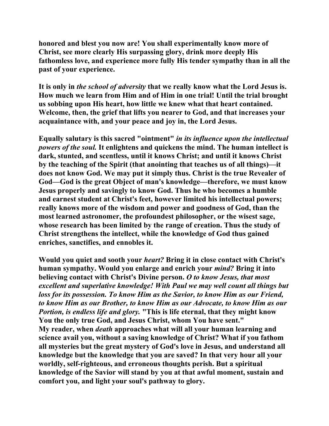**honored and blest you now are! You shall experimentally know more of Christ, see more clearly His surpassing glory, drink more deeply His fathomless love, and experience more fully His tender sympathy than in all the past of your experience.** 

**It is only in** *the school of adversity* **that we really know what the Lord Jesus is. How much we learn from Him and of Him in one trial! Until the trial brought us sobbing upon His heart, how little we knew what that heart contained. Welcome, then, the grief that lifts you nearer to God, and that increases your acquaintance with, and your peace and joy in, the Lord Jesus.** 

**Equally salutary is this sacred "ointment"** *in its influence upon the intellectual powers of the soul.* **It enlightens and quickens the mind. The human intellect is dark, stunted, and scentless, until it knows Christ; and until it knows Christ by the teaching of the Spirit (that anointing that teaches us of all things)—it does not know God. We may put it simply thus. Christ is the true Revealer of God—God is the great Object of man's knowledge—therefore, we must know Jesus properly and savingly to know God. Thus he who becomes a humble and earnest student at Christ's feet, however limited his intellectual powers; really knows more of the wisdom and power and goodness of God, than the most learned astronomer, the profoundest philosopher, or the wisest sage, whose research has been limited by the range of creation. Thus the study of Christ strengthens the intellect, while the knowledge of God thus gained enriches, sanctifies, and ennobles it.** 

**Would you quiet and sooth your** *heart?* **Bring it in close contact with Christ's human sympathy. Would you enlarge and enrich your** *mind?* **Bring it into believing contact with Christ's Divine person.** *O to know Jesus, that most excellent and superlative knowledge! With Paul we may well count all things but loss for its possession. To know Him as the Savior, to know Him as our Friend, to know Him as our Brother, to know Him as our Advocate, to know Him as our Portion, is endless life and glory.* **"This is life eternal, that they might know You the only true God, and Jesus Christ, whom You have sent." My reader, when** *death* **approaches what will all your human learning and science avail you, without a saving knowledge of Christ? What if you fathom all mysteries but the great mystery of God's love in Jesus, and understand all knowledge but the knowledge that you are saved? In that very hour all your worldly, self-righteous, and erroneous thoughts perish. But a spiritual knowledge of the Savior will stand by you at that awful moment, sustain and comfort you, and light your soul's pathway to glory.**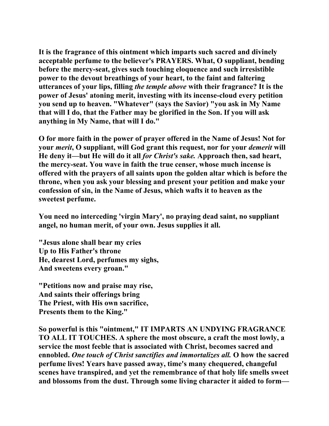**It is the fragrance of this ointment which imparts such sacred and divinely acceptable perfume to the believer's PRAYERS. What, O suppliant, bending before the mercy-seat, gives such touching eloquence and such irresistible power to the devout breathings of your heart, to the faint and faltering utterances of your lips, filling** *the temple above* **with their fragrance? It is the power of Jesus' atoning merit, investing with its incense-cloud every petition you send up to heaven. "Whatever" (says the Savior) "you ask in My Name that will I do, that the Father may be glorified in the Son. If you will ask anything in My Name, that will I do."** 

**O for more faith in the power of prayer offered in the Name of Jesus! Not for your** *merit***, O suppliant, will God grant this request, nor for your** *demerit* **will He deny it—but He will do it all** *for Christ's sake.* **Approach then, sad heart, the mercy-seat. You wave in faith the true censer, whose much incense is offered with the prayers of all saints upon the golden altar which is before the throne, when you ask your blessing and present your petition and make your confession of sin, in the Name of Jesus, which wafts it to heaven as the sweetest perfume.** 

**You need no interceding 'virgin Mary', no praying dead saint, no suppliant angel, no human merit, of your own. Jesus supplies it all.** 

**"Jesus alone shall bear my cries Up to His Father's throne He, dearest Lord, perfumes my sighs, And sweetens every groan."** 

**"Petitions now and praise may rise, And saints their offerings bring The Priest, with His own sacrifice, Presents them to the King."** 

**So powerful is this "ointment," IT IMPARTS AN UNDYING FRAGRANCE TO ALL IT TOUCHES. A sphere the most obscure, a craft the most lowly, a service the most feeble that is associated with Christ, becomes sacred and ennobled.** *One touch of Christ sanctifies and immortalizes all.* **O how the sacred perfume lives! Years have passed away, time's many chequered, changeful scenes have transpired, and yet the remembrance of that holy life smells sweet and blossoms from the dust. Through some living character it aided to form—**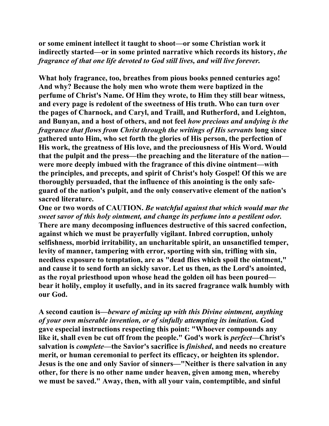**or some eminent intellect it taught to shoot—or some Christian work it indirectly started—or in some printed narrative which records its history,** *the fragrance of that one life devoted to God still lives, and will live forever.* 

**What holy fragrance, too, breathes from pious books penned centuries ago! And why? Because the holy men who wrote them were baptized in the perfume of Christ's Name. Of Him they wrote, to Him they still bear witness, and every page is redolent of the sweetness of His truth. Who can turn over the pages of Charnock, and Caryl, and Traill, and Rutherford, and Leighton, and Bunyan, and a host of others, and not feel** *how precious and undying is the fragrance that flows from Christ through the writings of His servants* **long since gathered unto Him, who set forth the glories of His person, the perfection of His work, the greatness of His love, and the preciousness of His Word. Would that the pulpit and the press—the preaching and the literature of the nation were more deeply imbued with the fragrance of this divine ointment—with the principles, and precepts, and spirit of Christ's holy Gospel! Of this we are thoroughly persuaded, that the influence of this anointing is the only safeguard of the nation's pulpit, and the only conservative element of the nation's sacred literature.** 

**One or two words of CAUTION.** *Be watchful against that which would mar the sweet savor of this holy ointment, and change its perfume into a pestilent odor.*  **There are many decomposing influences destructive of this sacred confection, against which we must be prayerfully vigilant. Inbred corruption, unholy selfishness, morbid irritability, an uncharitable spirit, an unsanctified temper, levity of manner, tampering with error, sporting with sin, trifling with sin, needless exposure to temptation, are as "dead flies which spoil the ointment," and cause it to send forth an sickly savor. Let us then, as the Lord's anointed, as the royal priesthood upon whose head the golden oil has been poured bear it holily, employ it usefully, and in its sacred fragrance walk humbly with our God.** 

**A second caution is—***beware of mixing up with this Divine ointment, anything of your own miserable invention, or of sinfully attempting its imitation.* **God gave especial instructions respecting this point: "Whoever compounds any**  like it, shall even be cut off from the people." God's work is *perfect*—Christ's **salvation is** *complete***—the Savior's sacrifice is** *finished***, and needs no creature merit, or human ceremonial to perfect its efficacy, or heighten its splendor. Jesus is the one and only Savior of sinners—"Neither is there salvation in any other, for there is no other name under heaven, given among men, whereby we must be saved." Away, then, with all your vain, contemptible, and sinful**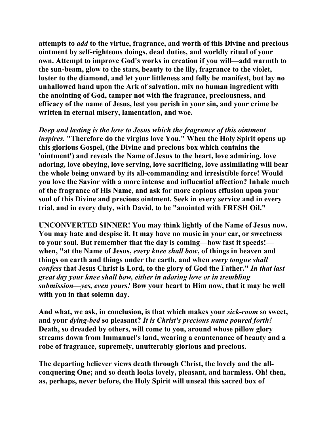**attempts to** *add* **to the virtue, fragrance, and worth of this Divine and precious ointment by self-righteous doings, dead duties, and worldly ritual of your own. Attempt to improve God's works in creation if you will—add warmth to the sun-beam, glow to the stars, beauty to the lily, fragrance to the violet, luster to the diamond, and let your littleness and folly be manifest, but lay no unhallowed hand upon the Ark of salvation, mix no human ingredient with the anointing of God, tamper not with the fragrance, preciousness, and efficacy of the name of Jesus, lest you perish in your sin, and your crime be written in eternal misery, lamentation, and woe.** 

*Deep and lasting is the love to Jesus which the fragrance of this ointment inspires.* **"Therefore do the virgins love You." When the Holy Spirit opens up this glorious Gospel, (the Divine and precious box which contains the 'ointment') and reveals the Name of Jesus to the heart, love admiring, love adoring, love obeying, love serving, love sacrificing, love assimilating will bear the whole being onward by its all-commanding and irresistible force! Would you love the Savior with a more intense and influential affection? Inhale much of the fragrance of His Name, and ask for more copious effusion upon your soul of this Divine and precious ointment. Seek in every service and in every trial, and in every duty, with David, to be "anointed with FRESH Oil."** 

**UNCONVERTED SINNER! You may think lightly of the Name of Jesus now. You may hate and despise it. It may have no music in your ear, or sweetness to your soul. But remember that the day is coming—how fast it speeds! when, "at the Name of Jesus,** *every knee shall bow***, of things in heaven and things on earth and things under the earth, and when** *every tongue shall confess* **that Jesus Christ is Lord, to the glory of God the Father."** *In that last great day your knee shall bow, either in adoring love or in trembling submission—yes, even yours!* **Bow your heart to Him now, that it may be well with you in that solemn day.** 

**And what, we ask, in conclusion, is that which makes your** *sick-room* **so sweet, and your** *dying-bed* **so pleasant?** *It is Christ's precious name poured forth!* **Death, so dreaded by others, will come to you, around whose pillow glory streams down from Immanuel's land, wearing a countenance of beauty and a robe of fragrance, supremely, unutterably glorious and precious.** 

**The departing believer views death through Christ, the lovely and the allconquering One; and so death looks lovely, pleasant, and harmless. Oh! then, as, perhaps, never before, the Holy Spirit will unseal this sacred box of**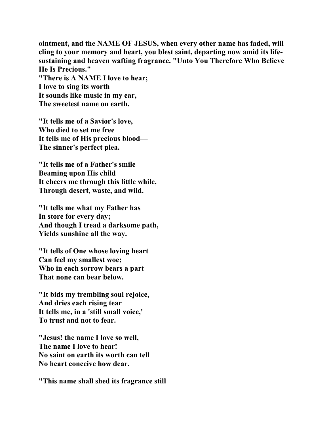**ointment, and the NAME OF JESUS, when every other name has faded, will cling to your memory and heart, you blest saint, departing now amid its lifesustaining and heaven wafting fragrance. "Unto You Therefore Who Believe He Is Precious." "There is A NAME I love to hear; I love to sing its worth It sounds like music in my ear, The sweetest name on earth.** 

**"It tells me of a Savior's love, Who died to set me free It tells me of His precious blood— The sinner's perfect plea.** 

**"It tells me of a Father's smile Beaming upon His child It cheers me through this little while, Through desert, waste, and wild.** 

**"It tells me what my Father has In store for every day; And though I tread a darksome path, Yields sunshine all the way.** 

**"It tells of One whose loving heart Can feel my smallest woe; Who in each sorrow bears a part That none can bear below.** 

**"It bids my trembling soul rejoice, And dries each rising tear It tells me, in a 'still small voice,' To trust and not to fear.** 

**"Jesus! the name I love so well, The name I love to hear! No saint on earth its worth can tell No heart conceive how dear.** 

**"This name shall shed its fragrance still**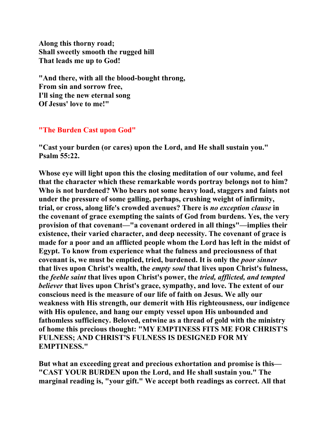**Along this thorny road; Shall sweetly smooth the rugged hill That leads me up to God!** 

**"And there, with all the blood-bought throng, From sin and sorrow free, I'll sing the new eternal song Of Jesus' love to me!"** 

## **"The Burden Cast upon God"**

**"Cast your burden (or cares) upon the Lord, and He shall sustain you." Psalm 55:22.** 

**Whose eye will light upon this the closing meditation of our volume, and feel that the character which these remarkable words portray belongs not to him? Who is not burdened? Who bears not some heavy load, staggers and faints not under the pressure of some galling, perhaps, crushing weight of infirmity, trial, or cross, along life's crowded avenues? There is** *no exception clause* **in the covenant of grace exempting the saints of God from burdens. Yes, the very provision of that covenant—"a covenant ordered in all things"—implies their existence, their varied character, and deep necessity. The covenant of grace is made for a poor and an afflicted people whom the Lord has left in the midst of Egypt. To know from experience what the fulness and preciousness of that covenant is, we must be emptied, tried, burdened. It is only the** *poor sinner* **that lives upon Christ's wealth, the** *empty soul* **that lives upon Christ's fulness, the** *feeble saint* **that lives upon Christ's power, the** *tried, afflicted, and tempted believer* **that lives upon Christ's grace, sympathy, and love. The extent of our conscious need is the measure of our life of faith on Jesus. We ally our weakness with His strength, our demerit with His righteousness, our indigence with His opulence, and hang our empty vessel upon His unbounded and fathomless sufficiency. Beloved, entwine as a thread of gold with the ministry of home this precious thought: "MY EMPTINESS FITS ME FOR CHRIST'S FULNESS; AND CHRIST'S FULNESS IS DESIGNED FOR MY EMPTINESS."** 

**But what an exceeding great and precious exhortation and promise is this— "CAST YOUR BURDEN upon the Lord, and He shall sustain you." The marginal reading is, "your gift." We accept both readings as correct. All that**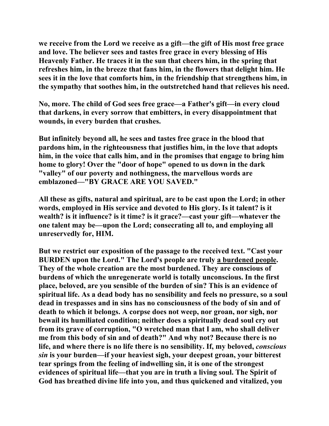**we receive from the Lord we receive as a gift—the gift of His most free grace and love. The believer sees and tastes free grace in every blessing of His Heavenly Father. He traces it in the sun that cheers him, in the spring that refreshes him, in the breeze that fans him, in the flowers that delight him. He sees it in the love that comforts him, in the friendship that strengthens him, in the sympathy that soothes him, in the outstretched hand that relieves his need.** 

**No, more. The child of God sees free grace—a Father's gift—in every cloud that darkens, in every sorrow that embitters, in every disappointment that wounds, in every burden that crushes.** 

**But infinitely beyond all, he sees and tastes free grace in the blood that pardons him, in the righteousness that justifies him, in the love that adopts him, in the voice that calls him, and in the promises that engage to bring him home to glory! Over the "door of hope" opened to us down in the dark "valley" of our poverty and nothingness, the marvellous words are emblazoned—"BY GRACE ARE YOU SAVED."** 

**All these as gifts, natural and spiritual, are to be cast upon the Lord; in other words, employed in His service and devoted to His glory. Is it talent? is it wealth? is it influence? is it time? is it grace?—cast your gift—whatever the one talent may be—upon the Lord; consecrating all to, and employing all unreservedly for, HIM.** 

**But we restrict our exposition of the passage to the received text. "Cast your BURDEN upon the Lord." The Lord's people are truly a burdened people. They of the whole creation are the most burdened. They are conscious of burdens of which the unregenerate world is totally unconscious. In the first place, beloved, are you sensible of the burden of sin? This is an evidence of spiritual life. As a dead body has no sensibility and feels no pressure, so a soul dead in trespasses and in sins has no consciousness of the body of sin and of death to which it belongs. A corpse does not weep, nor groan, nor sigh, nor bewail its humiliated condition; neither does a spiritually dead soul cry out from its grave of corruption, "O wretched man that I am, who shall deliver me from this body of sin and of death?" And why not? Because there is no life, and where there is no life there is no sensibility. If, my beloved,** *conscious sin* **is your burden—if your heaviest sigh, your deepest groan, your bitterest tear springs from the feeling of indwelling sin, it is one of the strongest evidences of spiritual life—that you are in truth a living soul. The Spirit of God has breathed divine life into you, and thus quickened and vitalized, you**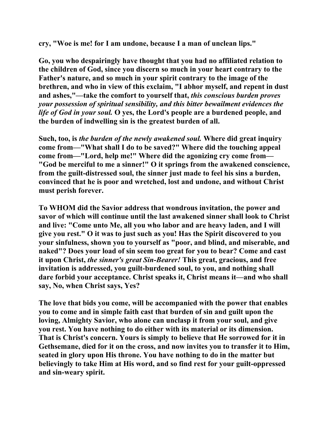**cry, "Woe is me! for I am undone, because I a man of unclean lips."** 

**Go, you who despairingly have thought that you had no affiliated relation to the children of God, since you discern so much in your heart contrary to the Father's nature, and so much in your spirit contrary to the image of the brethren, and who in view of this exclaim, "I abhor myself, and repent in dust and ashes,"—take the comfort to yourself that,** *this conscious burden proves your possession of spiritual sensibility, and this bitter bewailment evidences the life of God in your soul.* **O yes, the Lord's people are a burdened people, and the burden of indwelling sin is the greatest burden of all.** 

**Such, too, is** *the burden of the newly awakened soul.* **Where did great inquiry come from—"What shall I do to be saved?" Where did the touching appeal come from—"Lord, help me!" Where did the agonizing cry come from— "God be merciful to me a sinner!" O it springs from the awakened conscience, from the guilt-distressed soul, the sinner just made to feel his sins a burden, convinced that he is poor and wretched, lost and undone, and without Christ must perish forever.** 

**To WHOM did the Savior address that wondrous invitation, the power and savor of which will continue until the last awakened sinner shall look to Christ and live: "Come unto Me, all you who labor and are heavy laden, and I will give you rest." O it was to just such as you! Has the Spirit discovered to you your sinfulness, shown you to yourself as "poor, and blind, and miserable, and naked"? Does your load of sin seem too great for you to bear? Come and cast it upon Christ,** *the sinner's great Sin-Bearer!* **This great, gracious, and free invitation is addressed, you guilt-burdened soul, to you, and nothing shall dare forbid your acceptance. Christ speaks it, Christ means it—and who shall say, No, when Christ says, Yes?** 

**The love that bids you come, will be accompanied with the power that enables you to come and in simple faith cast that burden of sin and guilt upon the loving, Almighty Savior, who alone can unclasp it from your soul, and give you rest. You have nothing to do either with its material or its dimension. That is Christ's concern. Yours is simply to believe that He sorrowed for it in Gethsemane, died for it on the cross, and now invites you to transfer it to Him, seated in glory upon His throne. You have nothing to do in the matter but believingly to take Him at His word, and so find rest for your guilt-oppressed and sin-weary spirit.**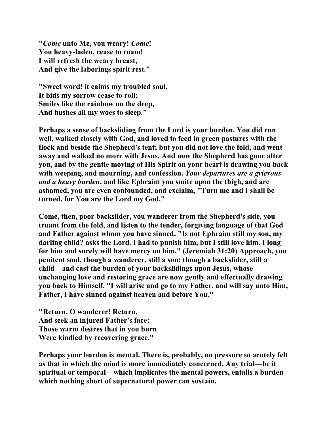**"***Come* **unto Me, you weary!** *Come***! You heavy-laden, cease to roam! I will refresh the weary breast, And give the laborings spirit rest."** 

**"Sweet word! it calms my troubled soul, It bids my sorrow cease to roll; Smiles like the rainbow on the deep, And hushes all my woes to sleep."** 

**Perhaps a sense of backsliding from the Lord is your burden. You did run well, walked closely with God, and loved to feed in green pastures with the flock and beside the Shepherd's tent; but you did not love the fold, and went away and walked no more with Jesus. And now the Shepherd has gone after you, and by the gentle moving of His Spirit on your heart is drawing you back with weeping, and mourning, and confession.** *Your departures are a grievous and a heavy burden***, and like Ephraim you smite upon the thigh, and are ashamed, you are even confounded, and exclaim, "Turn me and I shall be turned, for You are the Lord my God."** 

**Come, then, poor backslider, you wanderer from the Shepherd's side, you truant from the fold, and listen to the tender, forgiving language of that God and Father against whom you have sinned. "Is not Ephraim still my son, my darling child? asks the Lord. I had to punish him, but I still love him. I long for him and surely will have mercy on him." (Jeremiah 31:20) Approach, you penitent soul, though a wanderer, still a son; though a backslider, still a child—and cast the burden of your backslidings upon Jesus, whose unchanging love and restoring grace are now gently and effectually drawing you back to Himself. "I will arise and go to my Father, and will say unto Him, Father, I have sinned against heaven and before You."** 

**"Return, O wanderer! Return, And seek an injured Father's face; Those warm desires that in you burn Were kindled by recovering grace."** 

**Perhaps your burden is mental. There is, probably, no pressure so acutely felt as that in which the mind is more immediately concerned. Any trial—be it spiritual or temporal—which implicates the mental powers, entails a burden which nothing short of supernatural power can sustain.**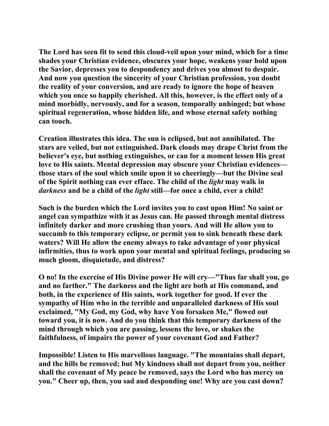**The Lord has seen fit to send this cloud-veil upon your mind, which for a time shades your Christian evidence, obscures your hope, weakens your hold upon the Savior, depresses you to despondency and drives you almost to despair. And now you question the sincerity of your Christian profession, you doubt the reality of your conversion, and are ready to ignore the hope of heaven which you once so happily cherished. All this, however, is the effect only of a mind morbidly, nervously, and for a season, temporally unhinged; but whose spiritual regeneration, whose hidden life, and whose eternal safety nothing can touch.** 

**Creation illustrates this idea. The sun is eclipsed, but not annihilated. The stars are veiled, but not extinguished. Dark clouds may drape Christ from the believer's eye, but nothing extinguishes, or can for a moment lessen His great love to His saints. Mental depression may obscure your Christian evidences those stars of the soul which smile upon it so cheeringly—but the Divine seal of the Spirit nothing can ever efface. The child of the** *light* **may walk in**  *darkness* **and be a child of the** *light* **still—for once a child, ever a child!** 

**Such is the burden which the Lord invites you to cast upon Him! No saint or angel can sympathize with it as Jesus can. He passed through mental distress infinitely darker and more crushing than yours. And will He allow you to succumb to this temporary eclipse, or permit you to sink beneath these dark waters? Will He allow the enemy always to take advantage of your physical infirmities, thus to work upon your mental and spiritual feelings, producing so much gloom, disquietude, and distress?** 

**O no! In the exercise of His Divine power He will cry—"Thus far shall you, go and no farther." The darkness and the light are both at His command, and both, in the experience of His saints, work together for good. If ever the sympathy of Him who in the terrible and unparalleled darkness of His soul exclaimed, "My God, my God, why have You forsaken Me," flowed out toward you, it is now. And do you think that this temporary darkness of the mind through which you are passing, lessens the love, or shakes the faithfulness, of impairs the power of your covenant God and Father?** 

**Impossible! Listen to His marvellous language. "The mountains shall depart, and the hills be removed; but My kindness shall not depart from you, neither shall the covenant of My peace be removed, says the Lord who has mercy on you." Cheer up, then, you sad and desponding one! Why are you cast down?**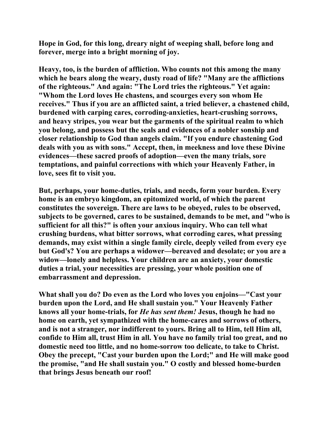**Hope in God, for this long, dreary night of weeping shall, before long and forever, merge into a bright morning of joy.** 

**Heavy, too, is the burden of affliction. Who counts not this among the many which he bears along the weary, dusty road of life? "Many are the afflictions of the righteous." And again: "The Lord tries the righteous." Yet again: "Whom the Lord loves He chastens, and scourges every son whom He receives." Thus if you are an afflicted saint, a tried believer, a chastened child, burdened with carping cares, corroding-anxieties, heart-crushing sorrows, and heavy stripes, you wear but the garments of the spiritual realm to which you belong, and possess but the seals and evidences of a nobler sonship and closer relationship to God than angels claim. "If you endure chastening God deals with you as with sons." Accept, then, in meekness and love these Divine evidences—these sacred proofs of adoption—even the many trials, sore temptations, and painful corrections with which your Heavenly Father, in love, sees fit to visit you.** 

**But, perhaps, your home-duties, trials, and needs, form your burden. Every home is an embryo kingdom, an epitomized world, of which the parent constitutes the sovereign. There are laws to be obeyed, rules to be observed, subjects to be governed, cares to be sustained, demands to be met, and "who is sufficient for all this?" is often your anxious inquiry. Who can tell what crushing burdens, what bitter sorrows, what corroding cares, what pressing demands, may exist within a single family circle, deeply veiled from every eye but God's? You are perhaps a widower—bereaved and desolate; or you are a widow—lonely and helpless. Your children are an anxiety, your domestic duties a trial, your necessities are pressing, your whole position one of embarrassment and depression.** 

**What shall you do? Do even as the Lord who loves you enjoins—"Cast your burden upon the Lord, and He shall sustain you." Your Heavenly Father knows all your home-trials, for** *He has sent them!* **Jesus, though he had no home on earth, yet sympathized with the home-cares and sorrows of others, and is not a stranger, nor indifferent to yours. Bring all to Him, tell Him all, confide to Him all, trust Him in all. You have no family trial too great, and no domestic need too little, and no home-sorrow too delicate, to take to Christ. Obey the precept, "Cast your burden upon the Lord;" and He will make good the promise, "and He shall sustain you." O costly and blessed home-burden that brings Jesus beneath our roof!**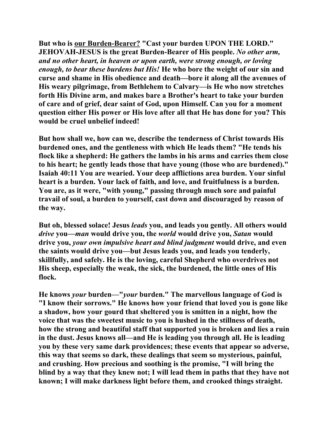**But who is our Burden-Bearer? "Cast your burden UPON THE LORD." JEHOVAH-JESUS is the great Burden-Bearer of His people.** *No other arm, and no other heart, in heaven or upon earth, were strong enough, or loving enough, to bear these burdens but His!* **He who bore the weight of our sin and curse and shame in His obedience and death—bore it along all the avenues of His weary pilgrimage, from Bethlehem to Calvary—is He who now stretches forth His Divine arm, and makes bare a Brother's heart to take your burden of care and of grief, dear saint of God, upon Himself. Can you for a moment question either His power or His love after all that He has done for you? This would be cruel unbelief indeed!** 

**But how shall we, how can we, describe the tenderness of Christ towards His burdened ones, and the gentleness with which He leads them? "He tends his flock like a shepherd: He gathers the lambs in his arms and carries them close to his heart; he gently leads those that have young (those who are burdened)." Isaiah 40:11 You are wearied. Your deep afflictions area burden. Your sinful heart is a burden. Your lack of faith, and love, and fruitfulness is a burden. You are, as it were, "with young," passing through much sore and painful travail of soul, a burden to yourself, cast down and discouraged by reason of the way.** 

**But oh, blessed solace! Jesus** *leads* **you, and leads you gently. All others would**  *drive* **you—***man* **would drive you, the** *world* **would drive you,** *Satan* **would drive you,** *your own impulsive heart and blind judgment* **would drive, and even the saints would drive you—but Jesus leads you, and leads you tenderly, skillfully, and safely. He is the loving, careful Shepherd who overdrives not His sheep, especially the weak, the sick, the burdened, the little ones of His flock.** 

**He knows** *your* **burden—"***your* **burden." The marvellous language of God is "I know their sorrows." He knows how your friend that loved you is gone like a shadow, how your gourd that sheltered you is smitten in a night, how the voice that was the sweetest music to you is hushed in the stillness of death, how the strong and beautiful staff that supported you is broken and lies a ruin in the dust. Jesus knows all—and He is leading you through all. He is leading you by these very same dark providences; these events that appear so adverse, this way that seems so dark, these dealings that seem so mysterious, painful, and crushing. How precious and soothing is the promise, "I will bring the blind by a way that they knew not; I will lead them in paths that they have not known; I will make darkness light before them, and crooked things straight.**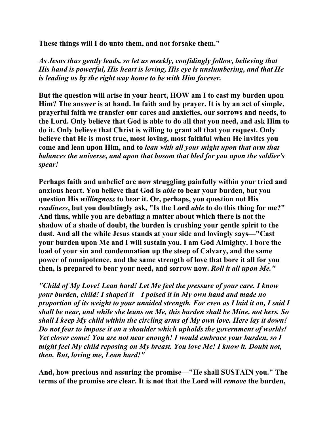**These things will I do unto them, and not forsake them."** 

*As Jesus thus gently leads, so let us meekly, confidingly follow, believing that His hand is powerful, His heart is loving, His eye is unslumbering, and that He is leading us by the right way home to be with Him forever.* 

**But the question will arise in your heart, HOW am I to cast my burden upon Him? The answer is at hand. In faith and by prayer. It is by an act of simple, prayerful faith we transfer our cares and anxieties, our sorrows and needs, to the Lord. Only believe that God is able to do all that you need, and ask Him to do it. Only believe that Christ is willing to grant all that you request. Only believe that He is most true, most loving, most faithful when He invites you come and lean upon Him, and to** *lean with all your might upon that arm that balances the universe, and upon that bosom that bled for you upon the soldier's spear!* 

**Perhaps faith and unbelief are now struggling painfully within your tried and anxious heart. You believe that God is** *able* **to bear your burden, but you question His** *willingness* **to bear it. Or, perhaps, you question not His**  *readiness***, but you doubtingly ask, "Is the Lord** *able* **to do this thing for me?" And thus, while you are debating a matter about which there is not the shadow of a shade of doubt, the burden is crushing your gentle spirit to the dust. And all the while Jesus stands at your side and lovingly says—"Cast your burden upon Me and I will sustain you. I am God Almighty. I bore the load of your sin and condemnation up the steep of Calvary, and the same power of omnipotence, and the same strength of love that bore it all for you then, is prepared to bear your need, and sorrow now.** *Roll it all upon Me."* 

*"Child of My Love! Lean hard! Let Me feel the pressure of your care. I know your burden, child! I shaped it—I poised it in My own hand and made no proportion of its weight to your unaided strength. For even as I laid it on, I said I shall be near, and while she leans on Me, this burden shall be Mine, not hers. So shall I keep My child within the circling arms of My own love. Here lay it down! Do not fear to impose it on a shoulder which upholds the government of worlds! Yet closer come! You are not near enough! I would embrace your burden, so I might feel My child reposing on My breast. You love Me! I know it. Doubt not, then. But, loving me, Lean hard!"*

**And, how precious and assuring the promise—"He shall SUSTAIN you." The terms of the promise are clear. It is not that the Lord will** *remove* **the burden,**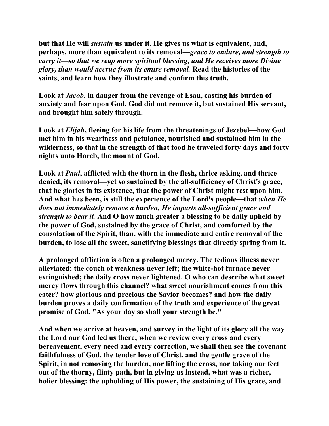**but that He will** *sustain* **us under it. He gives us what is equivalent, and, perhaps, more than equivalent to its removal—***grace to endure, and strength to carry it—so that we reap more spiritual blessing, and He receives more Divine glory, than would accrue from its entire removal.* **Read the histories of the saints, and learn how they illustrate and confirm this truth.** 

**Look at** *Jacob***, in danger from the revenge of Esau, casting his burden of anxiety and fear upon God. God did not remove it, but sustained His servant, and brought him safely through.** 

**Look at** *Elijah***, fleeing for his life from the threatenings of Jezebel—how God met him in his weariness and petulance, nourished and sustained him in the wilderness, so that in the strength of that food he traveled forty days and forty nights unto Horeb, the mount of God.** 

**Look at** *Paul***, afflicted with the thorn in the flesh, thrice asking, and thrice denied, its removal—yet so sustained by the all-sufficiency of Christ's grace, that he glories in its existence, that the power of Christ might rest upon him. And what has been, is still the experience of the Lord's people—that** *when He does not immediately remove a burden, He imparts all-sufficient grace and strength to bear it.* **And O how much greater a blessing to be daily upheld by the power of God, sustained by the grace of Christ, and comforted by the consolation of the Spirit, than, with the immediate and entire removal of the burden, to lose all the sweet, sanctifying blessings that directly spring from it.** 

**A prolonged affliction is often a prolonged mercy. The tedious illness never alleviated; the couch of weakness never left; the white-hot furnace never extinguished; the daily cross never lightened. O who can describe what sweet mercy flows through this channel? what sweet nourishment comes from this eater? how glorious and precious the Savior becomes? and how the daily burden proves a daily confirmation of the truth and experience of the great promise of God. "As your day so shall your strength be."** 

**And when we arrive at heaven, and survey in the light of its glory all the way the Lord our God led us there; when we review every cross and every bereavement, every need and every correction, we shall then see the covenant faithfulness of God, the tender love of Christ, and the gentle grace of the Spirit, in not removing the burden, nor lifting the cross, nor taking our feet out of the thorny, flinty path, but in giving us instead, what was a richer, holier blessing: the upholding of His power, the sustaining of His grace, and**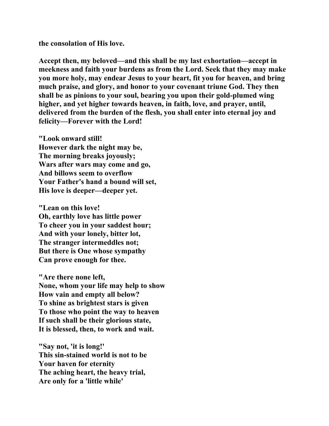**the consolation of His love.** 

**Accept then, my beloved—and this shall be my last exhortation—accept in meekness and faith your burdens as from the Lord. Seek that they may make you more holy, may endear Jesus to your heart, fit you for heaven, and bring much praise, and glory, and honor to your covenant triune God. They then shall be as pinions to your soul, bearing you upon their gold-plumed wing higher, and yet higher towards heaven, in faith, love, and prayer, until, delivered from the burden of the flesh, you shall enter into eternal joy and felicity—Forever with the Lord!** 

**"Look onward still! However dark the night may be, The morning breaks joyously; Wars after wars may come and go, And billows seem to overflow Your Father's hand a bound will set, His love is deeper—deeper yet.** 

**"Lean on this love! Oh, earthly love has little power To cheer you in your saddest hour; And with your lonely, bitter lot, The stranger intermeddles not; But there is One whose sympathy Can prove enough for thee.** 

**"Are there none left, None, whom your life may help to show How vain and empty all below? To shine as brightest stars is given To those who point the way to heaven If such shall be their glorious state, It is blessed, then, to work and wait.** 

**"Say not, 'it is long!' This sin-stained world is not to be Your haven for eternity The aching heart, the heavy trial, Are only for a 'little while'**